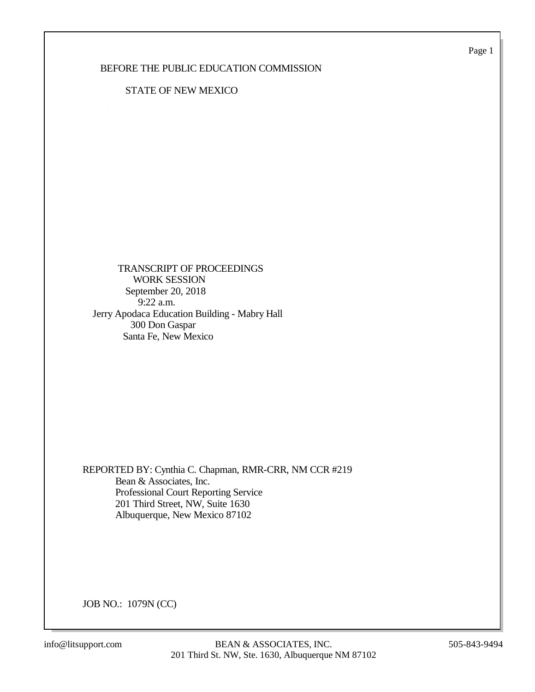Page 1

## BEFORE THE PUBLIC EDUCATION COMMISSION

### STATE OF NEW MEXICO

 TRANSCRIPT OF PROCEEDINGS WORK SESSION September 20, 2018 9:22 a.m. Jerry Apodaca Education Building - Mabry Hall 300 Don Gaspar Santa Fe, New Mexico

REPORTED BY: Cynthia C. Chapman, RMR-CRR, NM CCR #219 Bean & Associates, Inc. Professional Court Reporting Service 201 Third Street, NW, Suite 1630 Albuquerque, New Mexico 87102

JOB NO.: 1079N (CC)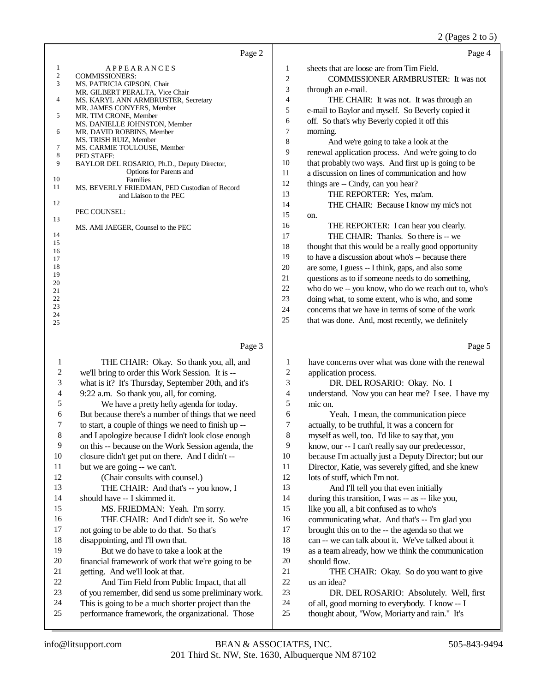### 2 (Pages 2 to 5)

|                | Page 2                                                                 |                | Page 4                                               |
|----------------|------------------------------------------------------------------------|----------------|------------------------------------------------------|
|                | APPEARANCES                                                            | 1              | sheets that are loose are from Tim Field.            |
| $\overline{2}$ | <b>COMMISSIONERS:</b>                                                  | $\overline{2}$ | <b>COMMISSIONER ARMBRUSTER:</b> It was not           |
| 3              | MS. PATRICIA GIPSON, Chair                                             | 3              |                                                      |
|                | MR. GILBERT PERALTA, Vice Chair                                        |                | through an e-mail.                                   |
| 4              | MS. KARYL ANN ARMBRUSTER, Secretary                                    | 4              | THE CHAIR: It was not. It was through an             |
| 5              | MR. JAMES CONYERS, Member<br>MR. TIM CRONE, Member                     | 5              | e-mail to Baylor and myself. So Beverly copied it    |
|                | MS. DANIELLE JOHNSTON, Member                                          | 6              | off. So that's why Beverly copied it off this        |
| 6              | MR. DAVID ROBBINS, Member                                              | $\tau$         | morning.                                             |
|                | MS. TRISH RUIZ, Member                                                 | 8              | And we're going to take a look at the                |
| 7              | MS. CARMIE TOULOUSE, Member                                            | 9              | renewal application process. And we're going to do   |
| 8<br>9         | PED STAFF:                                                             | 10             | that probably two ways. And first up is going to be  |
|                | BAYLOR DEL ROSARIO, Ph.D., Deputy Director,<br>Options for Parents and | 11             | a discussion on lines of communication and how       |
| 10             | <b>Families</b>                                                        |                |                                                      |
| 11             | MS. BEVERLY FRIEDMAN, PED Custodian of Record                          | 12             | things are -- Cindy, can you hear?                   |
|                | and Liaison to the PEC                                                 | 13             | THE REPORTER: Yes, ma'am.                            |
| 12             |                                                                        | 14             | THE CHAIR: Because I know my mic's not               |
| 13             | PEC COUNSEL:                                                           | 15             | on.                                                  |
|                | MS. AMI JAEGER, Counsel to the PEC                                     | 16             | THE REPORTER: I can hear you clearly.                |
| 14             |                                                                        | 17             | THE CHAIR: Thanks. So there is -- we                 |
| 15             |                                                                        | 18             | thought that this would be a really good opportunity |
| 16             |                                                                        |                |                                                      |
| 17             |                                                                        | 19             | to have a discussion about who's -- because there    |
| 18<br>19       |                                                                        | 20             | are some, I guess -- I think, gaps, and also some    |
| 20             |                                                                        | 21             | questions as to if someone needs to do something,    |
| 21             |                                                                        | 22             | who do we -- you know, who do we reach out to, who's |
| 22             |                                                                        | 23             | doing what, to some extent, who is who, and some     |
| 23             |                                                                        | 24             | concerns that we have in terms of some of the work   |
| 24             |                                                                        | 25             | that was done. And, most recently, we definitely     |
| 25             |                                                                        |                |                                                      |

#### Page 3

1 THE CHAIR: Okay. So thank you, all, and 2 we'll bring to order this Work Session. It is --<br>3 what is it? It's Thursday. September 20th, and what is it? It's Thursday, September 20th, and it's 4 9:22 a.m. So thank you, all, for coming.<br>5 We have a pretty hefty agenda for 5 We have a pretty hefty agenda for today.<br>6 But because there's a number of things that we 6 But because there's a number of things that we need<br>  $\frac{7}{10}$  to start, a couple of things we need to finish up --7 to start, a couple of things we need to finish up --<br>8 and Lapologize because I didn't look close enough and I apologize because I didn't look close enough 9 on this -- because on the Work Session agenda, the 10 closure didn't set put on there. And I didn't --10 closure didn't get put on there. And I didn't  $-11$  but we are going  $-$  we can't. 11 but we are going -- we can't.<br>12 (Chair consults with consults) (Chair consults with counsel.) 13 THE CHAIR: And that's -- you know, I 14 should have -- I skimmed it. 15 MS. FRIEDMAN: Yeah. I'm sorry. 16 THE CHAIR: And I didn't see it. So we're<br>17 not going to be able to do that. So that's not going to be able to do that. So that's 18 disappointing, and I'll own that.<br>19 But we do have to take a l But we do have to take a look at the 20 financial framework of work that we're going to be<br>21 overting And we'll look at that. 21 getting. And we'll look at that.<br>22 And Tim Field from Pub 22 And Tim Field from Public Impact, that all<br>23 of you remember, did send us some preliminary w 23 of you remember, did send us some preliminary work.<br>24 This is going to be a much shorter project than the 24 This is going to be a much shorter project than the<br>25 performance framework, the organizational. Those performance framework, the organizational. Those Page 5 1 have concerns over what was done with the renewal<br>2 application process. 2 application process.<br>3 DR. DEL ROS DR. DEL ROSARIO: Okay. No. I 4 understand. Now you can hear me? I see. I have my<br>5 mic on.  $\frac{5}{6}$  mic on. 6 Yeah. I mean, the communication piece<br>
7 actually, to be truthful, it was a concern for 7 actually, to be truthful, it was a concern for<br>8 myself as well, too. I'd like to say that, you myself as well, too. I'd like to say that, you 9 know, our -- I can't really say our predecessor, 10 because I'm actually just a Deputy Director; but our<br>11 Director: Katie, was severely gifted, and she knew 11 Director, Katie, was severely gifted, and she knew<br>12 lots of stuff, which I'm not. lots of stuff, which I'm not. 13 And I'll tell you that even initially 14 during this transition, I was -- as -- like you, 15 like you all, a bit confused as to who's 16 communicating what. And that's -- I'm glad you<br>17 brought this on to the -- the agenda so that we brought this on to the -- the agenda so that we 18 can -- we can talk about it. We've talked about it<br>19 as a team already how we think the communication as a team already, how we think the communication 20 should flow.<br>21 THE C 21 THE CHAIR: Okay. So do you want to give 22 us an idea? 22 us an idea?<br>23 DR. DR. DEL ROSARIO: Absolutely. Well, first 24 of all, good morning to everybody. I know -- I<br>25 thought about "Wow. Moriarty and rain." It's thought about, "Wow, Moriarty and rain." It's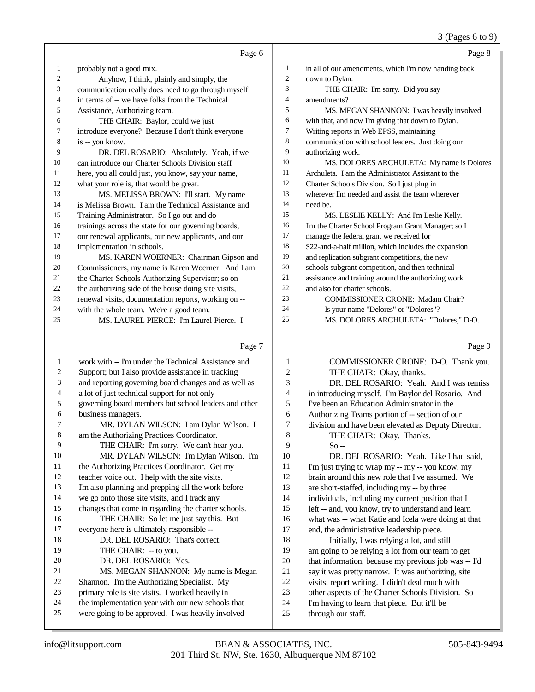3 (Pages 6 to 9)

|    | Page 6                                               |    | Page 8                                                |
|----|------------------------------------------------------|----|-------------------------------------------------------|
| 1  | probably not a good mix.                             | 1  | in all of our amendments, which I'm now handing back  |
| 2  | Anyhow, I think, plainly and simply, the             | 2  | down to Dylan.                                        |
| 3  | communication really does need to go through myself  | 3  | THE CHAIR: I'm sorry. Did you say                     |
| 4  | in terms of -- we have folks from the Technical      | 4  | amendments?                                           |
| 5  | Assistance, Authorizing team.                        | 5  | MS. MEGAN SHANNON: I was heavily involved             |
| 6  | THE CHAIR: Baylor, could we just                     | 6  | with that, and now I'm giving that down to Dylan.     |
| 7  | introduce everyone? Because I don't think everyone   | 7  | Writing reports in Web EPSS, maintaining              |
| 8  | is -- you know.                                      | 8  | communication with school leaders. Just doing our     |
| 9  | DR. DEL ROSARIO: Absolutely. Yeah, if we             | 9  | authorizing work.                                     |
| 10 | can introduce our Charter Schools Division staff     | 10 | MS. DOLORES ARCHULETA: My name is Dolores             |
| 11 | here, you all could just, you know, say your name,   | 11 | Archuleta. I am the Administrator Assistant to the    |
| 12 | what your role is, that would be great.              | 12 | Charter Schools Division. So I just plug in           |
| 13 | MS. MELISSA BROWN: I'll start. My name               | 13 | wherever I'm needed and assist the team wherever      |
| 14 | is Melissa Brown. I am the Technical Assistance and  | 14 | need be.                                              |
| 15 | Training Administrator. So I go out and do           | 15 | MS. LESLIE KELLY: And I'm Leslie Kelly.               |
| 16 | trainings across the state for our governing boards, | 16 | I'm the Charter School Program Grant Manager; so I    |
| 17 | our renewal applicants, our new applicants, and our  | 17 | manage the federal grant we received for              |
| 18 | implementation in schools.                           | 18 | \$22-and-a-half million, which includes the expansion |
| 19 | MS. KAREN WOERNER: Chairman Gipson and               | 19 | and replication subgrant competitions, the new        |
| 20 | Commissioners, my name is Karen Woerner. And I am    | 20 | schools subgrant competition, and then technical      |
| 21 | the Charter Schools Authorizing Supervisor; so on    | 21 | assistance and training around the authorizing work   |
| 22 | the authorizing side of the house doing site visits, | 22 | and also for charter schools.                         |
| 23 | renewal visits, documentation reports, working on -- | 23 | <b>COMMISSIONER CRONE: Madam Chair?</b>               |
| 24 | with the whole team. We're a good team.              | 24 | Is your name "Delores" or "Dolores"?                  |
| 25 | MS. LAUREL PIERCE: I'm Laurel Pierce. I              | 25 | MS. DOLORES ARCHULETA: "Dolores," D-O.                |
|    | Page 7                                               |    | Page 9                                                |

#### Page 7

 work with -- I'm under the Technical Assistance and Support; but I also provide assistance in tracking and reporting governing board changes and as well as a lot of just technical support for not only governing board members but school leaders and other business managers. MR. DYLAN WILSON: I am Dylan Wilson. I am the Authorizing Practices Coordinator. THE CHAIR: I'm sorry. We can't hear you. MR. DYLAN WILSON: I'm Dylan Wilson. I'm 11 the Authorizing Practices Coordinator. Get my teacher voice out. I help with the site visits. I'm also planning and prepping all the work before we go onto those site visits, and I track any changes that come in regarding the charter schools. THE CHAIR: So let me just say this. But everyone here is ultimately responsible -- DR. DEL ROSARIO: That's correct. 19 THE CHAIR: -- to you. DR. DEL ROSARIO: Yes. MS. MEGAN SHANNON: My name is Megan Shannon. I'm the Authorizing Specialist. My primary role is site visits. I worked heavily in the implementation year with our new schools that were going to be approved. I was heavily involved COMMISSIONER CRONE: D-O. Thank you. THE CHAIR: Okay, thanks. DR. DEL ROSARIO: Yeah. And I was remiss in introducing myself. I'm Baylor del Rosario. And I've been an Education Administrator in the Authorizing Teams portion of -- section of our division and have been elevated as Deputy Director. THE CHAIR: Okay. Thanks.  $9 \qquad \qquad$  So -- DR. DEL ROSARIO: Yeah. Like I had said, I'm just trying to wrap my -- my -- you know, my brain around this new role that I've assumed. We are short-staffed, including my -- by three individuals, including my current position that I left -- and, you know, try to understand and learn what was -- what Katie and Icela were doing at that end, the administrative leadership piece. Initially, I was relying a lot, and still am going to be relying a lot from our team to get that information, because my previous job was -- I'd say it was pretty narrow. It was authorizing, site visits, report writing. I didn't deal much with other aspects of the Charter Schools Division. So I'm having to learn that piece. But it'll be through our staff.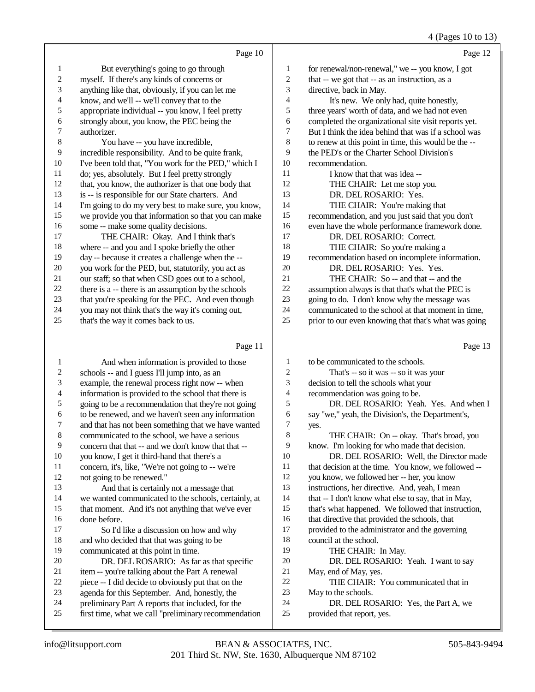4 (Pages 10 to 13)

|                | Page 10                                              |                | Page 12                                              |
|----------------|------------------------------------------------------|----------------|------------------------------------------------------|
| 1              | But everything's going to go through                 | 1              | for renewal/non-renewal," we -- you know, I got      |
| $\overline{c}$ | myself. If there's any kinds of concerns or          | $\overline{c}$ | that -- we got that -- as an instruction, as a       |
| 3              | anything like that, obviously, if you can let me     | 3              | directive, back in May.                              |
| 4              | know, and we'll -- we'll convey that to the          | 4              | It's new. We only had, quite honestly,               |
| 5              | appropriate individual -- you know, I feel pretty    | 5              | three years' worth of data, and we had not even      |
| 6              | strongly about, you know, the PEC being the          | 6              | completed the organizational site visit reports yet. |
| 7              | authorizer.                                          | $\tau$         | But I think the idea behind that was if a school was |
| 8              | You have -- you have incredible,                     | 8              | to renew at this point in time, this would be the -- |
| 9              | incredible responsibility. And to be quite frank,    | 9              | the PED's or the Charter School Division's           |
| 10             | I've been told that, "You work for the PED," which I | 10             | recommendation.                                      |
| 11             | do; yes, absolutely. But I feel pretty strongly      | 11             | I know that that was idea --                         |
| 12             | that, you know, the authorizer is that one body that | 12             | THE CHAIR: Let me stop you.                          |
| 13             | is -- is responsible for our State charters. And     | 13             | DR. DEL ROSARIO: Yes.                                |
| 14             | I'm going to do my very best to make sure, you know, | 14             | THE CHAIR: You're making that                        |
| 15             | we provide you that information so that you can make | 15             | recommendation, and you just said that you don't     |
| 16             | some -- make some quality decisions.                 | 16             | even have the whole performance framework done.      |
| 17             | THE CHAIR: Okay. And I think that's                  | 17             | DR. DEL ROSARIO: Correct.                            |
| 18             | where -- and you and I spoke briefly the other       | 18             | THE CHAIR: So you're making a                        |
| 19             | day -- because it creates a challenge when the --    | 19             | recommendation based on incomplete information.      |
| 20             | you work for the PED, but, statutorily, you act as   | 20             | DR. DEL ROSARIO: Yes. Yes.                           |
| 21             | our staff; so that when CSD goes out to a school,    | 21             | THE CHAIR: So -- and that -- and the                 |
| 22             | there is a -- there is an assumption by the schools  | 22             | assumption always is that that's what the PEC is     |
| 23             | that you're speaking for the PEC. And even though    | 23             | going to do. I don't know why the message was        |
| 24             | you may not think that's the way it's coming out,    | 24             | communicated to the school at that moment in time,   |
| 25             | that's the way it comes back to us.                  | 25             | prior to our even knowing that that's what was going |
|                | Page 11                                              |                | Page 13                                              |

|--|--|--|

| $\perp$        | And when information is provided to those             | 1              | to be communicated to the schools.                  |
|----------------|-------------------------------------------------------|----------------|-----------------------------------------------------|
| 2              | schools -- and I guess I'll jump into, as an          | $\overline{c}$ | That's -- so it was -- so it was your               |
| 3              | example, the renewal process right now -- when        | 3              | decision to tell the schools what your              |
| $\overline{4}$ | information is provided to the school that there is   | $\overline{4}$ | recommendation was going to be.                     |
| 5              | going to be a recommendation that they're not going   | 5              | DR. DEL ROSARIO: Yeah. Yes. And when I              |
| 6              | to be renewed, and we haven't seen any information    | 6              | say "we," yeah, the Division's, the Department's,   |
| 7              | and that has not been something that we have wanted   | 7              | yes.                                                |
| 8              | communicated to the school, we have a serious         | 8              | THE CHAIR: On -- okay. That's broad, you            |
| 9              | concern that that -- and we don't know that that --   | 9              | know. I'm looking for who made that decision.       |
| 10             | you know, I get it third-hand that there's a          | 10             | DR. DEL ROSARIO: Well, the Director made            |
| 11             | concern, it's, like, "We're not going to -- we're     | 11             | that decision at the time. You know, we followed -- |
| 12             | not going to be renewed."                             | 12             | you know, we followed her -- her, you know          |
| 13             | And that is certainly not a message that              | 13             | instructions, her directive. And, yeah, I mean      |
| 14             | we wanted communicated to the schools, certainly, at  | 14             | that -- I don't know what else to say, that in May, |
| 15             | that moment. And it's not anything that we've ever    | 15             | that's what happened. We followed that instruction, |
| 16             | done before.                                          | 16             | that directive that provided the schools, that      |
| 17             | So I'd like a discussion on how and why               | 17             | provided to the administrator and the governing     |
| 18             | and who decided that that was going to be             | 18             | council at the school.                              |
| 19             | communicated at this point in time.                   | 19             | THE CHAIR: In May.                                  |
| 20             | DR. DEL ROSARIO: As far as that specific              | 20             | DR. DEL ROSARIO: Yeah. I want to say                |
| 21             | item -- you're talking about the Part A renewal       | 21             | May, end of May, yes.                               |
| 22             | piece -- I did decide to obviously put that on the    | 22             | THE CHAIR: You communicated that in                 |
| 23             | agenda for this September. And, honestly, the         | 23             | May to the schools.                                 |
| 24             | preliminary Part A reports that included, for the     | 24             | DR. DEL ROSARIO: Yes, the Part A, we                |
| 25             | first time, what we call "preliminary recommendation" | 25             | provided that report, yes.                          |
|                |                                                       |                |                                                     |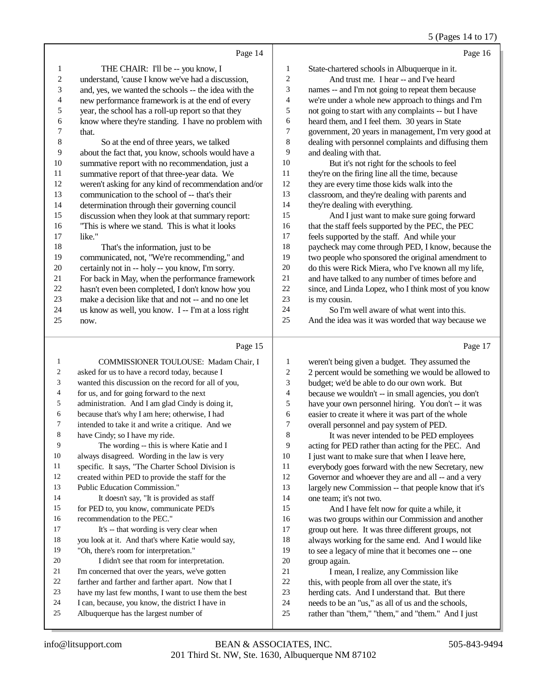### 5 (Pages 14 to 17)

|                | Page 14                                              |                | Page 16                                              |
|----------------|------------------------------------------------------|----------------|------------------------------------------------------|
| 1              | THE CHAIR: I'll be -- you know, I                    | 1              | State-chartered schools in Albuquerque in it.        |
| $\overline{c}$ | understand, 'cause I know we've had a discussion,    | 2              | And trust me. I hear -- and I've heard               |
| 3              | and, yes, we wanted the schools -- the idea with the | 3              | names -- and I'm not going to repeat them because    |
| 4              | new performance framework is at the end of every     | 4              | we're under a whole new approach to things and I'm   |
| 5              | year, the school has a roll-up report so that they   | 5              | not going to start with any complaints -- but I have |
| 6              | know where they're standing. I have no problem with  | 6              | heard them, and I feel them. 30 years in State       |
| 7              | that.                                                | 7              | government, 20 years in management, I'm very good at |
| 8              | So at the end of three years, we talked              | 8              | dealing with personnel complaints and diffusing them |
| 9              | about the fact that, you know, schools would have a  | 9              | and dealing with that.                               |
| 10             | summative report with no recommendation, just a      | 10             | But it's not right for the schools to feel           |
| 11             | summative report of that three-year data. We         | 11             | they're on the firing line all the time, because     |
| 12             | weren't asking for any kind of recommendation and/or | 12             | they are every time those kids walk into the         |
| 13             | communication to the school of -- that's their       | 13             | classroom, and they're dealing with parents and      |
| 14             | determination through their governing council        | 14             | they're dealing with everything.                     |
| 15             | discussion when they look at that summary report:    | 15             | And I just want to make sure going forward           |
| 16             | "This is where we stand. This is what it looks       | 16             | that the staff feels supported by the PEC, the PEC   |
| 17             | like."                                               | 17             | feels supported by the staff. And while your         |
| 18             | That's the information, just to be                   | 18             | paycheck may come through PED, I know, because the   |
| 19             | communicated, not, "We're recommending," and         | 19             | two people who sponsored the original amendment to   |
| 20             | certainly not in -- holy -- you know, I'm sorry.     | 20             | do this were Rick Miera, who I've known all my life, |
| 21             | For back in May, when the performance framework      | 21             | and have talked to any number of times before and    |
| 22             | hasn't even been completed, I don't know how you     | 22             | since, and Linda Lopez, who I think most of you know |
| 23             | make a decision like that and not -- and no one let  | 23             | is my cousin.                                        |
| 24             | us know as well, you know. I -- I'm at a loss right  | 24             | So I'm well aware of what went into this.            |
| 25             | now.                                                 | 25             | And the idea was it was worded that way because we   |
|                | Page 15                                              |                | Page 17                                              |
| 1              | <b>COMMISSIONER TOULOUSE: Madam Chair, I</b>         | 1              | weren't being given a budget. They assumed the       |
| $\overline{2}$ | asked for us to have a record today, because I       | $\overline{c}$ | 2 percent would be something we would be allowed to  |

| 2              | asked for us to have a record today, because I       | $\overline{2}$ | 2 percent would be something we would be allowed t   |
|----------------|------------------------------------------------------|----------------|------------------------------------------------------|
| 3              | wanted this discussion on the record for all of you, | 3              | budget; we'd be able to do our own work. But         |
| $\overline{4}$ | for us, and for going forward to the next            | 4              | because we wouldn't -- in small agencies, you don't  |
| 5              | administration. And I am glad Cindy is doing it,     | 5              | have your own personnel hiring. You don't -- it was  |
| 6              | because that's why I am here; otherwise, I had       | 6              | easier to create it where it was part of the whole   |
| 7              | intended to take it and write a critique. And we     | 7              | overall personnel and pay system of PED.             |
| 8              | have Cindy; so I have my ride.                       | 8              | It was never intended to be PED employees            |
| 9              | The wording -- this is where Katie and I             | 9              | acting for PED rather than acting for the PEC. And   |
| 10             | always disagreed. Wording in the law is very         | 10             | I just want to make sure that when I leave here,     |
| 11             | specific. It says, "The Charter School Division is   | 11             | everybody goes forward with the new Secretary, new   |
| 12             | created within PED to provide the staff for the      | 12             | Governor and whoever they are and all -- and a very  |
| 13             | Public Education Commission."                        | 13             | largely new Commission -- that people know that it's |
| 14             | It doesn't say, "It is provided as staff             | 14             | one team; it's not two.                              |
| 15             | for PED to, you know, communicate PED's              | 15             | And I have felt now for quite a while, it            |
| 16             | recommendation to the PEC."                          | 16             | was two groups within our Commission and another     |
| 17             | It's -- that wording is very clear when              | 17             | group out here. It was three different groups, not   |
| 18             | you look at it. And that's where Katie would say,    | 18             | always working for the same end. And I would like    |
| 19             | "Oh, there's room for interpretation."               | 19             | to see a legacy of mine that it becomes one -- one   |
| 20             | I didn't see that room for interpretation.           | 20             | group again.                                         |
| 21             | I'm concerned that over the years, we've gotten      | 21             | I mean, I realize, any Commission like               |
| 22             | farther and farther and farther apart. Now that I    | 22             | this, with people from all over the state, it's      |
| 23             | have my last few months, I want to use them the best | 23             | herding cats. And I understand that. But there       |
| 24             | I can, because, you know, the district I have in     | 24             | needs to be an "us," as all of us and the schools,   |
| 25             | Albuquerque has the largest number of                | 25             | rather than "them," "them," and "them." And I just   |
|                |                                                      |                |                                                      |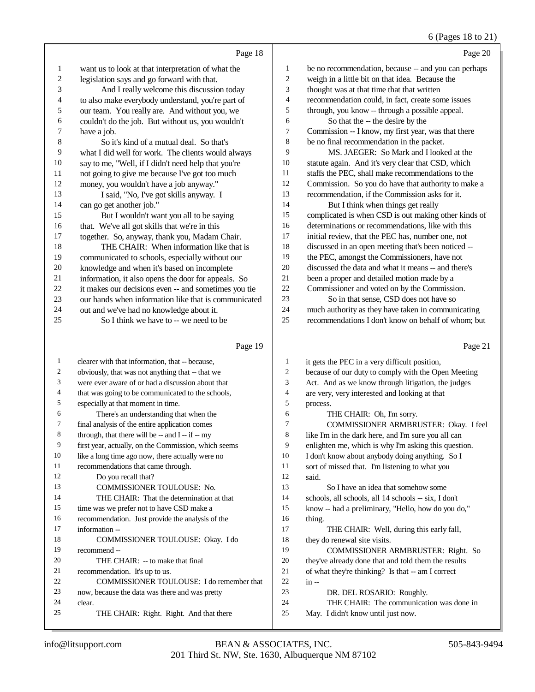# 6 (Pages 18 to 21)

|    | Page 18                                              |    | Page 20                                              |
|----|------------------------------------------------------|----|------------------------------------------------------|
| 1  | want us to look at that interpretation of what the   | 1  | be no recommendation, because -- and you can perhaps |
| 2  | legislation says and go forward with that.           | 2  | weigh in a little bit on that idea. Because the      |
| 3  | And I really welcome this discussion today           | 3  | thought was at that time that that written           |
| 4  | to also make everybody understand, you're part of    | 4  | recommendation could, in fact, create some issues    |
| 5  | our team. You really are. And without you, we        | 5  | through, you know -- through a possible appeal.      |
| 6  | couldn't do the job. But without us, you wouldn't    | 6  | So that the -- the desire by the                     |
| 7  | have a job.                                          | 7  | Commission -- I know, my first year, was that there  |
| 8  | So it's kind of a mutual deal. So that's             | 8  | be no final recommendation in the packet.            |
| 9  | what I did well for work. The clients would always   | 9  | MS. JAEGER: So Mark and I looked at the              |
| 10 | say to me, "Well, if I didn't need help that you're  | 10 | statute again. And it's very clear that CSD, which   |
| 11 | not going to give me because I've got too much       | 11 | staffs the PEC, shall make recommendations to the    |
| 12 | money, you wouldn't have a job anyway."              | 12 | Commission. So you do have that authority to make a  |
| 13 | I said, "No, I've got skills anyway. I               | 13 | recommendation, if the Commission asks for it.       |
| 14 | can go get another job."                             | 14 | But I think when things get really                   |
| 15 | But I wouldn't want you all to be saying             | 15 | complicated is when CSD is out making other kinds of |
| 16 | that. We've all got skills that we're in this        | 16 | determinations or recommendations, like with this    |
| 17 | together. So, anyway, thank you, Madam Chair.        | 17 | initial review, that the PEC has, number one, not    |
| 18 | THE CHAIR: When information like that is             | 18 | discussed in an open meeting that's been noticed --  |
| 19 | communicated to schools, especially without our      | 19 | the PEC, amongst the Commissioners, have not         |
| 20 | knowledge and when it's based on incomplete          | 20 | discussed the data and what it means -- and there's  |
| 21 | information, it also opens the door for appeals. So  | 21 | been a proper and detailed motion made by a          |
| 22 | it makes our decisions even -- and sometimes you tie | 22 | Commissioner and voted on by the Commission.         |
| 23 | our hands when information like that is communicated | 23 | So in that sense, CSD does not have so               |
| 24 | out and we've had no knowledge about it.             | 24 | much authority as they have taken in communicating   |
| 25 | So I think we have to -- we need to be               | 25 | recommendations I don't know on behalf of whom; but  |
|    | Page 19                                              |    | Page 21                                              |

#### Page 19 |

| 1  | clearer with that information, that -- because,      | $\mathbf{1}$   | it gets the PEC in a very difficult position,        |
|----|------------------------------------------------------|----------------|------------------------------------------------------|
| 2  | obviously, that was not anything that -- that we     | $\overline{c}$ | because of our duty to comply with the Open Meeting  |
| 3  | were ever aware of or had a discussion about that    | 3              | Act. And as we know through litigation, the judges   |
| 4  | that was going to be communicated to the schools,    | $\overline{4}$ | are very, very interested and looking at that        |
| 5  | especially at that moment in time.                   | 5              | process.                                             |
| 6  | There's an understanding that when the               | 6              | THE CHAIR: Oh, I'm sorry.                            |
| 7  | final analysis of the entire application comes       | 7              | COMMISSIONER ARMBRUSTER: Okay. I feel                |
| 8  | through, that there will be $-$ and $I - if - my$    | 8              | like I'm in the dark here, and I'm sure you all can  |
| 9  | first year, actually, on the Commission, which seems | 9              | enlighten me, which is why I'm asking this question. |
| 10 | like a long time ago now, there actually were no     | 10             | I don't know about anybody doing anything. So I      |
| 11 | recommendations that came through.                   | 11             | sort of missed that. I'm listening to what you       |
| 12 | Do you recall that?                                  | 12             | said.                                                |
| 13 | <b>COMMISSIONER TOULOUSE: No.</b>                    | 13             | So I have an idea that somehow some                  |
| 14 | THE CHAIR: That the determination at that            | 14             | schools, all schools, all 14 schools -- six, I don't |
| 15 | time was we prefer not to have CSD make a            | 15             | know -- had a preliminary, "Hello, how do you do,"   |
| 16 | recommendation. Just provide the analysis of the     | 16             | thing.                                               |
| 17 | information --                                       | 17             | THE CHAIR: Well, during this early fall,             |
| 18 | COMMISSIONER TOULOUSE: Okay. I do                    | 18             | they do renewal site visits.                         |
| 19 | recommend --                                         | 19             | COMMISSIONER ARMBRUSTER: Right. So                   |
| 20 | THE CHAIR: - to make that final                      | 20             | they've already done that and told them the results  |
| 21 | recommendation. It's up to us.                       | 21             | of what they're thinking? Is that -- am I correct    |
| 22 | COMMISSIONER TOULOUSE: I do remember that            | 22             | $in -$                                               |
| 23 | now, because the data was there and was pretty       | 23             | DR. DEL ROSARIO: Roughly.                            |
| 24 | clear.                                               | 24             | THE CHAIR: The communication was done in             |
| 25 | THE CHAIR: Right. Right. And that there              | 25             | May. I didn't know until just now.                   |
|    |                                                      |                |                                                      |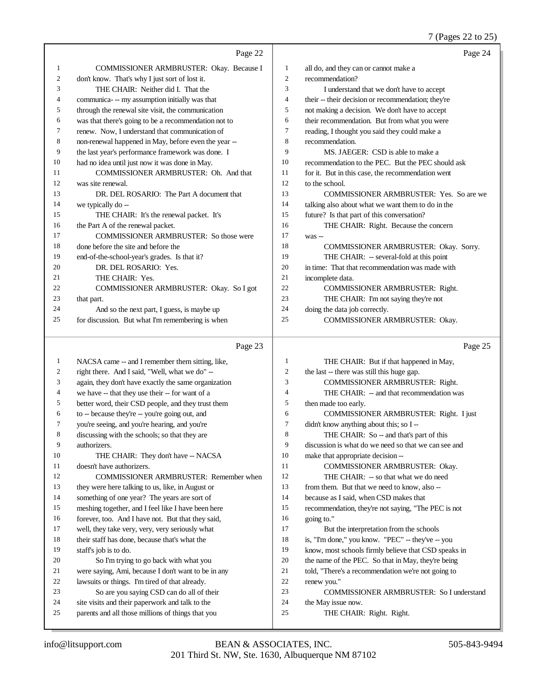7 (Pages 22 to 25)

|    |                                                                                                      |                | 7 (Pages 22 to 25)                                   |
|----|------------------------------------------------------------------------------------------------------|----------------|------------------------------------------------------|
|    | Page 22                                                                                              |                | Page 24                                              |
| 1  | COMMISSIONER ARMBRUSTER: Okay. Because I                                                             | $\mathbf{1}$   | all do, and they can or cannot make a                |
| 2  | don't know. That's why I just sort of lost it.                                                       | 2              | recommendation?                                      |
| 3  | THE CHAIR: Neither did I. That the                                                                   | 3              | I understand that we don't have to accept            |
| 4  | communica- -- my assumption initially was that                                                       | $\overline{4}$ | their -- their decision or recommendation; they're   |
| 5  | through the renewal site visit, the communication                                                    | 5              | not making a decision. We don't have to accept       |
| 6  | was that there's going to be a recommendation not to                                                 | 6              | their recommendation. But from what you were         |
| 7  | renew. Now, I understand that communication of                                                       | $\overline{7}$ | reading, I thought you said they could make a        |
| 8  | non-renewal happened in May, before even the year --                                                 | 8              | recommendation.                                      |
| 9  | the last year's performance framework was done. I                                                    | 9              | MS. JAEGER: CSD is able to make a                    |
| 10 | had no idea until just now it was done in May.                                                       | 10             | recommendation to the PEC. But the PEC should ask    |
| 11 | COMMISSIONER ARMBRUSTER: Oh. And that                                                                | 11             | for it. But in this case, the recommendation went    |
| 12 | was site renewal.                                                                                    | 12             | to the school.                                       |
| 13 | DR. DEL ROSARIO: The Part A document that                                                            | 13             | COMMISSIONER ARMBRUSTER: Yes. So are we              |
| 14 | we typically do --                                                                                   | 14             | talking also about what we want them to do in the    |
| 15 | THE CHAIR: It's the renewal packet. It's                                                             | 15             | future? Is that part of this conversation?           |
| 16 | the Part A of the renewal packet.                                                                    | 16             | THE CHAIR: Right. Because the concern                |
| 17 | <b>COMMISSIONER ARMBRUSTER: So those were</b>                                                        | 17             | was --                                               |
| 18 | done before the site and before the                                                                  | 18             | COMMISSIONER ARMBRUSTER: Okay. Sorry.                |
| 19 | end-of-the-school-year's grades. Is that it?                                                         | 19             | THE CHAIR: -- several-fold at this point             |
| 20 | DR. DEL ROSARIO: Yes.                                                                                | 20             | in time: That that recommendation was made with      |
| 21 | THE CHAIR: Yes.                                                                                      | 21             | incomplete data.                                     |
| 22 | COMMISSIONER ARMBRUSTER: Okay. So I got                                                              | 22             | COMMISSIONER ARMBRUSTER: Right.                      |
| 23 | that part.                                                                                           | 23             | THE CHAIR: I'm not saying they're not                |
| 24 | And so the next part, I guess, is maybe up                                                           | 24             | doing the data job correctly.                        |
| 25 | for discussion. But what I'm remembering is when                                                     | 25             | COMMISSIONER ARMBRUSTER: Okay.                       |
|    | Page 23                                                                                              |                | Page 25                                              |
| 1  | NACSA came -- and I remember them sitting, like,                                                     | $\mathbf{1}$   | THE CHAIR: But if that happened in May,              |
| 2  | right there. And I said, "Well, what we do" --                                                       | $\mathfrak{2}$ | the last -- there was still this huge gap.           |
| 3  | again, they don't have exactly the same organization                                                 | 3              | COMMISSIONER ARMBRUSTER: Right.                      |
| 4  | we have -- that they use their -- for want of a                                                      | $\overline{4}$ | THE CHAIR: -- and that recommendation was            |
| 5  | better word, their CSD people, and they trust them                                                   | 5              | then made too early.                                 |
| 6  | to -- because they're -- you're going out, and                                                       | 6              | COMMISSIONER ARMBRUSTER: Right. I just               |
| 7  | you're seeing, and you're hearing, and you're                                                        | 7              | didn't know anything about this; so I --             |
| 8  | discussing with the schools; so that they are                                                        | 8              | THE CHAIR: So -- and that's part of this             |
| 9  | authorizers.                                                                                         | 9              | discussion is what do we need so that we can see and |
| 10 | THE CHAIR: They don't have -- NACSA                                                                  | 10             | make that appropriate decision --                    |
| 11 | doesn't have authorizers.                                                                            | 11             | COMMISSIONER ARMBRUSTER: Okay.                       |
| 12 | COMMISSIONER ARMBRUSTER: Remember when                                                               | 12             | THE CHAIR: -- so that what we do need                |
| 13 | they were here talking to us, like, in August or                                                     | 13             | from them. But that we need to know, also --         |
| 14 | something of one year? The years are sort of                                                         | 14             | because as I said, when CSD makes that               |
| 15 | meshing together, and I feel like I have been here                                                   | 15             | recommendation, they're not saying, "The PEC is not  |
| 16 | forever, too. And I have not. But that they said,                                                    | 16             | going to."                                           |
| 17 | well, they take very, very, very seriously what                                                      | 17             | But the interpretation from the schools              |
| 18 | their staff has done, because that's what the                                                        | 18             | is, "I'm done," you know. "PEC" -- they've -- you    |
| 19 | staff's job is to do.                                                                                | 19             | know, most schools firmly believe that CSD speaks in |
| 20 | So I'm trying to go back with what you                                                               | 20             | the name of the PEC. So that in May, they're being   |
| 21 | were saying, Ami, because I don't want to be in any                                                  | 21             | told, "There's a recommendation we're not going to   |
| 22 | lawsuits or things. I'm tired of that already.                                                       | $22\,$         | renew you."                                          |
| 23 | So are you saying CSD can do all of their                                                            | 23             | <b>COMMISSIONER ARMBRUSTER: So I understand</b>      |
| 24 | site visits and their paperwork and talk to the<br>parents and all those millions of things that you | 24<br>25       | the May issue now.                                   |
| 25 |                                                                                                      |                | THE CHAIR: Right. Right.                             |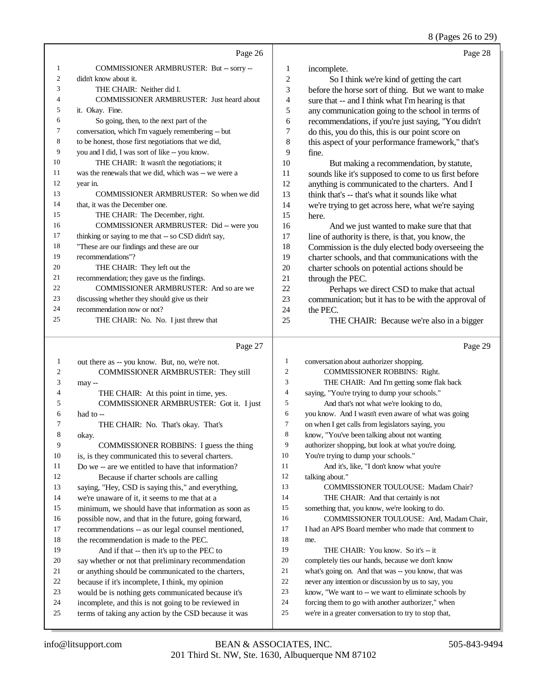8 (Pages 26 to 29)

|                | Page 26                                              |                | Page 28                                              |
|----------------|------------------------------------------------------|----------------|------------------------------------------------------|
| 1              | COMMISSIONER ARMBRUSTER: But -- sorry --             | 1              | incomplete.                                          |
| 2              | didn't know about it.                                | $\overline{2}$ | So I think we're kind of getting the cart            |
| 3              | THE CHAIR: Neither did I.                            | 3              | before the horse sort of thing. But we want to make  |
| $\overline{4}$ | <b>COMMISSIONER ARMBRUSTER: Just heard about</b>     | 4              | sure that -- and I think what I'm hearing is that    |
| 5              | it. Okay. Fine.                                      | 5              | any communication going to the school in terms of    |
| 6              | So going, then, to the next part of the              | 6              | recommendations, if you're just saying, "You didn't  |
| 7              | conversation, which I'm vaguely remembering -- but   | 7              | do this, you do this, this is our point score on     |
| 8              | to be honest, those first negotiations that we did,  | 8              | this aspect of your performance framework," that's   |
| 9              | you and I did, I was sort of like -- you know.       | 9              | fine.                                                |
| 10             | THE CHAIR: It wasn't the negotiations; it            | 10             | But making a recommendation, by statute,             |
| 11             | was the renewals that we did, which was -- we were a | 11             | sounds like it's supposed to come to us first before |
| 12             | year in.                                             | 12             | anything is communicated to the charters. And I      |
| 13             | COMMISSIONER ARMBRUSTER: So when we did              | 13             | think that's -- that's what it sounds like what      |
| 14             | that, it was the December one.                       | 14             | we're trying to get across here, what we're saying   |
| 15             | THE CHAIR: The December, right.                      | 15             | here.                                                |
| 16             | COMMISSIONER ARMBRUSTER: Did -- were you             | 16             | And we just wanted to make sure that that            |
| 17             | thinking or saying to me that -- so CSD didn't say,  | 17             | line of authority is there, is that, you know, the   |
| 18             | "These are our findings and these are our            | 18             | Commission is the duly elected body overseeing the   |
| 19             | recommendations"?                                    | 19             | charter schools, and that communications with the    |
| 20             | THE CHAIR: They left out the                         | 20             | charter schools on potential actions should be       |
| 21             | recommendation; they gave us the findings.           | 21             | through the PEC.                                     |
| 22             | COMMISSIONER ARMBRUSTER: And so are we               | 22             | Perhaps we direct CSD to make that actual            |
| 23             | discussing whether they should give us their         | 23             | communication; but it has to be with the approval of |
| 24             | recommendation now or not?                           | 24             | the PEC.                                             |
| 25             | THE CHAIR: No. No. I just threw that                 | 25             | THE CHAIR: Because we're also in a bigger            |

# Page 27

| -1 | out there as -- you know. But, no, we're not.        | $\mathbf{1}$ | conversation about authorizer shopping.              |
|----|------------------------------------------------------|--------------|------------------------------------------------------|
| 2  | COMMISSIONER ARMBRUSTER: They still                  | 2            | <b>COMMISSIONER ROBBINS: Right.</b>                  |
| 3  | may --                                               | 3            | THE CHAIR: And I'm getting some flak back            |
| 4  | THE CHAIR: At this point in time, yes.               | 4            | saying, "You're trying to dump your schools."        |
| 5  | COMMISSIONER ARMBRUSTER: Got it. I just              | 5            | And that's not what we're looking to do,             |
| 6  | had to $-$                                           | 6            | you know. And I wasn't even aware of what was going  |
| 7  | THE CHAIR: No. That's okay. That's                   | 7            | on when I get calls from legislators saying, you     |
| 8  | okay.                                                | 8            | know, "You've been talking about not wanting         |
| 9  | COMMISSIONER ROBBINS: I guess the thing              | 9            | authorizer shopping, but look at what you're doing.  |
| 10 | is, is they communicated this to several charters.   | 10           | You're trying to dump your schools."                 |
| 11 | Do we -- are we entitled to have that information?   | 11           | And it's, like, "I don't know what you're            |
| 12 | Because if charter schools are calling               | 12           | talking about."                                      |
| 13 | saying, "Hey, CSD is saying this," and everything,   | 13           | <b>COMMISSIONER TOULOUSE: Madam Chair?</b>           |
| 14 | we're unaware of it, it seems to me that at a        | 14           | THE CHAIR: And that certainly is not                 |
| 15 | minimum, we should have that information as soon as  | 15           | something that, you know, we're looking to do.       |
| 16 | possible now, and that in the future, going forward, | 16           | COMMISSIONER TOULOUSE: And, Madam Chair,             |
| 17 | recommendations -- as our legal counsel mentioned,   | 17           | I had an APS Board member who made that comment to   |
| 18 | the recommendation is made to the PEC.               | 18           | me.                                                  |
| 19 | And if that -- then it's up to the PEC to            | 19           | THE CHAIR: You know. So it's -- it                   |
| 20 | say whether or not that preliminary recommendation   | 20           | completely ties our hands, because we don't know     |
| 21 | or anything should be communicated to the charters,  | 21           | what's going on. And that was -- you know, that was  |
| 22 | because if it's incomplete, I think, my opinion      | 22           | never any intention or discussion by us to say, you  |
| 23 | would be is nothing gets communicated because it's   | 23           | know, "We want to -- we want to eliminate schools by |
| 24 | incomplete, and this is not going to be reviewed in  | 24           | forcing them to go with another authorizer," when    |
| 25 | terms of taking any action by the CSD because it was | 25           | we're in a greater conversation to try to stop that, |
|    |                                                      |              |                                                      |

Page 29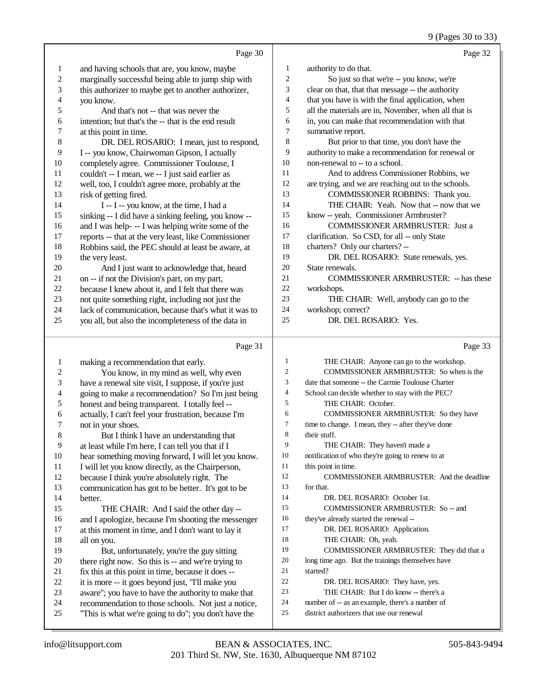|                          |                                                      |                | 9 (Pages 30 to 33)                                   |
|--------------------------|------------------------------------------------------|----------------|------------------------------------------------------|
|                          | Page 30                                              |                | Page 32                                              |
| $\mathbf{1}$             | and having schools that are, you know, maybe         | $\mathbf{1}$   | authority to do that.                                |
| $\overline{c}$           | marginally successful being able to jump ship with   | $\sqrt{2}$     | So just so that we're -- you know, we're             |
| 3                        | this authorizer to maybe get to another authorizer,  | 3              | clear on that, that that message -- the authority    |
| $\overline{\mathcal{L}}$ | you know.                                            | 4              | that you have is with the final application, when    |
| 5                        | And that's not -- that was never the                 | 5              | all the materials are in, November, when all that is |
| 6                        | intention; but that's the -- that is the end result  | 6              | in, you can make that recommendation with that       |
| $\overline{7}$           | at this point in time.                               | $\tau$         | summative report.                                    |
| 8                        | DR. DEL ROSARIO: I mean, just to respond,            | $\,8\,$        | But prior to that time, you don't have the           |
| 9                        | I -- you know, Chairwoman Gipson, I actually         | 9              | authority to make a recommendation for renewal or    |
| $10\,$                   | completely agree. Commissioner Toulouse, I           | 10             | non-renewal to -- to a school.                       |
| 11                       | couldn't -- I mean, we -- I just said earlier as     | 11             | And to address Commissioner Robbins, we              |
| 12                       | well, too, I couldn't agree more, probably at the    | $12\,$         | are trying, and we are reaching out to the schools.  |
| 13                       | risk of getting fired.                               | 13             | COMMISSIONER ROBBINS: Thank you.                     |
| 14                       | I -- I -- you know, at the time, I had a             | 14             | THE CHAIR: Yeah. Now that -- now that we             |
| 15                       | sinking -- I did have a sinking feeling, you know -- | 15             | know -- yeah. Commissioner Armbruster?               |
| 16                       | and I was help- -- I was helping write some of the   | 16             | COMMISSIONER ARMBRUSTER: Just a                      |
| 17                       | reports -- that at the very least, like Commissioner | $17\,$         | clarification. So CSD, for all -- only State         |
| 18                       | Robbins said, the PEC should at least be aware, at   | 18             | charters? Only our charters? --                      |
| 19                       | the very least.                                      | 19             | DR. DEL ROSARIO: State renewals, yes.                |
| $20\,$                   | And I just want to acknowledge that, heard           | 20             | State renewals.                                      |
| 21                       | on -- if not the Division's part, on my part,        | $21\,$         | <b>COMMISSIONER ARMBRUSTER: - has these</b>          |
| 22                       | because I knew about it, and I felt that there was   | $22\,$         | workshops.                                           |
| 23                       | not quite something right, including not just the    | 23             | THE CHAIR: Well, anybody can go to the               |
| 24                       | lack of communication, because that's what it was to | 24             | workshop; correct?                                   |
| 25                       | you all, but also the incompleteness of the data in  | 25             | DR. DEL ROSARIO: Yes.                                |
|                          |                                                      |                |                                                      |
|                          | Page 31                                              |                | Page 33                                              |
| 1                        | making a recommendation that early.                  | $\mathbf{1}$   | THE CHAIR: Anyone can go to the workshop.            |
| 2                        | You know, in my mind as well, why even               | $\sqrt{2}$     | COMMISSIONER ARMBRUSTER: So when is the              |
| 3                        | have a renewal site visit, I suppose, if you're just | 3              | date that someone -- the Carmie Toulouse Charter     |
| 4                        | going to make a recommendation? So I'm just being    | $\overline{4}$ | School can decide whether to stay with the PEC?      |
| 5                        | honest and being transparent. I totally feel --      | 5              | THE CHAIR: October.                                  |
| 6                        | actually, I can't feel your frustration, because I'm | 6              | COMMISSIONER ARMBRUSTER: So they have                |
| 7                        | not in your shoes.                                   | 7              | time to change. I mean, they -- after they've done   |
| 8                        | But I think I have an understanding that             | 8              | their stuff.                                         |
| 9                        | at least while I'm here, I can tell you that if I    | 9              | THE CHAIR: They haven't made a                       |
| 10                       | hear something moving forward, I will let you know.  | 10             | notification of who they're going to renew to at     |
| 11                       | I will let you know directly, as the Chairperson,    | 11             | this point in time.                                  |
| 12                       | because I think you're absolutely right. The         | 12             | COMMISSIONER ARMBRUSTER: And the deadline            |
| 13                       | communication has got to be better. It's got to be   | 13             | for that.                                            |
| 14                       | better.                                              | 14             | DR. DEL ROSARIO: October 1st.                        |
| 15                       | THE CHAIR: And I said the other day --               | 15             | COMMISSIONER ARMBRUSTER: So -- and                   |
| 16                       | and I apologize, because I'm shooting the messenger  | 16             | they've already started the renewal --               |
| 17                       | at this moment in time, and I don't want to lay it   | 17             | DR. DEL ROSARIO: Application.                        |
| 18                       | all on you.                                          | 18             | THE CHAIR: Oh, yeah.                                 |
| 19                       | But, unfortunately, you're the guy sitting           | 19             | COMMISSIONER ARMBRUSTER: They did that a             |
| 20                       | there right now. So this is -- and we're trying to   | 20             | long time ago. But the trainings themselves have     |

- fix this at this point in time, because it does --
- 
- 22 it is more -- it goes beyond just, "I'll make you<br>23 aware": vou have to have the authority to make
- 23 aware"; you have to have the authority to make that<br>24 recommendation to those schools. Not just a notice
- 24 recommendation to those schools. Not just a notice,<br>25 This is what we're going to do"; you don't have the "This is what we're going to do"; you don't have the
- 
- started?
- DR. DEL ROSARIO: They have, yes.
- 23 THE CHAIR: But I do know -- there's a
- number of -- as an example, there's a number of
- district authorizers that use our renewal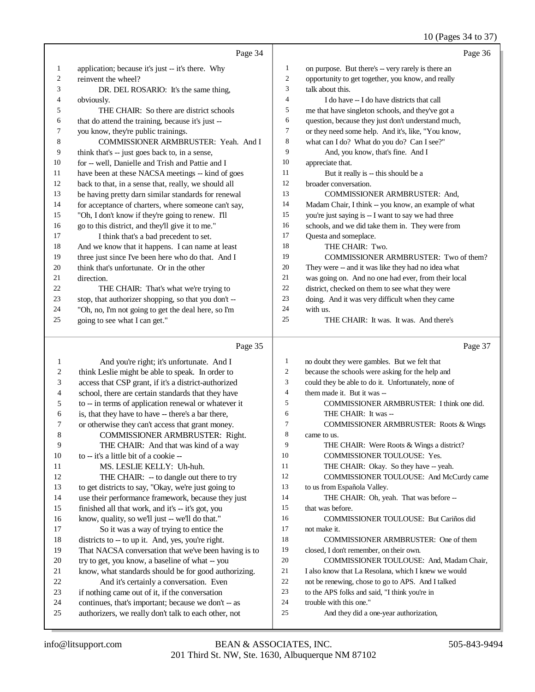10 (Pages 34 to 37)

|                | Page 34                                                                                                     |                     | Page 36                                                                                          |
|----------------|-------------------------------------------------------------------------------------------------------------|---------------------|--------------------------------------------------------------------------------------------------|
| $\mathbf{1}$   | application; because it's just -- it's there. Why                                                           | $\mathbf{1}$        | on purpose. But there's -- very rarely is there an                                               |
| $\mathfrak{2}$ | reinvent the wheel?                                                                                         | $\boldsymbol{2}$    | opportunity to get together, you know, and really                                                |
| 3              | DR. DEL ROSARIO: It's the same thing,                                                                       | 3                   | talk about this.                                                                                 |
| 4              | obviously.                                                                                                  | $\overline{4}$      | I do have -- I do have districts that call                                                       |
| 5              | THE CHAIR: So there are district schools                                                                    | 5                   | me that have singleton schools, and they've got a                                                |
| 6              | that do attend the training, because it's just --                                                           | 6<br>$\overline{7}$ | question, because they just don't understand much,                                               |
| 7<br>8         | you know, they're public trainings.                                                                         | 8                   | or they need some help. And it's, like, "You know,                                               |
| 9              | COMMISSIONER ARMBRUSTER: Yeah. And I                                                                        | 9                   | what can I do? What do you do? Can I see?"<br>And, you know, that's fine. And I                  |
| 10             | think that's -- just goes back to, in a sense,<br>for -- well, Danielle and Trish and Pattie and I          | 10                  | appreciate that.                                                                                 |
| 11             | have been at these NACSA meetings -- kind of goes                                                           | 11                  | But it really is -- this should be a                                                             |
| 12             | back to that, in a sense that, really, we should all                                                        | 12                  | broader conversation.                                                                            |
| 13             | be having pretty darn similar standards for renewal                                                         | 13                  | COMMISSIONER ARMBRUSTER: And,                                                                    |
| 14             | for acceptance of charters, where someone can't say,                                                        | 14                  | Madam Chair, I think -- you know, an example of what                                             |
| 15             | "Oh, I don't know if they're going to renew. I'll                                                           | 15                  | you're just saying is -- I want to say we had three                                              |
| 16             | go to this district, and they'll give it to me."                                                            | 16                  | schools, and we did take them in. They were from                                                 |
| 17             | I think that's a bad precedent to set.                                                                      | 17                  | Questa and someplace.                                                                            |
| 18             | And we know that it happens. I can name at least                                                            | 18                  | THE CHAIR: Two.                                                                                  |
| 19             | three just since I've been here who do that. And I                                                          | 19                  | COMMISSIONER ARMBRUSTER: Two of them?                                                            |
| 20             | think that's unfortunate. Or in the other                                                                   | 20                  | They were -- and it was like they had no idea what                                               |
| 21             | direction.                                                                                                  | 21                  | was going on. And no one had ever, from their local                                              |
| 22             | THE CHAIR: That's what we're trying to                                                                      | 22                  | district, checked on them to see what they were                                                  |
| 23             | stop, that authorizer shopping, so that you don't --                                                        | 23                  | doing. And it was very difficult when they came                                                  |
| 24             | "Oh, no, I'm not going to get the deal here, so I'm                                                         | 24                  | with us.                                                                                         |
| 25             | going to see what I can get."                                                                               | 25                  | THE CHAIR: It was. It was. And there's                                                           |
|                |                                                                                                             |                     |                                                                                                  |
|                | Page 35                                                                                                     |                     | Page 37                                                                                          |
| 1              |                                                                                                             | 1                   |                                                                                                  |
| 2              | And you're right; it's unfortunate. And I<br>think Leslie might be able to speak. In order to               | $\boldsymbol{2}$    | no doubt they were gambles. But we felt that<br>because the schools were asking for the help and |
| 3              | access that CSP grant, if it's a district-authorized                                                        | 3                   | could they be able to do it. Unfortunately, none of                                              |
| 4              | school, there are certain standards that they have                                                          | $\overline{4}$      | them made it. But it was --                                                                      |
| 5              | to -- in terms of application renewal or whatever it                                                        | 5                   | COMMISSIONER ARMBRUSTER: I think one did.                                                        |
| 6              | is, that they have to have -- there's a bar there,                                                          | 6                   | THE CHAIR: It was --                                                                             |
| 7              | or otherwise they can't access that grant money.                                                            | $\tau$              | COMMISSIONER ARMBRUSTER: Roots & Wings                                                           |
| 8              | COMMISSIONER ARMBRUSTER: Right.                                                                             | 8                   | came to us.                                                                                      |
| 9              | THE CHAIR: And that was kind of a way                                                                       | 9                   | THE CHAIR: Were Roots & Wings a district?                                                        |
| 10             | to -- it's a little bit of a cookie --                                                                      | 10                  | COMMISSIONER TOULOUSE: Yes.                                                                      |
| 11             | MS. LESLIE KELLY: Uh-huh.                                                                                   | 11                  | THE CHAIR: Okay. So they have -- yeah.                                                           |
| 12             | THE CHAIR: -- to dangle out there to try                                                                    | 12                  | COMMISSIONER TOULOUSE: And McCurdy came                                                          |
| 13             | to get districts to say, "Okay, we're just going to                                                         | 13                  | to us from Española Valley.                                                                      |
| 14             | use their performance framework, because they just                                                          | 14                  | THE CHAIR: Oh, yeah. That was before --                                                          |
| 15             | finished all that work, and it's -- it's got, you                                                           | 15                  | that was before.                                                                                 |
| 16             | know, quality, so we'll just -- we'll do that."                                                             | 16                  | COMMISSIONER TOULOUSE: But Cariños did                                                           |
| 17             | So it was a way of trying to entice the                                                                     | 17                  | not make it.                                                                                     |
| 18             | districts to -- to up it. And, yes, you're right.                                                           | 18                  | COMMISSIONER ARMBRUSTER: One of them                                                             |
| 19             | That NACSA conversation that we've been having is to                                                        | 19                  | closed, I don't remember, on their own.                                                          |
| 20             | try to get, you know, a baseline of what -- you                                                             | 20<br>21            | COMMISSIONER TOULOUSE: And, Madam Chair,                                                         |
| 21             | know, what standards should be for good authorizing.                                                        | 22                  | I also know that La Resolana, which I knew we would                                              |
| 22<br>23       | And it's certainly a conversation. Even                                                                     | 23                  | not be renewing, chose to go to APS. And I talked                                                |
| 24             | if nothing came out of it, if the conversation                                                              | 24                  | to the APS folks and said, "I think you're in<br>trouble with this one."                         |
| 25             | continues, that's important; because we don't -- as<br>authorizers, we really don't talk to each other, not | 25                  | And they did a one-year authorization,                                                           |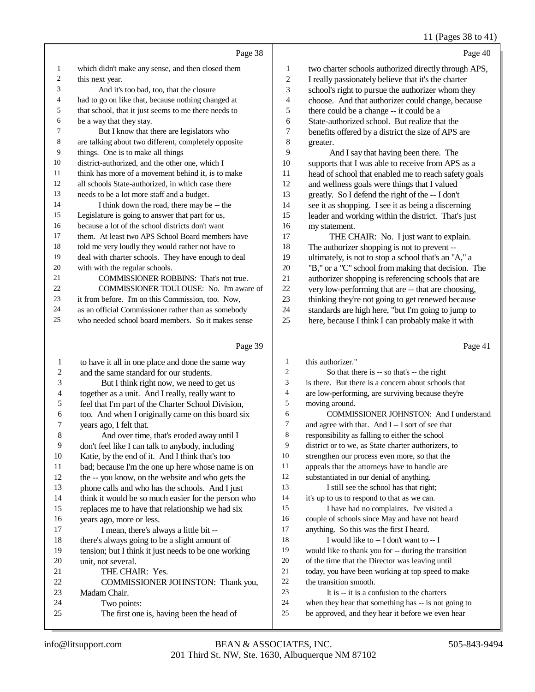### 11 (Pages 38 to 41)

|    | Page 38                                              |                | Page 40                                              |
|----|------------------------------------------------------|----------------|------------------------------------------------------|
| 1  | which didn't make any sense, and then closed them    | 1              | two charter schools authorized directly through APS, |
| 2  | this next year.                                      | $\mathfrak{2}$ | I really passionately believe that it's the charter  |
| 3  | And it's too bad, too, that the closure              | 3              | school's right to pursue the authorizer whom they    |
| 4  | had to go on like that, because nothing changed at   | $\overline{4}$ | choose. And that authorizer could change, because    |
| 5  | that school, that it just seems to me there needs to | 5              | there could be a change -- it could be a             |
| 6  | be a way that they stay.                             | 6              | State-authorized school. But realize that the        |
| 7  | But I know that there are legislators who            | 7              | benefits offered by a district the size of APS are   |
| 8  | are talking about two different, completely opposite | 8              | greater.                                             |
| 9  | things. One is to make all things                    | 9              | And I say that having been there. The                |
| 10 | district-authorized, and the other one, which I      | 10             | supports that I was able to receive from APS as a    |
| 11 | think has more of a movement behind it, is to make   | 11             | head of school that enabled me to reach safety goals |
| 12 | all schools State-authorized, in which case there    | 12             | and wellness goals were things that I valued         |
| 13 | needs to be a lot more staff and a budget.           | 13             | greatly. So I defend the right of the -- I don't     |
| 14 | I think down the road, there may be -- the           | 14             | see it as shopping. I see it as being a discerning   |
| 15 | Legislature is going to answer that part for us,     | 15             | leader and working within the district. That's just  |
| 16 | because a lot of the school districts don't want     | 16             | my statement.                                        |
| 17 | them. At least two APS School Board members have     | 17             | THE CHAIR: No. I just want to explain.               |
| 18 | told me very loudly they would rather not have to    | 18             | The authorizer shopping is not to prevent --         |
| 19 | deal with charter schools. They have enough to deal  | 19             | ultimately, is not to stop a school that's an "A," a |
| 20 | with with the regular schools.                       | 20             | "B," or a "C" school from making that decision. The  |
| 21 | <b>COMMISSIONER ROBBINS:</b> That's not true.        | 21             | authorizer shopping is referencing schools that are  |
| 22 | COMMISSIONER TOULOUSE: No. I'm aware of              | 22             | very low-performing that are -- that are choosing,   |
| 23 | it from before. I'm on this Commission, too. Now,    | 23             | thinking they're not going to get renewed because    |
| 24 | as an official Commissioner rather than as somebody  | 24             | standards are high here, "but I'm going to jump to   |
| 25 | who needed school board members. So it makes sense   | 25             | here, because I think I can probably make it with    |
|    | Page 39                                              |                | Page 41                                              |
|    |                                                      |                |                                                      |

 to have it all in one place and done the same way 2 and the same standard for our students.<br>3 But I think right now, we need to But I think right now, we need to get us 4 together as a unit. And I really, really want to<br>5 feel that I'm part of the Charter School Divisio 5 feel that I'm part of the Charter School Division,<br>6 too. And when I originally came on this board si 6 too. And when I originally came on this board six  $\frac{7}{7}$  vears ago. I felt that. 7 years ago, I felt that.<br>8 And over time And over time, that's eroded away until I 9 don't feel like I can talk to anybody, including<br>10 Katie. by the end of it. And I think that's too Katie, by the end of it. And I think that's too bad; because I'm the one up here whose name is on the -- you know, on the website and who gets the phone calls and who has the schools. And I just think it would be so much easier for the person who replaces me to have that relationship we had six 16 years ago, more or less.<br>17 I mean, there's alw I mean, there's always a little bit --18 there's always going to be a slight amount of<br>19 tension: but I think it just needs to be one wo tension; but I think it just needs to be one working 20 unit, not several.<br>21 THE CHA 21 THE CHAIR: Yes.<br>22 COMMISSIONER 22 COMMISSIONER JOHNSTON: Thank you,<br>23 Madam Chair. Madam Chair. Two points: The first one is, having been the head of this authorizer." So that there is -- so that's -- the right is there. But there is a concern about schools that 4 are low-performing, are surviving because they're<br>5 moving around. moving around. 6 COMMISSIONER JOHNSTON: And I understand<br>
7 and agree with that. And I--I sort of see that 7 and agree with that. And I -- I sort of see that<br>8 responsibility as falling to either the school responsibility as falling to either the school district or to we, as State charter authorizers, to strengthen our process even more, so that the 11 appeals that the attorneys have to handle are<br>12 substantiated in our denial of anything substantiated in our denial of anything. 13 I still see the school has that right; it's up to us to respond to that as we can. I have had no complaints. I've visited a couple of schools since May and have not heard anything. So this was the first I heard. I would like to -- I don't want to -- I would like to thank you for -- during the transition of the time that the Director was leaving until today, you have been working at top speed to make 22 the transition smooth.<br>23 It is  $\frac{1}{2}$  is a co It is -- it is a confusion to the charters when they hear that something has -- is not going to be approved, and they hear it before we even hear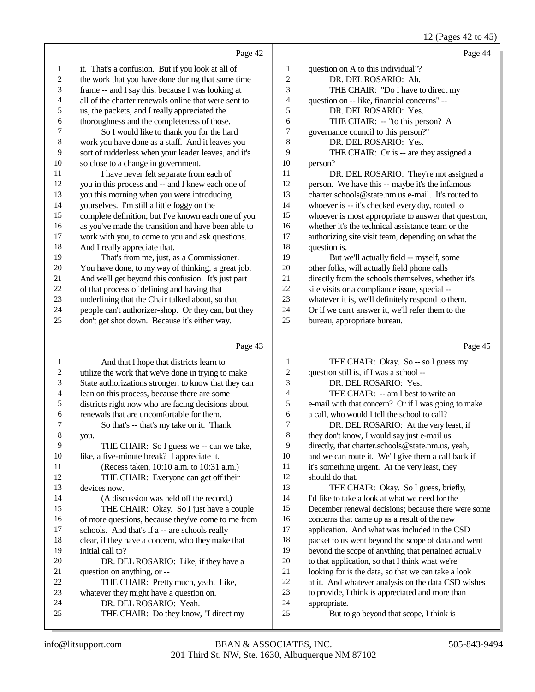#### 12 (Pages 42 to 45)

|                | Page 42                                              |            | Page 44                                              |
|----------------|------------------------------------------------------|------------|------------------------------------------------------|
| 1              | it. That's a confusion. But if you look at all of    | 1          | question on A to this individual"?                   |
| $\sqrt{2}$     | the work that you have done during that same time    | $\sqrt{2}$ | DR. DEL ROSARIO: Ah.                                 |
| 3              | frame -- and I say this, because I was looking at    | 3          | THE CHAIR: "Do I have to direct my                   |
| $\overline{4}$ | all of the charter renewals online that were sent to | 4          | question on -- like, financial concerns" --          |
| 5              | us, the packets, and I really appreciated the        | 5          | DR. DEL ROSARIO: Yes.                                |
| 6              | thoroughness and the completeness of those.          | 6          | THE CHAIR: -- "to this person? A                     |
| 7              | So I would like to thank you for the hard            | 7          | governance council to this person?"                  |
| $\,$ 8 $\,$    | work you have done as a staff. And it leaves you     | 8          | DR. DEL ROSARIO: Yes.                                |
| 9              | sort of rudderless when your leader leaves, and it's | 9          | THE CHAIR: Or is -- are they assigned a              |
| $10\,$         | so close to a change in government.                  | $10\,$     | person?                                              |
| 11             | I have never felt separate from each of              | 11         | DR. DEL ROSARIO: They're not assigned a              |
| 12             | you in this process and -- and I knew each one of    | 12         | person. We have this -- maybe it's the infamous      |
| 13             | you this morning when you were introducing           | 13         | charter.schools@state.nm.us e-mail. It's routed to   |
| 14             | yourselves. I'm still a little foggy on the          | 14         | whoever is -- it's checked every day, routed to      |
| 15             | complete definition; but I've known each one of you  | 15         | whoever is most appropriate to answer that question, |
| 16             | as you've made the transition and have been able to  | 16         | whether it's the technical assistance team or the    |
| 17             | work with you, to come to you and ask questions.     | 17         | authorizing site visit team, depending on what the   |
| $18\,$         | And I really appreciate that.                        | 18         | question is.                                         |
| 19             | That's from me, just, as a Commissioner.             | 19         | But we'll actually field -- myself, some             |
| 20             | You have done, to my way of thinking, a great job.   | 20         | other folks, will actually field phone calls         |
| 21             | And we'll get beyond this confusion. It's just part  | 21         | directly from the schools themselves, whether it's   |
| 22             | of that process of defining and having that          | 22         | site visits or a compliance issue, special --        |
| 23             | underlining that the Chair talked about, so that     | 23         | whatever it is, we'll definitely respond to them.    |
| 24             | people can't authorizer-shop. Or they can, but they  | 24         | Or if we can't answer it, we'll refer them to the    |
| 25             | don't get shot down. Because it's either way.        | 25         | bureau, appropriate bureau.                          |
|                | Page 43                                              |            | Page 45                                              |
| 1              | And that I hope that districts learn to              | 1          | THE CHAIR: Okay. So -- so I guess my                 |
| $\sqrt{2}$     | utilize the work that we've done in trying to make   | $\sqrt{2}$ | question still is, if I was a school --              |
| 3              | State authorizations stronger, to know that they can | 3          | DR. DEL ROSARIO: Yes.                                |
| 4              | lean on this process, because there are some         | 4          | THE CHAIR: -- am I best to write an                  |
| 5              | districts right now who are facing decisions about   | 5          | e-mail with that concern? Or if I was going to make  |
|                |                                                      |            |                                                      |

6 renewals that are uncomfortable for them.<br>
7 So that's -- that's my take on it. That

 So that's -- that's my take on it. Thank you. 9 THE CHAIR: So I guess we  $-$  can we take,<br>10 like, a five-minute break? I appreciate it. 10 like, a five-minute break? I appreciate it.<br>11 (Recess taken, 10:10 a.m. to 10:31) (Recess taken, 10:10 a.m. to 10:31 a.m.) THE CHAIR: Everyone can get off their devices now. (A discussion was held off the record.) THE CHAIR: Okay. So I just have a couple 16 of more questions, because they've come to me from<br>17 schools. And that's if a -- are schools really schools. And that's if a -- are schools really 18 clear, if they have a concern, who they make that<br>19 initial call to? initial call to? 20 DR. DEL ROSARIO: Like, if they have a<br>21 outstion on anything, or --

THE CHAIR: Do they know, "I direct my

- 21 question on anything, or --<br>22 THE CHAIR: Pretty 22 THE CHAIR: Pretty much, yeah. Like,<br>23 whatever they might have a question on. 23 whatever they might have a question on.<br>24 DR. DEL ROSARIO: Yeah. 24 DR. DEL ROSARIO: Yeah.<br>25 THE CHAIR: Do they know.
- e-mail with that concern? Or if I was going to make a call, who would I tell the school to call? DR. DEL ROSARIO: At the very least, if they don't know, I would say just e-mail us directly, that charter.schools@state.nm.us, yeah, and we can route it. We'll give them a call back if it's something urgent. At the very least, they should do that. THE CHAIR: Okay. So I guess, briefly, I'd like to take a look at what we need for the December renewal decisions; because there were some concerns that came up as a result of the new application. And what was included in the CSD packet to us went beyond the scope of data and went beyond the scope of anything that pertained actually to that application, so that I think what we're looking for is the data, so that we can take a look at it. And whatever analysis on the data CSD wishes to provide, I think is appreciated and more than appropriate. But to go beyond that scope, I think is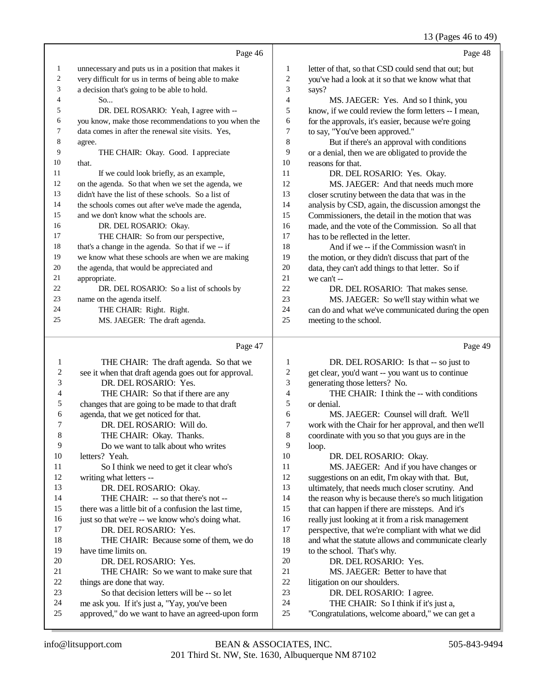13 (Pages 46 to 49)

|                |                                                      |                | $13 \text{ (}1 \text{ u} \text{s} \text{C} \text{s} \text{ to } 10 \text{ T}$ |
|----------------|------------------------------------------------------|----------------|-------------------------------------------------------------------------------|
|                | Page 46                                              |                | Page 48                                                                       |
| 1              | unnecessary and puts us in a position that makes it  | 1              | letter of that, so that CSD could send that out; but                          |
| $\overline{c}$ | very difficult for us in terms of being able to make | $\overline{c}$ | you've had a look at it so that we know what that                             |
| 3              | a decision that's going to be able to hold.          | 3              | says?                                                                         |
| 4              | So                                                   | $\overline{4}$ | MS. JAEGER: Yes. And so I think, you                                          |
| 5              | DR. DEL ROSARIO: Yeah, I agree with --               | 5              | know, if we could review the form letters -- I mean,                          |
| 6              | you know, make those recommendations to you when the | 6              | for the approvals, it's easier, because we're going                           |
| 7              | data comes in after the renewal site visits. Yes,    | 7              | to say, "You've been approved."                                               |
| 8              | agree.                                               | 8              | But if there's an approval with conditions                                    |
| 9              | THE CHAIR: Okay. Good. I appreciate                  | 9              | or a denial, then we are obligated to provide the                             |
| 10             | that.                                                | 10             | reasons for that.                                                             |
| 11             | If we could look briefly, as an example,             | 11             | DR. DEL ROSARIO: Yes. Okay.                                                   |
| 12             | on the agenda. So that when we set the agenda, we    | 12             | MS. JAEGER: And that needs much more                                          |
| 13             | didn't have the list of these schools. So a list of  | 13             | closer scrutiny between the data that was in the                              |
| 14             | the schools comes out after we've made the agenda,   | 14             | analysis by CSD, again, the discussion amongst the                            |
| 15             | and we don't know what the schools are.              | 15             | Commissioners, the detail in the motion that was                              |
| 16             | DR. DEL ROSARIO: Okay.                               | 16             | made, and the vote of the Commission. So all that                             |
| 17             | THE CHAIR: So from our perspective,                  | 17             | has to be reflected in the letter.                                            |
| 18             | that's a change in the agenda. So that if we -- if   | 18             | And if we -- if the Commission wasn't in                                      |
| 19             | we know what these schools are when we are making    | 19             | the motion, or they didn't discuss that part of the                           |
| 20             | the agenda, that would be appreciated and            | 20             | data, they can't add things to that letter. So if                             |
| 21             | appropriate.                                         | 21             | we can't --                                                                   |
| 22             | DR. DEL ROSARIO: So a list of schools by             | 22             | DR. DEL ROSARIO: That makes sense.                                            |
| 23             | name on the agenda itself.                           | 23             | MS. JAEGER: So we'll stay within what we                                      |
| 24             | THE CHAIR: Right. Right.                             | 24             | can do and what we've communicated during the open                            |

25 meeting to the school.

#### Page 47

1 THE CHAIR: The draft agenda. So that we 2 see it when that draft agenda goes out for approval.<br>3 DR. DELROSARIO: Yes. 3 DR. DEL ROSARIO: Yes. 4 THE CHAIR: So that if there are any<br>5 changes that are going to be made to that dra 5 changes that are going to be made to that draft<br>6 agenda, that we get noticed for that. 6 agenda, that we get noticed for that.<br>
7 DR. DEL ROSARIO: Will de 7 DR. DEL ROSARIO: Will do.<br>8 THE CHAIR: Okay Thanks THE CHAIR: Okay. Thanks. 9 Do we want to talk about who writes 10 letters? Yeah. letters? Yeah. 11 So I think we need to get it clear who's 12 writing what letters -- 13 DR. DEL ROSARIO: Okay. 14 THE CHAIR: -- so that there's not -- 15 there was a little bit of a confusion the last time, 16 just so that we're -- we know who's doing what.<br>17 DR. DEL.ROSARIO: Yes. DR. DEL ROSARIO: Yes. 18 THE CHAIR: Because some of them, we do<br>19 have time limits on have time limits on. 20 DR. DEL ROSARIO: Yes.<br>21 THE CHAIR: So we want t 21 THE CHAIR: So we want to make sure that 22 things are done that way. 22 things are done that way.<br>23 So that decision let 23 So that decision letters will be -- so let<br>24 me ask you. If it's just a "Yay, you've been 24 me ask you. If it's just a, "Yay, you've been<br>25 approved." do we want to have an agreed-un approved," do we want to have an agreed-upon form Page 49 1 DR. DEL ROSARIO: Is that -- so just to 2 get clear, you'd want -- you want us to continue<br>3 generating those letters? No. generating those letters? No. 4 THE CHAIR: I think the -- with conditions<br>5 or denial. 5 or denial.<br>6 MS 6 MS. JAEGER: Counsel will draft. We'll 7 work with the Chair for her approval, and then we'll 8 coordinate with you so that you guys are in the  $\begin{array}{c}\n 9 \\
 10\n \end{array}$  loop. 10 DR. DEL ROSARIO: Okay.<br>11 MS. JAEGER: And if you ha 11 MS. JAEGER: And if you have changes or<br>12 suggestions on an edit. I'm okay with that. But. 12 suggestions on an edit, I'm okay with that. But,<br>13 ultimately, that needs much closer scrutiny. And ultimately, that needs much closer scrutiny. And 14 the reason why is because there's so much litigation 15 that can happen if there are missteps. And it's 16 really just looking at it from a risk management<br>17 recreasive that we're compliant with what we perspective, that we're compliant with what we did 18 and what the statute allows and communicate clearly<br>19 to the school That's why to the school. That's why. 20 DR. DEL ROSARIO: Yes.<br>21 MS. JAEGER: Better to ha 21 MS. JAEGER: Better to have that 22 litigation on our shoulders. 22 litigation on our shoulders.<br>23 DR. DEL ROSARIO DR. DEL ROSARIO: I agree. 24 THE CHAIR: So I think if it's just a,<br>25 Congratulations, welcome aboard." we can "Congratulations, welcome aboard," we can get a

25 MS. JAEGER: The draft agenda.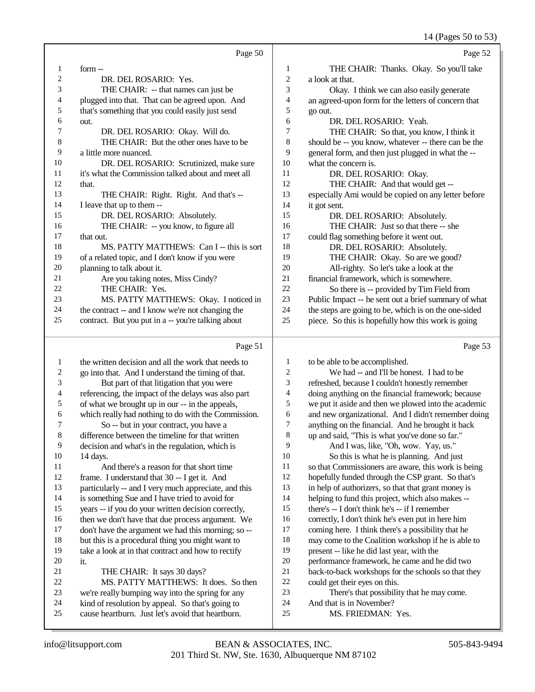14 (Pages 50 to 53)

| Page 52                                                  |    | Page 50                                            |    |
|----------------------------------------------------------|----|----------------------------------------------------|----|
| 1<br>THE CHAIR: Thanks. Okay. So you'll take             |    | $form -$                                           | 1  |
| 2<br>a look at that.                                     |    | DR. DEL ROSARIO: Yes.                              | 2  |
| 3<br>Okay. I think we can also easily generate           |    | THE CHAIR: -- that names can just be               | 3  |
| an agreed-upon form for the letters of concern that<br>4 |    | plugged into that. That can be agreed upon. And    | 4  |
| 5<br>go out.                                             |    | that's something that you could easily just send   | 5  |
| 6<br>DR. DEL ROSARIO: Yeah.                              |    | out.                                               | 6  |
| 7<br>THE CHAIR: So that, you know, I think it            |    | DR. DEL ROSARIO: Okay. Will do.                    | 7  |
| 8<br>should be -- you know, whatever -- there can be the |    | THE CHAIR: But the other ones have to be           | 8  |
| 9<br>general form, and then just plugged in what the --  |    | a little more nuanced.                             | 9  |
| what the concern is.                                     | 10 | DR. DEL ROSARIO: Scrutinized, make sure            | 10 |
| DR. DEL ROSARIO: Okay.                                   | 11 | it's what the Commission talked about and meet all | 11 |
| THE CHAIR: And that would get --                         | 12 | that.                                              | 12 |
| especially Ami would be copied on any letter before      | 13 | THE CHAIR: Right. Right. And that's --             | 13 |
| it got sent.                                             | 14 | I leave that up to them --                         | 14 |
| DR. DEL ROSARIO: Absolutely.                             | 15 | DR. DEL ROSARIO: Absolutely.                       | 15 |
| THE CHAIR: Just so that there -- she                     | 16 | THE CHAIR: -- you know, to figure all              | 16 |
| could flag something before it went out.                 | 17 | that out.                                          | 17 |
| DR. DEL ROSARIO: Absolutely.                             | 18 | MS. PATTY MATTHEWS: Can I -- this is sort          | 18 |
| THE CHAIR: Okay. So are we good?                         | 19 | of a related topic, and I don't know if you were   | 19 |
| All-righty. So let's take a look at the                  | 20 | planning to talk about it.                         | 20 |
| financial framework, which is somewhere.                 | 21 | Are you taking notes, Miss Cindy?                  | 21 |
| So there is -- provided by Tim Field from                | 22 | THE CHAIR: Yes.                                    | 22 |
| Public Impact -- he sent out a brief summary of what     | 23 | MS. PATTY MATTHEWS: Okay. I noticed in             | 23 |
| the steps are going to be, which is on the one-sided     | 24 | the contract -- and I know we're not changing the  | 24 |
| piece. So this is hopefully how this work is going       | 25 | contract. But you put in a -- you're talking about | 25 |
| Page 53                                                  |    | Page 51                                            |    |

| 1  | the written decision and all the work that needs to  | 1  | to be able to be accomplished.                       |
|----|------------------------------------------------------|----|------------------------------------------------------|
| 2  | go into that. And I understand the timing of that.   | 2  | We had -- and I'll be honest. I had to be            |
| 3  | But part of that litigation that you were            | 3  | refreshed, because I couldn't honestly remember      |
| 4  | referencing, the impact of the delays was also part  | 4  | doing anything on the financial framework; because   |
| 5  | of what we brought up in our -- in the appeals,      | 5  | we put it aside and then we plowed into the academic |
| 6  | which really had nothing to do with the Commission.  | 6  | and new organizational. And I didn't remember doing  |
| 7  | So -- but in your contract, you have a               | 7  | anything on the financial. And he brought it back    |
| 8  | difference between the timeline for that written     | 8  | up and said, "This is what you've done so far."      |
| 9  | decision and what's in the regulation, which is      | 9  | And I was, like, "Oh, wow. Yay, us."                 |
| 10 | $14$ days.                                           | 10 | So this is what he is planning. And just             |
| 11 | And there's a reason for that short time             | 11 | so that Commissioners are aware, this work is being  |
| 12 | frame. I understand that 30 -- I get it. And         | 12 | hopefully funded through the CSP grant. So that's    |
| 13 | particularly -- and I very much appreciate, and this | 13 | in help of authorizers, so that that grant money is  |
| 14 | is something Sue and I have tried to avoid for       | 14 | helping to fund this project, which also makes --    |
| 15 | years -- if you do your written decision correctly,  | 15 | there's $-$ I don't think he's $-$ if I remember     |
| 16 | then we don't have that due process argument. We     | 16 | correctly, I don't think he's even put in here him   |
| 17 | don't have the argument we had this morning; so --   | 17 | coming here. I think there's a possibility that he   |
| 18 | but this is a procedural thing you might want to     | 18 | may come to the Coalition workshop if he is able to  |
| 19 | take a look at in that contract and how to rectify   | 19 | present -- like he did last year, with the           |
| 20 | it.                                                  | 20 | performance framework, he came and he did two        |
| 21 | THE CHAIR: It says 30 days?                          | 21 | back-to-back workshops for the schools so that they  |
| 22 | MS. PATTY MATTHEWS: It does. So then                 | 22 | could get their eyes on this.                        |
| 23 | we're really bumping way into the spring for any     | 23 | There's that possibility that he may come.           |
| 24 | kind of resolution by appeal. So that's going to     | 24 | And that is in November?                             |
| 25 | cause heartburn. Just let's avoid that heartburn.    | 25 | MS. FRIEDMAN: Yes.                                   |
|    |                                                      |    |                                                      |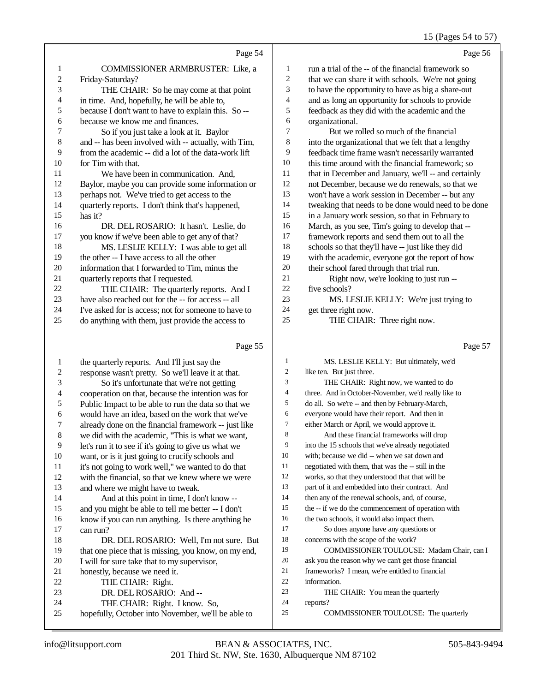### 15 (Pages 54 to 57)

|    | Page 54                                              |                | Page 56                                              |
|----|------------------------------------------------------|----------------|------------------------------------------------------|
| 1  | <b>COMMISSIONER ARMBRUSTER: Like, a</b>              | 1              | run a trial of the -- of the financial framework so  |
| 2  | Friday-Saturday?                                     | $\overline{c}$ | that we can share it with schools. We're not going   |
| 3  | THE CHAIR: So he may come at that point              | 3              | to have the opportunity to have as big a share-out   |
| 4  | in time. And, hopefully, he will be able to,         | $\overline{4}$ | and as long an opportunity for schools to provide    |
| 5  | because I don't want to have to explain this. So --  | 5              | feedback as they did with the academic and the       |
| 6  | because we know me and finances.                     | 6              | organizational.                                      |
| 7  | So if you just take a look at it. Baylor             | 7              | But we rolled so much of the financial               |
| 8  | and -- has been involved with -- actually, with Tim, | 8              | into the organizational that we felt that a lengthy  |
| 9  | from the academic -- did a lot of the data-work lift | 9              | feedback time frame wasn't necessarily warranted     |
| 10 | for Tim with that.                                   | 10             | this time around with the financial framework; so    |
| 11 | We have been in communication. And.                  | 11             | that in December and January, we'll -- and certainly |
| 12 | Baylor, maybe you can provide some information or    | 12             | not December, because we do renewals, so that we     |
| 13 | perhaps not. We've tried to get access to the        | 13             | won't have a work session in December -- but any     |
| 14 | quarterly reports. I don't think that's happened,    | 14             | tweaking that needs to be done would need to be done |
| 15 | has it?                                              | 15             | in a January work session, so that in February to    |
| 16 | DR. DEL ROSARIO: It hasn't. Leslie, do               | 16             | March, as you see, Tim's going to develop that --    |
| 17 | you know if we've been able to get any of that?      | 17             | framework reports and send them out to all the       |
| 18 | MS. LESLIE KELLY: I was able to get all              | 18             | schools so that they'll have -- just like they did   |
| 19 | the other -- I have access to all the other          | 19             | with the academic, everyone got the report of how    |
| 20 | information that I forwarded to Tim, minus the       | 20             | their school fared through that trial run.           |
| 21 | quarterly reports that I requested.                  | 21             | Right now, we're looking to just run --              |
| 22 | THE CHAIR: The quarterly reports. And I              | 22             | five schools?                                        |
| 23 | have also reached out for the -- for access -- all   | 23             | MS. LESLIE KELLY: We're just trying to               |
| 24 | I've asked for is access; not for someone to have to | 24             | get three right now.                                 |
| 25 | do anything with them just provide the access to     | 25             | THE CHAIR: Three right now.                          |

do anything with them, just provide the access to

Page 57

THE CHAIR: Three right now.

|    | Page 55                                              |                | Page 57                                             |
|----|------------------------------------------------------|----------------|-----------------------------------------------------|
| 1  | the quarterly reports. And I'll just say the         | $\mathbf{1}$   | MS. LESLIE KELLY: But ultimately, we'd              |
| 2  | response wasn't pretty. So we'll leave it at that.   | $\overline{c}$ | like ten. But just three.                           |
| 3  | So it's unfortunate that we're not getting           | 3              | THE CHAIR: Right now, we wanted to do               |
| 4  | cooperation on that, because the intention was for   | $\overline{4}$ | three. And in October-November, we'd really like to |
| 5  | Public Impact to be able to run the data so that we  | 5              | do all. So we're -- and then by February-March,     |
| 6  | would have an idea, based on the work that we've     | 6              | everyone would have their report. And then in       |
| 7  | already done on the financial framework -- just like | 7              | either March or April, we would approve it.         |
| 8  | we did with the academic, "This is what we want,     | 8              | And these financial frameworks will drop            |
| 9  | let's run it to see if it's going to give us what we | 9              | into the 15 schools that we've already negotiated   |
| 10 | want, or is it just going to crucify schools and     | 10             | with; because we did -- when we sat down and        |
| 11 | it's not going to work well," we wanted to do that   | 11             | negotiated with them, that was the -- still in the  |
| 12 | with the financial, so that we knew where we were    | 12             | works, so that they understood that that will be    |
| 13 | and where we might have to tweak.                    | 13             | part of it and embedded into their contract. And    |
| 14 | And at this point in time, I don't know --           | 14             | then any of the renewal schools, and, of course,    |
| 15 | and you might be able to tell me better -- I don't   | 15             | the -- if we do the commencement of operation with  |
| 16 | know if you can run anything. Is there anything he   | 16             | the two schools, it would also impact them.         |
| 17 | can run?                                             | 17             | So does anyone have any questions or                |
| 18 | DR. DEL ROSARIO: Well, I'm not sure. But             | 18             | concerns with the scope of the work?                |
| 19 | that one piece that is missing, you know, on my end, | 19             | COMMISSIONER TOULOUSE: Madam Chair, can I           |
| 20 | I will for sure take that to my supervisor,          | 20             | ask you the reason why we can't get those financial |
| 21 | honestly, because we need it.                        | 21             | frameworks? I mean, we're entitled to financial     |
| 22 | THE CHAIR: Right.                                    | 22             | information.                                        |
| 23 | DR. DEL ROSARIO: And --                              | 23             | THE CHAIR: You mean the quarterly                   |
| 24 | THE CHAIR: Right. I know. So,                        | 24             | reports?                                            |
| 25 | hopefully, October into November, we'll be able to   | 25             | COMMISSIONER TOULOUSE: The quarterly                |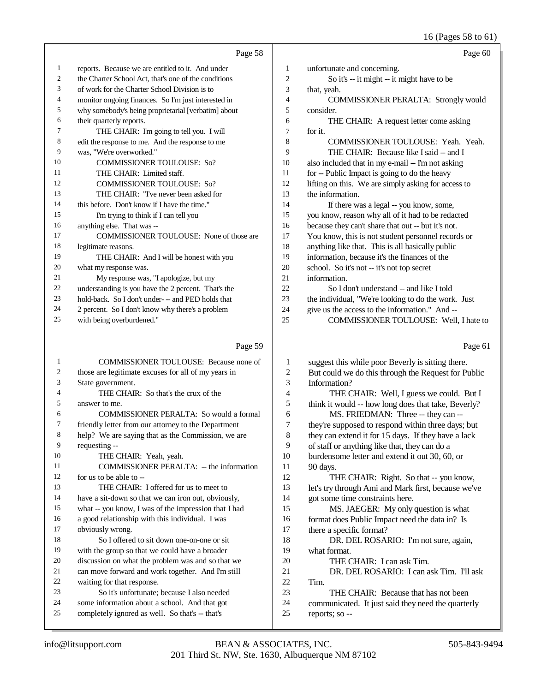# 16 (Pages 58 to 61)

|                | Page 58                                              |                | Page 60                                             |
|----------------|------------------------------------------------------|----------------|-----------------------------------------------------|
| 1              | reports. Because we are entitled to it. And under    | 1              | unfortunate and concerning.                         |
| 2              | the Charter School Act, that's one of the conditions | $\overline{2}$ | So it's -- it might -- it might have to be          |
| 3              | of work for the Charter School Division is to        | 3              | that, yeah.                                         |
| $\overline{4}$ | monitor ongoing finances. So I'm just interested in  | $\overline{4}$ | <b>COMMISSIONER PERALTA: Strongly would</b>         |
| 5              | why somebody's being proprietarial [verbatim] about  | 5              | consider.                                           |
| 6              | their quarterly reports.                             | 6              | THE CHAIR: A request letter come asking             |
| 7              | THE CHAIR: I'm going to tell you. I will             | 7              | for it.                                             |
| 8              | edit the response to me. And the response to me      | 8              | COMMISSIONER TOULOUSE: Yeah. Yeah.                  |
| 9              | was, "We're overworked."                             | 9              | THE CHAIR: Because like I said -- and I             |
| 10             | <b>COMMISSIONER TOULOUSE: So?</b>                    | 10             | also included that in my e-mail -- I'm not asking   |
| 11             | THE CHAIR: Limited staff.                            | 11             | for -- Public Impact is going to do the heavy       |
| 12             | <b>COMMISSIONER TOULOUSE: So?</b>                    | 12             | lifting on this. We are simply asking for access to |
| 13             | THE CHAIR: "I've never been asked for                | 13             | the information.                                    |
| 14             | this before. Don't know if I have the time."         | 14             | If there was a legal -- you know, some,             |
| 15             | I'm trying to think if I can tell you                | 15             | you know, reason why all of it had to be redacted   |
| 16             | anything else. That was --                           | 16             | because they can't share that out -- but it's not.  |
| 17             | COMMISSIONER TOULOUSE: None of those are             | 17             | You know, this is not student personnel records or  |
| 18             | legitimate reasons.                                  | 18             | anything like that. This is all basically public    |
| 19             | THE CHAIR: And I will be honest with you             | 19             | information, because it's the finances of the       |
| 20             | what my response was.                                | 20             | school. So it's not -- it's not top secret          |
| 21             | My response was, "I apologize, but my                | 21             | information.                                        |
| 22             | understanding is you have the 2 percent. That's the  | 22             | So I don't understand -- and like I told            |
| 23             | hold-back. So I don't under- -- and PED holds that   | 23             | the individual, "We're looking to do the work. Just |
| 24             | 2 percent. So I don't know why there's a problem     | 24             | give us the access to the information." And --      |
| 25             | with being overburdened."                            | 25             | COMMISSIONER TOULOUSE: Well, I hate to              |

# Page 59 |

| 1  | <b>COMMISSIONER TOULOUSE:</b> Because none of        | 1  | suggest this while poor Beverly is sitting there.   |
|----|------------------------------------------------------|----|-----------------------------------------------------|
| 2  | those are legitimate excuses for all of my years in  | 2  | But could we do this through the Request for Public |
| 3  | State government.                                    | 3  | Information?                                        |
| 4  | THE CHAIR: So that's the crux of the                 | 4  | THE CHAIR: Well, I guess we could. But I            |
| 5  | answer to me.                                        | 5  | think it would -- how long does that take, Beverly? |
| 6  | COMMISSIONER PERALTA: So would a formal              | 6  | MS. FRIEDMAN: Three -- they can --                  |
| 7  | friendly letter from our attorney to the Department  | 7  | they're supposed to respond within three days; but  |
| 8  | help? We are saying that as the Commission, we are   | 8  | they can extend it for 15 days. If they have a lack |
| 9  | requesting --                                        | 9  | of staff or anything like that, they can do a       |
| 10 | THE CHAIR: Yeah, yeah.                               | 10 | burdensome letter and extend it out 30, 60, or      |
| 11 | COMMISSIONER PERALTA: -- the information             | 11 | 90 days.                                            |
| 12 | for us to be able to --                              | 12 | THE CHAIR: Right. So that -- you know,              |
| 13 | THE CHAIR: I offered for us to meet to               | 13 | let's try through Ami and Mark first, because we've |
| 14 | have a sit-down so that we can iron out, obviously,  | 14 | got some time constraints here.                     |
| 15 | what -- you know, I was of the impression that I had | 15 | MS. JAEGER: My only question is what                |
| 16 | a good relationship with this individual. I was      | 16 | format does Public Impact need the data in? Is      |
| 17 | obviously wrong.                                     | 17 | there a specific format?                            |
| 18 | So I offered to sit down one-on-one or sit           | 18 | DR. DEL ROSARIO: I'm not sure, again,               |
| 19 | with the group so that we could have a broader       | 19 | what format.                                        |
| 20 | discussion on what the problem was and so that we    | 20 | THE CHAIR: I can ask Tim.                           |
| 21 | can move forward and work together. And I'm still    | 21 | DR. DEL ROSARIO: I can ask Tim. I'll ask            |
| 22 | waiting for that response.                           | 22 | Tim.                                                |
| 23 | So it's unfortunate; because I also needed           | 23 | THE CHAIR: Because that has not been                |
| 24 | some information about a school. And that got        | 24 | communicated. It just said they need the quarterly  |
| 25 | completely ignored as well. So that's -- that's      | 25 | reports; so --                                      |
|    |                                                      |    |                                                     |

Page 61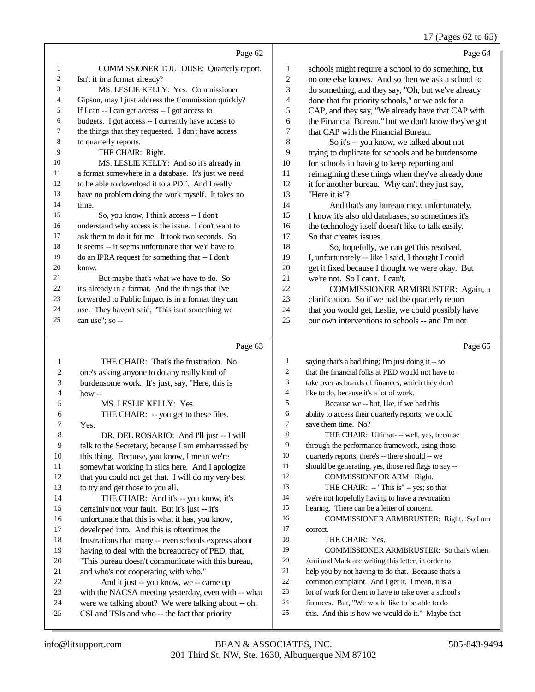### 17 (Pages 62 to 65)

Page 62 COMMISSIONER TOULOUSE: Quarterly report. Isn't it in a format already? MS. LESLIE KELLY: Yes. Commissioner Gipson, may I just address the Commission quickly? If I can -- I can get access -- I got access to budgets. I got access -- I currently have access to the things that they requested. I don't have access to quarterly reports. THE CHAIR: Right. MS. LESLIE KELLY: And so it's already in a format somewhere in a database. It's just we need 12 to be able to download it to a PDF. And I really have no problem doing the work myself. It takes no So, you know, I think access -- I don't understand why access is the issue. I don't want to ask them to do it for me. It took two seconds. So it seems -- it seems unfortunate that we'd have to do an IPRA request for something that -- I don't But maybe that's what we have to do. So it's already in a format. And the things that I've forwarded to Public Impact is in a format they can use. They haven't said, "This isn't something we can use"; so -- Page 64 schools might require a school to do something, but no one else knows. And so then we ask a school to do something, and they say, "Oh, but we've already done that for priority schools," or we ask for a CAP, and they say, "We already have that CAP with the Financial Bureau," but we don't know they've got that CAP with the Financial Bureau. So it's -- you know, we talked about not trying to duplicate for schools and be burdensome for schools in having to keep reporting and reimagining these things when they've already done it for another bureau. Why can't they just say, "Here it is"? And that's any bureaucracy, unfortunately. I know it's also old databases; so sometimes it's the technology itself doesn't like to talk easily. So that creates issues. So, hopefully, we can get this resolved. I, unfortunately -- like I said, I thought I could get it fixed because I thought we were okay. But we're not. So I can't. I can't. COMMISSIONER ARMBRUSTER: Again, a clarification. So if we had the quarterly report that you would get, Leslie, we could possibly have our own interventions to schools -- and I'm not Page 65

#### Page 63

|    | THE CHAIR: That's the frustration. No                | 1              | saying that's a bad thing; I'm just doing it -- so   |
|----|------------------------------------------------------|----------------|------------------------------------------------------|
| 2  | one's asking anyone to do any really kind of         | $\mathfrak{2}$ | that the financial folks at PED would not have to    |
| 3  | burdensome work. It's just, say, "Here, this is      | 3              | take over as boards of finances, which they don't    |
| 4  | $how -$                                              | 4              | like to do, because it's a lot of work.              |
| 5  | MS. LESLIE KELLY: Yes.                               | 5              | Because we -- but, like, if we had this              |
| 6  | THE CHAIR: -- you get to these files.                | 6              | ability to access their quarterly reports, we could  |
| 7  | Yes.                                                 | $\tau$         | save them time. No?                                  |
| 8  | DR. DEL ROSARIO: And I'll just -- I will             | 8              | THE CHAIR: Ultimat- -- well, yes, because            |
| 9  | talk to the Secretary, because I am embarrassed by   | 9              | through the performance framework, using those       |
| 10 | this thing. Because, you know, I mean we're          | 10             | quarterly reports, there's -- there should -- we     |
| 11 | somewhat working in silos here. And I apologize      | 11             | should be generating, yes, those red flags to say -- |
| 12 | that you could not get that. I will do my very best  | 12             | <b>COMMISSIONEOR ARM: Right.</b>                     |
| 13 | to try and get those to you all.                     | 13             | THE CHAIR: -- "This is" -- yes; so that              |
| 14 | THE CHAIR: And it's -- you know, it's                | 14             | we're not hopefully having to have a revocation      |
| 15 | certainly not your fault. But it's just -- it's      | 15             | hearing. There can be a letter of concern.           |
| 16 | unfortunate that this is what it has, you know,      | 16             | COMMISSIONER ARMBRUSTER: Right. So I am              |
| 17 | developed into. And this is oftentimes the           | 17             | correct.                                             |
| 18 | frustrations that many -- even schools express about | 18             | THE CHAIR: Yes.                                      |
| 19 | having to deal with the bureaucracy of PED, that,    | 19             | <b>COMMISSIONER ARMBRUSTER: So that's when</b>       |
| 20 | "This bureau doesn't communicate with this bureau,   | 20             | Ami and Mark are writing this letter, in order to    |
| 21 | and who's not cooperating with who."                 | 21             | help you by not having to do that. Because that's a  |
| 22 | And it just -- you know, we -- came up               | 22             | common complaint. And I get it. I mean, it is a      |
| 23 | with the NACSA meeting yesterday, even with -- what  | 23             | lot of work for them to have to take over a school's |
| 24 | were we talking about? We were talking about -- oh,  | 24             | finances. But, "We would like to be able to do       |
| 25 | CSI and TSIs and who -- the fact that priority       | 25             | this. And this is how we would do it." Maybe that    |
|    |                                                      |                |                                                      |

time.

know.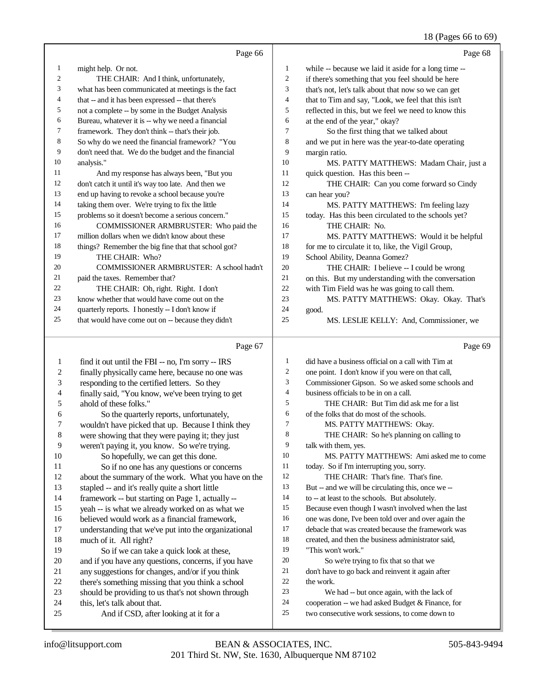# 18 (Pages 66 to 69)

|    | Page 66                                             |                | Page 68                                              |
|----|-----------------------------------------------------|----------------|------------------------------------------------------|
| 1  | might help. Or not.                                 | 1              | while -- because we laid it aside for a long time -- |
| 2  | THE CHAIR: And I think, unfortunately,              | $\overline{2}$ | if there's something that you feel should be here    |
| 3  | what has been communicated at meetings is the fact  | 3              | that's not, let's talk about that now so we can get  |
| 4  | that -- and it has been expressed -- that there's   | $\overline{4}$ | that to Tim and say, "Look, we feel that this isn't  |
| 5  | not a complete -- by some in the Budget Analysis    | 5              | reflected in this, but we feel we need to know this  |
| 6  | Bureau, whatever it is -- why we need a financial   | 6              | at the end of the year," okay?                       |
| 7  | framework. They don't think -- that's their job.    | 7              | So the first thing that we talked about              |
| 8  | So why do we need the financial framework? "You     | 8              | and we put in here was the year-to-date operating    |
| 9  | don't need that. We do the budget and the financial | 9              | margin ratio.                                        |
| 10 | analysis."                                          | 10             | MS. PATTY MATTHEWS: Madam Chair, just a              |
| 11 | And my response has always been, "But you           | 11             | quick question. Has this been --                     |
| 12 | don't catch it until it's way too late. And then we | 12             | THE CHAIR: Can you come forward so Cindy             |
| 13 | end up having to revoke a school because you're     | 13             | can hear you?                                        |
| 14 | taking them over. We're trying to fix the little    | 14             | MS. PATTY MATTHEWS: I'm feeling lazy                 |
| 15 | problems so it doesn't become a serious concern."   | 15             | today. Has this been circulated to the schools yet?  |
| 16 | COMMISSIONER ARMBRUSTER: Who paid the               | 16             | THE CHAIR: No.                                       |
| 17 | million dollars when we didn't know about these     | 17             | MS. PATTY MATTHEWS: Would it be helpful              |
| 18 | things? Remember the big fine that that school got? | 18             | for me to circulate it to, like, the Vigil Group,    |
| 19 | THE CHAIR: Who?                                     | 19             | School Ability, Deanna Gomez?                        |
| 20 | COMMISSIONER ARMBRUSTER: A school hadn't            | 20             | THE CHAIR: I believe -- I could be wrong             |
| 21 | paid the taxes. Remember that?                      | 21             | on this. But my understanding with the conversation  |
| 22 | THE CHAIR: Oh, right. Right. I don't                | 22             | with Tim Field was he was going to call them.        |
| 23 | know whether that would have come out on the        | 23             | MS. PATTY MATTHEWS: Okay. Okay. That's               |
| 24 | quarterly reports. I honestly -- I don't know if    | 24             | good.                                                |
| 25 | that would have come out on -- because they didn't  | 25             | MS. LESLIE KELLY: And, Commissioner, we              |
|    | Page 67                                             |                | Page 69                                              |

| 1  | find it out until the FBI -- no, I'm sorry -- IRS    | 1  | did have a business official on a call with Tim at   |
|----|------------------------------------------------------|----|------------------------------------------------------|
| 2  | finally physically came here, because no one was     | 2  | one point. I don't know if you were on that call,    |
| 3  | responding to the certified letters. So they         | 3  | Commissioner Gipson. So we asked some schools and    |
| 4  | finally said, "You know, we've been trying to get    | 4  | business officials to be in on a call.               |
| 5  | ahold of these folks."                               | 5  | THE CHAIR: But Tim did ask me for a list             |
| 6  | So the quarterly reports, unfortunately,             | 6  | of the folks that do most of the schools.            |
| 7  | wouldn't have picked that up. Because I think they   | 7  | MS. PATTY MATTHEWS: Okay.                            |
| 8  | were showing that they were paying it; they just     | 8  | THE CHAIR: So he's planning on calling to            |
| 9  | weren't paying it, you know. So we're trying.        | 9  | talk with them, yes.                                 |
| 10 | So hopefully, we can get this done.                  | 10 | MS. PATTY MATTHEWS: Ami asked me to come             |
| 11 | So if no one has any questions or concerns           | 11 | today. So if I'm interrupting you, sorry.            |
| 12 | about the summary of the work. What you have on the  | 12 | THE CHAIR: That's fine. That's fine.                 |
| 13 | stapled -- and it's really quite a short little      | 13 | But -- and we will be circulating this, once we --   |
| 14 | framework -- but starting on Page 1, actually --     | 14 | to -- at least to the schools. But absolutely.       |
| 15 | yeah -- is what we already worked on as what we      | 15 | Because even though I wasn't involved when the last  |
| 16 | believed would work as a financial framework,        | 16 | one was done, I've been told over and over again the |
| 17 | understanding that we've put into the organizational | 17 | debacle that was created because the framework was   |
| 18 | much of it. All right?                               | 18 | created, and then the business administrator said,   |
| 19 | So if we can take a quick look at these,             | 19 | "This won't work."                                   |
| 20 | and if you have any questions, concerns, if you have | 20 | So we're trying to fix that so that we               |
| 21 | any suggestions for changes, and/or if you think     | 21 | don't have to go back and reinvent it again after    |
| 22 | there's something missing that you think a school    | 22 | the work.                                            |
| 23 | should be providing to us that's not shown through   | 23 | We had -- but once again, with the lack of           |
| 24 | this, let's talk about that.                         | 24 | cooperation -- we had asked Budget & Finance, for    |
| 25 | And if CSD, after looking at it for a                | 25 | two consecutive work sessions, to come down to       |
|    |                                                      |    |                                                      |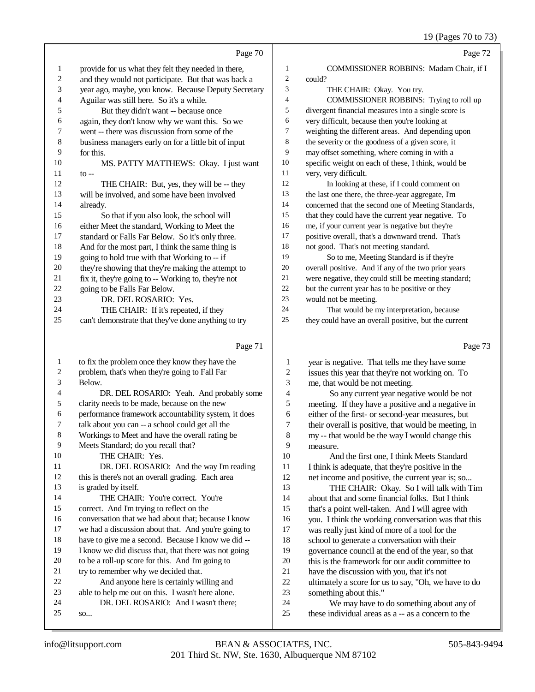## 19 (Pages 70 to 73)

|                         |                                                      |                | $12 \text{ (1 qgcs)}$ 10 to 15                                                                 |
|-------------------------|------------------------------------------------------|----------------|------------------------------------------------------------------------------------------------|
|                         | Page 70                                              |                | Page 72                                                                                        |
| $\mathbf{1}$            | provide for us what they felt they needed in there,  | 1              | COMMISSIONER ROBBINS: Madam Chair, if I                                                        |
| $\overline{\mathbf{c}}$ | and they would not participate. But that was back a  | $\overline{c}$ | could?                                                                                         |
| 3                       | year ago, maybe, you know. Because Deputy Secretary  | 3              | THE CHAIR: Okay. You try.                                                                      |
| 4                       | Aguilar was still here. So it's a while.             | 4              | COMMISSIONER ROBBINS: Trying to roll up                                                        |
| 5                       | But they didn't want -- because once                 | 5              | divergent financial measures into a single score is                                            |
| 6                       | again, they don't know why we want this. So we       | 6              | very difficult, because then you're looking at                                                 |
| 7                       | went -- there was discussion from some of the        | 7              | weighting the different areas. And depending upon                                              |
| 8                       | business managers early on for a little bit of input | 8              | the severity or the goodness of a given score, it                                              |
| 9                       | for this.                                            | 9              | may offset something, where coming in with a                                                   |
| 10                      | MS. PATTY MATTHEWS: Okay. I just want                | 10             | specific weight on each of these, I think, would be                                            |
| 11                      | $to --$                                              | 11             | very, very difficult.                                                                          |
| 12                      | THE CHAIR: But, yes, they will be -- they            | 12             | In looking at these, if I could comment on                                                     |
| 13                      | will be involved, and some have been involved        | 13             | the last one there, the three-year aggregate, I'm                                              |
| 14                      | already.                                             | 14             | concerned that the second one of Meeting Standards,                                            |
| 15                      | So that if you also look, the school will            | 15             | that they could have the current year negative. To                                             |
| 16                      | either Meet the standard, Working to Meet the        | 16             | me, if your current year is negative but they're                                               |
| 17                      | standard or Falls Far Below. So it's only three.     | 17             | positive overall, that's a downward trend. That's                                              |
| 18                      | And for the most part, I think the same thing is     | 18             | not good. That's not meeting standard.                                                         |
| 19                      | going to hold true with that Working to -- if        | 19             | So to me, Meeting Standard is if they're                                                       |
| 20                      | they're showing that they're making the attempt to   | $20\,$         | overall positive. And if any of the two prior years                                            |
| 21                      | fix it, they're going to -- Working to, they're not  | 21             | were negative, they could still be meeting standard;                                           |
| 22                      | going to be Falls Far Below.                         | 22             | but the current year has to be positive or they                                                |
| 23                      | DR. DEL ROSARIO: Yes.                                | 23             | would not be meeting.                                                                          |
| 24                      | THE CHAIR: If it's repeated, if they                 | 24             | That would be my interpretation, because                                                       |
| 25                      | can't demonstrate that they've done anything to try  | 25             | they could have an overall positive, but the current                                           |
|                         | Page 71                                              |                | Page 73                                                                                        |
| 1                       | to fix the problem once they know they have the      | 1              | year is negative. That tells me they have some                                                 |
| 2                       | problem, that's when they're going to Fall Far       | $\overline{c}$ | issues this year that they're not working on. To                                               |
| 3                       | Below.                                               | 3              | me, that would be not meeting.                                                                 |
| 4                       | DR. DEL ROSARIO: Yeah. And probably some             | 4              | So any current year negative would be not                                                      |
| 5                       | clarity needs to be made, because on the new         | 5              | meeting. If they have a positive and a negative in                                             |
| 6                       | performance framework accountability system, it does | 6              | either of the first- or second-year measures, but                                              |
| 7                       | talk about you can -- a school could get all the     | 7              | their overall is positive, that would be meeting, in                                           |
| 8                       | Workings to Meet and have the overall rating be      | $\,8\,$        | my -- that would be the way I would change this                                                |
| 9                       | Meets Standard; do you recall that?                  | 9              | measure.                                                                                       |
| 10                      | THE CHAIR: Yes.                                      | 10             | And the first one, I think Meets Standard                                                      |
| 11                      | DR. DEL ROSARIO: And the way I'm reading             | 11             | I think is adequate, that they're positive in the                                              |
| 12                      | this is there's not an overall grading. Each area    | 12             | net income and positive, the current year is; so                                               |
| 13                      | is graded by itself.                                 | 13             | THE CHAIR: Okay. So I will talk with Tim                                                       |
| 14                      | THE CHAIR: You're correct. You're                    | 14             | about that and some financial folks. But I think                                               |
| 15                      | correct. And I'm trying to reflect on the            | 15             | that's a point well-taken. And I will agree with                                               |
| 16                      | conversation that we had about that; because I know  | 16             | you. I think the working conversation was that this                                            |
| 17                      | we had a discussion about that. And you're going to  | 17             | was really just kind of more of a tool for the                                                 |
| 18                      | have to give me a second. Because I know we did --   | 18             | school to generate a conversation with their                                                   |
|                         |                                                      |                |                                                                                                |
| 19                      | I know we did discuss that, that there was not going | 19             | governance council at the end of the year, so that                                             |
| 20                      | to be a roll-up score for this. And I'm going to     | 20             | this is the framework for our audit committee to                                               |
| 21                      | try to remember why we decided that.                 | 21             | have the discussion with you, that it's not                                                    |
| 22                      | And anyone here is certainly willing and             | 22             | ultimately a score for us to say, "Oh, we have to do                                           |
| 23                      | able to help me out on this. I wasn't here alone.    | 23             | something about this."                                                                         |
| 24<br>25                | DR. DEL ROSARIO: And I wasn't there;<br>SO           | $24\,$<br>25   | We may have to do something about any of<br>these individual areas as a -- as a concern to the |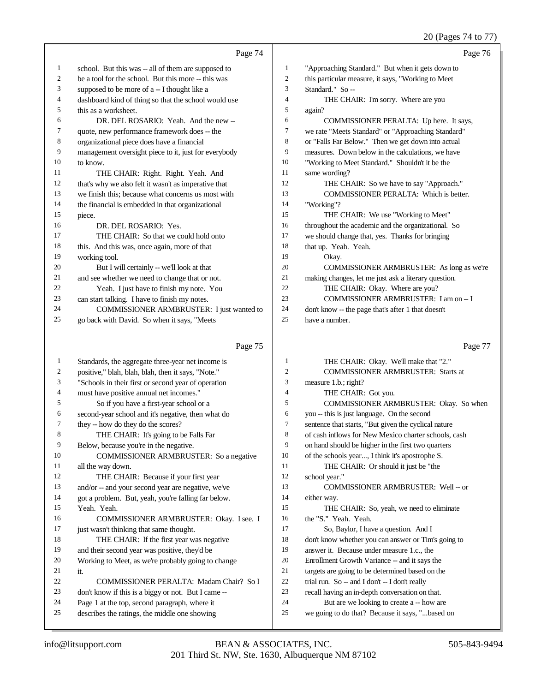|              | Page 74                                              |                  | Page 76                                              |
|--------------|------------------------------------------------------|------------------|------------------------------------------------------|
| $\mathbf{1}$ | school. But this was -- all of them are supposed to  | $\mathbf{1}$     | "Approaching Standard." But when it gets down to     |
| 2            | be a tool for the school. But this more -- this was  | $\boldsymbol{2}$ | this particular measure, it says, "Working to Meet   |
| 3            | supposed to be more of a -- I thought like a         | 3                | Standard." So --                                     |
| 4            | dashboard kind of thing so that the school would use | $\overline{4}$   | THE CHAIR: I'm sorry. Where are you                  |
| 5            | this as a worksheet.                                 | 5                | again?                                               |
| 6            | DR. DEL ROSARIO: Yeah. And the new --                | 6                | COMMISSIONER PERALTA: Up here. It says,              |
| 7            | quote, new performance framework does -- the         | $\boldsymbol{7}$ | we rate "Meets Standard" or "Approaching Standard"   |
| 8            | organizational piece does have a financial           | $\,$ 8 $\,$      | or "Falls Far Below." Then we get down into actual   |
| 9            | management oversight piece to it, just for everybody | 9                | measures. Down below in the calculations, we have    |
| 10           | to know.                                             | 10               | "Working to Meet Standard." Shouldn't it be the      |
| 11           | THE CHAIR: Right. Right. Yeah. And                   | 11               | same wording?                                        |
| 12           | that's why we also felt it wasn't as imperative that | 12               | THE CHAIR: So we have to say "Approach."             |
| 13           | we finish this; because what concerns us most with   | 13               | COMMISSIONER PERALTA: Which is better.               |
| 14           | the financial is embedded in that organizational     | 14               | "Working"?                                           |
| 15           | piece.                                               | 15               | THE CHAIR: We use "Working to Meet"                  |
| 16           | DR. DEL ROSARIO: Yes.                                | 16               | throughout the academic and the organizational. So   |
| 17           | THE CHAIR: So that we could hold onto                | 17               | we should change that, yes. Thanks for bringing      |
| 18           | this. And this was, once again, more of that         | 18               | that up. Yeah. Yeah.                                 |
| 19           | working tool.                                        | 19               | Okay.                                                |
| 20           | But I will certainly -- we'll look at that           | 20               | COMMISSIONER ARMBRUSTER: As long as we're            |
| 21           | and see whether we need to change that or not.       | 21               | making changes, let me just ask a literary question. |
| 22           | Yeah. I just have to finish my note. You             | 22               | THE CHAIR: Okay. Where are you?                      |
| 23           | can start talking. I have to finish my notes.        | 23               | COMMISSIONER ARMBRUSTER: I am on -- I                |
| 24           | COMMISSIONER ARMBRUSTER: I just wanted to            | 24               | don't know -- the page that's after 1 that doesn't   |
| 25           | go back with David. So when it says, "Meets          | 25               | have a number.                                       |
|              | Page 75                                              |                  | Page 77                                              |
| 1            | Standards, the aggregate three-year net income is    | $\mathbf{1}$     | THE CHAIR: Okay. We'll make that "2."                |
| 2            | positive," blah, blah, blah, then it says, "Note."   | $\overline{2}$   | <b>COMMISSIONER ARMBRUSTER: Starts at</b>            |
| 3            | "Schools in their first or second year of operation  | 3                | measure 1.b.; right?                                 |
| 4            | must have positive annual net incomes."              | $\overline{4}$   | THE CHAIR: Got you.                                  |
| 5            | So if you have a first-year school or a              | 5                | COMMISSIONER ARMBRUSTER: Okay. So when               |
| 6            | second-year school and it's negative, then what do   | 6                | you -- this is just language. On the second          |
| 7            | they -- how do they do the scores?                   | $\boldsymbol{7}$ | sentence that starts, "But given the cyclical nature |
| 8            | THE CHAIR: It's going to be Falls Far                | 8                | of cash inflows for New Mexico charter schools, cash |
| 9            | Below, because you're in the negative.               | 9                | on hand should be higher in the first two quarters   |
| 10           | <b>COMMISSIONER ARMBRUSTER:</b> So a negative        | 10               | of the schools year, I think it's apostrophe S.      |
| 11           | all the way down.                                    | 11               | THE CHAIR: Or should it just be "the                 |

| 16 | COMMISSIONER ARMBRUSTER: Okay. I see. I            |
|----|----------------------------------------------------|
| 17 | just wasn't thinking that same thought.            |
| 18 | THE CHAIR: If the first year was negative          |
| 19 | and their second year was positive, they'd be      |
| 20 | Working to Meet, as we're probably going to change |
| 21 | it.                                                |

# COMMISSIONER PERALTA: Madam Chair? So I

- don't know if this is a biggy or not. But I came --
- Page 1 at the top, second paragraph, where it describes the ratings, the middle one showing

 THE CHAIR: Because if your first year and/or -- and your second year are negative, we've got a problem. But, yeah, you're falling far below.

- 13 COMMISSIONER ARMBRUSTER: Well -- or either way.
- 15 THE CHAIR: So, yeah, we need to eliminate the "S." Yeah. Yeah.
- So, Baylor, I have a question. And I

school year."

- don't know whether you can answer or Tim's going to
- answer it. Because under measure 1.c., the
- Enrollment Growth Variance -- and it says the targets are going to be determined based on the
- trial run. So -- and I don't -- I don't really
- recall having an in-depth conversation on that.
- 24 But are we looking to create a -- how are
- we going to do that? Because it says, "...based on

Yeah. Yeah.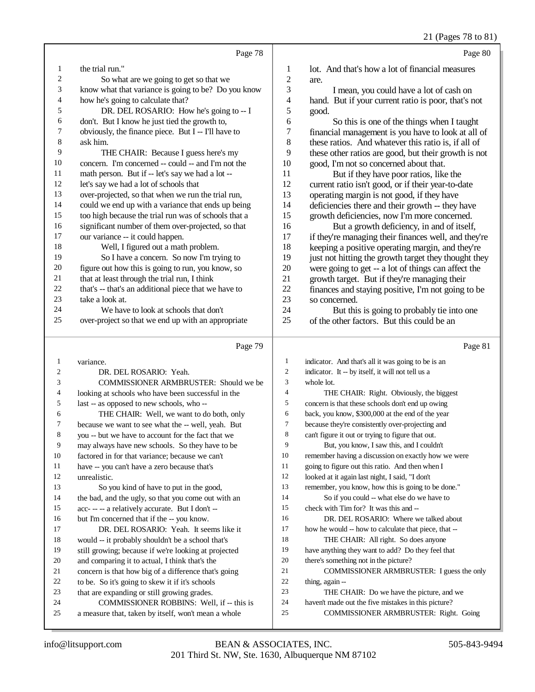21 (Pages 78 to 81)

|    |                                                      |                | $= 1$ (1 ugus 10 to 01                               |
|----|------------------------------------------------------|----------------|------------------------------------------------------|
|    | Page 78                                              |                | Page 80                                              |
| 1  | the trial run."                                      | 1              | lot. And that's how a lot of financial measures      |
| 2  | So what are we going to get so that we               | $\overline{c}$ | are.                                                 |
| 3  | know what that variance is going to be? Do you know  | 3              | I mean, you could have a lot of cash on              |
| 4  | how he's going to calculate that?                    | 4              | hand. But if your current ratio is poor, that's not  |
| 5  | DR. DEL ROSARIO: How he's going to -- I              | 5              | good.                                                |
| 6  | don't. But I know he just tied the growth to,        | 6              | So this is one of the things when I taught           |
| 7  | obviously, the finance piece. But I -- I'll have to  | 7              | financial management is you have to look at all of   |
| 8  | ask him.                                             | 8              | these ratios. And whatever this ratio is, if all of  |
| 9  | THE CHAIR: Because I guess here's my                 | 9              | these other ratios are good, but their growth is not |
| 10 | concern. I'm concerned -- could -- and I'm not the   | 10             | good, I'm not so concerned about that.               |
| 11 | math person. But if -- let's say we had a lot --     | 11             | But if they have poor ratios, like the               |
| 12 | let's say we had a lot of schools that               | 12             | current ratio isn't good, or if their year-to-date   |
| 13 | over-projected, so that when we run the trial run,   | 13             | operating margin is not good, if they have           |
| 14 | could we end up with a variance that ends up being   | 14             | deficiencies there and their growth -- they have     |
| 15 | too high because the trial run was of schools that a | 15             | growth deficiencies, now I'm more concerned.         |
| 16 | significant number of them over-projected, so that   | 16             | But a growth deficiency, in and of itself,           |
| 17 | our variance -- it could happen.                     | 17             | if they're managing their finances well, and they're |
| 18 | Well, I figured out a math problem.                  | 18             | keeping a positive operating margin, and they're     |
| 19 | So I have a concern. So now I'm trying to            | 19             | just not hitting the growth target they thought they |
| 20 | figure out how this is going to run, you know, so    | 20             | were going to get -- a lot of things can affect the  |
| 21 | that at least through the trial run, I think         | 21             | growth target. But if they're managing their         |
| 22 | that's -- that's an additional piece that we have to | 22             | finances and staying positive, I'm not going to be   |
| 23 | take a look at.                                      | 23             | so concerned.                                        |
| 24 | We have to look at schools that don't                | 24             | But this is going to probably tie into one           |
| 25 | over-project so that we end up with an appropriate   | 25             | of the other factors. But this could be an           |
|    | Page 79                                              |                | Page 81                                              |

#### Page 79

|                | $1$ agu $12$                                         |                | 1 agu o                                              |
|----------------|------------------------------------------------------|----------------|------------------------------------------------------|
| 1              | variance.                                            | 1              | indicator. And that's all it was going to be is an   |
| $\overline{c}$ | DR. DEL ROSARIO: Yeah.                               | $\mathfrak{2}$ | indicator. It -- by itself, it will not tell us a    |
| 3              | COMMISSIONER ARMBRUSTER: Should we be                | 3              | whole lot.                                           |
| 4              | looking at schools who have been successful in the   | 4              | THE CHAIR: Right. Obviously, the biggest             |
| 5              | last -- as opposed to new schools, who --            | 5              | concern is that these schools don't end up owing     |
| 6              | THE CHAIR: Well, we want to do both, only            | 6              | back, you know, \$300,000 at the end of the year     |
| 7              | because we want to see what the -- well, yeah. But   | 7              | because they're consistently over-projecting and     |
| 8              | you -- but we have to account for the fact that we   | 8              | can't figure it out or trying to figure that out.    |
| 9              | may always have new schools. So they have to be      | 9              | But, you know, I saw this, and I couldn't            |
| 10             | factored in for that variance; because we can't      | 10             | remember having a discussion on exactly how we were  |
| 11             | have -- you can't have a zero because that's         | 11             | going to figure out this ratio. And then when I      |
| 12             | unrealistic.                                         | 12             | looked at it again last night, I said, "I don't      |
| 13             | So you kind of have to put in the good,              | 13             | remember, you know, how this is going to be done."   |
| 14             | the bad, and the ugly, so that you come out with an  | 14             | So if you could -- what else do we have to           |
| 15             | acc---- a relatively accurate. But I don't --        | 15             | check with Tim for? It was this and --               |
| 16             | but I'm concerned that if the -- you know.           | 16             | DR. DEL ROSARIO: Where we talked about               |
| 17             | DR. DEL ROSARIO: Yeah. It seems like it              | 17             | how he would -- how to calculate that piece, that -- |
| 18             | would -- it probably shouldn't be a school that's    | 18             | THE CHAIR: All right. So does anyone                 |
| 19             | still growing; because if we're looking at projected | 19             | have anything they want to add? Do they feel that    |
| 20             | and comparing it to actual, I think that's the       | 20             | there's something not in the picture?                |
| 21             | concern is that how big of a difference that's going | 21             | COMMISSIONER ARMBRUSTER: I guess the only            |
| 22             | to be. So it's going to skew it if it's schools      | 22             | thing, again --                                      |
| 23             | that are expanding or still growing grades.          | 23             | THE CHAIR: Do we have the picture, and we            |
| 24             | COMMISSIONER ROBBINS: Well, if -- this is            | 24             | haven't made out the five mistakes in this picture?  |
| 25             | a measure that, taken by itself, won't mean a whole  | 25             | COMMISSIONER ARMBRUSTER: Right. Going                |
|                |                                                      |                |                                                      |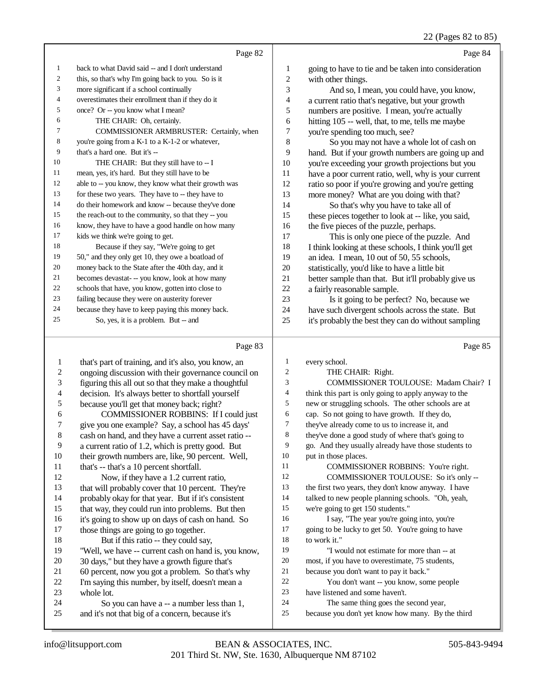|                | Page 82                                              |                | Page 84                                              |
|----------------|------------------------------------------------------|----------------|------------------------------------------------------|
| 1              | back to what David said -- and I don't understand    | 1              | going to have to tie and be taken into consideration |
| $\overline{c}$ | this, so that's why I'm going back to you. So is it  | $\overline{c}$ | with other things.                                   |
| 3              | more significant if a school continually             | 3              | And so, I mean, you could have, you know,            |
| 4              | overestimates their enrollment than if they do it    | 4              | a current ratio that's negative, but your growth     |
| 5              | once? Or -- you know what I mean?                    | 5              | numbers are positive. I mean, you're actually        |
| 6              | THE CHAIR: Oh, certainly.                            | 6              | hitting 105 -- well, that, to me, tells me maybe     |
| 7              | COMMISSIONER ARMBRUSTER: Certainly, when             | 7              | you're spending too much, see?                       |
| 8              | you're going from a K-1 to a K-1-2 or whatever,      | 8              | So you may not have a whole lot of cash on           |
| 9              | that's a hard one. But it's --                       | 9              | hand. But if your growth numbers are going up and    |
| 10             | THE CHAIR: But they still have to -- I               | 10             | you're exceeding your growth projections but you     |
| 11             | mean, yes, it's hard. But they still have to be      | 11             | have a poor current ratio, well, why is your current |
| 12             | able to -- you know, they know what their growth was | 12             | ratio so poor if you're growing and you're getting   |
| 13             | for these two years. They have to -- they have to    | 13             | more money? What are you doing with that?            |
| 14             | do their homework and know -- because they've done   | 14             | So that's why you have to take all of                |
| 15             | the reach-out to the community, so that they -- you  | 15             | these pieces together to look at -- like, you said,  |
| 16             | know, they have to have a good handle on how many    | 16             | the five pieces of the puzzle, perhaps.              |
| 17             | kids we think we're going to get.                    | 17             | This is only one piece of the puzzle. And            |
| 18             | Because if they say, "We're going to get             | 18             | I think looking at these schools, I think you'll get |
| 19             | 50," and they only get 10, they owe a boatload of    | 19             | an idea. I mean, 10 out of 50, 55 schools,           |
| 20             | money back to the State after the 40th day, and it   | 20             | statistically, you'd like to have a little bit       |
| 21             | becomes devastat--you know, look at how many         | 21             | better sample than that. But it'll probably give us  |
| 22             | schools that have, you know, gotten into close to    | 22             | a fairly reasonable sample.                          |
| 23             | failing because they were on austerity forever       | 23             | Is it going to be perfect? No, because we            |
| 24             | because they have to keep paying this money back.    | 24             | have such divergent schools across the state. But    |
| 25             | So, yes, it is a problem. But -- and                 | 25             | it's probably the best they can do without sampling  |
|                |                                                      |                |                                                      |

# Page 83

| 1  | that's part of training, and it's also, you know, an | 1  | every school.                                        |
|----|------------------------------------------------------|----|------------------------------------------------------|
| 2  | ongoing discussion with their governance council on  | 2  | THE CHAIR: Right.                                    |
| 3  | figuring this all out so that they make a thoughtful | 3  | COMMISSIONER TOULOUSE: Madam Chair? I                |
| 4  | decision. It's always better to shortfall yourself   | 4  | think this part is only going to apply anyway to the |
| 5  | because you'll get that money back; right?           | 5  | new or struggling schools. The other schools are at  |
| 6  | COMMISSIONER ROBBINS: If I could just                | 6  | cap. So not going to have growth. If they do,        |
| 7  | give you one example? Say, a school has 45 days'     | 7  | they've already come to us to increase it, and       |
| 8  | cash on hand, and they have a current asset ratio -- | 8  | they've done a good study of where that's going to   |
| 9  | a current ratio of 1.2, which is pretty good. But    | 9  | go. And they usually already have those students to  |
| 10 | their growth numbers are, like, 90 percent. Well,    | 10 | put in those places.                                 |
| 11 | that's -- that's a 10 percent shortfall.             | 11 | COMMISSIONER ROBBINS: You're right.                  |
| 12 | Now, if they have a 1.2 current ratio,               | 12 | COMMISSIONER TOULOUSE: So it's only --               |
| 13 | that will probably cover that 10 percent. They're    | 13 | the first two years, they don't know anyway. I have  |
| 14 | probably okay for that year. But if it's consistent  | 14 | talked to new people planning schools. "Oh, yeah,    |
| 15 | that way, they could run into problems. But then     | 15 | we're going to get 150 students."                    |
| 16 | it's going to show up on days of cash on hand. So    | 16 | I say, "The year you're going into, you're           |
| 17 | those things are going to go together.               | 17 | going to be lucky to get 50. You're going to have    |
| 18 | But if this ratio -- they could say,                 | 18 | to work it."                                         |
| 19 | "Well, we have -- current cash on hand is, you know, | 19 | "I would not estimate for more than -- at            |
| 20 | 30 days," but they have a growth figure that's       | 20 | most, if you have to overestimate, 75 students,      |
| 21 | 60 percent, now you got a problem. So that's why     | 21 | because you don't want to pay it back."              |
| 22 | I'm saying this number, by itself, doesn't mean a    | 22 | You don't want -- you know, some people              |
| 23 | whole lot.                                           | 23 | have listened and some haven't.                      |
| 24 | So you can have a -- a number less than 1,           | 24 | The same thing goes the second year,                 |
| 25 | and it's not that big of a concern, because it's     | 25 | because you don't yet know how many. By the third    |
|    |                                                      |    |                                                      |

Page 85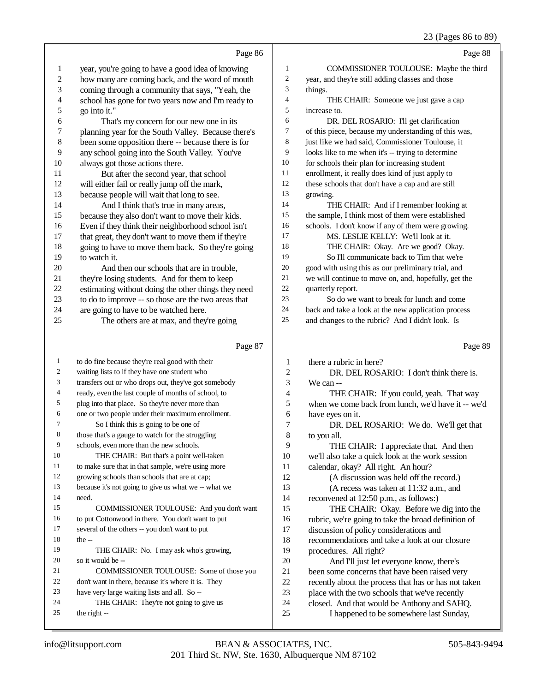# 23 (Pages 86 to 89)

|                          |                                                                                            |                          | 25 (Pages 80 to 89)                                                                    |
|--------------------------|--------------------------------------------------------------------------------------------|--------------------------|----------------------------------------------------------------------------------------|
|                          | Page 86                                                                                    |                          | Page 88                                                                                |
| $\mathbf{1}$             | year, you're going to have a good idea of knowing                                          | 1                        | COMMISSIONER TOULOUSE: Maybe the third                                                 |
| $\boldsymbol{2}$         | how many are coming back, and the word of mouth                                            | $\overline{2}$           | year, and they're still adding classes and those                                       |
| 3                        | coming through a community that says, "Yeah, the                                           | 3                        | things.                                                                                |
| $\overline{\mathcal{L}}$ | school has gone for two years now and I'm ready to                                         | $\overline{4}$           | THE CHAIR: Someone we just gave a cap                                                  |
| 5                        | go into it."                                                                               | 5                        | increase to.                                                                           |
| 6                        | That's my concern for our new one in its                                                   | 6                        | DR. DEL ROSARIO: I'll get clarification                                                |
| $\boldsymbol{7}$         | planning year for the South Valley. Because there's                                        | $\tau$                   | of this piece, because my understanding of this was,                                   |
| 8                        | been some opposition there -- because there is for                                         | $\,8$                    | just like we had said, Commissioner Toulouse, it                                       |
| 9                        | any school going into the South Valley. You've                                             | 9                        | looks like to me when it's -- trying to determine                                      |
| 10                       | always got those actions there.                                                            | 10                       | for schools their plan for increasing student                                          |
| 11                       | But after the second year, that school                                                     | 11                       | enrollment, it really does kind of just apply to                                       |
| 12                       | will either fail or really jump off the mark,                                              | $12\,$                   | these schools that don't have a cap and are still                                      |
| 13                       | because people will wait that long to see.                                                 | 13                       | growing.                                                                               |
| 14                       | And I think that's true in many areas,                                                     | 14                       | THE CHAIR: And if I remember looking at                                                |
| 15                       | because they also don't want to move their kids.                                           | 15                       | the sample, I think most of them were established                                      |
| 16                       | Even if they think their neighborhood school isn't                                         | 16                       | schools. I don't know if any of them were growing.                                     |
| 17                       | that great, they don't want to move them if they're                                        | 17                       | MS. LESLIE KELLY: We'll look at it.                                                    |
| 18                       | going to have to move them back. So they're going                                          | 18                       | THE CHAIR: Okay. Are we good? Okay.                                                    |
| 19                       | to watch it.                                                                               | 19                       | So I'll communicate back to Tim that we're                                             |
| 20                       | And then our schools that are in trouble,                                                  | $20\,$                   | good with using this as our preliminary trial, and                                     |
| 21                       | they're losing students. And for them to keep                                              | 21                       | we will continue to move on, and, hopefully, get the                                   |
| 22                       | estimating without doing the other things they need                                        | $22\,$                   | quarterly report.                                                                      |
| 23                       | to do to improve -- so those are the two areas that                                        | 23                       | So do we want to break for lunch and come                                              |
| 24                       | are going to have to be watched here.                                                      | 24                       | back and take a look at the new application process                                    |
| 25                       | The others are at max, and they're going                                                   | 25                       | and changes to the rubric? And I didn't look. Is                                       |
|                          | Page 87                                                                                    |                          | Page 89                                                                                |
| $\mathbf{1}$             | to do fine because they're real good with their                                            | 1                        | there a rubric in here?                                                                |
| $\overline{2}$           | waiting lists to if they have one student who                                              |                          |                                                                                        |
| 3                        |                                                                                            |                          |                                                                                        |
|                          |                                                                                            | $\overline{c}$           | DR. DEL ROSARIO: I don't think there is.                                               |
| 4                        | transfers out or who drops out, they've got somebody                                       | 3                        | We can --                                                                              |
| 5                        | ready, even the last couple of months of school, to                                        | $\overline{\mathcal{A}}$ | THE CHAIR: If you could, yeah. That way                                                |
| 6                        | plug into that place. So they're never more than                                           | 5                        | when we come back from lunch, we'd have it -- we'd                                     |
| 7                        | one or two people under their maximum enrollment.<br>So I think this is going to be one of | 6<br>7                   | have eyes on it.                                                                       |
| 8                        | those that's a gauge to watch for the struggling                                           | 8                        | DR. DEL ROSARIO: We do. We'll get that                                                 |
| 9                        | schools, even more than the new schools.                                                   | 9                        | to you all.<br>THE CHAIR: I appreciate that. And then                                  |
| 10                       | THE CHAIR: But that's a point well-taken                                                   | 10                       | we'll also take a quick look at the work session                                       |
| 11                       | to make sure that in that sample, we're using more                                         | 11                       | calendar, okay? All right. An hour?                                                    |
| 12                       | growing schools than schools that are at cap;                                              | 12                       | (A discussion was held off the record.)                                                |
| 13                       | because it's not going to give us what we -- what we                                       | 13                       | (A recess was taken at 11:32 a.m., and                                                 |
| 14                       | need.                                                                                      | 14                       | reconvened at 12:50 p.m., as follows:)                                                 |
| 15                       | COMMISSIONER TOULOUSE: And you don't want                                                  | 15                       | THE CHAIR: Okay. Before we dig into the                                                |
| 16                       | to put Cottonwood in there. You don't want to put                                          | 16                       | rubric, we're going to take the broad definition of                                    |
| 17                       | several of the others -- you don't want to put                                             | 17                       | discussion of policy considerations and                                                |
| 18                       | the $-$                                                                                    | 18                       | recommendations and take a look at our closure                                         |
| 19                       | THE CHAIR: No. I may ask who's growing,                                                    | 19                       | procedures. All right?                                                                 |
| 20                       | so it would be --                                                                          | 20                       | And I'll just let everyone know, there's                                               |
| 21                       | COMMISSIONER TOULOUSE: Some of those you                                                   | 21                       | been some concerns that have been raised very                                          |
| 22                       | don't want in there, because it's where it is. They                                        | 22                       | recently about the process that has or has not taken                                   |
| 23                       | have very large waiting lists and all. So --                                               | 23                       | place with the two schools that we've recently                                         |
| 24<br>25                 | THE CHAIR: They're not going to give us<br>the right --                                    | 24<br>25                 | closed. And that would be Anthony and SAHQ.<br>I happened to be somewhere last Sunday, |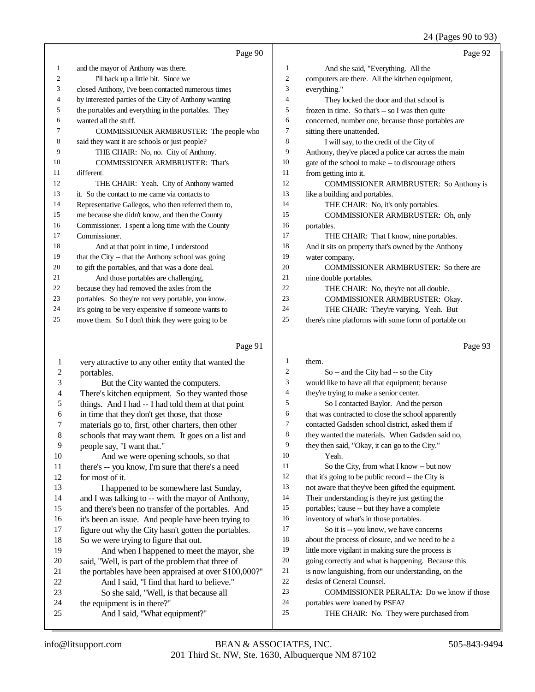# 24 (Pages 90 to 93)

|                | Page 90                                              |    | Page 92                                              |
|----------------|------------------------------------------------------|----|------------------------------------------------------|
| 1              | and the mayor of Anthony was there.                  | 1  | And she said, "Everything. All the                   |
| $\overline{c}$ | I'll back up a little bit. Since we                  | 2  | computers are there. All the kitchen equipment,      |
| 3              | closed Anthony, I've been contacted numerous times   | 3  | everything."                                         |
| 4              | by interested parties of the City of Anthony wanting | 4  | They locked the door and that school is              |
| 5              | the portables and everything in the portables. They  | 5  | frozen in time. So that's $-$ so I was then quite    |
| 6              | wanted all the stuff.                                | 6  | concerned, number one, because those portables are   |
| 7              | COMMISSIONER ARMBRUSTER: The people who              | 7  | sitting there unattended.                            |
| 8              | said they want it are schools or just people?        | 8  | I will say, to the credit of the City of             |
| 9              | THE CHAIR: No, no. City of Anthony.                  | 9  | Anthony, they've placed a police car across the main |
| 10             | <b>COMMISSIONER ARMBRUSTER: That's</b>               | 10 | gate of the school to make -- to discourage others   |
| 11             | different.                                           | 11 | from getting into it.                                |
| 12             | THE CHAIR: Yeah. City of Anthony wanted              | 12 | <b>COMMISSIONER ARMBRUSTER: So Anthony is</b>        |
| 13             | it. So the contact to me came via contacts to        | 13 | like a building and portables.                       |
| 14             | Representative Gallegos, who then referred them to,  | 14 | THE CHAIR: No, it's only portables.                  |
| 15             | me because she didn't know, and then the County      | 15 | COMMISSIONER ARMBRUSTER: Oh, only                    |
| 16             | Commissioner. I spent a long time with the County    | 16 | portables.                                           |
| 17             | Commissioner.                                        | 17 | THE CHAIR: That I know, nine portables.              |
| 18             | And at that point in time, I understood              | 18 | And it sits on property that's owned by the Anthony  |
| 19             | that the City -- that the Anthony school was going   | 19 | water company.                                       |
| 20             | to gift the portables, and that was a done deal.     | 20 | <b>COMMISSIONER ARMBRUSTER: So there are</b>         |
| 21             | And those portables are challenging,                 | 21 | nine double portables.                               |
| 22             | because they had removed the axles from the          | 22 | THE CHAIR: No, they're not all double.               |
| 23             | portables. So they're not very portable, you know.   | 23 | COMMISSIONER ARMBRUSTER: Okay.                       |
| 24             | It's going to be very expensive if someone wants to  | 24 | THE CHAIR: They're varying. Yeah. But                |
| 25             | move them. So I don't think they were going to be    | 25 | there's nine platforms with some form of portable on |

### $D_{0}$ go 01

|                | Page 91                                               |                | Page 93                                             |
|----------------|-------------------------------------------------------|----------------|-----------------------------------------------------|
| 1              | very attractive to any other entity that wanted the   | $\mathbf{1}$   | them.                                               |
| $\overline{c}$ | portables.                                            | 2              | So -- and the City had -- so the City               |
| 3              | But the City wanted the computers.                    | 3              | would like to have all that equipment; because      |
| 4              | There's kitchen equipment. So they wanted those       | $\overline{4}$ | they're trying to make a senior center.             |
| 5              | things. And I had -- I had told them at that point    | 5              | So I contacted Baylor. And the person               |
| 6              | in time that they don't get those, that those         | 6              | that was contracted to close the school apparently  |
| 7              | materials go to, first, other charters, then other    | 7              | contacted Gadsden school district, asked them if    |
| $\,8\,$        | schools that may want them. It goes on a list and     | 8              | they wanted the materials. When Gadsden said no,    |
| 9              | people say, "I want that."                            | 9              | they then said, "Okay, it can go to the City."      |
| 10             | And we were opening schools, so that                  | 10             | Yeah.                                               |
| 11             | there's -- you know, I'm sure that there's a need     | 11             | So the City, from what I know -- but now            |
| 12             | for most of it.                                       | 12             | that it's going to be public record -- the City is  |
| 13             | I happened to be somewhere last Sunday,               | 13             | not aware that they've been gifted the equipment.   |
| 14             | and I was talking to -- with the mayor of Anthony,    | 14             | Their understanding is they're just getting the     |
| 15             | and there's been no transfer of the portables. And    | 15             | portables; 'cause -- but they have a complete       |
| 16             | it's been an issue. And people have been trying to    | 16             | inventory of what's in those portables.             |
| 17             | figure out why the City hasn't gotten the portables.  | 17             | So it is -- you know, we have concerns              |
| 18             | So we were trying to figure that out.                 | 18             | about the process of closure, and we need to be a   |
| 19             | And when I happened to meet the mayor, she            | 19             | little more vigilant in making sure the process is  |
| 20             | said, "Well, is part of the problem that three of     | 20             | going correctly and what is happening. Because this |
| 21             | the portables have been appraised at over \$100,000?" | 21             | is now languishing, from our understanding, on the  |
| 22             | And I said, "I find that hard to believe."            | 22             | desks of General Counsel.                           |
| 23             | So she said, "Well, is that because all               | 23             | COMMISSIONER PERALTA: Do we know if those           |
| 24             | the equipment is in there?"                           | 24             | portables were loaned by PSFA?                      |
| 25             | And I said, "What equipment?"                         | 25             | THE CHAIR: No. They were purchased from             |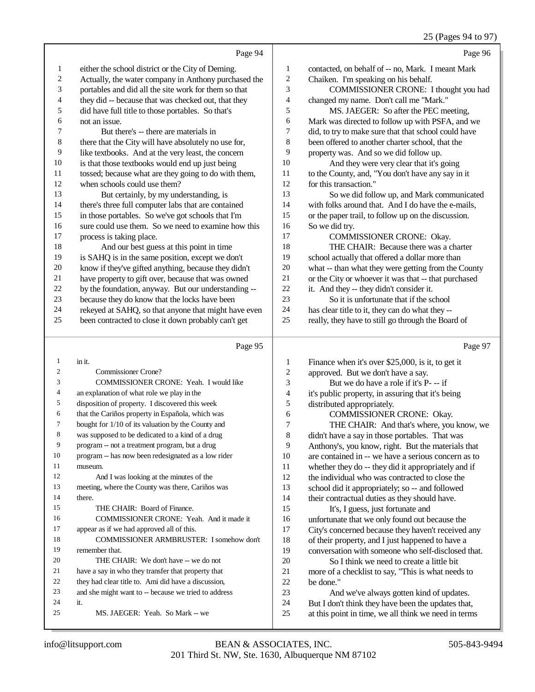#### 25 (Pages 94 to 97)

|    | Page 94                                              |    | Page 96                                              |
|----|------------------------------------------------------|----|------------------------------------------------------|
| 1  | either the school district or the City of Deming.    | 1  | contacted, on behalf of -- no, Mark. I meant Mark    |
| 2  | Actually, the water company in Anthony purchased the | 2  | Chaiken. I'm speaking on his behalf.                 |
| 3  | portables and did all the site work for them so that | 3  | COMMISSIONER CRONE: I thought you had                |
| 4  | they did -- because that was checked out, that they  | 4  | changed my name. Don't call me "Mark."               |
| 5  | did have full title to those portables. So that's    | 5  | MS. JAEGER: So after the PEC meeting,                |
| 6  | not an issue.                                        | 6  | Mark was directed to follow up with PSFA, and we     |
| 7  | But there's -- there are materials in                | 7  | did, to try to make sure that that school could have |
| 8  | there that the City will have absolutely no use for, | 8  | been offered to another charter school, that the     |
| 9  | like textbooks. And at the very least, the concern   | 9  | property was. And so we did follow up.               |
| 10 | is that those textbooks would end up just being      | 10 | And they were very clear that it's going             |
| 11 | tossed; because what are they going to do with them, | 11 | to the County, and, "You don't have any say in it    |
| 12 | when schools could use them?                         | 12 | for this transaction."                               |
| 13 | But certainly, by my understanding, is               | 13 | So we did follow up, and Mark communicated           |
| 14 | there's three full computer labs that are contained  | 14 | with folks around that. And I do have the e-mails,   |
| 15 | in those portables. So we've got schools that I'm    | 15 | or the paper trail, to follow up on the discussion.  |
| 16 | sure could use them. So we need to examine how this  | 16 | So we did try.                                       |
| 17 | process is taking place.                             | 17 | COMMISSIONER CRONE: Okay.                            |
| 18 | And our best guess at this point in time             | 18 | THE CHAIR: Because there was a charter               |
| 19 | is SAHQ is in the same position, except we don't     | 19 | school actually that offered a dollar more than      |
| 20 | know if they've gifted anything, because they didn't | 20 | what -- than what they were getting from the County  |
| 21 | have property to gift over, because that was owned   | 21 | or the City or whoever it was that -- that purchased |
| 22 | by the foundation, anyway. But our understanding --  | 22 | it. And they -- they didn't consider it.             |
| 23 | because they do know that the locks have been        | 23 | So it is unfortunate that if the school              |
| 24 | rekeyed at SAHQ, so that anyone that might have even | 24 | has clear title to it, they can do what they --      |
| 25 | been contracted to close it down probably can't get  | 25 | really, they have to still go through the Board of   |
|    | Page 95                                              |    | Page 97                                              |

#### Page 95

 in it. Commissioner Crone? COMMISSIONER CRONE: Yeah. I would like an explanation of what role we play in the disposition of property. I discovered this week that the Cariños property in Española, which was bought for 1/10 of its valuation by the County and was supposed to be dedicated to a kind of a drug program -- not a treatment program, but a drug program -- has now been redesignated as a low rider museum. And I was looking at the minutes of the meeting, where the County was there, Cariños was there. 15 THE CHAIR: Board of Finance. COMMISSIONER CRONE: Yeah. And it made it appear as if we had approved all of this. COMMISSIONER ARMBRUSTER: I somehow don't remember that. 20 THE CHAIR: We don't have -- we do not have a say in who they transfer that property that they had clear title to. Ami did have a discussion, and she might want to -- because we tried to address it. MS. JAEGER: Yeah. So Mark -- we Finance when it's over \$25,000, is it, to get it 2 approved. But we don't have a say.<br>3 But we do have a role if it's P. But we do have a role if it's P- -- if 4 it's public property, in assuring that it's being<br>5 distributed appropriately. 5 distributed appropriately.<br>6 COMMISSIONER 6 **COMMISSIONER CRONE:** Okay.<br> **THE CHAIR:** And that's where, you 7 THE CHAIR: And that's where, you know, we<br>8 didn't have a say in those portables. That was didn't have a say in those portables. That was 9 Anthony's, you know, right. But the materials that 10 are contained in -- we have a serious concern as to 10 are contained in -- we have a serious concern as to<br>11 whether they do -- they did it appropriately and if whether they do -- they did it appropriately and if the individual who was contracted to close the school did it appropriately; so -- and followed their contractual duties as they should have. It's, I guess, just fortunate and 16 unfortunate that we only found out because the<br>17 City's concerned because they haven't received City's concerned because they haven't received any 18 of their property, and I just happened to have a<br>19 conversation with someone who self-disclosed conversation with someone who self-disclosed that. 20 So I think we need to create a little bit<br>21 more of a checklist to say. "This is what need 21 more of a checklist to say, "This is what needs to be done." be done." And we've always gotten kind of updates. But I don't think they have been the updates that, at this point in time, we all think we need in terms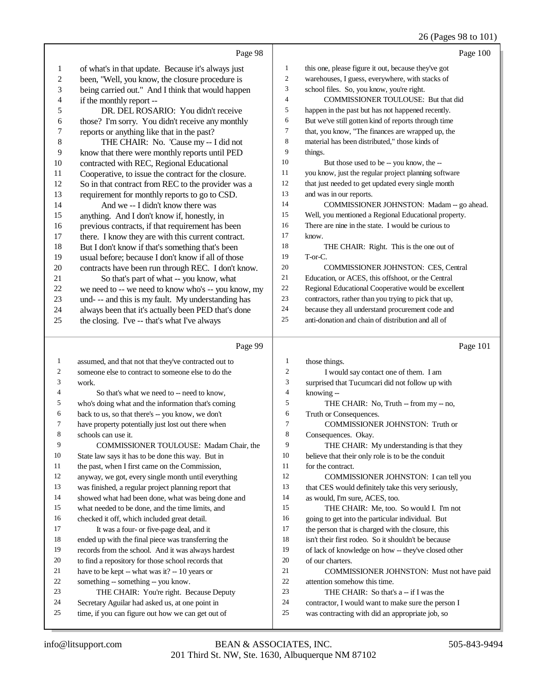# 26 (Pages 98 to 101)

|                          | Page 98                                                                                                 |                  | Page 100                                                                                              |
|--------------------------|---------------------------------------------------------------------------------------------------------|------------------|-------------------------------------------------------------------------------------------------------|
| $\mathbf{1}$             | of what's in that update. Because it's always just                                                      | $\mathbf{1}$     | this one, please figure it out, because they've got                                                   |
| $\boldsymbol{2}$         | been, "Well, you know, the closure procedure is                                                         | 2                | warehouses, I guess, everywhere, with stacks of                                                       |
| 3                        | being carried out." And I think that would happen                                                       | 3                | school files. So, you know, you're right.                                                             |
| $\overline{\mathcal{L}}$ | if the monthly report --                                                                                | 4                | COMMISSIONER TOULOUSE: But that did                                                                   |
| 5                        | DR. DEL ROSARIO: You didn't receive                                                                     | 5                | happen in the past but has not happened recently.                                                     |
| 6                        | those? I'm sorry. You didn't receive any monthly                                                        | 6                | But we've still gotten kind of reports through time                                                   |
| $\overline{7}$           | reports or anything like that in the past?                                                              | 7                | that, you know, "The finances are wrapped up, the                                                     |
| $\,$ $\,$                | THE CHAIR: No. 'Cause my -- I did not                                                                   | 8                | material has been distributed," those kinds of                                                        |
| 9                        | know that there were monthly reports until PED                                                          | 9                | things.                                                                                               |
| $10\,$                   | contracted with REC, Regional Educational                                                               | 10               | But those used to be -- you know, the --                                                              |
| 11                       | Cooperative, to issue the contract for the closure.                                                     | 11               | you know, just the regular project planning software                                                  |
| 12                       | So in that contract from REC to the provider was a                                                      | 12               | that just needed to get updated every single month                                                    |
| 13                       | requirement for monthly reports to go to CSD.                                                           | 13               | and was in our reports.                                                                               |
| 14                       | And we -- I didn't know there was                                                                       | 14               | COMMISSIONER JOHNSTON: Madam -- go ahead.                                                             |
| 15                       | anything. And I don't know if, honestly, in                                                             | 15               | Well, you mentioned a Regional Educational property.                                                  |
| 16                       | previous contracts, if that requirement has been                                                        | 16               | There are nine in the state. I would be curious to                                                    |
| 17                       | there. I know they are with this current contract.                                                      | 17               | know.                                                                                                 |
| 18                       | But I don't know if that's something that's been                                                        | 18               | THE CHAIR: Right. This is the one out of                                                              |
| 19                       | usual before; because I don't know if all of those                                                      | 19               | T-or-C.                                                                                               |
| $20\,$                   | contracts have been run through REC. I don't know.                                                      | 20               | COMMISSIONER JOHNSTON: CES, Central                                                                   |
| 21                       | So that's part of what -- you know, what                                                                | 21               | Education, or ACES, this offshoot, or the Central                                                     |
| $22\,$                   | we need to -- we need to know who's -- you know, my                                                     | 22               | Regional Educational Cooperative would be excellent                                                   |
| 23                       | und- -- and this is my fault. My understanding has                                                      | 23               | contractors, rather than you trying to pick that up,                                                  |
| 24                       | always been that it's actually been PED that's done                                                     | 24               | because they all understand procurement code and                                                      |
| 25                       | the closing. I've -- that's what I've always                                                            | 25               | anti-donation and chain of distribution and all of                                                    |
|                          |                                                                                                         |                  |                                                                                                       |
|                          | Page 99                                                                                                 |                  | Page 101                                                                                              |
| $\mathbf{1}$             |                                                                                                         | $\mathbf{1}$     |                                                                                                       |
| 2                        | assumed, and that not that they've contracted out to                                                    | $\boldsymbol{2}$ | those things.                                                                                         |
| 3                        | someone else to contract to someone else to do the<br>work.                                             | 3                | I would say contact one of them. I am                                                                 |
| 4                        |                                                                                                         | $\overline{4}$   | surprised that Tucumcari did not follow up with                                                       |
| 5                        | So that's what we need to -- need to know,                                                              | 5                | knowing --                                                                                            |
| 6                        | who's doing what and the information that's coming                                                      | 6                | THE CHAIR: No, Truth - from my -- no,                                                                 |
| 7                        | back to us, so that there's -- you know, we don't<br>have property potentially just lost out there when | $\tau$           | Truth or Consequences.<br>COMMISSIONER JOHNSTON: Truth or                                             |
| 8                        | schools can use it.                                                                                     | 8                | Consequences. Okay.                                                                                   |
| 9                        | COMMISSIONER TOULOUSE: Madam Chair, the                                                                 | 9                | THE CHAIR: My understanding is that they                                                              |
| 10                       | State law says it has to be done this way. But in                                                       | 10               | believe that their only role is to be the conduit                                                     |
| 11                       | the past, when I first came on the Commission,                                                          | 11               | for the contract.                                                                                     |
| 12                       | anyway, we got, every single month until everything                                                     | 12               | COMMISSIONER JOHNSTON: I can tell you                                                                 |
| 13                       | was finished, a regular project planning report that                                                    | 13               | that CES would definitely take this very seriously,                                                   |
| 14                       | showed what had been done, what was being done and                                                      | 14               | as would, I'm sure, ACES, too.                                                                        |
| 15                       | what needed to be done, and the time limits, and                                                        | 15               | THE CHAIR: Me, too. So would I. I'm not                                                               |
| 16                       | checked it off, which included great detail.                                                            | 16               | going to get into the particular individual. But                                                      |
| 17                       | It was a four- or five-page deal, and it                                                                | 17               | the person that is charged with the closure, this                                                     |
| 18                       | ended up with the final piece was transferring the                                                      | 18               | isn't their first rodeo. So it shouldn't be because                                                   |
| 19                       | records from the school. And it was always hardest                                                      | 19               | of lack of knowledge on how -- they've closed other                                                   |
| 20                       | to find a repository for those school records that                                                      | 20               | of our charters.                                                                                      |
| 21                       | have to be kept -- what was it? $-10$ years or                                                          | 21               | COMMISSIONER JOHNSTON: Must not have paid                                                             |
| 22                       | something -- something -- you know.                                                                     | 22               | attention somehow this time.                                                                          |
| 23                       | THE CHAIR: You're right. Because Deputy                                                                 | 23               | THE CHAIR: So that's a -- if I was the                                                                |
| 24<br>25                 | Secretary Aguilar had asked us, at one point in<br>time, if you can figure out how we can get out of    | 24<br>25         | contractor, I would want to make sure the person I<br>was contracting with did an appropriate job, so |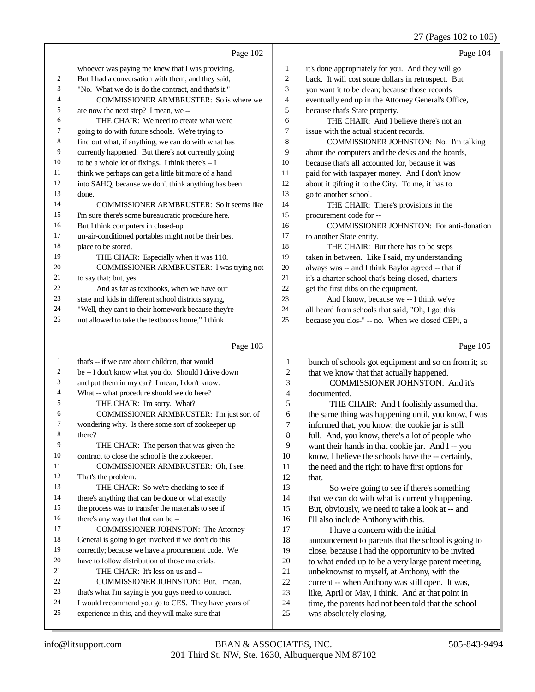### 27 (Pages 102 to 105)

|                | Page 102                                             |                | Page 104                                             |
|----------------|------------------------------------------------------|----------------|------------------------------------------------------|
| 1              | whoever was paying me knew that I was providing.     | 1              | it's done appropriately for you. And they will go    |
| $\mathfrak{2}$ | But I had a conversation with them, and they said,   | $\overline{2}$ | back. It will cost some dollars in retrospect. But   |
| 3              | "No. What we do is do the contract, and that's it."  | 3              | you want it to be clean; because those records       |
| 4              | COMMISSIONER ARMBRUSTER: So is where we              | $\overline{4}$ | eventually end up in the Attorney General's Office,  |
| 5              | are now the next step? I mean, we --                 | 5              | because that's State property.                       |
| 6              | THE CHAIR: We need to create what we're              | 6              | THE CHAIR: And I believe there's not an              |
| 7              | going to do with future schools. We're trying to     | 7              | issue with the actual student records.               |
| 8              | find out what, if anything, we can do with what has  | 8              | COMMISSIONER JOHNSTON: No. I'm talking               |
| 9              | currently happened. But there's not currently going  | 9              | about the computers and the desks and the boards,    |
| 10             | to be a whole lot of fixings. I think there's -- I   | 10             | because that's all accounted for, because it was     |
| 11             | think we perhaps can get a little bit more of a hand | 11             | paid for with taxpayer money. And I don't know       |
| 12             | into SAHQ, because we don't think anything has been  | 12             | about it gifting it to the City. To me, it has to    |
| 13             | done.                                                | 13             | go to another school.                                |
| 14             | COMMISSIONER ARMBRUSTER: So it seems like            | 14             | THE CHAIR: There's provisions in the                 |
| 15             | I'm sure there's some bureaucratic procedure here.   | 15             | procurement code for --                              |
| 16             | But I think computers in closed-up                   | 16             | COMMISSIONER JOHNSTON: For anti-donation             |
| 17             | un-air-conditioned portables might not be their best | 17             | to another State entity.                             |
| 18             | place to be stored.                                  | 18             | THE CHAIR: But there has to be steps                 |
| 19             | THE CHAIR: Especially when it was 110.               | 19             | taken in between. Like I said, my understanding      |
| 20             | COMMISSIONER ARMBRUSTER: I was trying not            | 20             | always was -- and I think Baylor agreed -- that if   |
| 21             | to say that; but, yes.                               | 21             | it's a charter school that's being closed, charters  |
| 22             | And as far as textbooks, when we have our            | 22             | get the first dibs on the equipment.                 |
| 23             | state and kids in different school districts saying, | 23             | And I know, because we -- I think we've              |
| 24             | "Well, they can't to their homework because they're  | 24             | all heard from schools that said, "Oh, I got this    |
| 25             | not allowed to take the textbooks home," I think     | 25             | because you clos-" -- no. When we closed CEPi, a     |
|                | Page 103                                             |                | Page 105                                             |
| 1              | that's -- if we care about children, that would      | 1              | bunch of schools got equipment and so on from it; so |
|                | be -- I don't know what you do Should I drive down   | $\mathfrak{D}$ | that we know that that actually hannened             |

|                | Twon't Know What you do. Dhould I drive down         | -  |  |
|----------------|------------------------------------------------------|----|--|
| 3              | and put them in my car? I mean, I don't know.        | 3  |  |
| $\overline{4}$ | What -- what procedure should we do here?            | 4  |  |
| 5              | THE CHAIR: I'm sorry. What?                          | 5  |  |
| 6              | COMMISSIONER ARMBRUSTER: I'm just sort of            | 6  |  |
| 7              | wondering why. Is there some sort of zookeeper up    | 7  |  |
| 8              | there?                                               | 8  |  |
| 9              | THE CHAIR: The person that was given the             | 9  |  |
| 10             | contract to close the school is the zookeeper.       | 10 |  |
| 11             | COMMISSIONER ARMBRUSTER: Oh, I see.                  | 11 |  |
| 12             | That's the problem.                                  | 12 |  |
| 13             | THE CHAIR: So we're checking to see if               | 13 |  |
| 14             | there's anything that can be done or what exactly    | 14 |  |
| 15             | the process was to transfer the materials to see if  | 15 |  |
| 16             | there's any way that that can be --                  | 16 |  |
| 17             | <b>COMMISSIONER JOHNSTON: The Attorney</b>           | 17 |  |
| 18             | General is going to get involved if we don't do this | 18 |  |
| 19             | correctly; because we have a procurement code. We    | 19 |  |
| 20             | have to follow distribution of those materials.      | 20 |  |
| 21             | THE CHAIR: It's less on us and --                    | 21 |  |
| 22             | COMMISSIONER JOHNSTON: But, I mean,                  | 22 |  |
| 23             | that's what I'm saying is you guys need to contract. | 23 |  |
| 24             | I would recommend you go to CES. They have years of  | 24 |  |
| 25             | experience in this, and they will make sure that     | 25 |  |

that we know that that actually happened. COMMISSIONER JOHNSTON: And it's documented.

THE CHAIR: And I foolishly assumed that the same thing was happening until, you know, I was informed that, you know, the cookie jar is still full. And, you know, there's a lot of people who want their hands in that cookie jar. And I -- you know, I believe the schools have the -- certainly, the need and the right to have first options for that.

 So we're going to see if there's something that we can do with what is currently happening. But, obviously, we need to take a look at -- and I'll also include Anthony with this. I have a concern with the initial

announcement to parents that the school is going to close, because I had the opportunity to be invited to what ended up to be a very large parent meeting, unbeknownst to myself, at Anthony, with the current -- when Anthony was still open. It was,

- like, April or May, I think. And at that point in
- time, the parents had not been told that the school
- was absolutely closing.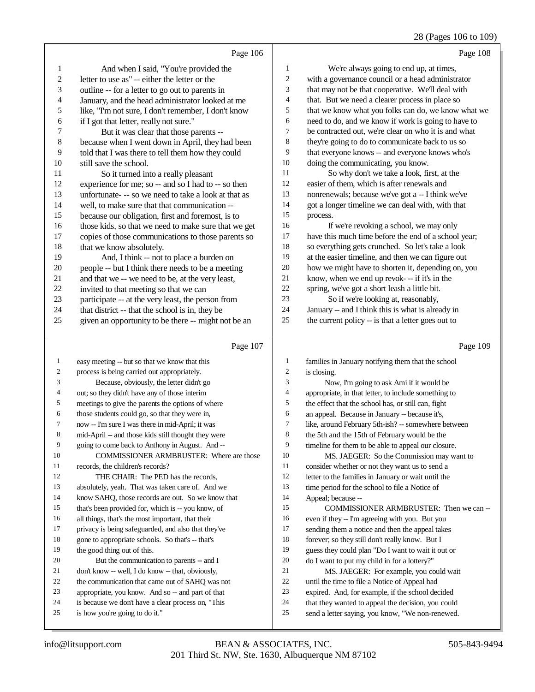|                  |                                                      |                | $20 \text{ (1 qgcs 100 to 10)}$                      |
|------------------|------------------------------------------------------|----------------|------------------------------------------------------|
|                  | Page 106                                             |                | Page 108                                             |
| 1                | And when I said, "You're provided the                | 1              | We're always going to end up, at times,              |
| $\boldsymbol{2}$ | letter to use as" -- either the letter or the        | $\sqrt{2}$     | with a governance council or a head administrator    |
| 3                | outline -- for a letter to go out to parents in      | 3              | that may not be that cooperative. We'll deal with    |
| 4                | January, and the head administrator looked at me     | 4              | that. But we need a clearer process in place so      |
| 5                | like, "I'm not sure, I don't remember, I don't know  | 5              | that we know what you folks can do, we know what we  |
| 6                | if I got that letter, really not sure."              | 6              | need to do, and we know if work is going to have to  |
| 7                | But it was clear that those parents --               | 7              | be contracted out, we're clear on who it is and what |
| 8                | because when I went down in April, they had been     | $\,8\,$        | they're going to do to communicate back to us so     |
| 9                | told that I was there to tell them how they could    | 9              | that everyone knows -- and everyone knows who's      |
| 10               | still save the school.                               | 10             | doing the communicating, you know.                   |
| 11               | So it turned into a really pleasant                  | 11             | So why don't we take a look, first, at the           |
| 12               | experience for me; so -- and so I had to -- so then  | $12\,$         | easier of them, which is after renewals and          |
| 13               | unfortunate--- so we need to take a look at that as  | 13             | nonrenewals; because we've got a -- I think we've    |
| 14               | well, to make sure that that communication --        | 14             | got a longer timeline we can deal with, with that    |
| 15               | because our obligation, first and foremost, is to    | 15             | process.                                             |
| 16               | those kids, so that we need to make sure that we get | 16             | If we're revoking a school, we may only              |
| 17               | copies of those communications to those parents so   | $17\,$         | have this much time before the end of a school year; |
| 18               | that we know absolutely.                             | 18             | so everything gets crunched. So let's take a look    |
| 19               | And, I think -- not to place a burden on             | 19             | at the easier timeline, and then we can figure out   |
| 20               | people -- but I think there needs to be a meeting    | 20             | how we might have to shorten it, depending on, you   |
| 21               | and that we -- we need to be, at the very least,     | 21             | know, when we end up revok- -- if it's in the        |
| $22\,$           | invited to that meeting so that we can               | $22\,$         | spring, we've got a short leash a little bit.        |
| 23               | participate -- at the very least, the person from    | 23             | So if we're looking at, reasonably,                  |
| 24               | that district -- that the school is in, they be      | 24             | January -- and I think this is what is already in    |
| 25               | given an opportunity to be there -- might not be an  | 25             | the current policy -- is that a letter goes out to   |
|                  | Page 107                                             |                | Page 109                                             |
| $\mathbf{1}$     | easy meeting -- but so that we know that this        | $\mathbf{1}$   | families in January notifying them that the school   |
| $\boldsymbol{2}$ | process is being carried out appropriately.          | $\overline{c}$ | is closing.                                          |
| 3                | Because, obviously, the letter didn't go             | 3              | Now, I'm going to ask Ami if it would be             |
| 4                | out; so they didn't have any of those interim        | 4              | appropriate, in that letter, to include something to |
| 5                | meetings to give the parents the options of where    | 5              | the effect that the school has, or still can, fight  |
| 6                | those students could go, so that they were in,       | 6              | an appeal. Because in January -- because it's,       |
| 7                | now -- I'm sure I was there in mid-April; it was     | $\tau$         | like, around February 5th-ish? -- somewhere between  |
| 8                | mid-April -- and those kids still thought they were  | 8              | the 5th and the 15th of February would be the        |
| 9                | going to come back to Anthony in August. And --      | 9              | timeline for them to be able to appeal our closure.  |
| 10               | COMMISSIONER ARMBRUSTER: Where are those             | 10             | MS. JAEGER: So the Commission may want to            |
| 11               | records, the children's records?                     | 11             | consider whether or not they want us to send a       |
| 12               | THE CHAIR: The PED has the records,                  | 12             | letter to the families in January or wait until the  |
| 13               | absolutely, yeah. That was taken care of. And we     | 13             | time period for the school to file a Notice of       |
| 14               | know SAHQ, those records are out. So we know that    | 14             | Appeal; because --                                   |
| 15               | that's been provided for, which is -- you know, of   | 15             | COMMISSIONER ARMBRUSTER: Then we can --              |
| 16               | all things, that's the most important, that their    | 16             | even if they -- I'm agreeing with you. But you       |
| 17               | privacy is being safeguarded, and also that they've  | 17             | sending them a notice and then the appeal takes      |

18 gone to appropriate schools. So that's -- that's

20 But the communication to parents -- and I don't know -- well, I do know -- that, obviously, the communication that came out of SAHQ was not appropriate, you know. And so -- and part of that is because we don't have a clear process on, "This

the good thing out of this.

is how you're going to do it."

 forever; so they still don't really know. But I guess they could plan "Do I want to wait it out or do I want to put my child in for a lottery?" MS. JAEGER: For example, you could wait until the time to file a Notice of Appeal had expired. And, for example, if the school decided that they wanted to appeal the decision, you could send a letter saying, you know, "We non-renewed.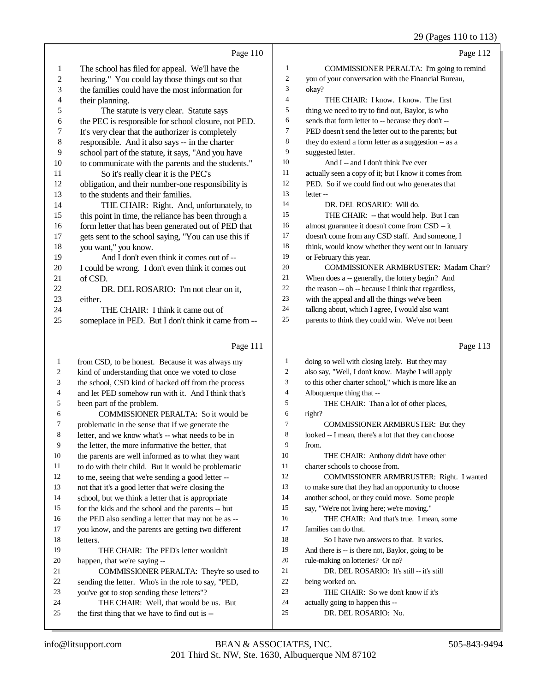|                |                                                                                          |                  | 29 (Pages 110 to 115)                                    |
|----------------|------------------------------------------------------------------------------------------|------------------|----------------------------------------------------------|
|                | Page 110                                                                                 |                  | Page 112                                                 |
| 1              | The school has filed for appeal. We'll have the                                          | $\mathbf{1}$     | COMMISSIONER PERALTA: I'm going to remind                |
| $\overline{c}$ | hearing." You could lay those things out so that                                         | $\sqrt{2}$       | you of your conversation with the Financial Bureau,      |
| 3              | the families could have the most information for                                         | 3                | okay?                                                    |
| 4              | their planning.                                                                          | $\overline{4}$   | THE CHAIR: I know. I know. The first                     |
| 5              | The statute is very clear. Statute says                                                  | $\sqrt{5}$       | thing we need to try to find out, Baylor, is who         |
| 6              | the PEC is responsible for school closure, not PED.                                      | 6                | sends that form letter to -- because they don't --       |
| 7              | It's very clear that the authorizer is completely                                        | $\tau$           | PED doesn't send the letter out to the parents; but      |
| $\,$ $\,$      | responsible. And it also says -- in the charter                                          | 8                | they do extend a form letter as a suggestion -- as a     |
| 9              | school part of the statute, it says, "And you have                                       | 9                | suggested letter.                                        |
| 10             | to communicate with the parents and the students."                                       | 10               | And I -- and I don't think I've ever                     |
| 11             | So it's really clear it is the PEC's                                                     | 11               | actually seen a copy of it; but I know it comes from     |
| 12             | obligation, and their number-one responsibility is                                       | 12               | PED. So if we could find out who generates that          |
| 13             | to the students and their families.                                                      | 13               | letter-                                                  |
| 14             | THE CHAIR: Right. And, unfortunately, to                                                 | 14               | DR. DEL ROSARIO: Will do.                                |
| 15             | this point in time, the reliance has been through a                                      | 15               | THE CHAIR: -- that would help. But I can                 |
| 16             | form letter that has been generated out of PED that                                      | 16               | almost guarantee it doesn't come from CSD -- it          |
| 17             | gets sent to the school saying, "You can use this if                                     | 17               | doesn't come from any CSD staff. And someone, I          |
| 18             | you want," you know.                                                                     | 18               | think, would know whether they went out in January       |
| 19             | And I don't even think it comes out of --                                                | 19               | or February this year.                                   |
| 20             | I could be wrong. I don't even think it comes out                                        | $20\,$           | <b>COMMISSIONER ARMBRUSTER: Madam Chair?</b>             |
| 21             | of CSD.                                                                                  | 21               | When does a -- generally, the lottery begin? And         |
| 22             | DR. DEL ROSARIO: I'm not clear on it,                                                    | 22               | the reason -- oh -- because I think that regardless,     |
| 23             | either.                                                                                  | 23               | with the appeal and all the things we've been            |
| 24             | THE CHAIR: I think it came out of                                                        | 24               | talking about, which I agree, I would also want          |
| 25             | someplace in PED. But I don't think it came from --                                      | 25               | parents to think they could win. We've not been          |
|                | Page 111                                                                                 |                  | Page 113                                                 |
| $\mathbf{1}$   | from CSD, to be honest. Because it was always my                                         | $\mathbf{1}$     | doing so well with closing lately. But they may          |
| 2              | kind of understanding that once we voted to close                                        | $\boldsymbol{2}$ | also say, "Well, I don't know. Maybe I will apply        |
| 3              | the school, CSD kind of backed off from the process                                      | $\mathfrak{Z}$   | to this other charter school," which is more like an     |
| 4              | and let PED somehow run with it. And I think that's                                      | $\overline{4}$   | Albuquerque thing that --                                |
| 5              | been part of the problem.                                                                | 5                | THE CHAIR: Than a lot of other places,                   |
| 6              | COMMISSIONER PERALTA: So it would be                                                     | 6                | right?                                                   |
| 7              | problematic in the sense that if we generate the                                         | $\tau$           | COMMISSIONER ARMBRUSTER: But they                        |
| 8              | letter, and we know what's -- what needs to be in                                        | 8                | looked -- I mean, there's a lot that they can choose     |
| 9              | the letter, the more informative the better, that                                        | 9                | from.                                                    |
| 10             | the parents are well informed as to what they want                                       | 10               | THE CHAIR: Anthony didn't have other                     |
| 11             | to do with their child. But it would be problematic                                      | 11               | charter schools to choose from.                          |
| 12             | to me, seeing that we're sending a good letter --                                        | 12               | COMMISSIONER ARMBRUSTER: Right. I wanted                 |
| 13             | not that it's a good letter that we're closing the                                       | 13               | to make sure that they had an opportunity to choose      |
| 14             | school, but we think a letter that is appropriate                                        | 14               | another school, or they could move. Some people          |
| 15             | for the kids and the school and the parents -- but                                       | 15               | say, "We're not living here; we're moving."              |
| 16             | the PED also sending a letter that may not be as --                                      | 16               | THE CHAIR: And that's true. I mean, some                 |
| 17             | you know, and the parents are getting two different                                      | 17               | families can do that.                                    |
| 18             | letters.                                                                                 | 18               | So I have two answers to that. It varies.                |
| 19             | THE CHAIR: The PED's letter wouldn't                                                     | 19               | And there is -- is there not, Baylor, going to be        |
| 20             | happen, that we're saying --                                                             | 20               | rule-making on lotteries? Or no?                         |
| 21             | COMMISSIONER PERALTA: They're so used to                                                 | $21\,$           | DR. DEL ROSARIO: It's still -- it's still                |
| 22             | sending the letter. Who's in the role to say, "PED,                                      | 22               | being worked on.                                         |
| 23             | you've got to stop sending these letters"?                                               | 23               | THE CHAIR: So we don't know if it's                      |
| 24<br>25       | THE CHAIR: Well, that would be us. But<br>the first thing that we have to find out is -- | 24<br>25         | actually going to happen this --<br>DR. DEL ROSARIO: No. |
|                |                                                                                          |                  |                                                          |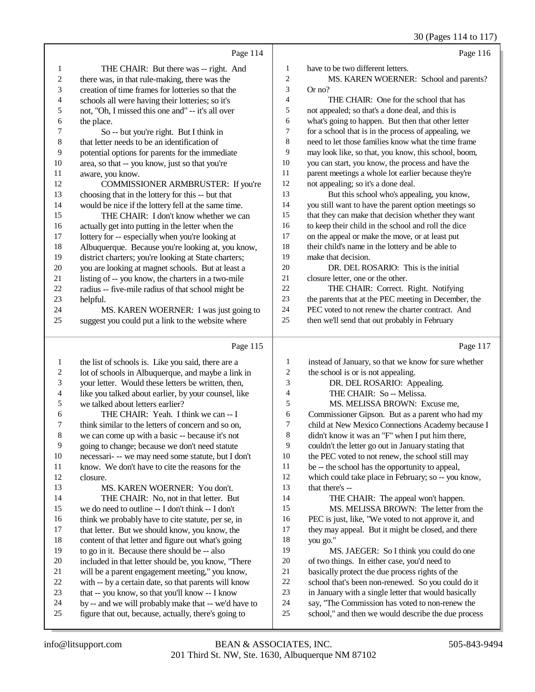# 30 (Pages 114 to 117)

|                  | Page 114                                                                                                     |                          | Page 116                                                                                               |
|------------------|--------------------------------------------------------------------------------------------------------------|--------------------------|--------------------------------------------------------------------------------------------------------|
| 1                | THE CHAIR: But there was -- right. And                                                                       | 1                        | have to be two different letters.                                                                      |
| $\sqrt{2}$       | there was, in that rule-making, there was the                                                                | $\overline{c}$           | MS. KAREN WOERNER: School and parents?                                                                 |
| 3                | creation of time frames for lotteries so that the                                                            | 3                        | Or no?                                                                                                 |
| 4                | schools all were having their lotteries; so it's                                                             | $\overline{\mathcal{A}}$ | THE CHAIR: One for the school that has                                                                 |
| 5                | not, "Oh, I missed this one and" -- it's all over                                                            | 5                        | not appealed; so that's a done deal, and this is                                                       |
| 6                | the place.                                                                                                   | 6                        | what's going to happen. But then that other letter                                                     |
| 7                | So -- but you're right. But I think in                                                                       | 7                        | for a school that is in the process of appealing, we                                                   |
| $\,$ 8 $\,$      | that letter needs to be an identification of                                                                 | $\,8\,$                  | need to let those families know what the time frame                                                    |
| 9                | potential options for parents for the immediate                                                              | 9                        | may look like, so that, you know, this school, boom,                                                   |
| 10               | area, so that -- you know, just so that you're                                                               | 10                       | you can start, you know, the process and have the                                                      |
| 11               | aware, you know.                                                                                             | 11                       | parent meetings a whole lot earlier because they're                                                    |
| 12               | COMMISSIONER ARMBRUSTER: If you're                                                                           | 12                       | not appealing; so it's a done deal.                                                                    |
| 13               | choosing that in the lottery for this -- but that                                                            | 13                       | But this school who's appealing, you know,                                                             |
| 14               | would be nice if the lottery fell at the same time.                                                          | 14                       | you still want to have the parent option meetings so                                                   |
| 15               | THE CHAIR: I don't know whether we can                                                                       | 15                       | that they can make that decision whether they want                                                     |
| 16               | actually get into putting in the letter when the                                                             | 16                       | to keep their child in the school and roll the dice                                                    |
| 17               | lottery for -- especially when you're looking at                                                             | 17                       | on the appeal or make the move, or at least put                                                        |
| 18               | Albuquerque. Because you're looking at, you know,                                                            | 18                       | their child's name in the lottery and be able to                                                       |
| 19               | district charters; you're looking at State charters;                                                         | 19                       | make that decision.                                                                                    |
| $20\,$           | you are looking at magnet schools. But at least a                                                            | $20\,$                   | DR. DEL ROSARIO: This is the initial                                                                   |
| 21               | listing of -- you know, the charters in a two-mile                                                           | $21\,$                   | closure letter, one or the other.                                                                      |
| $22\,$           | radius -- five-mile radius of that school might be                                                           | 22                       | THE CHAIR: Correct. Right. Notifying                                                                   |
| 23               | helpful.                                                                                                     | 23                       | the parents that at the PEC meeting in December, the                                                   |
| 24               | MS. KAREN WOERNER: I was just going to                                                                       | 24                       | PEC voted to not renew the charter contract. And                                                       |
| 25               | suggest you could put a link to the website where                                                            | 25                       | then we'll send that out probably in February                                                          |
|                  |                                                                                                              |                          |                                                                                                        |
|                  | Page 115                                                                                                     |                          | Page 117                                                                                               |
| $\mathbf{1}$     | the list of schools is. Like you said, there are a                                                           | 1                        | instead of January, so that we know for sure whether                                                   |
| $\boldsymbol{2}$ | lot of schools in Albuquerque, and maybe a link in                                                           | $\boldsymbol{2}$         | the school is or is not appealing.                                                                     |
| 3                | your letter. Would these letters be written, then,                                                           | 3                        | DR. DEL ROSARIO: Appealing.                                                                            |
| $\overline{4}$   | like you talked about earlier, by your counsel, like                                                         | $\overline{\mathcal{A}}$ | THE CHAIR: So -- Melissa.                                                                              |
| 5                | we talked about letters earlier?                                                                             | 5                        | MS. MELISSA BROWN: Excuse me,                                                                          |
| 6                | THE CHAIR: Yeah. I think we can -- I                                                                         | 6                        | Commissioner Gipson. But as a parent who had my                                                        |
| 7                | think similar to the letters of concern and so on,                                                           | $\tau$                   | child at New Mexico Connections Academy because I                                                      |
| 8                | we can come up with a basic -- because it's not                                                              | 8                        | didn't know it was an "F" when I put him there,                                                        |
| 9                | going to change; because we don't need statute                                                               | 9                        | couldn't the letter go out in January stating that                                                     |
| 10               | necessari- -- we may need some statute, but I don't                                                          | 10                       | the PEC voted to not renew, the school still may                                                       |
| 11               | know. We don't have to cite the reasons for the                                                              | 11                       | be -- the school has the opportunity to appeal,                                                        |
| 12               | closure.                                                                                                     | 12                       | which could take place in February; so -- you know,                                                    |
| 13               | MS. KAREN WOERNER: You don't.                                                                                | 13                       | that there's --                                                                                        |
| 14               | THE CHAIR: No, not in that letter. But                                                                       | 14                       | THE CHAIR: The appeal won't happen.                                                                    |
| 15               | we do need to outline -- I don't think -- I don't                                                            | 15                       | MS. MELISSA BROWN: The letter from the                                                                 |
| 16               | think we probably have to cite statute, per se, in                                                           | 16                       | PEC is just, like, "We voted to not approve it, and                                                    |
| 17               | that letter. But we should know, you know, the                                                               | 17                       | they may appeal. But it might be closed, and there                                                     |
| 18               | content of that letter and figure out what's going                                                           | 18                       | you go."                                                                                               |
| 19               | to go in it. Because there should be -- also                                                                 | 19                       | MS. JAEGER: So I think you could do one                                                                |
| 20               | included in that letter should be, you know, "There                                                          | 20                       | of two things. In either case, you'd need to                                                           |
| 21               | will be a parent engagement meeting," you know,                                                              | 21                       | basically protect the due process rights of the                                                        |
| 22               | with -- by a certain date, so that parents will know                                                         | $22\,$                   | school that's been non-renewed. So you could do it                                                     |
| 23               | that -- you know, so that you'll know -- I know                                                              | 23                       | in January with a single letter that would basically                                                   |
| 24<br>25         | by -- and we will probably make that -- we'd have to<br>figure that out, because, actually, there's going to | 24<br>$25\,$             | say, "The Commission has voted to non-renew the<br>school," and then we would describe the due process |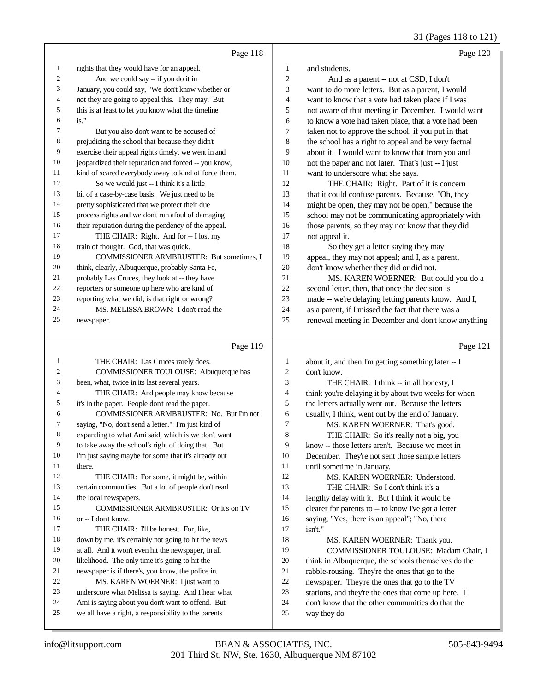31 (Pages 118 to 121)

|    | Page 118                                             |    | Page 120                                             |
|----|------------------------------------------------------|----|------------------------------------------------------|
| 1  | rights that they would have for an appeal.           | 1  | and students.                                        |
| 2  | And we could say -- if you do it in                  | 2  | And as a parent -- not at CSD, I don't               |
| 3  | January, you could say, "We don't know whether or    | 3  | want to do more letters. But as a parent, I would    |
| 4  | not they are going to appeal this. They may. But     | 4  | want to know that a vote had taken place if I was    |
| 5  | this is at least to let you know what the timeline   | 5  | not aware of that meeting in December. I would want  |
| 6  | $is.$ "                                              | 6  | to know a vote had taken place, that a vote had been |
| 7  | But you also don't want to be accused of             | 7  | taken not to approve the school, if you put in that  |
| 8  | prejudicing the school that because they didn't      | 8  | the school has a right to appeal and be very factual |
| 9  | exercise their appeal rights timely, we went in and  | 9  | about it. I would want to know that from you and     |
| 10 | jeopardized their reputation and forced -- you know, | 10 | not the paper and not later. That's just -- I just   |
| 11 | kind of scared everybody away to kind of force them. | 11 | want to underscore what she says.                    |
| 12 | So we would just -- I think it's a little            | 12 | THE CHAIR: Right. Part of it is concern              |
| 13 | bit of a case-by-case basis. We just need to be      | 13 | that it could confuse parents. Because, "Oh, they    |
| 14 | pretty sophisticated that we protect their due       | 14 | might be open, they may not be open," because the    |
| 15 | process rights and we don't run afoul of damaging    | 15 | school may not be communicating appropriately with   |
| 16 | their reputation during the pendency of the appeal.  | 16 | those parents, so they may not know that they did    |
| 17 | THE CHAIR: Right. And for -- I lost my               | 17 | not appeal it.                                       |
| 18 | train of thought. God, that was quick.               | 18 | So they get a letter saying they may                 |
| 19 | <b>COMMISSIONER ARMBRUSTER: But sometimes, I</b>     | 19 | appeal, they may not appeal; and I, as a parent,     |
| 20 | think, clearly, Albuquerque, probably Santa Fe,      | 20 | don't know whether they did or did not.              |
| 21 | probably Las Cruces, they look at -- they have       | 21 | MS. KAREN WOERNER: But could you do a                |
| 22 | reporters or someone up here who are kind of         | 22 | second letter, then, that once the decision is       |
| 23 | reporting what we did; is that right or wrong?       | 23 | made -- we're delaying letting parents know. And I,  |
| 24 | MS. MELISSA BROWN: I don't read the                  | 24 | as a parent, if I missed the fact that there was a   |
| 25 | newspaper.                                           | 25 | renewal meeting in December and don't know anything  |
|    | Page 119                                             |    | Page 121                                             |

| $\mathbf{1}$   | THE CHAIR: Las Cruces rarely does.                   |
|----------------|------------------------------------------------------|
| $\overline{c}$ | COMMISSIONER TOULOUSE: Albuquerque has               |
| 3              | been, what, twice in its last several years.         |
| $\overline{4}$ |                                                      |
|                | THE CHAIR: And people may know because               |
| 5              | it's in the paper. People don't read the paper.      |
| 6              | COMMISSIONER ARMBRUSTER: No. But I'm not             |
| 7              | saying, "No, don't send a letter." I'm just kind of  |
| 8              | expanding to what Ami said, which is we don't want   |
| 9              | to take away the school's right of doing that. But   |
| 10             | I'm just saying maybe for some that it's already out |
| 11             | there.                                               |
| 12             | THE CHAIR: For some, it might be, within             |
| 13             | certain communities. But a lot of people don't read  |
| 14             | the local newspapers.                                |
| 15             | <b>COMMISSIONER ARMBRUSTER: Or it's on TV</b>        |
| 16             | or -- I don't know.                                  |
| 17             | THE CHAIR: I'll be honest. For, like,                |
| 18             | down by me, it's certainly not going to hit the news |
| 19             | at all. And it won't even hit the newspaper, in all  |
| 20             | likelihood. The only time it's going to hit the      |
| 21             | newspaper is if there's, you know, the police in.    |
| 22             | MS. KAREN WOERNER: I just want to                    |
| 23             | underscore what Melissa is saying. And I hear what   |
| 24             | Ami is saying about you don't want to offend. But    |
| 25             | we all have a right, a responsibility to the parents |
|                |                                                      |

| 1              | about it, and then I'm getting something later -- I  |
|----------------|------------------------------------------------------|
| 2              | don't know.                                          |
| 3              | THE CHAIR: I think -- in all honesty, I              |
| $\overline{4}$ | think you're delaying it by about two weeks for when |
| 5              | the letters actually went out. Because the letters   |
| 6              | usually, I think, went out by the end of January.    |
| 7              | MS. KAREN WOERNER: That's good.                      |
| 8              | THE CHAIR: So it's really not a big, you             |
| 9              | know -- those letters aren't. Because we meet in     |
| 10             | December. They're not sent those sample letters      |
| 11             | until sometime in January.                           |
| 12             | MS. KAREN WOERNER: Understood.                       |
| 13             | THE CHAIR: So I don't think it's a                   |
| 14             | lengthy delay with it. But I think it would be       |
| 15             | clearer for parents to -- to know I've got a letter  |
| 16             | saying, "Yes, there is an appeal"; "No, there        |
| 17             | isn't."                                              |
| 18             | MS. KAREN WOERNER: Thank you.                        |
| 19             | COMMISSIONER TOULOUSE: Madam Chair, I                |
| 20             | think in Albuquerque, the schools themselves do the  |
| 21             | rabble-rousing. They're the ones that go to the      |
| 22             | newspaper. They're the ones that go to the TV        |
| 23             | stations, and they're the ones that come up here. I  |
| 24             | don't know that the other communities do that the    |
| 25             | way they do.                                         |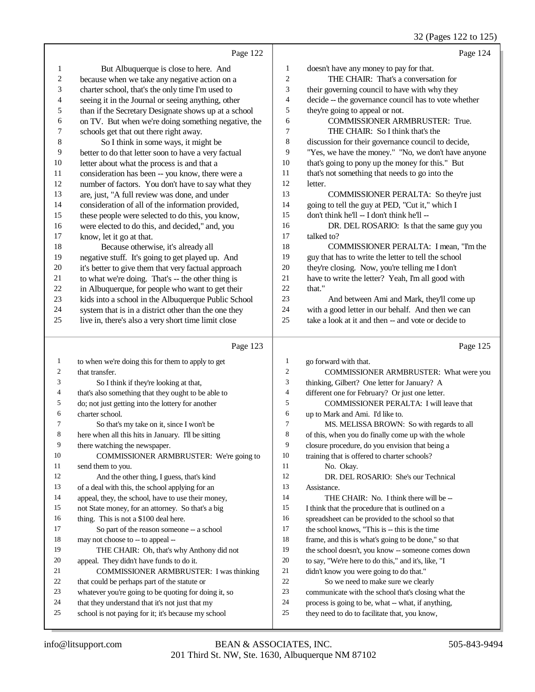32 (Pages 122 to 125)

|              |                                                                                                        |                | $5 - 10$<br>00 122 to 120,                                                                          |
|--------------|--------------------------------------------------------------------------------------------------------|----------------|-----------------------------------------------------------------------------------------------------|
|              | Page 122                                                                                               |                | Page 124                                                                                            |
| 1            | But Albuquerque is close to here. And                                                                  | 1              | doesn't have any money to pay for that.                                                             |
| 2            | because when we take any negative action on a                                                          | 2              | THE CHAIR: That's a conversation for                                                                |
| 3            | charter school, that's the only time I'm used to                                                       | 3              | their governing council to have with why they                                                       |
| 4            | seeing it in the Journal or seeing anything, other                                                     | 4              | decide -- the governance council has to vote whether                                                |
| 5            | than if the Secretary Designate shows up at a school                                                   | 5              | they're going to appeal or not.                                                                     |
| 6            | on TV. But when we're doing something negative, the                                                    | 6              | COMMISSIONER ARMBRUSTER: True.                                                                      |
| 7            | schools get that out there right away.                                                                 | $\tau$         | THE CHAIR: So I think that's the                                                                    |
| 8            | So I think in some ways, it might be                                                                   | 8              | discussion for their governance council to decide,                                                  |
| 9            | better to do that letter soon to have a very factual                                                   | 9              | "Yes, we have the money." "No, we don't have anyone                                                 |
| 10           | letter about what the process is and that a                                                            | 10             | that's going to pony up the money for this." But                                                    |
| 11           | consideration has been -- you know, there were a                                                       | 11             | that's not something that needs to go into the                                                      |
| 12           | number of factors. You don't have to say what they                                                     | 12             | letter.                                                                                             |
| 13           | are, just, "A full review was done, and under                                                          | 13             | COMMISSIONER PERALTA: So they're just                                                               |
| 14           | consideration of all of the information provided,                                                      | 14             | going to tell the guy at PED, "Cut it," which I                                                     |
| 15           | these people were selected to do this, you know,                                                       | 15             | don't think he'll -- I don't think he'll --                                                         |
| 16           | were elected to do this, and decided," and, you                                                        | 16             | DR. DEL ROSARIO: Is that the same guy you                                                           |
| 17           | know, let it go at that.                                                                               | 17             | talked to?                                                                                          |
| 18           | Because otherwise, it's already all                                                                    | 18             | COMMISSIONER PERALTA: I mean, "I'm the                                                              |
| 19           | negative stuff. It's going to get played up. And                                                       | 19             | guy that has to write the letter to tell the school                                                 |
| $20\,$       | it's better to give them that very factual approach                                                    | 20             | they're closing. Now, you're telling me I don't                                                     |
| 21           | to what we're doing. That's -- the other thing is                                                      | $21\,$         | have to write the letter? Yeah, I'm all good with                                                   |
| $22\,$       | in Albuquerque, for people who want to get their                                                       | 22             | that."                                                                                              |
| 23           | kids into a school in the Albuquerque Public School                                                    | 23             | And between Ami and Mark, they'll come up                                                           |
| 24           | system that is in a district other than the one they                                                   | 24             | with a good letter in our behalf. And then we can                                                   |
| 25           | live in, there's also a very short time limit close                                                    | 25             | take a look at it and then -- and vote or decide to                                                 |
|              |                                                                                                        |                |                                                                                                     |
|              | Page 123                                                                                               |                | Page 125                                                                                            |
| $\mathbf{1}$ | to when we're doing this for them to apply to get                                                      | $\mathbf{1}$   | go forward with that.                                                                               |
| 2            | that transfer.                                                                                         | 2              | COMMISSIONER ARMBRUSTER: What were you                                                              |
| 3            | So I think if they're looking at that,                                                                 | 3              | thinking, Gilbert? One letter for January? A                                                        |
| 4            | that's also something that they ought to be able to                                                    | $\overline{4}$ | different one for February? Or just one letter.                                                     |
| 5            | do; not just getting into the lottery for another                                                      | 5              | COMMISSIONER PERALTA: I will leave that                                                             |
| 6            | charter school.                                                                                        | 6              | up to Mark and Ami. I'd like to.                                                                    |
| 7            | So that's my take on it, since I won't be                                                              | $\overline{7}$ | MS. MELISSA BROWN: So with regards to all                                                           |
| 8            | here when all this hits in January. I'll be sitting                                                    | 8              | of this, when you do finally come up with the whole                                                 |
| 9            | there watching the newspaper.                                                                          | 9              | closure procedure, do you envision that being a                                                     |
| 10           | COMMISSIONER ARMBRUSTER: We're going to                                                                | 10             | training that is offered to charter schools?                                                        |
| 11           | send them to you.                                                                                      | 11             | No. Okay.                                                                                           |
| 12           | And the other thing, I guess, that's kind                                                              | 12             | DR. DEL ROSARIO: She's our Technical                                                                |
| 13           | of a deal with this, the school applying for an                                                        | 13             | Assistance.                                                                                         |
| 14           | appeal, they, the school, have to use their money,                                                     | 14             | THE CHAIR: No. I think there will be --                                                             |
| 15           | not State money, for an attorney. So that's a big                                                      | 15             | I think that the procedure that is outlined on a                                                    |
| 16           | thing. This is not a \$100 deal here.                                                                  | 16             | spreadsheet can be provided to the school so that                                                   |
| 17           | So part of the reason someone -- a school                                                              | 17             | the school knows, "This is -- this is the time                                                      |
| 18           | may not choose to -- to appeal --                                                                      | 18             | frame, and this is what's going to be done," so that                                                |
| 19           | THE CHAIR: Oh, that's why Anthony did not                                                              | 19             | the school doesn't, you know -- someone comes down                                                  |
| 20           | appeal. They didn't have funds to do it.                                                               | 20             | to say, "We're here to do this," and it's, like, "I                                                 |
| 21           | COMMISSIONER ARMBRUSTER: I was thinking                                                                | 21             | didn't know you were going to do that."                                                             |
| 22           | that could be perhaps part of the statute or                                                           | 22             | So we need to make sure we clearly                                                                  |
| 23<br>24     | whatever you're going to be quoting for doing it, so                                                   | 23<br>24       | communicate with the school that's closing what the                                                 |
| 25           | that they understand that it's not just that my<br>school is not paying for it; it's because my school | 25             | process is going to be, what -- what, if anything,<br>they need to do to facilitate that, you know, |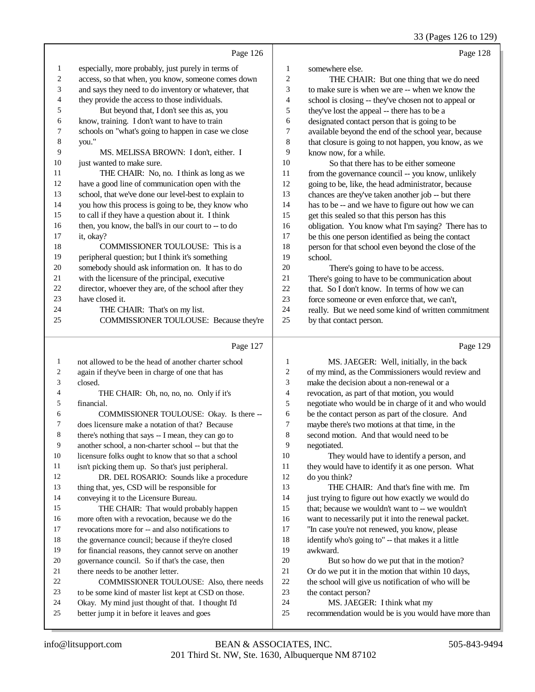33 (Pages 126 to 129)

|                  |                                                      |                          | 33 (Pages 120 to 129)                                |
|------------------|------------------------------------------------------|--------------------------|------------------------------------------------------|
|                  | Page 126                                             |                          | Page 128                                             |
| $\mathbf{1}$     | especially, more probably, just purely in terms of   | 1                        | somewhere else.                                      |
| $\boldsymbol{2}$ | access, so that when, you know, someone comes down   | $\sqrt{2}$               | THE CHAIR: But one thing that we do need             |
| 3                | and says they need to do inventory or whatever, that | $\mathfrak{Z}$           | to make sure is when we are -- when we know the      |
| 4                | they provide the access to those individuals.        | $\overline{4}$           | school is closing -- they've chosen not to appeal or |
| 5                | But beyond that, I don't see this as, you            | 5                        | they've lost the appeal -- there has to be a         |
| 6                | know, training. I don't want to have to train        | 6                        | designated contact person that is going to be        |
| 7                | schools on "what's going to happen in case we close  | $\boldsymbol{7}$         | available beyond the end of the school year, because |
| 8                | you."                                                | $\,8\,$                  | that closure is going to not happen, you know, as we |
| 9                | MS. MELISSA BROWN: I don't, either. I                | 9                        | know now, for a while.                               |
| 10               | just wanted to make sure.                            | 10                       | So that there has to be either someone               |
| 11               | THE CHAIR: No, no. I think as long as we             | 11                       | from the governance council -- you know, unlikely    |
| 12               | have a good line of communication open with the      | 12                       | going to be, like, the head administrator, because   |
| 13               | school, that we've done our level-best to explain to | 13                       | chances are they've taken another job -- but there   |
| 14               | you how this process is going to be, they know who   | 14                       | has to be -- and we have to figure out how we can    |
| 15               | to call if they have a question about it. I think    | 15                       | get this sealed so that this person has this         |
| 16               | then, you know, the ball's in our court to -- to do  | 16                       | obligation. You know what I'm saying? There has to   |
| 17               | it, okay?                                            | 17                       | be this one person identified as being the contact   |
| 18               | COMMISSIONER TOULOUSE: This is a                     | 18                       | person for that school even beyond the close of the  |
| 19               | peripheral question; but I think it's something      | 19                       | school.                                              |
| 20               | somebody should ask information on. It has to do     | 20                       | There's going to have to be access.                  |
| 21               | with the licensure of the principal, executive       | 21                       | There's going to have to be communication about      |
| 22               | director, whoever they are, of the school after they | 22                       | that. So I don't know. In terms of how we can        |
| 23               | have closed it.                                      | 23                       | force someone or even enforce that, we can't,        |
| 24               | THE CHAIR: That's on my list.                        | 24                       | really. But we need some kind of written commitment  |
| 25               | COMMISSIONER TOULOUSE: Because they're               | 25                       | by that contact person.                              |
|                  | Page 127                                             |                          | Page 129                                             |
| 1                | not allowed to be the head of another charter school | $\mathbf{1}$             | MS. JAEGER: Well, initially, in the back             |
| 2                | again if they've been in charge of one that has      | $\overline{c}$           | of my mind, as the Commissioners would review and    |
| 3                | closed.                                              | $\mathfrak{Z}$           | make the decision about a non-renewal or a           |
| 4                | THE CHAIR: Oh, no, no, no. Only if it's              | $\overline{\mathcal{L}}$ | revocation, as part of that motion, you would        |
| 5                | financial.                                           | 5                        | negotiate who would be in charge of it and who would |
| 6                | COMMISSIONER TOULOUSE: Okay. Is there --             | 6                        | be the contact person as part of the closure. And    |
| 7                | does licensure make a notation of that? Because      | 7                        | maybe there's two motions at that time, in the       |
| $\,8$            | there's nothing that says -- I mean, they can go to  | $\,$ 8 $\,$              | second motion. And that would need to be             |
| 9                | another school, a non-charter school -- but that the | 9                        | negotiated.                                          |
| 10               | licensure folks ought to know that so that a school  | $10\,$                   | They would have to identify a person, and            |
| 11               | isn't picking them up. So that's just peripheral.    | 11                       | they would have to identify it as one person. What   |
| 12               | DR. DEL ROSARIO: Sounds like a procedure             | 12                       | do you think?                                        |
| 13               | thing that, yes, CSD will be responsible for         | 13                       | THE CHAIR: And that's fine with me. I'm              |
| 14               | conveying it to the Licensure Bureau.                | 14                       | just trying to figure out how exactly we would do    |
| 15               | THE CHAIR: That would probably happen                | 15                       | that; because we wouldn't want to -- we wouldn't     |
| 16               | more often with a revocation, because we do the      | 16                       | want to necessarily put it into the renewal packet.  |
| 17               | revocations more for -- and also notifications to    | $17\,$                   | "In case you're not renewed, you know, please        |
| 18               | the governance council; because if they're closed    | 18                       | identify who's going to" -- that makes it a little   |
| 19               | for financial reasons, they cannot serve on another  | 19                       | awkward.                                             |
| 20               | governance council. So if that's the case, then      | $20\,$                   | But so how do we put that in the motion?             |
| 21               | there needs to be another letter.                    | 21                       | Or do we put it in the motion that within 10 days,   |

21 there needs to be another letter.<br>22 **COMMISSIONER TOUL** 22 COMMISSIONER TOULOUSE: Also, there needs<br>23 to be some kind of master list kept at CSD on those.

- to be some kind of master list kept at CSD on those.
- 24 Okay. My mind just thought of that. I thought I'd<br>25 better iump it in before it leaves and goes better jump it in before it leaves and goes
- the contact person? MS. JAEGER: I think what my

the school will give us notification of who will be

recommendation would be is you would have more than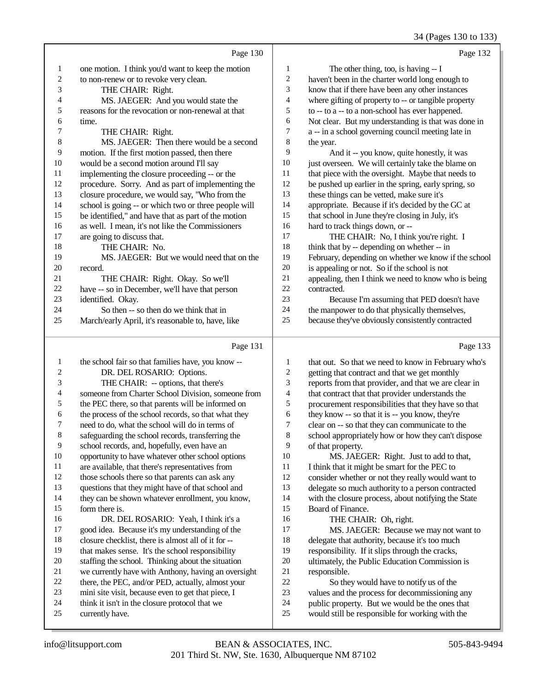34 (Pages 130 to 133)

|                |                                                      |                  | 34 (1 agus 130 tu 133                                |
|----------------|------------------------------------------------------|------------------|------------------------------------------------------|
|                | Page 130                                             |                  | Page 132                                             |
| 1              | one motion. I think you'd want to keep the motion    | 1                | The other thing, too, is having $- I$                |
| $\sqrt{2}$     | to non-renew or to revoke very clean.                | $\sqrt{2}$       | haven't been in the charter world long enough to     |
| 3              | THE CHAIR: Right.                                    | 3                | know that if there have been any other instances     |
| 4              | MS. JAEGER: And you would state the                  | $\overline{4}$   | where gifting of property to -- or tangible property |
| 5              | reasons for the revocation or non-renewal at that    | 5                | to -- to a -- to a non-school has ever happened.     |
| 6              | time.                                                | 6                | Not clear. But my understanding is that was done in  |
| 7              | THE CHAIR: Right.                                    | 7                | a -- in a school governing council meeting late in   |
| 8              | MS. JAEGER: Then there would be a second             | 8                | the year.                                            |
| 9              | motion. If the first motion passed, then there       | 9                | And it -- you know, quite honestly, it was           |
| $10\,$         | would be a second motion around I'll say             | $10\,$           | just overseen. We will certainly take the blame on   |
| 11             | implementing the closure proceeding -- or the        | 11               | that piece with the oversight. Maybe that needs to   |
| 12             | procedure. Sorry. And as part of implementing the    | 12               | be pushed up earlier in the spring, early spring, so |
| 13             | closure procedure, we would say, "Who from the       | 13               | these things can be vetted, make sure it's           |
| 14             | school is going -- or which two or three people will | 14               | appropriate. Because if it's decided by the GC at    |
| 15             | be identified," and have that as part of the motion  | 15               | that school in June they're closing in July, it's    |
| 16             | as well. I mean, it's not like the Commissioners     | 16               | hard to track things down, or --                     |
| 17             | are going to discuss that.                           | 17               | THE CHAIR: No, I think you're right. I               |
| 18             | THE CHAIR: No.                                       | 18               | think that by -- depending on whether -- in          |
| 19             | MS. JAEGER: But we would need that on the            | 19               | February, depending on whether we know if the school |
| $20\,$         | record.                                              | 20               | is appealing or not. So if the school is not         |
| 21             | THE CHAIR: Right. Okay. So we'll                     | 21               | appealing, then I think we need to know who is being |
| 22             | have -- so in December, we'll have that person       | 22               | contracted.                                          |
| 23             | identified. Okay.                                    | 23               | Because I'm assuming that PED doesn't have           |
| 24             | So then -- so then do we think that in               | 24               | the manpower to do that physically themselves,       |
| 25             | March/early April, it's reasonable to, have, like    | 25               | because they've obviously consistently contracted    |
|                | Page 131                                             |                  | Page 133                                             |
| 1              | the school fair so that families have, you know --   | 1                | that out. So that we need to know in February who's  |
| $\overline{c}$ | DR. DEL ROSARIO: Options.                            | $\boldsymbol{2}$ | getting that contract and that we get monthly        |
| 3              | THE CHAIR: -- options, that there's                  | 3                | reports from that provider, and that we are clear in |
|                |                                                      |                  |                                                      |

 someone from Charter School Division, someone from the PEC there, so that parents will be informed on the process of the school records, so that what they need to do, what the school will do in terms of safeguarding the school records, transferring the school records, and, hopefully, even have an opportunity to have whatever other school options are available, that there's representatives from those schools there so that parents can ask any questions that they might have of that school and they can be shown whatever enrollment, you know, form there is. DR. DEL ROSARIO: Yeah, I think it's a good idea. Because it's my understanding of the

# closure checklist, there is almost all of it for --

- that makes sense. It's the school responsibility
- staffing the school. Thinking about the situation
- we currently have with Anthony, having an oversight
- there, the PEC, and/or PED, actually, almost your mini site visit, because even to get that piece, I
- think it isn't in the closure protocol that we
- currently have.
- reports from that provider, and that we are clear in that contract that that provider understands the 5 procurement responsibilities that they have so that they have so that it is -- you know, they're 6 they know -- so that it is -- you know, they're<br>
7 clear on -- so that they can communicate to the
- 7 clear on -- so that they can communicate to the<br>8 school appropriately how or how they can't dist school appropriately how or how they can't dispose
- 9 of that property.<br>10 MS. JAEC 10 MS. JAEGER: Right. Just to add to that,<br>11 I think that it might be smart for the PEC to I think that it might be smart for the PEC to consider whether or not they really would want to delegate so much authority to a person contracted with the closure process, about notifying the State Board of Finance.
- 16 THE CHAIR: Oh, right.<br>17 MS. JAEGER: Because
	- MS. JAEGER: Because we may not want to
- 18 delegate that authority, because it's too much<br>19 responsibility. If it slips through the cracks.
- responsibility. If it slips through the cracks,
- 20 ultimately, the Public Education Commission is<br>21 responsible. 21 responsible.<br>22 So the
- 22 So they would have to notify us of the<br>23 values and the process for decommissioning
	- values and the process for decommissioning any
- public property. But we would be the ones that
- would still be responsible for working with the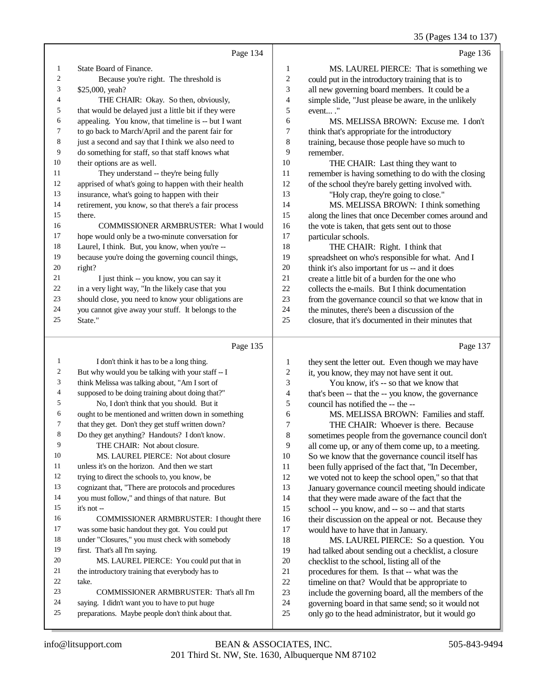35 (Pages 134 to 137)

|                |                                                      |                | 33 (Pages 134 to 137)                                |
|----------------|------------------------------------------------------|----------------|------------------------------------------------------|
|                | Page 134                                             |                | Page 136                                             |
| 1              | State Board of Finance.                              | $\mathbf{1}$   | MS. LAUREL PIERCE: That is something we              |
| $\overline{c}$ | Because you're right. The threshold is               | $\mathfrak{2}$ | could put in the introductory training that is to    |
| 3              | \$25,000, yeah?                                      | 3              | all new governing board members. It could be a       |
| 4              | THE CHAIR: Okay. So then, obviously,                 | 4              | simple slide, "Just please be aware, in the unlikely |
| 5              | that would be delayed just a little bit if they were | 5              | event"                                               |
| 6              | appealing. You know, that timeline is -- but I want  | 6              | MS. MELISSA BROWN: Excuse me. I don't                |
| 7              | to go back to March/April and the parent fair for    | 7              | think that's appropriate for the introductory        |
| 8              | just a second and say that I think we also need to   | 8              | training, because those people have so much to       |
| 9              | do something for staff, so that staff knows what     | 9              | remember.                                            |
| 10             | their options are as well.                           | 10             | THE CHAIR: Last thing they want to                   |
| 11             | They understand -- they're being fully               | 11             | remember is having something to do with the closing  |
| 12             | apprised of what's going to happen with their health | 12             | of the school they're barely getting involved with.  |
| 13             | insurance, what's going to happen with their         | 13             | "Holy crap, they're going to close."                 |
| 14             | retirement, you know, so that there's a fair process | 14             | MS. MELISSA BROWN: I think something                 |
| 15             | there.                                               | 15             | along the lines that once December comes around and  |
| 16             | <b>COMMISSIONER ARMBRUSTER: What I would</b>         | 16             | the vote is taken, that gets sent out to those       |
| 17             | hope would only be a two-minute conversation for     | 17             | particular schools.                                  |
| 18             | Laurel, I think. But, you know, when you're --       | 18             | THE CHAIR: Right. I think that                       |
| 19             | because you're doing the governing council things,   | 19             | spreadsheet on who's responsible for what. And I     |
| 20             | right?                                               | 20             | think it's also important for us -- and it does      |
| 21             | I just think -- you know, you can say it             | 21             | create a little bit of a burden for the one who      |
| 22             | in a very light way, "In the likely case that you    | 22             | collects the e-mails. But I think documentation      |
| 23             | should close, you need to know your obligations are  | 23             | from the governance council so that we know that in  |
| 24             | you cannot give away your stuff. It belongs to the   | 24             | the minutes, there's been a discussion of the        |
| 25             | State."                                              | 25             | closure, that it's documented in their minutes that  |
|                |                                                      |                |                                                      |
|                | Page 135                                             |                | Page 137                                             |
| 1              | I don't think it has to be a long thing.             | 1              | they sent the letter out. Even though we may have    |
| 2              | But why would you be talking with your staff -- I    | $\sqrt{2}$     | it, you know, they may not have sent it out.         |
| 3              | think Melissa was talking about, "Am I sort of       | 3              | You know, it's -- so that we know that               |
| 4              | supposed to be doing training about doing that?"     | $\overline{4}$ | that's been -- that the -- you know, the governance  |
| 5              | No, I don't think that you should. But it            | 5              | council has notified the -- the --                   |
| 6              | ought to be mentioned and written down in something  | 6              | MS. MELISSA BROWN: Families and staff.               |
| 7              | that they get. Don't they get stuff written down?    | 7              | THE CHAIR: Whoever is there. Because                 |
| 8              | Do they get anything? Handouts? I don't know.        | 8              | sometimes people from the governance council don't   |
| 9              | THE CHAIR: Not about closure.                        | 9              | all come up, or any of them come up, to a meeting.   |

|    | I don't think it has to be a long thing.            | 1  | they sent the letter out. Even though we may have   |
|----|-----------------------------------------------------|----|-----------------------------------------------------|
| 2  | But why would you be talking with your staff -- I   | 2  | it, you know, they may not have sent it out.        |
| 3  | think Melissa was talking about, "Am I sort of      | 3  | You know, it's -- so that we know that              |
| 4  | supposed to be doing training about doing that?"    | 4  | that's been -- that the -- you know, the governance |
| 5  | No, I don't think that you should. But it           | 5  | council has notified the -- the --                  |
| 6  | ought to be mentioned and written down in something | 6  | MS. MELISSA BROWN: Families and staff.              |
| 7  | that they get. Don't they get stuff written down?   | 7  | THE CHAIR: Whoever is there. Because                |
| 8  | Do they get anything? Handouts? I don't know.       | 8  | sometimes people from the governance council don't  |
| 9  | THE CHAIR: Not about closure.                       | 9  | all come up, or any of them come up, to a meeting.  |
| 10 | MS. LAUREL PIERCE: Not about closure                | 10 | So we know that the governance council itself has   |
| 11 | unless it's on the horizon. And then we start       | 11 | been fully apprised of the fact that, "In December, |
| 12 | trying to direct the schools to, you know, be       | 12 | we voted not to keep the school open," so that that |
| 13 | cognizant that, "There are protocols and procedures | 13 | January governance council meeting should indicate  |
| 14 | you must follow," and things of that nature. But    | 14 | that they were made aware of the fact that the      |
| 15 | $it's not -$                                        | 15 | school -- you know, and -- so -- and that starts    |
| 16 | COMMISSIONER ARMBRUSTER: I thought there            | 16 | their discussion on the appeal or not. Because they |
| 17 | was some basic handout they got. You could put      | 17 | would have to have that in January.                 |
| 18 | under "Closures," you must check with somebody      | 18 | MS. LAUREL PIERCE: So a question. You               |
| 19 | first. That's all I'm saying.                       | 19 | had talked about sending out a checklist, a closure |
| 20 | MS. LAUREL PIERCE: You could put that in            | 20 | checklist to the school, listing all of the         |
| 21 | the introductory training that everybody has to     | 21 | procedures for them. Is that -- what was the        |
| 22 | take.                                               | 22 | timeline on that? Would that be appropriate to      |
| 23 | COMMISSIONER ARMBRUSTER: That's all I'm             | 23 | include the governing board, all the members of the |
| 24 | saying. I didn't want you to have to put huge       | 24 | governing board in that same send; so it would not  |
| 25 | preparations. Maybe people don't think about that.  | 25 | only go to the head administrator, but it would go  |
|    |                                                     |    |                                                     |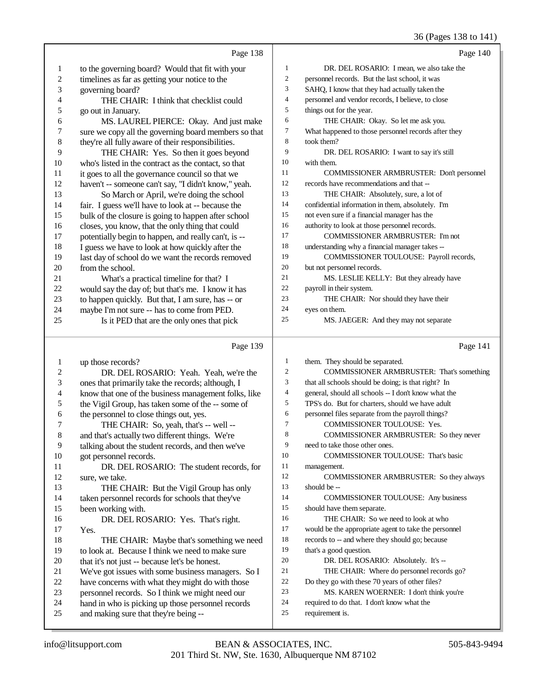36 (Pages 138 to 141)

|                  |                                                      |                          | 30 (Pages 138 to 141)                                              |
|------------------|------------------------------------------------------|--------------------------|--------------------------------------------------------------------|
|                  | Page 138                                             |                          | Page 140                                                           |
| $\mathbf{1}$     | to the governing board? Would that fit with your     | 1                        | DR. DEL ROSARIO: I mean, we also take the                          |
| $\boldsymbol{2}$ | timelines as far as getting your notice to the       | $\boldsymbol{2}$         | personnel records. But the last school, it was                     |
| 3                | governing board?                                     | 3                        | SAHQ, I know that they had actually taken the                      |
| 4                | THE CHAIR: I think that checklist could              | $\overline{\mathcal{L}}$ | personnel and vendor records, I believe, to close                  |
| 5                | go out in January.                                   | 5                        | things out for the year.                                           |
| 6                | MS. LAUREL PIERCE: Okay. And just make               | 6                        | THE CHAIR: Okay. So let me ask you.                                |
| 7                | sure we copy all the governing board members so that | $\boldsymbol{7}$         | What happened to those personnel records after they                |
| 8                | they're all fully aware of their responsibilities.   | $\,$ 8 $\,$              | took them?                                                         |
| 9                | THE CHAIR: Yes. So then it goes beyond               | 9                        | DR. DEL ROSARIO: I want to say it's still                          |
| 10               | who's listed in the contract as the contact, so that | 10                       | with them.                                                         |
| 11               | it goes to all the governance council so that we     | 11                       | COMMISSIONER ARMBRUSTER: Don't personnel                           |
| 12               | haven't -- someone can't say, "I didn't know," yeah. | 12                       | records have recommendations and that --                           |
| 13               | So March or April, we're doing the school            | 13                       | THE CHAIR: Absolutely, sure, a lot of                              |
| 14               | fair. I guess we'll have to look at -- because the   | 14                       | confidential information in them, absolutely. I'm                  |
| 15               | bulk of the closure is going to happen after school  | 15                       | not even sure if a financial manager has the                       |
| 16               | closes, you know, that the only thing that could     | 16                       | authority to look at those personnel records.                      |
| 17               | potentially begin to happen, and really can't, is -- | 17                       | <b>COMMISSIONER ARMBRUSTER: I'm not</b>                            |
| 18               | I guess we have to look at how quickly after the     | 18                       | understanding why a financial manager takes --                     |
| 19               | last day of school do we want the records removed    | 19                       | COMMISSIONER TOULOUSE: Payroll records,                            |
| 20               | from the school.                                     | 20                       | but not personnel records.                                         |
| 21               | What's a practical timeline for that? I              | 21                       | MS. LESLIE KELLY: But they already have                            |
| 22               | would say the day of; but that's me. I know it has   | 22                       | payroll in their system.                                           |
| 23               | to happen quickly. But that, I am sure, has -- or    | 23                       | THE CHAIR: Nor should they have their                              |
| 24               | maybe I'm not sure -- has to come from PED.          | 24                       | eyes on them.                                                      |
| 25               | Is it PED that are the only ones that pick           | 25                       | MS. JAEGER: And they may not separate                              |
|                  | Page 139                                             |                          | Page 141                                                           |
| $\mathbf{1}$     | up those records?                                    | $\mathbf{1}$             | them. They should be separated.                                    |
| $\boldsymbol{2}$ | DR. DEL ROSARIO: Yeah. Yeah, we're the               | $\boldsymbol{2}$         | COMMISSIONER ARMBRUSTER: That's something                          |
| 3                | ones that primarily take the records; although, I    | 3                        | that all schools should be doing; is that right? In                |
| 4                | know that one of the business management folks, like | 4                        | general, should all schools -- I don't know what the               |
| 5                | the Vigil Group, has taken some of the -- some of    | 5                        | TPS's do. But for charters, should we have adult                   |
| 6                | the personnel to close things out, yes.              | 6                        | personnel files separate from the payroll things?                  |
| 7                | THE CHAIR: So, yeah, that's -- well --               | $\tau$                   | COMMISSIONER TOULOUSE: Yes.                                        |
| $\,8\,$          | and that's actually two different things. We're      | 8                        | COMMISSIONER ARMBRUSTER: So they never                             |
| 9                | talking about the student records, and then we've    | 9                        | need to take those other ones.                                     |
| 10               | got personnel records.                               | 10                       | COMMISSIONER TOULOUSE: That's basic                                |
| 11               | DR. DEL ROSARIO: The student records, for            | 11                       | management.                                                        |
| 12               | sure, we take.                                       | 12                       | COMMISSIONER ARMBRUSTER: So they always                            |
| 13               | THE CHAIR: But the Vigil Group has only              | 13                       | should be --                                                       |
| 14               | taken personnel records for schools that they've     | 14                       | <b>COMMISSIONER TOULOUSE:</b> Any business                         |
| 15               |                                                      |                          |                                                                    |
| 16               |                                                      | 15                       |                                                                    |
|                  | been working with.                                   | 16                       | should have them separate.<br>THE CHAIR: So we need to look at who |
| 17               | DR. DEL ROSARIO: Yes. That's right.                  | 17                       | would be the appropriate agent to take the personnel               |
| 18               | Yes.<br>THE CHAIR: Maybe that's something we need    | 18                       | records to -- and where they should go; because                    |
| 19               | to look at. Because I think we need to make sure     | 19                       | that's a good question.                                            |
| 20               | that it's not just -- because let's be honest.       | 20                       | DR. DEL ROSARIO: Absolutely. It's --                               |
| 21               | We've got issues with some business managers. So I   | 21                       | THE CHAIR: Where do personnel records go?                          |
| 22               | have concerns with what they might do with those     | $22\,$                   | Do they go with these 70 years of other files?                     |
| 23               | personnel records. So I think we might need our      | $23\,$                   | MS. KAREN WOERNER: I don't think you're                            |
| 24               | hand in who is picking up those personnel records    | 24                       | required to do that. I don't know what the                         |
| 25               | and making sure that they're being --                | 25                       | requirement is.                                                    |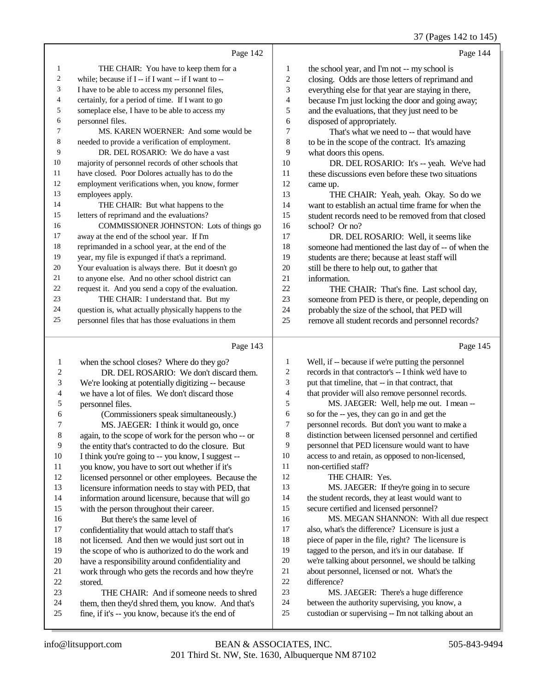37 (Pages 142 to 145)

|    | Page 142                                             |    | Page 144                                             |
|----|------------------------------------------------------|----|------------------------------------------------------|
| 1  | THE CHAIR: You have to keep them for a               | 1  | the school year, and I'm not -- my school is         |
| 2  | while; because if I -- if I want -- if I want to --  | 2  | closing. Odds are those letters of reprimand and     |
| 3  | I have to be able to access my personnel files,      | 3  | everything else for that year are staying in there,  |
| 4  | certainly, for a period of time. If I want to go     | 4  | because I'm just locking the door and going away;    |
| 5  | someplace else, I have to be able to access my       | 5  | and the evaluations, that they just need to be       |
| 6  | personnel files.                                     | 6  | disposed of appropriately.                           |
| 7  | MS. KAREN WOERNER: And some would be                 | 7  | That's what we need to -- that would have            |
| 8  | needed to provide a verification of employment.      | 8  | to be in the scope of the contract. It's amazing     |
| 9  | DR. DEL ROSARIO: We do have a vast                   | 9  | what doors this opens.                               |
| 10 | majority of personnel records of other schools that  | 10 | DR. DEL ROSARIO: It's -- yeah. We've had             |
| 11 | have closed. Poor Dolores actually has to do the     | 11 | these discussions even before these two situations   |
| 12 | employment verifications when, you know, former      | 12 | came up.                                             |
| 13 | employees apply.                                     | 13 | THE CHAIR: Yeah, yeah. Okay. So do we                |
| 14 | THE CHAIR: But what happens to the                   | 14 | want to establish an actual time frame for when the  |
| 15 | letters of reprimand and the evaluations?            | 15 | student records need to be removed from that closed  |
| 16 | COMMISSIONER JOHNSTON: Lots of things go             | 16 | school? Or no?                                       |
| 17 | away at the end of the school year. If I'm           | 17 | DR. DEL ROSARIO: Well, it seems like                 |
| 18 | reprimanded in a school year, at the end of the      | 18 | someone had mentioned the last day of -- of when the |
| 19 | year, my file is expunged if that's a reprimand.     | 19 | students are there; because at least staff will      |
| 20 | Your evaluation is always there. But it doesn't go   | 20 | still be there to help out, to gather that           |
| 21 | to anyone else. And no other school district can     | 21 | information.                                         |
| 22 | request it. And you send a copy of the evaluation.   | 22 | THE CHAIR: That's fine. Last school day,             |
| 23 | THE CHAIR: I understand that. But my                 | 23 | someone from PED is there, or people, depending on   |
| 24 | question is, what actually physically happens to the | 24 | probably the size of the school, that PED will       |
| 25 | personnel files that has those evaluations in them   | 25 | remove all student records and personnel records?    |
|    | Page 143                                             |    | Page 145                                             |

## Page 143 |

| 1              | when the school closes? Where do they go?            | 1  | Well, if -- because if we're putting the personnel   |
|----------------|------------------------------------------------------|----|------------------------------------------------------|
| 2              | DR. DEL ROSARIO: We don't discard them.              | 2  | records in that contractor's -- I think we'd have to |
| 3              | We're looking at potentially digitizing -- because   | 3  | put that timeline, that -- in that contract, that    |
| $\overline{4}$ | we have a lot of files. We don't discard those       | 4  | that provider will also remove personnel records.    |
| 5              | personnel files.                                     | 5  | MS. JAEGER: Well, help me out. I mean --             |
| 6              | (Commissioners speak simultaneously.)                | 6  | so for the -- yes, they can go in and get the        |
| 7              | MS. JAEGER: I think it would go, once                | 7  | personnel records. But don't you want to make a      |
| 8              | again, to the scope of work for the person who -- or | 8  | distinction between licensed personnel and certified |
| 9              | the entity that's contracted to do the closure. But  | 9  | personnel that PED licensure would want to have      |
| 10             | I think you're going to -- you know, I suggest --    | 10 | access to and retain, as opposed to non-licensed,    |
| 11             | you know, you have to sort out whether if it's       | 11 | non-certified staff?                                 |
| 12             | licensed personnel or other employees. Because the   | 12 | THE CHAIR: Yes.                                      |
| 13             | licensure information needs to stay with PED, that   | 13 | MS. JAEGER: If they're going in to secure            |
| 14             | information around licensure, because that will go   | 14 | the student records, they at least would want to     |
| 15             | with the person throughout their career.             | 15 | secure certified and licensed personnel?             |
| 16             | But there's the same level of                        | 16 | MS. MEGAN SHANNON: With all due respect              |
| 17             | confidentiality that would attach to staff that's    | 17 | also, what's the difference? Licensure is just a     |
| 18             | not licensed. And then we would just sort out in     | 18 | piece of paper in the file, right? The licensure is  |
| 19             | the scope of who is authorized to do the work and    | 19 | tagged to the person, and it's in our database. If   |
| 20             | have a responsibility around confidentiality and     | 20 | we're talking about personnel, we should be talking  |
| 21             | work through who gets the records and how they're    | 21 | about personnel, licensed or not. What's the         |
| 22             | stored.                                              | 22 | difference?                                          |
| 23             | THE CHAIR: And if someone needs to shred             | 23 | MS. JAEGER: There's a huge difference                |
| 24             | them, then they'd shred them, you know. And that's   | 24 | between the authority supervising, you know, a       |
| 25             | fine, if it's -- you know, because it's the end of   | 25 | custodian or supervising -- I'm not talking about an |
|                |                                                      |    |                                                      |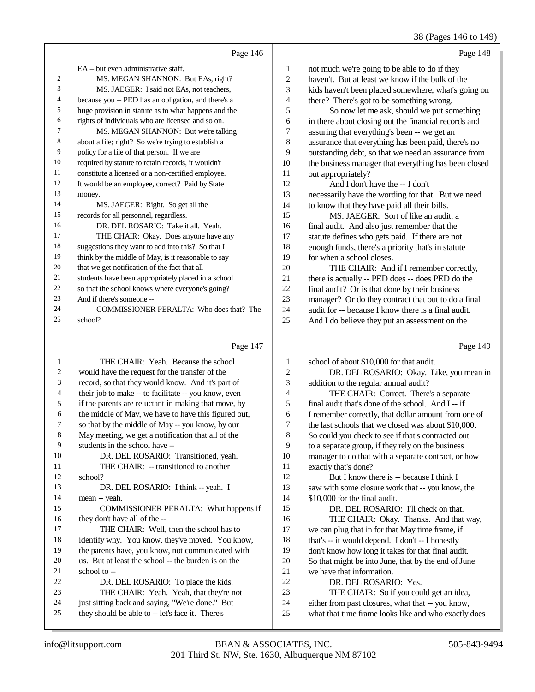### 38 (Pages 146 to 149)

|    | Page 146                                             |                | Page 148                                             |
|----|------------------------------------------------------|----------------|------------------------------------------------------|
| 1  | EA -- but even administrative staff.                 | $\mathbf{1}$   | not much we're going to be able to do if they        |
| 2  | MS. MEGAN SHANNON: But EAs, right?                   | 2              | haven't. But at least we know if the bulk of the     |
| 3  | MS. JAEGER: I said not EAs, not teachers,            | 3              | kids haven't been placed somewhere, what's going on  |
| 4  | because you -- PED has an obligation, and there's a  | $\overline{4}$ | there? There's got to be something wrong.            |
| 5  | huge provision in statute as to what happens and the | 5              | So now let me ask, should we put something           |
| 6  | rights of individuals who are licensed and so on.    | 6              | in there about closing out the financial records and |
| 7  | MS. MEGAN SHANNON: But we're talking                 | 7              | assuring that everything's been -- we get an         |
| 8  | about a file; right? So we're trying to establish a  | 8              | assurance that everything has been paid, there's no  |
| 9  | policy for a file of that person. If we are          | 9              | outstanding debt, so that we need an assurance from  |
| 10 | required by statute to retain records, it wouldn't   | 10             | the business manager that everything has been closed |
| 11 | constitute a licensed or a non-certified employee.   | 11             | out appropriately?                                   |
| 12 | It would be an employee, correct? Paid by State      | 12             | And I don't have the -- I don't                      |
| 13 | money.                                               | 13             | necessarily have the wording for that. But we need   |
| 14 | MS. JAEGER: Right. So get all the                    | 14             | to know that they have paid all their bills.         |
| 15 | records for all personnel, regardless.               | 15             | MS. JAEGER: Sort of like an audit, a                 |
| 16 | DR. DEL ROSARIO: Take it all. Yeah.                  | 16             | final audit. And also just remember that the         |
| 17 | THE CHAIR: Okay. Does anyone have any                | 17             | statute defines who gets paid. If there are not      |
| 18 | suggestions they want to add into this? So that I    | 18             | enough funds, there's a priority that's in statute   |
| 19 | think by the middle of May, is it reasonable to say  | 19             | for when a school closes.                            |
| 20 | that we get notification of the fact that all        | 20             | THE CHAIR: And if I remember correctly,              |
| 21 | students have been appropriately placed in a school  | 21             | there is actually -- PED does -- does PED do the     |
| 22 | so that the school knows where everyone's going?     | 22             | final audit? Or is that done by their business       |
| 23 | And if there's someone --                            | 23             | manager? Or do they contract that out to do a final  |
| 24 | COMMISSIONER PERALTA: Who does that? The             | 24             | audit for -- because I know there is a final audit.  |
| 25 | school?                                              | 25             | And I do believe they put an assessment on the       |
|    |                                                      |                |                                                      |
|    | Page 147                                             |                | Page 149                                             |

### Page 147

 THE CHAIR: Yeah. Because the school would have the request for the transfer of the record, so that they would know. And it's part of their job to make -- to facilitate -- you know, even if the parents are reluctant in making that move, by the middle of May, we have to have this figured out, so that by the middle of May -- you know, by our May meeting, we get a notification that all of the students in the school have -- DR. DEL ROSARIO: Transitioned, yeah. THE CHAIR: -- transitioned to another school? 13 DR. DEL ROSARIO: I think -- yeah. I mean -- yeah. COMMISSIONER PERALTA: What happens if they don't have all of the -- 17 THE CHAIR: Well, then the school has to identify why. You know, they've moved. You know, the parents have, you know, not communicated with us. But at least the school -- the burden is on the 21 school to -- DR. DEL ROSARIO: To place the kids. THE CHAIR: Yeah. Yeah, that they're not just sitting back and saying, "We're done." But they should be able to -- let's face it. There's school of about \$10,000 for that audit. DR. DEL ROSARIO: Okay. Like, you mean in addition to the regular annual audit? THE CHAIR: Correct. There's a separate final audit that's done of the school. And I -- if I remember correctly, that dollar amount from one of the last schools that we closed was about \$10,000. So could you check to see if that's contracted out to a separate group, if they rely on the business manager to do that with a separate contract, or how exactly that's done? 12 But I know there is -- because I think I saw with some closure work that -- you know, the \$10,000 for the final audit. DR. DEL ROSARIO: I'll check on that. THE CHAIR: Okay. Thanks. And that way, we can plug that in for that May time frame, if 18 that's -- it would depend. I don't -- I honestly don't know how long it takes for that final audit. So that might be into June, that by the end of June we have that information. DR. DEL ROSARIO: Yes. THE CHAIR: So if you could get an idea, either from past closures, what that -- you know, what that time frame looks like and who exactly does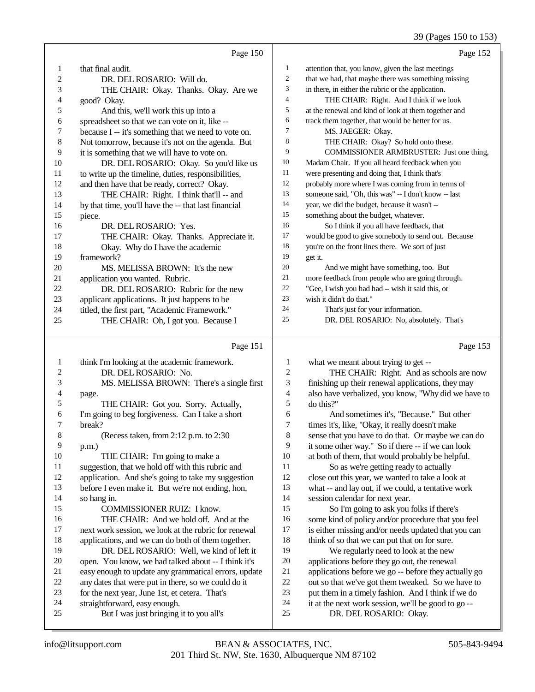# 39 (Pages 150 to 153)

|    | Page 150                                             |                | Page 152                                             |
|----|------------------------------------------------------|----------------|------------------------------------------------------|
| 1  | that final audit.                                    | 1              | attention that, you know, given the last meetings    |
| 2  | DR. DEL ROSARIO: Will do.                            | $\overline{2}$ | that we had, that maybe there was something missing  |
| 3  | THE CHAIR: Okay. Thanks. Okay. Are we                | 3              | in there, in either the rubric or the application.   |
| 4  | good? Okay.                                          | $\overline{4}$ | THE CHAIR: Right. And I think if we look             |
| 5  | And this, we'll work this up into a                  | 5              | at the renewal and kind of look at them together and |
| 6  | spreadsheet so that we can vote on it, like --       | 6              | track them together, that would be better for us.    |
| 7  | because I -- it's something that we need to vote on. | 7              | MS. JAEGER: Okay.                                    |
| 8  | Not tomorrow, because it's not on the agenda. But    | 8              | THE CHAIR: Okay? So hold onto these.                 |
| 9  | it is something that we will have to vote on.        | 9              | COMMISSIONER ARMBRUSTER: Just one thing,             |
| 10 | DR. DEL ROSARIO: Okay. So you'd like us              | 10             | Madam Chair. If you all heard feedback when you      |
| 11 | to write up the timeline, duties, responsibilities,  | 11             | were presenting and doing that, I think that's       |
| 12 | and then have that be ready, correct? Okay.          | 12             | probably more where I was coming from in terms of    |
| 13 | THE CHAIR: Right. I think that'll -- and             | 13             | someone said, "Oh, this was" -- I don't know -- last |
| 14 | by that time, you'll have the -- that last financial | 14             | year, we did the budget, because it wasn't --        |
| 15 | piece.                                               | 15             | something about the budget, whatever.                |
| 16 | DR. DEL ROSARIO: Yes.                                | 16             | So I think if you all have feedback, that            |
| 17 | THE CHAIR: Okay. Thanks. Appreciate it.              | 17             | would be good to give somebody to send out. Because  |
| 18 | Okay. Why do I have the academic                     | 18             | you're on the front lines there. We sort of just     |
| 19 | framework?                                           | 19             | get it.                                              |
| 20 | MS. MELISSA BROWN: It's the new                      | 20             | And we might have something, too. But                |
| 21 | application you wanted. Rubric.                      | 21             | more feedback from people who are going through.     |
| 22 | DR. DEL ROSARIO: Rubric for the new                  | 22             | "Gee, I wish you had had -- wish it said this, or    |
| 23 | applicant applications. It just happens to be        | 23             | wish it didn't do that."                             |
| 24 | titled, the first part, "Academic Framework."        | 24             | That's just for your information.                    |
| 25 | THE CHAIR: Oh, I got you. Because I                  | 25             | DR. DEL ROSARIO: No, absolutely. That's              |
|    |                                                      |                |                                                      |

|    | Page 151                                             |                | Page 153                                             |
|----|------------------------------------------------------|----------------|------------------------------------------------------|
| 1  | think I'm looking at the academic framework.         | 1              | what we meant about trying to get --                 |
| 2  | DR. DEL ROSARIO: No.                                 | $\mathfrak{2}$ | THE CHAIR: Right. And as schools are now             |
| 3  | MS. MELISSA BROWN: There's a single first            | 3              | finishing up their renewal applications, they may    |
| 4  | page.                                                | $\overline{4}$ | also have verbalized, you know, "Why did we have to  |
| 5  | THE CHAIR: Got you. Sorry. Actually,                 | 5              | $d$ o this?"                                         |
| 6  | I'm going to beg forgiveness. Can I take a short     | 6              | And sometimes it's. "Because." But other             |
| 7  | break?                                               | 7              | times it's, like, "Okay, it really doesn't make      |
| 8  | (Recess taken, from 2:12 p.m. to 2:30)               | 8              | sense that you have to do that. Or maybe we can do   |
| 9  | $p.m.$ )                                             | 9              | it some other way." So if there -- if we can look    |
| 10 | THE CHAIR: I'm going to make a                       | 10             | at both of them, that would probably be helpful.     |
| 11 | suggestion, that we hold off with this rubric and    | 11             | So as we're getting ready to actually                |
| 12 | application. And she's going to take my suggestion   | 12             | close out this year, we wanted to take a look at     |
| 13 | before I even make it. But we're not ending, hon,    | 13             | what -- and lay out, if we could, a tentative work   |
| 14 | so hang in.                                          | 14             | session calendar for next year.                      |
| 15 | <b>COMMISSIONER RUIZ: I know.</b>                    | 15             | So I'm going to ask you folks if there's             |
| 16 | THE CHAIR: And we hold off. And at the               | 16             | some kind of policy and/or procedure that you feel   |
| 17 | next work session, we look at the rubric for renewal | 17             | is either missing and/or needs updated that you can  |
| 18 | applications, and we can do both of them together.   | 18             | think of so that we can put that on for sure.        |
| 19 | DR. DEL ROSARIO: Well, we kind of left it            | 19             | We regularly need to look at the new                 |
| 20 | open. You know, we had talked about -- I think it's  | 20             | applications before they go out, the renewal         |
| 21 | easy enough to update any grammatical errors, update | 21             | applications before we go -- before they actually go |
| 22 | any dates that were put in there, so we could do it  | 22             | out so that we've got them tweaked. So we have to    |
| 23 | for the next year, June 1st, et cetera. That's       | 23             | put them in a timely fashion. And I think if we do   |
| 24 | straightforward, easy enough.                        | 24             | it at the next work session, we'll be good to go --  |
| 25 | But I was just bringing it to you all's              | 25             | DR. DEL ROSARIO: Okay.                               |
|    |                                                      |                |                                                      |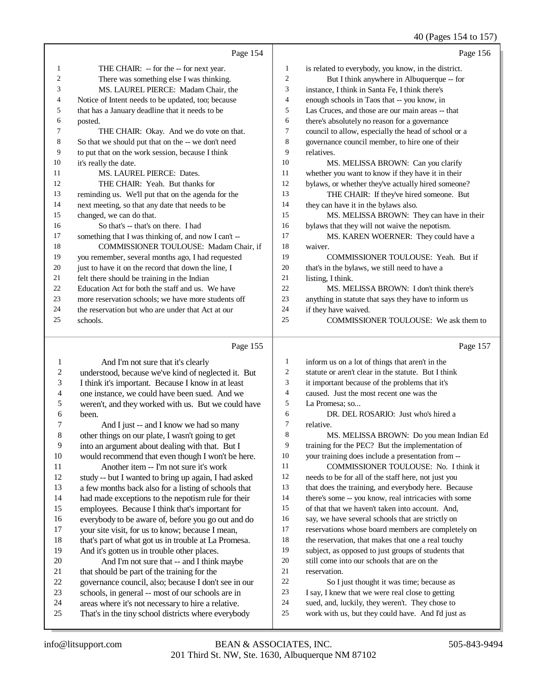|    |                                                      |                          | 40 (Pages 154 to 157)                                |
|----|------------------------------------------------------|--------------------------|------------------------------------------------------|
|    | Page 154                                             |                          | Page 156                                             |
| 1  | THE CHAIR: -- for the -- for next year.              | $\mathbf{1}$             | is related to everybody, you know, in the district.  |
| 2  | There was something else I was thinking.             | $\overline{c}$           | But I think anywhere in Albuquerque -- for           |
| 3  | MS. LAUREL PIERCE: Madam Chair, the                  | $\mathfrak{Z}$           | instance, I think in Santa Fe, I think there's       |
| 4  | Notice of Intent needs to be updated, too; because   | $\overline{\mathcal{L}}$ | enough schools in Taos that -- you know, in          |
| 5  | that has a January deadline that it needs to be      | 5                        | Las Cruces, and those are our main areas -- that     |
| 6  | posted.                                              | 6                        | there's absolutely no reason for a governance        |
| 7  | THE CHAIR: Okay. And we do vote on that.             | 7                        | council to allow, especially the head of school or a |
| 8  | So that we should put that on the -- we don't need   | $\,$ 8 $\,$              | governance council member, to hire one of their      |
| 9  | to put that on the work session, because I think     | 9                        | relatives.                                           |
| 10 | it's really the date.                                | 10                       | MS. MELISSA BROWN: Can you clarify                   |
| 11 | MS. LAUREL PIERCE: Dates.                            | 11                       | whether you want to know if they have it in their    |
| 12 | THE CHAIR: Yeah. But thanks for                      | 12                       | bylaws, or whether they've actually hired someone?   |
| 13 | reminding us. We'll put that on the agenda for the   | 13                       | THE CHAIR: If they've hired someone. But             |
| 14 | next meeting, so that any date that needs to be      | 14                       | they can have it in the bylaws also.                 |
| 15 | changed, we can do that.                             | 15                       | MS. MELISSA BROWN: They can have in their            |
| 16 | So that's -- that's on there. I had                  | 16                       | bylaws that they will not waive the nepotism.        |
| 17 | something that I was thinking of, and now I can't -- | 17                       | MS. KAREN WOERNER: They could have a                 |
| 18 | COMMISSIONER TOULOUSE: Madam Chair, if               | 18                       | waiver.                                              |
| 19 | you remember, several months ago, I had requested    | 19                       | COMMISSIONER TOULOUSE: Yeah. But if                  |
| 20 | just to have it on the record that down the line, I  | 20                       | that's in the bylaws, we still need to have a        |
| 21 | felt there should be training in the Indian          | 21                       | listing, I think.                                    |
| 22 | Education Act for both the staff and us. We have     | 22                       | MS. MELISSA BROWN: I don't think there's             |
| 23 | more reservation schools; we have more students off  | 23                       | anything in statute that says they have to inform us |
| 24 | the reservation but who are under that Act at our    | 24                       | if they have waived.                                 |
| 25 | schools.                                             | 25                       | COMMISSIONER TOULOUSE: We ask them to                |
|    | Page 155                                             |                          | Page 157                                             |
| 1  | And I'm not sure that it's clearly                   | $\mathbf{1}$             | inform us on a lot of things that aren't in the      |
| 2  | understood, because we've kind of neglected it. But  | $\overline{c}$           | statute or aren't clear in the statute. But I think  |
| 3  | I think it's important. Because I know in at least   | 3                        | it important because of the problems that it's       |
| 4  | one instance, we could have been sued. And we        | $\overline{4}$           | caused. Just the most recent one was the             |
| 5  | weren't, and they worked with us. But we could have  | 5                        | La Promesa: so                                       |
| 6  | been.                                                | 6                        | DR. DEL ROSARIO: Just who's hired a                  |
| 7  | And I just -- and I know we had so many              | 7                        | relative.                                            |
| 8  | other things on our plate, I wasn't going to get     | 8                        | MS. MELISSA BROWN: Do you mean Indian Ed             |
| 9  | into an argument about dealing with that. But I      | 9                        | training for the PEC? But the implementation of      |
| 10 | would recommend that even though I won't be here.    | 10                       | your training does include a presentation from --    |
| 11 | Another item -- I'm not sure it's work               | 11                       | COMMISSIONER TOULOUSE: No. I think it                |
| 12 | study -- but I wanted to bring up again, I had asked | 12                       | needs to be for all of the staff here, not just you  |
| 13 | a few months back also for a listing of schools that | 13                       | that does the training, and everybody here. Because  |
| 14 | had made exceptions to the nepotism rule for their   | 14                       | there's some -- you know, real intricacies with some |
| 15 | employees. Because I think that's important for      | 15                       | of that that we haven't taken into account. And,     |
| 16 | everybody to be aware of, before you go out and do   | 16                       | say, we have several schools that are strictly on    |
| 17 | your site visit, for us to know; because I mean,     | 17                       | reservations whose board members are completely on   |
| 18 | that's part of what got us in trouble at La Promesa. | 18                       | the reservation, that makes that one a real touchy   |
| 19 | And it's gotten us in trouble other places.          | 19                       | subject, as opposed to just groups of students that  |
| 20 | And I'm not sure that -- and I think maybe           | 20                       | still come into our schools that are on the          |
| 21 | that should be part of the training for the          | 21                       | reservation.                                         |
| 22 | governance council, also; because I don't see in our | 22                       | So I just thought it was time; because as            |
| 23 | schools, in general -- most of our schools are in    | 23                       | I say, I knew that we were real close to getting     |
| 24 | areas where it's not necessary to hire a relative.   | 24                       | sued, and, luckily, they weren't. They chose to      |
| 25 | That's in the tiny school districts where everybody  | 25                       | work with us, but they could have. And I'd just as   |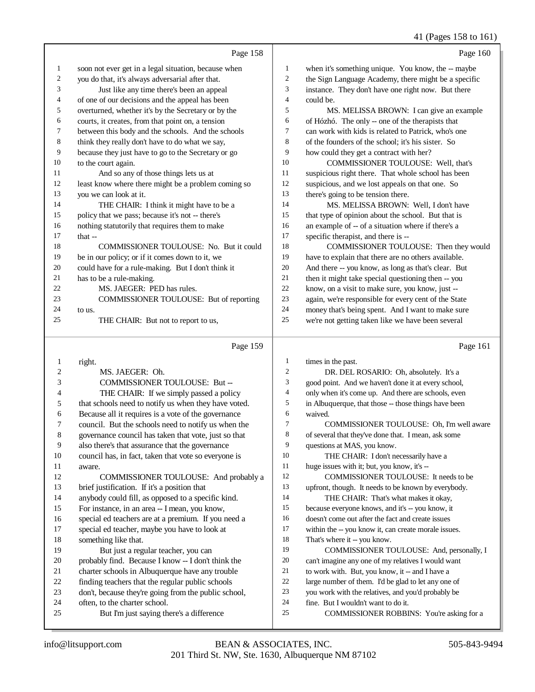|              |                                                      |                  | 41 (Pages 158 to 161)                                |
|--------------|------------------------------------------------------|------------------|------------------------------------------------------|
|              | Page 158                                             |                  | Page 160                                             |
| 1            | soon not ever get in a legal situation, because when | 1                | when it's something unique. You know, the -- maybe   |
| 2            | you do that, it's always adversarial after that.     | 2                | the Sign Language Academy, there might be a specific |
| 3            | Just like any time there's been an appeal            | 3                | instance. They don't have one right now. But there   |
| 4            | of one of our decisions and the appeal has been      | 4                | could be.                                            |
| 5            | overturned, whether it's by the Secretary or by the  | 5                | MS. MELISSA BROWN: I can give an example             |
| 6            | courts, it creates, from that point on, a tension    | 6                | of Hózhó. The only -- one of the therapists that     |
| 7            | between this body and the schools. And the schools   | 7                | can work with kids is related to Patrick, who's one  |
| 8            | think they really don't have to do what we say,      | 8                | of the founders of the school; it's his sister. So   |
| 9            | because they just have to go to the Secretary or go  | 9                | how could they get a contract with her?              |
| 10           | to the court again.                                  | 10               | COMMISSIONER TOULOUSE: Well, that's                  |
| 11           | And so any of those things lets us at                | 11               | suspicious right there. That whole school has been   |
| 12           | least know where there might be a problem coming so  | 12               | suspicious, and we lost appeals on that one. So      |
| 13           | you we can look at it.                               | 13               | there's going to be tension there.                   |
| 14           | THE CHAIR: I think it might have to be a             | 14               | MS. MELISSA BROWN: Well, I don't have                |
| 15           | policy that we pass; because it's not -- there's     | 15               | that type of opinion about the school. But that is   |
| 16           | nothing statutorily that requires them to make       | 16               | an example of -- of a situation where if there's a   |
| 17           | that --                                              | 17               | specific therapist, and there is --                  |
| 18           | COMMISSIONER TOULOUSE: No. But it could              | 18               | COMMISSIONER TOULOUSE: Then they would               |
| 19           | be in our policy; or if it comes down to it, we      | 19               | have to explain that there are no others available.  |
| 20           | could have for a rule-making. But I don't think it   | 20               | And there -- you know, as long as that's clear. But  |
| 21           | has to be a rule-making.                             | 21               | then it might take special questioning then -- you   |
| 22           | MS. JAEGER: PED has rules.                           | $22\,$           | know, on a visit to make sure, you know, just --     |
| 23           | COMMISSIONER TOULOUSE: But of reporting              | 23               | again, we're responsible for every cent of the State |
| 24           | to us.                                               | 24               | money that's being spent. And I want to make sure    |
| 25           | THE CHAIR: But not to report to us,                  | 25               | we're not getting taken like we have been several    |
|              | Page 159                                             |                  | Page 161                                             |
| $\mathbf{1}$ | right.                                               | 1                | times in the past.                                   |
| 2            | MS. JAEGER: Oh.                                      | $\boldsymbol{2}$ | DR. DEL ROSARIO: Oh, absolutely. It's a              |
| 3            | COMMISSIONER TOULOUSE: But --                        | 3                | good point. And we haven't done it at every school,  |
| 4            | THE CHAIR: If we simply passed a policy              | 4                | only when it's come up. And there are schools, even  |
| 5            | that schools need to notify us when they have voted. | 5                | in Albuquerque, that those -- those things have been |
| 6            | Because all it requires is a vote of the governance  | 6                | waived.                                              |
| 7            | council. But the schools need to notify us when the  | 7                | COMMISSIONER TOULOUSE: Oh, I'm well aware            |
| 8            | governance council has taken that vote, just so that | 8                | of several that they've done that. I mean, ask some  |
| 9            | also there's that assurance that the governance      | 9                | questions at MAS, you know.                          |
| 10           | council has, in fact, taken that vote so everyone is | 10               | THE CHAIR: I don't necessarily have a                |
| 11           | aware.                                               | 11               | huge issues with it; but, you know, it's --          |
| 12           | COMMISSIONER TOULOUSE: And probably a                | 12               | COMMISSIONER TOULOUSE: It needs to be                |
| 13           | brief justification. If it's a position that         | 13               | upfront, though. It needs to be known by everybody.  |
| 14           | anybody could fill, as opposed to a specific kind.   | 14               | THE CHAIR: That's what makes it okay,                |
| 15           | For instance, in an area -- I mean, you know,        | 15               | because everyone knows, and it's -- you know, it     |
| 16           | special ed teachers are at a premium. If you need a  | 16               | doesn't come out after the fact and create issues    |
| 17           | special ed teacher, maybe you have to look at        | 17               | within the -- you know it, can create morale issues. |
| 18           | something like that.                                 | $18\,$           | That's where it -- you know.                         |
| 19           | But just a regular teacher, you can                  | 19               | COMMISSIONER TOULOUSE: And, personally, I            |
| 20           | probably find. Because I know -- I don't think the   | 20               | can't imagine any one of my relatives I would want   |
| 21           | charter schools in Albuquerque have any trouble      | 21               | to work with. But, you know, it -- and I have a      |
| 22           | finding teachers that the regular public schools     | $22\,$           | large number of them. I'd be glad to let any one of  |

- don't, because they're going from the public school,
- often, to the charter school.
- But I'm just saying there's a difference
- fine. But I wouldn't want to do it. COMMISSIONER ROBBINS: You're asking for a

you work with the relatives, and you'd probably be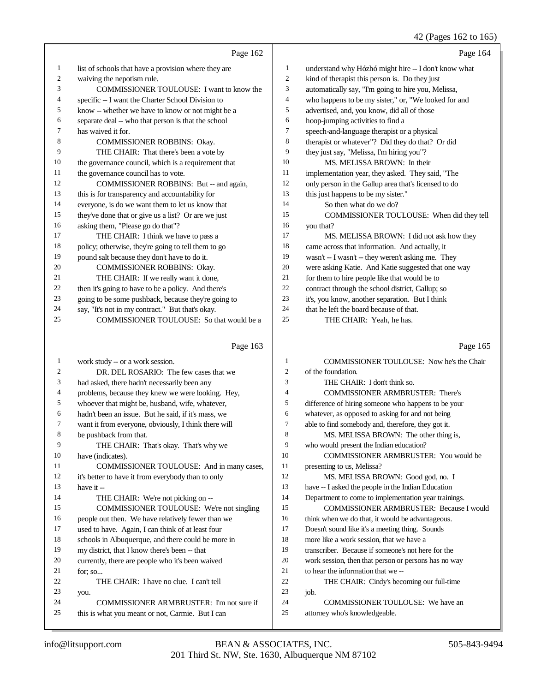42 (Pages 162 to 165)

|    | Page 162                                             |    | Page 164                                             |
|----|------------------------------------------------------|----|------------------------------------------------------|
| 1  | list of schools that have a provision where they are | 1  | understand why Hózhó might hire -- I don't know what |
| 2  | waiving the nepotism rule.                           | 2  | kind of therapist this person is. Do they just       |
| 3  | <b>COMMISSIONER TOULOUSE:</b> I want to know the     | 3  | automatically say, "I'm going to hire you, Melissa,  |
| 4  | specific -- I want the Charter School Division to    | 4  | who happens to be my sister," or, "We looked for and |
| 5  | know -- whether we have to know or not might be a    | 5  | advertised, and, you know, did all of those          |
| 6  | separate deal -- who that person is that the school  | 6  | hoop-jumping activities to find a                    |
| 7  | has waived it for.                                   | 7  | speech-and-language therapist or a physical          |
| 8  | <b>COMMISSIONER ROBBINS: Okay.</b>                   | 8  | therapist or whatever"? Did they do that? Or did     |
| 9  | THE CHAIR: That there's been a vote by               | 9  | they just say, "Melissa, I'm hiring you"?            |
| 10 | the governance council, which is a requirement that  | 10 | MS. MELISSA BROWN: In their                          |
| 11 | the governance council has to vote.                  | 11 | implementation year, they asked. They said, "The     |
| 12 | COMMISSIONER ROBBINS: But -- and again,              | 12 | only person in the Gallup area that's licensed to do |
| 13 | this is for transparency and accountability for      | 13 | this just happens to be my sister."                  |
| 14 | everyone, is do we want them to let us know that     | 14 | So then what do we do?                               |
| 15 | they've done that or give us a list? Or are we just  | 15 | COMMISSIONER TOULOUSE: When did they tell            |
| 16 | asking them, "Please go do that"?                    | 16 | you that?                                            |
| 17 | THE CHAIR: I think we have to pass a                 | 17 | MS. MELISSA BROWN: I did not ask how they            |
| 18 | policy; otherwise, they're going to tell them to go  | 18 | came across that information. And actually, it       |
| 19 | pound salt because they don't have to do it.         | 19 | wasn't -- I wasn't -- they weren't asking me. They   |
| 20 | COMMISSIONER ROBBINS: Okay.                          | 20 | were asking Katie. And Katie suggested that one way  |
| 21 | THE CHAIR: If we really want it done,                | 21 | for them to hire people like that would be to        |
| 22 | then it's going to have to be a policy. And there's  | 22 | contract through the school district, Gallup; so     |
| 23 | going to be some pushback, because they're going to  | 23 | it's, you know, another separation. But I think      |
| 24 | say, "It's not in my contract." But that's okay.     | 24 | that he left the board because of that.              |
| 25 | COMMISSIONER TOULOUSE: So that would be a            | 25 | THE CHAIR: Yeah, he has.                             |

# Page 163

| 1  | work study -- or a work session.                     | 1              | COMMISSIONER TOULOUSE: Now he's the Chair            |
|----|------------------------------------------------------|----------------|------------------------------------------------------|
| 2  | DR. DEL ROSARIO: The few cases that we               | $\overline{c}$ | of the foundation.                                   |
| 3  | had asked, there hadn't necessarily been any         | 3              | THE CHAIR: I don't think so.                         |
| 4  | problems, because they knew we were looking. Hey,    | $\overline{4}$ | <b>COMMISSIONER ARMBRUSTER: There's</b>              |
| 5  | whoever that might be, husband, wife, whatever,      | 5              | difference of hiring someone who happens to be your  |
| 6  | hadn't been an issue. But he said, if it's mass, we  | 6              | whatever, as opposed to asking for and not being     |
| 7  | want it from everyone, obviously, I think there will | 7              | able to find somebody and, therefore, they got it.   |
| 8  | be pushback from that.                               | 8              | MS. MELISSA BROWN: The other thing is,               |
| 9  | THE CHAIR: That's okay. That's why we                | 9              | who would present the Indian education?              |
| 10 | have (indicates).                                    | 10             | <b>COMMISSIONER ARMBRUSTER: You would be</b>         |
| 11 | COMMISSIONER TOULOUSE: And in many cases,            | 11             | presenting to us, Melissa?                           |
| 12 | it's better to have it from everybody than to only   | 12             | MS. MELISSA BROWN: Good god, no. I                   |
| 13 | have it --                                           | 13             | have -- I asked the people in the Indian Education   |
| 14 | THE CHAIR: We're not picking on --                   | 14             | Department to come to implementation year trainings. |
| 15 | COMMISSIONER TOULOUSE: We're not singling            | 15             | <b>COMMISSIONER ARMBRUSTER: Because I would</b>      |
| 16 | people out then. We have relatively fewer than we    | 16             | think when we do that, it would be advantageous.     |
| 17 | used to have. Again, I can think of at least four    | 17             | Doesn't sound like it's a meeting thing. Sounds      |
| 18 | schools in Albuquerque, and there could be more in   | 18             | more like a work session, that we have a             |
| 19 | my district, that I know there's been -- that        | 19             | transcriber. Because if someone's not here for the   |
| 20 | currently, there are people who it's been waived     | 20             | work session, then that person or persons has no way |
| 21 | for: so                                              | 21             | to hear the information that we --                   |
| 22 | THE CHAIR: I have no clue. I can't tell              | 22             | THE CHAIR: Cindy's becoming our full-time            |
| 23 | you.                                                 | 23             | job.                                                 |
| 24 | COMMISSIONER ARMBRUSTER: I'm not sure if             | 24             | COMMISSIONER TOULOUSE: We have an                    |
| 25 | this is what you meant or not, Carmie. But I can     | 25             | attorney who's knowledgeable.                        |
|    |                                                      |                |                                                      |

Page 165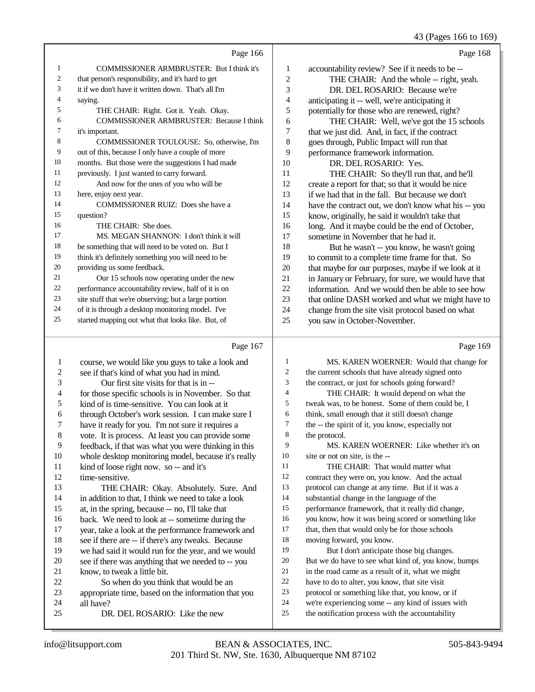# 43 (Pages 166 to 169)

|    | Page 166                                             |                | Page 168                                             |
|----|------------------------------------------------------|----------------|------------------------------------------------------|
| 1  | <b>COMMISSIONER ARMBRUSTER: But I think it's</b>     | 1              | accountability review? See if it needs to be --      |
| 2  | that person's responsibility, and it's hard to get   | $\overline{2}$ | THE CHAIR: And the whole -- right, yeah.             |
| 3  | it if we don't have it written down. That's all I'm  | 3              | DR. DEL ROSARIO: Because we're                       |
| 4  | saying.                                              | 4              | anticipating it -- well, we're anticipating it       |
| 5  | THE CHAIR: Right. Got it. Yeah. Okay.                | 5              | potentially for those who are renewed, right?        |
| 6  | <b>COMMISSIONER ARMBRUSTER: Because I think</b>      | 6              | THE CHAIR: Well, we've got the 15 schools            |
| 7  | it's important.                                      | 7              | that we just did. And, in fact, if the contract      |
| 8  | COMMISSIONER TOULOUSE: So, otherwise, I'm            | 8              | goes through, Public Impact will run that            |
| 9  | out of this, because I only have a couple of more    | 9              | performance framework information.                   |
| 10 | months. But those were the suggestions I had made    | 10             | DR. DEL ROSARIO: Yes.                                |
| 11 | previously. I just wanted to carry forward.          | 11             | THE CHAIR: So they'll run that, and he'll            |
| 12 | And now for the ones of you who will be              | 12             | create a report for that; so that it would be nice   |
| 13 | here, enjoy next year.                               | 13             | if we had that in the fall. But because we don't     |
| 14 | COMMISSIONER RUIZ: Does she have a                   | 14             | have the contract out, we don't know what his -- you |
| 15 | question?                                            | 15             | know, originally, he said it wouldn't take that      |
| 16 | THE CHAIR: She does.                                 | 16             | long. And it maybe could be the end of October,      |
| 17 | MS. MEGAN SHANNON: I don't think it will             | 17             | sometime in November that he had it.                 |
| 18 | be something that will need to be voted on. But I    | 18             | But he wasn't -- you know, he wasn't going           |
| 19 | think it's definitely something you will need to be  | 19             | to commit to a complete time frame for that. So      |
| 20 | providing us some feedback.                          | 20             | that maybe for our purposes, maybe if we look at it  |
| 21 | Our 15 schools now operating under the new           | 21             | in January or February, for sure, we would have that |
| 22 | performance accountability review, half of it is on  | 22             | information. And we would then be able to see how    |
| 23 | site stuff that we're observing; but a large portion | 23             | that online DASH worked and what we might have to    |
| 24 | of it is through a desktop monitoring model. I've    | 24             | change from the site visit protocol based on what    |
| 25 | started mapping out what that looks like. But, of    | 25             | you saw in October-November.                         |
|    |                                                      |                |                                                      |

## Page 167

|    | Page 167                                             |    | Page 169                                            |
|----|------------------------------------------------------|----|-----------------------------------------------------|
| 1  | course, we would like you guys to take a look and    | 1  | MS. KAREN WOERNER: Would that change for            |
| 2  | see if that's kind of what you had in mind.          | 2  | the current schools that have already signed onto   |
| 3  | Our first site visits for that is in --              | 3  | the contract, or just for schools going forward?    |
| 4  | for those specific schools is in November. So that   | 4  | THE CHAIR: It would depend on what the              |
| 5  | kind of is time-sensitive. You can look at it        | 5  | tweak was, to be honest. Some of them could be, I   |
| 6  | through October's work session. I can make sure I    | 6  | think, small enough that it still doesn't change    |
| 7  | have it ready for you. I'm not sure it requires a    | 7  | the -- the spirit of it, you know, especially not   |
| 8  | vote. It is process. At least you can provide some   | 8  | the protocol.                                       |
| 9  | feedback, if that was what you were thinking in this | 9  | MS. KAREN WOERNER: Like whether it's on             |
| 10 | whole desktop monitoring model, because it's really  | 10 | site or not on site, is the --                      |
| 11 | kind of loose right now. so -- and it's              | 11 | THE CHAIR: That would matter what                   |
| 12 | time-sensitive.                                      | 12 | contract they were on, you know. And the actual     |
| 13 | THE CHAIR: Okay. Absolutely. Sure. And               | 13 | protocol can change at any time. But if it was a    |
| 14 | in addition to that, I think we need to take a look  | 14 | substantial change in the language of the           |
| 15 | at, in the spring, because -- no, I'll take that     | 15 | performance framework, that it really did change,   |
| 16 | back. We need to look at -- sometime during the      | 16 | you know, how it was being scored or something like |
| 17 | year, take a look at the performance framework and   | 17 | that, then that would only be for those schools     |
| 18 | see if there are -- if there's any tweaks. Because   | 18 | moving forward, you know.                           |
| 19 | we had said it would run for the year, and we would  | 19 | But I don't anticipate those big changes.           |
| 20 | see if there was anything that we needed to -- you   | 20 | But we do have to see what kind of, you know, bumps |
| 21 | know, to tweak a little bit.                         | 21 | in the road came as a result of it, what we might   |
| 22 | So when do you think that would be an                | 22 | have to do to alter, you know, that site visit      |
| 23 | appropriate time, based on the information that you  | 23 | protocol or something like that, you know, or if    |
| 24 | all have?                                            | 24 | we're experiencing some -- any kind of issues with  |
| 25 | DR. DEL ROSARIO: Like the new                        | 25 | the notification process with the accountability    |
|    |                                                      |    |                                                     |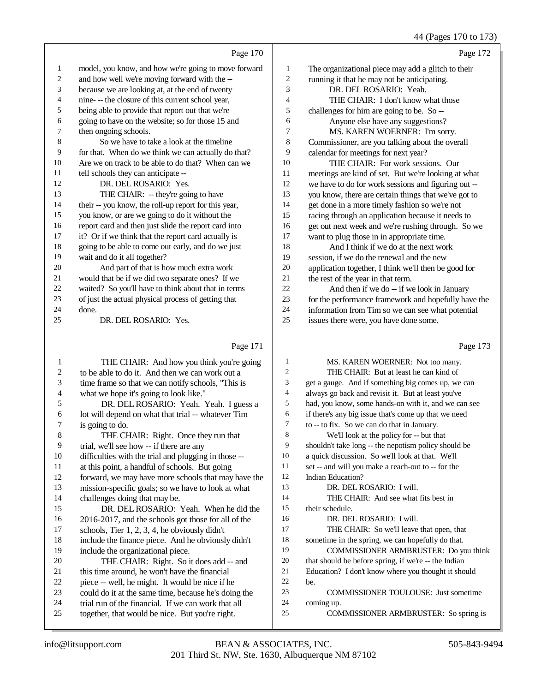## 44 (Pages 170 to 173)

| $+$ + $(1 \text{ gcs } 1)$ v w 17.                   |    |                                                      |                |
|------------------------------------------------------|----|------------------------------------------------------|----------------|
| Page 172                                             |    | Page 170                                             |                |
| The organizational piece may add a glitch to their   | 1  | model, you know, and how we're going to move forward | 1              |
| running it that he may not be anticipating.          | 2  | and how well we're moving forward with the --        | $\overline{c}$ |
| DR. DEL ROSARIO: Yeah.                               | 3  | because we are looking at, at the end of twenty      | 3              |
| THE CHAIR: I don't know what those                   | 4  | nine--- the closure of this current school year,     | 4              |
| challenges for him are going to be. So --            | 5  | being able to provide that report out that we're     | 5              |
| Anyone else have any suggestions?                    | 6  | going to have on the website; so for those 15 and    | 6              |
| MS. KAREN WOERNER: I'm sorry.                        | 7  | then ongoing schools.                                | 7              |
| Commissioner, are you talking about the overall      | 8  | So we have to take a look at the timeline            | 8              |
| calendar for meetings for next year?                 | 9  | for that. When do we think we can actually do that?  | 9              |
| THE CHAIR: For work sessions. Our                    | 10 | Are we on track to be able to do that? When can we   | 10             |
| meetings are kind of set. But we're looking at what  | 11 | tell schools they can anticipate --                  | 11             |
| we have to do for work sessions and figuring out --  | 12 | DR. DEL ROSARIO: Yes.                                | 12             |
| you know, there are certain things that we've got to | 13 | THE CHAIR: - they're going to have                   | 13             |
| get done in a more timely fashion so we're not       | 14 | their -- you know, the roll-up report for this year, | 14             |
| racing through an application because it needs to    | 15 | you know, or are we going to do it without the       | 15             |
| get out next week and we're rushing through. So we   | 16 | report card and then just slide the report card into | 16             |
| want to plug those in in appropriate time.           | 17 | it? Or if we think that the report card actually is  | 17             |
| And I think if we do at the next work                | 18 | going to be able to come out early, and do we just   | 18             |
| session, if we do the renewal and the new            | 19 | wait and do it all together?                         | 19             |
| application together, I think we'll then be good for | 20 | And part of that is how much extra work              | 20             |
| the rest of the year in that term.                   | 21 | would that be if we did two separate ones? If we     | 21             |
| And then if we do -- if we look in January           | 22 | waited? So you'll have to think about that in terms  | 22             |
| for the performance framework and hopefully have the | 23 | of just the actual physical process of getting that  | 23             |
| information from Tim so we can see what potential    | 24 | done.                                                | 24             |
| issues there were, you have done some.               | 25 | DR. DEL ROSARIO: Yes.                                | 25             |
| Page 173                                             |    | Page 171                                             |                |
|                                                      |    |                                                      |                |

### Page 171

| 1  | THE CHAIR: And how you think you're going            | 1              | MS. KAREN WOERNER: Not too many.                     |
|----|------------------------------------------------------|----------------|------------------------------------------------------|
| 2  | to be able to do it. And then we can work out a      | $\overline{2}$ | THE CHAIR: But at least he can kind of               |
| 3  | time frame so that we can notify schools, "This is   | 3              | get a gauge. And if something big comes up, we can   |
| 4  | what we hope it's going to look like."               | 4              | always go back and revisit it. But at least you've   |
| 5  | DR. DEL ROSARIO: Yeah. Yeah. I guess a               | 5              | had, you know, some hands-on with it, and we can see |
| 6  | lot will depend on what that trial -- whatever Tim   | 6              | if there's any big issue that's come up that we need |
| 7  | is going to do.                                      | 7              | to -- to fix. So we can do that in January.          |
| 8  | THE CHAIR: Right. Once they run that                 | 8              | We'll look at the policy for -- but that             |
| 9  | trial, we'll see how -- if there are any             | 9              | shouldn't take long -- the nepotism policy should be |
| 10 | difficulties with the trial and plugging in those -- | 10             | a quick discussion. So we'll look at that. We'll     |
| 11 | at this point, a handful of schools. But going       | 11             | set -- and will you make a reach-out to -- for the   |
| 12 | forward, we may have more schools that may have the  | 12             | Indian Education?                                    |
| 13 | mission-specific goals; so we have to look at what   | 13             | DR. DEL ROSARIO: I will.                             |
| 14 | challenges doing that may be.                        | 14             | THE CHAIR: And see what fits best in                 |
| 15 | DR. DEL ROSARIO: Yeah. When he did the               | 15             | their schedule.                                      |
| 16 | 2016-2017, and the schools got those for all of the  | 16             | DR. DEL ROSARIO: I will.                             |
| 17 | schools, Tier $1, 2, 3, 4$ , he obviously didn't     | 17             | THE CHAIR: So we'll leave that open, that            |
| 18 | include the finance piece. And he obviously didn't   | 18             | sometime in the spring, we can hopefully do that.    |
| 19 | include the organizational piece.                    | 19             | COMMISSIONER ARMBRUSTER: Do you think                |
| 20 | THE CHAIR: Right. So it does add -- and              | 20             | that should be before spring, if we're -- the Indian |
| 21 | this time around, he won't have the financial        | 21             | Education? I don't know where you thought it should  |
| 22 | piece -- well, he might. It would be nice if he      | 22             | be.                                                  |
| 23 | could do it at the same time, because he's doing the | 23             | <b>COMMISSIONER TOULOUSE:</b> Just sometime          |
| 24 | trial run of the financial. If we can work that all  | 24             | coming up.                                           |
| 25 | together, that would be nice. But you're right.      | 25             | COMMISSIONER ARMBRUSTER: So spring is                |
|    |                                                      |                |                                                      |
|    |                                                      |                |                                                      |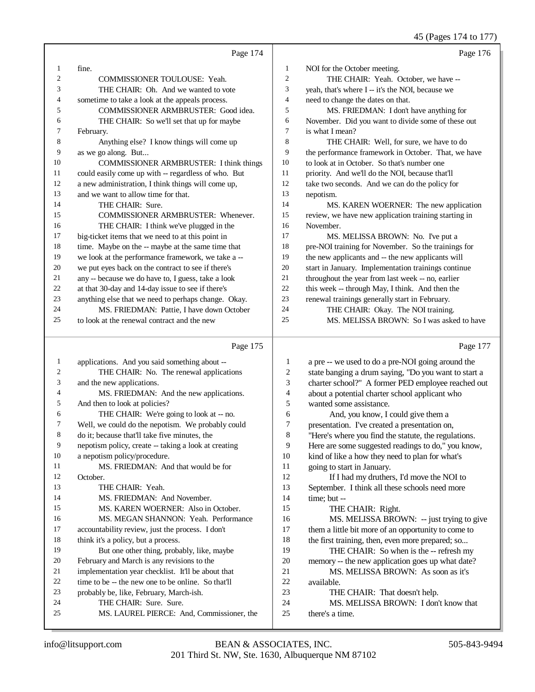45 (Pages 174 to 177)

|                |                                                      |                         | 45 (Fages 174 to 177)                                |
|----------------|------------------------------------------------------|-------------------------|------------------------------------------------------|
|                | Page 174                                             |                         | Page 176                                             |
| 1              | fine.                                                | $\mathbf{1}$            | NOI for the October meeting.                         |
| $\overline{c}$ | COMMISSIONER TOULOUSE: Yeah.                         | $\sqrt{2}$              | THE CHAIR: Yeah. October, we have --                 |
| 3              | THE CHAIR: Oh. And we wanted to vote                 | 3                       | yeah, that's where I -- it's the NOI, because we     |
| 4              | sometime to take a look at the appeals process.      | $\overline{4}$          | need to change the dates on that.                    |
| 5              | COMMISSIONER ARMBRUSTER: Good idea.                  | 5                       | MS. FRIEDMAN: I don't have anything for              |
| 6              | THE CHAIR: So we'll set that up for maybe            | 6                       | November. Did you want to divide some of these out   |
| 7              | February.                                            | $\tau$                  | is what I mean?                                      |
| 8              | Anything else? I know things will come up            | $\bf 8$                 | THE CHAIR: Well, for sure, we have to do             |
| 9              | as we go along. But                                  | 9                       | the performance framework in October. That, we have  |
| 10             | <b>COMMISSIONER ARMBRUSTER: I think things</b>       | 10                      | to look at in October. So that's number one          |
| 11             | could easily come up with -- regardless of who. But  | 11                      | priority. And we'll do the NOI, because that'll      |
| 12             | a new administration, I think things will come up,   | 12                      | take two seconds. And we can do the policy for       |
| 13             | and we want to allow time for that.                  | 13                      | nepotism.                                            |
| 14             | THE CHAIR: Sure.                                     | 14                      | MS. KAREN WOERNER: The new application               |
| 15             | <b>COMMISSIONER ARMBRUSTER: Whenever.</b>            | 15                      | review, we have new application training starting in |
| 16             | THE CHAIR: I think we've plugged in the              | 16                      | November.                                            |
| 17             | big-ticket items that we need to at this point in    | 17                      | MS. MELISSA BROWN: No. I've put a                    |
| $18\,$         | time. Maybe on the -- maybe at the same time that    | 18                      | pre-NOI training for November. So the trainings for  |
| 19             | we look at the performance framework, we take a --   | 19                      | the new applicants and -- the new applicants will    |
| 20             | we put eyes back on the contract to see if there's   | 20                      | start in January. Implementation trainings continue  |
| 21             | any -- because we do have to, I guess, take a look   | 21                      | throughout the year from last week -- no, earlier    |
| $22\,$         | at that 30-day and 14-day issue to see if there's    | 22                      | this week -- through May, I think. And then the      |
| 23             | anything else that we need to perhaps change. Okay.  | 23                      | renewal trainings generally start in February.       |
| 24             | MS. FRIEDMAN: Pattie, I have down October            | 24                      | THE CHAIR: Okay. The NOI training.                   |
| 25             | to look at the renewal contract and the new          | 25                      | MS. MELISSA BROWN: So I was asked to have            |
|                | Page 175                                             |                         | Page 177                                             |
| 1              | applications. And you said something about --        | $\mathbf{1}$            | a pre -- we used to do a pre-NOI going around the    |
| $\overline{c}$ | THE CHAIR: No. The renewal applications              | $\overline{\mathbf{c}}$ | state banging a drum saying, "Do you want to start a |
| 3              | and the new applications.                            | 3                       | charter school?" A former PED employee reached out   |
| 4              | MS. FRIEDMAN: And the new applications.              | $\overline{4}$          | about a potential charter school applicant who       |
| 5              | And then to look at policies?                        | 5                       | wanted some assistance.                              |
| 6              | THE CHAIR: We're going to look at -- no.             | 6                       | And, you know, I could give them a                   |
| 7              | Well, we could do the nepotism. We probably could    | 7                       | presentation. I've created a presentation on,        |
| 8              | do it; because that'll take five minutes, the        | 8                       | "Here's where you find the statute, the regulations. |
| 9              | nepotism policy, create -- taking a look at creating | 9                       | Here are some suggested readings to do," you know,   |
| 10             | a nepotism policy/procedure.                         | 10                      | kind of like a how they need to plan for what's      |
| 11             | MS. FRIEDMAN: And that would be for                  | 11                      | going to start in January.                           |

going to start in January.

 If I had my druthers, I'd move the NOI to September. I think all these schools need more time; but --

THE CHAIR: Right.

- MS. MELISSA BROWN: -- just trying to give them a little bit more of an opportunity to come to
- 18 the first training, then, even more prepared; so...
- 19 THE CHAIR: So when is the -- refresh my
- memory -- the new application goes up what date?
- MS. MELISSA BROWN: As soon as it's available.
- THE CHAIR: That doesn't help.
- MS. MELISSA BROWN: I don't know that
- there's a time.

October.

THE CHAIR: Yeah.

18 think it's a policy, but a process.<br>19 But one other thing, proba

24 THE CHAIR: Sure. Sure.<br>25 MS LAUREL PIERCE: A

MS. FRIEDMAN: And November.

February and March is any revisions to the

21 implementation year checklist. It'll be about that<br>22 time to be -- the new one to be online. So that'll 22 time to be -- the new one to be online. So that'll<br>23 probably be, like. February, March-ish. probably be, like, February, March-ish.

 MS. KAREN WOERNER: Also in October. MS. MEGAN SHANNON: Yeah. Performance accountability review, just the process. I don't

But one other thing, probably, like, maybe

MS. LAUREL PIERCE: And, Commissioner, the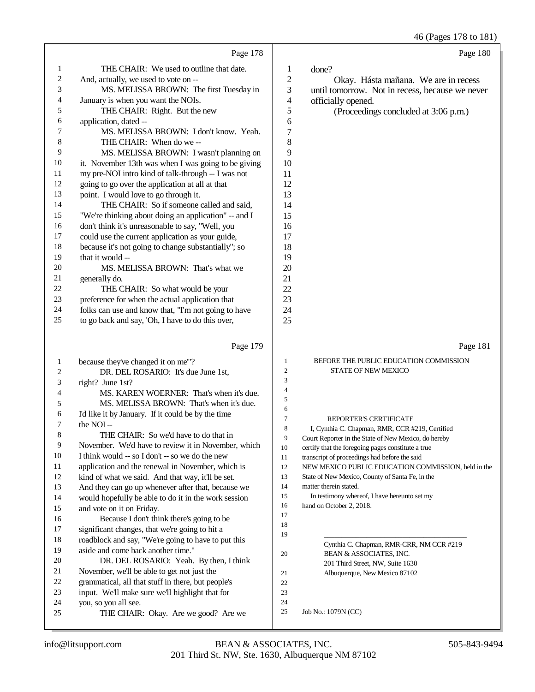46 (Pages 178 to 181)

|                  | Page 178                                                                                  |                     | Page 180                                                               |
|------------------|-------------------------------------------------------------------------------------------|---------------------|------------------------------------------------------------------------|
| 1                | THE CHAIR: We used to outline that date.                                                  | $\mathbf{1}$        | done?                                                                  |
| $\boldsymbol{2}$ | And, actually, we used to vote on --                                                      | $\mathfrak{2}$      | Okay. Hásta mañana. We are in recess                                   |
| 3                | MS. MELISSA BROWN: The first Tuesday in                                                   | 3                   | until tomorrow. Not in recess, because we never                        |
| 4                | January is when you want the NOIs.                                                        | 4                   | officially opened.                                                     |
| 5                | THE CHAIR: Right. But the new                                                             | 5                   | (Proceedings concluded at 3:06 p.m.)                                   |
| 6                | application, dated --                                                                     | 6                   |                                                                        |
| 7                | MS. MELISSA BROWN: I don't know. Yeah.                                                    | 7                   |                                                                        |
| 8                | THE CHAIR: When do we --                                                                  | 8                   |                                                                        |
| 9                | MS. MELISSA BROWN: I wasn't planning on                                                   | 9                   |                                                                        |
| 10               | it. November 13th was when I was going to be giving                                       | 10                  |                                                                        |
| 11               | my pre-NOI intro kind of talk-through -- I was not                                        | 11                  |                                                                        |
| 12               | going to go over the application at all at that                                           | 12                  |                                                                        |
| 13               | point. I would love to go through it.                                                     | 13                  |                                                                        |
| 14               | THE CHAIR: So if someone called and said,                                                 | 14                  |                                                                        |
| 15               | "We're thinking about doing an application" -- and I                                      | 15                  |                                                                        |
| 16               | don't think it's unreasonable to say, "Well, you                                          | 16                  |                                                                        |
| 17               | could use the current application as your guide,                                          | 17                  |                                                                        |
| 18               | because it's not going to change substantially"; so                                       | 18                  |                                                                        |
| 19               | that it would --                                                                          | 19                  |                                                                        |
| 20               | MS. MELISSA BROWN: That's what we                                                         | 20                  |                                                                        |
| 21               | generally do.                                                                             | 21                  |                                                                        |
| $22\,$           | THE CHAIR: So what would be your                                                          | 22                  |                                                                        |
| 23               | preference for when the actual application that                                           | 23                  |                                                                        |
| 24               | folks can use and know that, "I'm not going to have                                       | 24                  |                                                                        |
| 25               | to go back and say, 'Oh, I have to do this over,                                          | 25                  |                                                                        |
|                  |                                                                                           |                     |                                                                        |
|                  |                                                                                           |                     |                                                                        |
|                  | Page 179                                                                                  |                     | Page 181                                                               |
| $\mathbf{1}$     | because they've changed it on me""?                                                       | 1                   | BEFORE THE PUBLIC EDUCATION COMMISSION                                 |
| 2                | DR. DEL ROSARIO: It's due June 1st,                                                       | 2                   | STATE OF NEW MEXICO                                                    |
| 3                | right? June 1st?                                                                          | 3<br>$\overline{4}$ |                                                                        |
| 4                | MS. KAREN WOERNER: That's when it's due.                                                  | 5                   |                                                                        |
| 5                | MS. MELISSA BROWN: That's when it's due.                                                  | 6                   |                                                                        |
| 6                | I'd like it by January. If it could be by the time                                        | $\overline{7}$      | REPORTER'S CERTIFICATE                                                 |
| 7                | the NOI-                                                                                  | 8                   | I, Cynthia C. Chapman, RMR, CCR #219, Certified                        |
| 8                | THE CHAIR: So we'd have to do that in                                                     | 9                   | Court Reporter in the State of New Mexico, do hereby                   |
| 9                | November. We'd have to review it in November, which                                       | 10                  | certify that the foregoing pages constitute a true                     |
| 10               | I think would -- so I don't -- so we do the new                                           | 11                  | transcript of proceedings had before the said                          |
| 11               | application and the renewal in November, which is                                         | 12                  | NEW MEXICO PUBLIC EDUCATION COMMISSION, held in the                    |
| 12               | kind of what we said. And that way, it'll be set.                                         | 13<br>14            | State of New Mexico, County of Santa Fe, in the                        |
| 13               | And they can go up whenever after that, because we                                        | 15                  | matter therein stated.<br>In testimony whereof, I have hereunto set my |
| 14               | would hopefully be able to do it in the work session                                      | 16                  | hand on October 2, 2018.                                               |
| 15               | and vote on it on Friday.                                                                 | 17                  |                                                                        |
| 16<br>17         | Because I don't think there's going to be                                                 | 18                  |                                                                        |
| 18               | significant changes, that we're going to hit a                                            | 19                  |                                                                        |
| 19               | roadblock and say, "We're going to have to put this<br>aside and come back another time." |                     | Cynthia C. Chapman, RMR-CRR, NM CCR #219                               |
| 20               | DR. DEL ROSARIO: Yeah. By then, I think                                                   | 20                  | BEAN & ASSOCIATES, INC.                                                |
| 21               | November, we'll be able to get not just the                                               |                     | 201 Third Street, NW, Suite 1630                                       |
| 22               | grammatical, all that stuff in there, but people's                                        | 21<br>22            | Albuquerque, New Mexico 87102                                          |
| 23               | input. We'll make sure we'll highlight that for                                           | 23                  |                                                                        |
| 24               | you, so you all see.                                                                      | 24                  |                                                                        |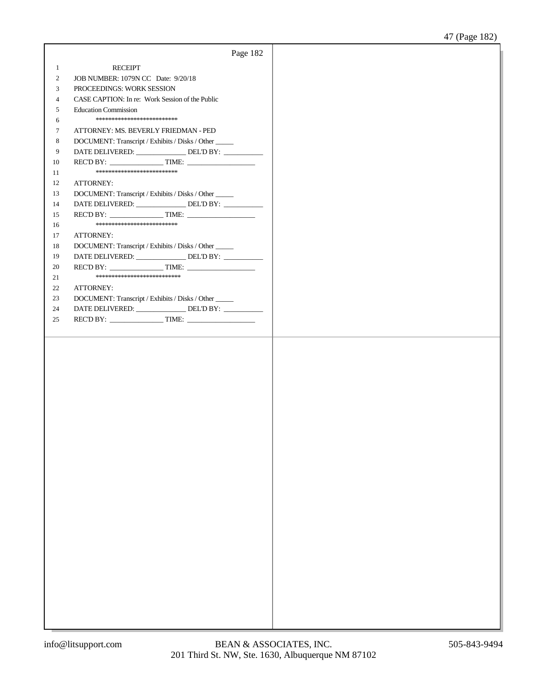|              | Page 182                                               |  |
|--------------|--------------------------------------------------------|--|
| $\mathbf{1}$ | <b>RECEIPT</b>                                         |  |
| 2            | JOB NUMBER: 1079N CC Date: 9/20/18                     |  |
| 3            | PROCEEDINGS: WORK SESSION                              |  |
| 4            | CASE CAPTION: In re: Work Session of the Public        |  |
| 5            | <b>Education Commission</b>                            |  |
| 6            | **************************                             |  |
| 7            | ATTORNEY: MS. BEVERLY FRIEDMAN - PED                   |  |
| 8            | DOCUMENT: Transcript / Exhibits / Disks / Other _____  |  |
| 9            | DATE DELIVERED: ________________ DEL'D BY: ___________ |  |
| 10           |                                                        |  |
| 11           | **************************                             |  |
| 12           | ATTORNEY:                                              |  |
| 13           | DOCUMENT: Transcript / Exhibits / Disks / Other _____  |  |
| 14           | DATE DELIVERED: _______________ DEL'D BY: __________   |  |
| 15           |                                                        |  |
| 16           | **************************                             |  |
| 17           | ATTORNEY:                                              |  |
| 18           | DOCUMENT: Transcript / Exhibits / Disks / Other _____  |  |
| 19           | DATE DELIVERED: _______________ DEL'D BY: __________   |  |
| 20           |                                                        |  |
| 21           | ***************************                            |  |
| 22           | ATTORNEY:                                              |  |
| 23           | DOCUMENT: Transcript / Exhibits / Disks / Other _____  |  |
| 24           | DATE DELIVERED: _______________DEL'D BY: ____________  |  |
| 25           |                                                        |  |
|              |                                                        |  |
|              |                                                        |  |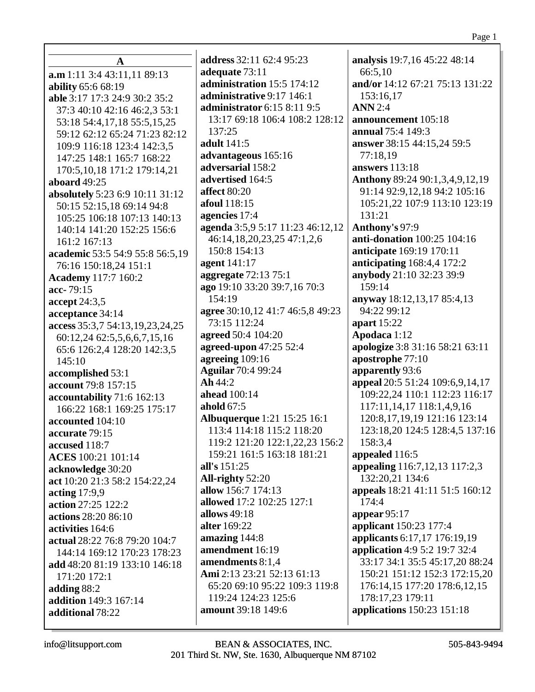| A                               | <b>address</b> 32:11 62:4 95:23    | analysis 19:7,16 45:22 48:14      |
|---------------------------------|------------------------------------|-----------------------------------|
| a.m 1:11 3:4 43:11,11 89:13     | adequate 73:11                     | 66:5,10                           |
| ability 65:6 68:19              | administration 15:5 174:12         | and/or 14:12 67:21 75:13 131:22   |
| able 3:17 17:3 24:9 30:2 35:2   | administrative 9:17 146:1          | 153:16,17                         |
| 37:3 40:10 42:16 46:2,3 53:1    | administrator 6:15 8:11 9:5        | <b>ANN</b> 2:4                    |
| 53:18 54:4,17,18 55:5,15,25     | 13:17 69:18 106:4 108:2 128:12     | announcement 105:18               |
| 59:12 62:12 65:24 71:23 82:12   | 137:25                             | annual 75:4 149:3                 |
| 109:9 116:18 123:4 142:3,5      | adult 141:5                        | answer 38:15 44:15,24 59:5        |
| 147:25 148:1 165:7 168:22       | advantageous 165:16                | 77:18,19                          |
| 170:5,10,18 171:2 179:14,21     | adversarial 158:2                  | <b>answers</b> 113:18             |
| aboard $49:25$                  | advertised 164:5                   | Anthony 89:24 90:1,3,4,9,12,19    |
| absolutely 5:23 6:9 10:11 31:12 | affect 80:20                       | 91:14 92:9,12,18 94:2 105:16      |
| 50:15 52:15,18 69:14 94:8       | afoul 118:15                       | 105:21,22 107:9 113:10 123:19     |
| 105:25 106:18 107:13 140:13     | agencies 17:4                      | 131:21                            |
| 140:14 141:20 152:25 156:6      | agenda 3:5,9 5:17 11:23 46:12,12   | Anthony's 97:9                    |
| 161:2 167:13                    | 46:14,18,20,23,25 47:1,2,6         | anti-donation 100:25 104:16       |
| academic 53:5 54:9 55:8 56:5,19 | 150:8 154:13                       | anticipate 169:19 170:11          |
| 76:16 150:18,24 151:1           | agent 141:17                       | anticipating 168:4,4 172:2        |
| <b>Academy</b> 117:7 160:2      | aggregate 72:13 75:1               | anybody 21:10 32:23 39:9          |
| acc-79:15                       | ago 19:10 33:20 39:7,16 70:3       | 159:14                            |
| accept $24:3,5$                 | 154:19                             | anyway 18:12,13,17 85:4,13        |
| acceptance 34:14                | agree 30:10,12 41:7 46:5,8 49:23   | 94:22 99:12                       |
| access 35:3,7 54:13,19,23,24,25 | 73:15 112:24                       | apart 15:22                       |
| 60:12,24 62:5,5,6,6,7,15,16     | agreed 50:4 104:20                 | Apodaca 1:12                      |
| 65:6 126:2,4 128:20 142:3,5     | agreed-upon 47:25 52:4             | apologize 3:8 31:16 58:21 63:11   |
| 145:10                          | agreeing 109:16                    | apostrophe 77:10                  |
| accomplished 53:1               | <b>Aguilar</b> 70:4 99:24          | apparently 93:6                   |
| account 79:8 157:15             | Ah44:2                             | appeal 20:5 51:24 109:6,9,14,17   |
| accountability 71:6 162:13      | ahead 100:14                       | 109:22,24 110:1 112:23 116:17     |
| 166:22 168:1 169:25 175:17      | ahold $67:5$                       | 117:11, 14, 17 118:1, 4, 9, 16    |
| accounted 104:10                | <b>Albuquerque</b> 1:21 15:25 16:1 | 120:8, 17, 19, 19 121: 16 123: 14 |
| accurate 79:15                  | 113:4 114:18 115:2 118:20          | 123:18,20 124:5 128:4,5 137:16    |
| accused 118:7                   | 119:2 121:20 122:1,22,23 156:2     | 158:3,4                           |
| ACES 100:21 101:14              | 159:21 161:5 163:18 181:21         | appealed 116:5                    |
| acknowledge 30:20               | all's 151:25                       | appealing 116:7,12,13 117:2,3     |
| act 10:20 21:3 58:2 154:22,24   | All-righty 52:20                   | 132:20,21 134:6                   |
| acting $17:9,9$                 | allow 156:7 174:13                 | appeals 18:21 41:11 51:5 160:12   |
| action 27:25 122:2              | allowed 17:2 102:25 127:1          | 174:4                             |
| actions 28:20 86:10             | allows 49:18                       | appear $95:17$                    |
| activities 164:6                | alter 169:22                       | applicant 150:23 177:4            |
| actual 28:22 76:8 79:20 104:7   | amazing 144:8                      | applicants 6:17,17 176:19,19      |
| 144:14 169:12 170:23 178:23     | amendment 16:19                    | application 4:9 5:2 19:7 32:4     |
| add 48:20 81:19 133:10 146:18   | amendments 8:1,4                   | 33:17 34:1 35:5 45:17,20 88:24    |
| 171:20 172:1                    | Ami 2:13 23:21 52:13 61:13         | 150:21 151:12 152:3 172:15,20     |
| adding $88:2$                   | 65:20 69:10 95:22 109:3 119:8      | 176:14,15 177:20 178:6,12,15      |
| addition 149:3 167:14           | 119:24 124:23 125:6                | 178:17,23 179:11                  |
| additional 78:22                | amount 39:18 149:6                 | applications 150:23 151:18        |
|                                 |                                    |                                   |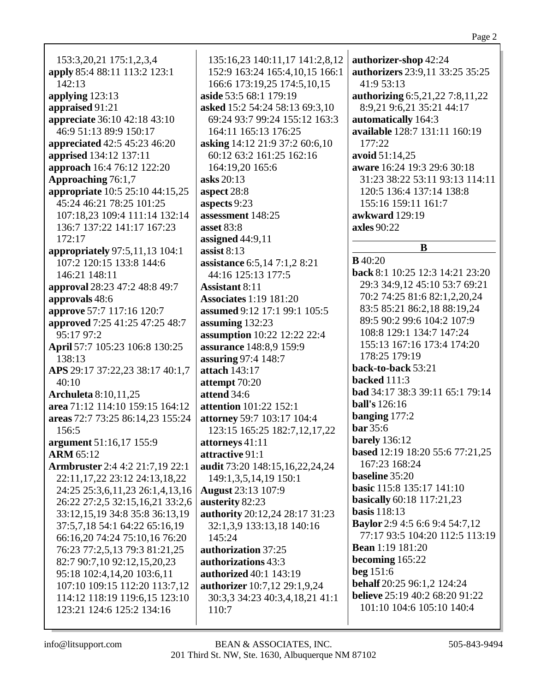| 153:3,20,21 175:1,2,3,4                | 135:16,23 140:11,17 141:2,8,12      |  |  |
|----------------------------------------|-------------------------------------|--|--|
| apply 85:4 88:11 113:2 123:1           | 152:9 163:24 165:4,10,15 166:1      |  |  |
| 142:13                                 | 166:6 173:19,25 174:5,10,15         |  |  |
| applying $123:13$                      | aside 53:5 68:1 179:19              |  |  |
| appraised 91:21                        | asked 15:2 54:24 58:13 69:3,10      |  |  |
| <b>appreciate</b> 36:10 42:18 43:10    | 69:24 93:7 99:24 155:12 163:3       |  |  |
| 46:9 51:13 89:9 150:17                 | 164:11 165:13 176:25                |  |  |
| appreciated 42:5 45:23 46:20           | asking 14:12 21:9 37:2 60:6,10      |  |  |
| apprised 134:12 137:11                 | 60:12 63:2 161:25 162:16            |  |  |
| approach 16:4 76:12 122:20             | 164:19,20 165:6                     |  |  |
| Approaching 76:1,7                     | asks 20:13                          |  |  |
| appropriate 10:5 25:10 44:15,25        | aspect 28:8                         |  |  |
| 45:24 46:21 78:25 101:25               | aspects 9:23                        |  |  |
| 107:18,23 109:4 111:14 132:14          | assessment 148:25                   |  |  |
| 136:7 137:22 141:17 167:23             | asset 83:8                          |  |  |
| 172:17                                 | assigned $44:9,11$                  |  |  |
| appropriately 97:5,11,13 104:1         | assist $8:13$                       |  |  |
| 107:2 120:15 133:8 144:6               | assistance 6:5,14 7:1,2 8:21        |  |  |
| 146:21 148:11                          | 44:16 125:13 177:5                  |  |  |
| approval 28:23 47:2 48:8 49:7          | <b>Assistant 8:11</b>               |  |  |
| approvals 48:6                         | <b>Associates</b> 1:19 181:20       |  |  |
| approve 57:7 117:16 120:7              | assumed 9:12 17:1 99:1 105:5        |  |  |
|                                        |                                     |  |  |
| approved 7:25 41:25 47:25 48:7         | assuming 132:23                     |  |  |
| 95:17 97:2                             | assumption 10:22 12:22 22:4         |  |  |
| April 57:7 105:23 106:8 130:25         | assurance 148:8,9 159:9             |  |  |
| 138:13                                 | assuring 97:4 148:7                 |  |  |
| APS 29:17 37:22,23 38:17 40:1,7        | attach 143:17                       |  |  |
| 40:10                                  | attempt 70:20                       |  |  |
| <b>Archuleta</b> 8:10,11,25            | attend 34:6                         |  |  |
| area 71:12 114:10 159:15 164:12        | <b>attention</b> 101:22 152:1       |  |  |
| areas 72:7 73:25 86:14,23 155:24       | attorney 59:7 103:17 104:4          |  |  |
| 156:5                                  | 123:15 165:25 182:7, 12, 17, 22     |  |  |
| argument 51:16,17 155:9                | attorneys 41:11                     |  |  |
| <b>ARM 65:12</b>                       | attractive 91:1                     |  |  |
| <b>Armbruster</b> 2:4 4:2 21:7,19 22:1 | audit 73:20 148:15,16,22,24,24      |  |  |
| 22:11,17,22 23:12 24:13,18,22          | 149:1,3,5,14,19 150:1               |  |  |
| 24:25 25:3,6,11,23 26:1,4,13,16        | <b>August</b> 23:13 107:9           |  |  |
| 26:22 27:2,5 32:15,16,21 33:2,6        | austerity 82:23                     |  |  |
| 33:12,15,19 34:8 35:8 36:13,19         | authority 20:12,24 28:17 31:23      |  |  |
| 37:5,7,18 54:1 64:22 65:16,19          | 32:1,3,9 133:13,18 140:16           |  |  |
| 66:16,20 74:24 75:10,16 76:20          | 145:24                              |  |  |
| 76:23 77:2,5,13 79:3 81:21,25          | authorization 37:25                 |  |  |
| 82:7 90:7,10 92:12,15,20,23            | authorizations 43:3                 |  |  |
| 95:18 102:4,14,20 103:6,11             | authorized 40:1 143:19              |  |  |
| 107:10 109:15 112:20 113:7,12          | <b>authorizer</b> 10:7,12 29:1,9,24 |  |  |
| 114:12 118:19 119:6,15 123:10          | 30:3,3 34:23 40:3,4,18,21 41:1      |  |  |
| 123:21 124:6 125:2 134:16              | 110:7                               |  |  |
|                                        |                                     |  |  |
|                                        |                                     |  |  |

101:10 104:6 105:10 140:4

**authorizer-shop** 42:24

**automatically** 164:3

41:9 53:13

177:22 **avoid** 51:14,25

**authorizers** 23:9,11 33:25 35:25

**authorizing** 6:5,21,22 7:8,11,22 8:9,21 9:6,21 35:21 44:17

**available** 128:7 131:11 160:19

**aware** 16:24 19:3 29:6 30:18

120:5 136:4 137:14 138:8

31:23 38:22 53:11 93:13 114:11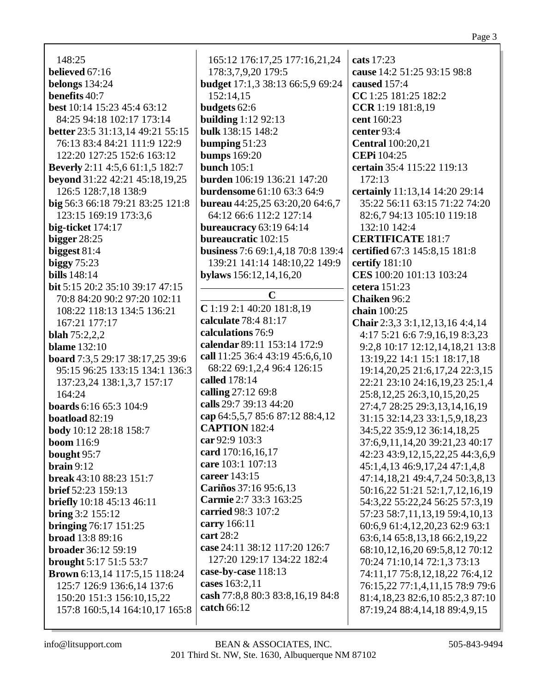| 148:25                                 |  |
|----------------------------------------|--|
| believed $67:16$                       |  |
| belongs $134:24$                       |  |
| benefits 40:7                          |  |
| best 10:14 15:23 45:4 63:12            |  |
| 84:25 94:18 102:17 173:14              |  |
| better 23:5 31:13,14 49:21 55:15       |  |
| 76:13 83:4 84:21 111:9 122:9           |  |
| 122:20 127:25 152:6 163:12             |  |
|                                        |  |
| <b>Beverly</b> 2:11 4:5,6 61:1,5 182:7 |  |
| beyond 31:22 42:21 45:18,19,25         |  |
| 126:5 128:7,18 138:9                   |  |
| big 56:3 66:18 79:21 83:25 121:8       |  |
| 123:15 169:19 173:3,6                  |  |
| big-ticket 174:17                      |  |
| bigger $28:25$                         |  |
| biggest 81:4                           |  |
| biggy 75:23                            |  |
| <b>bills</b> 148:14                    |  |
| <b>bit</b> 5:15 20:2 35:10 39:17 47:15 |  |
| 70:8 84:20 90:2 97:20 102:11           |  |
| 108:22 118:13 134:5 136:21             |  |
| 167:21 177:17                          |  |
| <b>blah</b> $75:2,2,2$                 |  |
| blame $132:10$                         |  |
| board 7:3,5 29:17 38:17,25 39:6        |  |
| 95:15 96:25 133:15 134:1 136:3         |  |
| 137:23,24 138:1,3,7 157:17             |  |
| 164:24                                 |  |
| <b>boards</b> 6:16 65:3 104:9          |  |
| boatload 82:19                         |  |
| body 10:12 28:18 158:7                 |  |
| <b>boom</b> 116:9                      |  |
| bought 95:7                            |  |
| brain 9:12                             |  |
| break 43:10 88:23 151:7                |  |
| brief 52:23 159:13                     |  |
| <b>briefly</b> 10:18 45:13 46:11       |  |
| bring 3:2 155:12                       |  |
| <b>bringing</b> 76:17 151:25           |  |
| <b>broad</b> 13:8 89:16                |  |
| <b>broader</b> 36:12 59:19             |  |
| brought 5:17 51:5 53:7                 |  |
| Brown 6:13,14 117:5,15 118:24          |  |
| 125:7 126:9 136:6,14 137:6             |  |
| 150:20 151:3 156:10,15,22              |  |
| 157:8 160:5,14 164:10,17 165:8         |  |

165:12 176:17,25 177:16,21,24 178:3,7,9,20 179:5 **budget** 17:1,3 38:13 66:5,9 69:24 152:14,15 **budgets** 62:6 **building**  $1:1292:13$ bulk 138:15 148:2 bumping  $51:23$ **bumps** 169:20 bunch  $105:1$ **burden** 106:19 136:21 147:20 **burdensome** 61:10 63:3 64:9 **bureau** 44:25,25 63:20,20 64:6,7 64:12 66:6 112:2 127:14 **bureaucracy** 63:19 64:14 **bureaucratic** 102:15 **business** 7:6 69:1.4.18 70:8 139:4 139:21 141:14 148:10,22 149:9 bylaws  $156:12,14,16,20$  $\mathbf C$  $C$ 1:19 2:1 40:20 181:8.19 calculate 78:4 81:17 calculations 76:9 calendar 89:11 153:14 172:9 call 11:25 36:4 43:19 45:6,6,10 68:22 69:1,2,4 96:4 126:15 called 178:14 calling 27:12 69:8 calls 29:7 39:13 44:20 cap 64:5,5,7 85:6 87:12 88:4,12 **CAPTION** 182:4 car 92:9 103:3 card 170:16.16.17 care 103:1 107:13 career 143:15 Cariños 37:16 95:6.13 Carmie 2:7 33:3 163:25 carried 98:3 107:2 carry  $166:11$ **cart** 28:2 case 24:11 38:12 117:20 126:7 127:20 129:17 134:22 182:4 case-by-case 118:13 cases 163:2,11 cash 77:8,8 80:3 83:8,16,19 84:8 catch 66:12

cats 17:23 cause 14:2 51:25 93:15 98:8 caused 157:4 CC 1:25 181:25 182:2 CCR 1:19 181:8,19 cent 160:23 center  $93:4$ **Central** 100:20,21 **CEPi** 104:25 certain 35:4 115:22 119:13  $172:13$ certainly 11:13,14 14:20 29:14 35:22 56:11 63:15 71:22 74:20 82:6,7 94:13 105:10 119:18 132:10 142:4 **CERTIFICATE 181:7** certified 67:3 145:8.15 181:8 certify  $181:10$ CES 100:20 101:13 103:24 cetera  $151:23$ Chaiken 96:2 chain  $100:25$ Chair 2:3,3 3:1,12,13,16 4:4,14 4:17 5:21 6:6 7:9,16,19 8:3,23 9:2,8 10:17 12:12,14,18,21 13:8 13:19,22 14:1 15:1 18:17,18 19:14, 20, 25 21:6, 17, 24 22:3, 15 22:21 23:10 24:16,19,23 25:1,4 25:8,12,25 26:3,10,15,20,25 27:4,7 28:25 29:3,13,14,16,19 31:15 32:14,23 33:1,5,9,18,23 34:5,22 35:9,12 36:14,18,25 37:6,9,11,14,20 39:21,23 40:17 42:23 43:9,12,15,22,25 44:3,6,9 45:1,4,13 46:9,17,24 47:1,4,8 47:14,18,21 49:4,7,24 50:3,8,13 50:16,22 51:21 52:1,7,12,16,19 54:3,22 55:22,24 56:25 57:3,19 57:23 58:7,11,13,19 59:4,10,13 60:6,9 61:4,12,20,23 62:9 63:1 63:6,14 65:8,13,18 66:2,19,22 68:10,12,16,20 69:5,8,12 70:12 70:24 71:10,14 72:1,3 73:13 74:11,17 75:8,12,18,22 76:4,12 76:15,22 77:1,4,11,15 78:9 79:6 81:4,18,23 82:6,10 85:2,3 87:10 87:19,24 88:4,14,18 89:4,9,15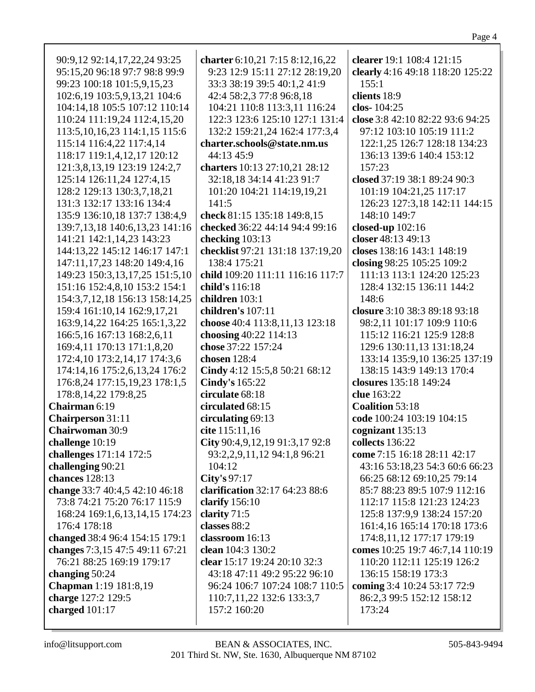|--|--|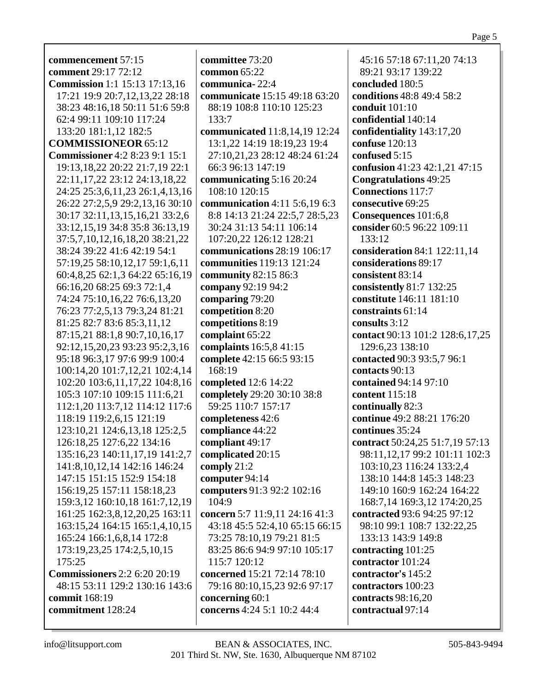**commencement** 57:15 **comment** 29:17 72:12 **Commission** 1:1 15:13 17:13,16 17:21 19:9 20:7,12,13,22 28:18 38:23 48:16,18 50:11 51:6 59:8 62:4 99:11 109:10 117:24 133:20 181:1,12 182:5 **COMMISSIONEOR** 65:12 **Commissioner** 4:2 8:23 9:1 15:1 19:13,18,22 20:22 21:7,19 22:1 22:11,17,22 23:12 24:13,18,22 24:25 25:3,6,11,23 26:1,4,13,16 26:22 27:2,5,9 29:2,13,16 30:10 30:17 32:11,13,15,16,21 33:2,6 33:12,15,19 34:8 35:8 36:13,19 37:5,7,10,12,16,18,20 38:21,22 38:24 39:22 41:6 42:19 54:1 57:19,25 58:10,12,17 59:1,6,11 60:4,8,25 62:1,3 64:22 65:16,19 66:16,20 68:25 69:3 72:1,4 74:24 75:10,16,22 76:6,13,20 76:23 77:2,5,13 79:3,24 81:21 81:25 82:7 83:6 85:3,11,12 87:15,21 88:1,8 90:7,10,16,17 92:12,15,20,23 93:23 95:2,3,16 95:18 96:3,17 97:6 99:9 100:4 100:14,20 101:7,12,21 102:4,14 102:20 103:6,11,17,22 104:8,16 105:3 107:10 109:15 111:6,21 112:1,20 113:7,12 114:12 117:6 118:19 119:2,6,15 121:19 123:10,21 124:6,13,18 125:2,5 126:18,25 127:6,22 134:16 135:16,23 140:11,17,19 141:2,7 141:8,10,12,14 142:16 146:24 147:15 151:15 152:9 154:18 156:19,25 157:11 158:18,23 159:3,12 160:10,18 161:7,12,19 161:25 162:3,8,12,20,25 163:11 163:15,24 164:15 165:1,4,10,15 165:24 166:1,6,8,14 172:8 173:19,23,25 174:2,5,10,15 175:25 **Commissioners** 2:2 6:20 20:19 48:15 53:11 129:2 130:16 143:6 **commit** 168:19 **commitment** 128:24

**committee** 73:20 **common** 65:22 **communica-** 22:4 **communicate** 15:15 49:18 63:20 88:19 108:8 110:10 125:23 133:7 **communicated** 11:8,14,19 12:24 13:1,22 14:19 18:19,23 19:4 27:10,21,23 28:12 48:24 61:24 66:3 96:13 147:19 **communicating** 5:16 20:24 108:10 120:15 **communication** 4:11 5:6,19 6:3 8:8 14:13 21:24 22:5,7 28:5,23 30:24 31:13 54:11 106:14 107:20,22 126:12 128:21 **communications** 28:19 106:17 **communities** 119:13 121:24 **community** 82:15 86:3 **company** 92:19 94:2 **comparing** 79:20 **competition** 8:20 **competitions** 8:19 **complaint** 65:22 **complaints** 16:5,8 41:15 **complete** 42:15 66:5 93:15 168:19 **completed** 12:6 14:22 **completely** 29:20 30:10 38:8 59:25 110:7 157:17 **completeness** 42:6 **compliance** 44:22 **compliant** 49:17 **complicated** 20:15 **comply** 21:2 **computer** 94:14 **computers** 91:3 92:2 102:16 104:9 **concern** 5:7 11:9,11 24:16 41:3 43:18 45:5 52:4,10 65:15 66:15 73:25 78:10,19 79:21 81:5 83:25 86:6 94:9 97:10 105:17 115:7 120:12 **concerned** 15:21 72:14 78:10 79:16 80:10,15,23 92:6 97:17 **concerning** 60:1 **concerns** 4:24 5:1 10:2 44:4

45:16 57:18 67:11,20 74:13 89:21 93:17 139:22 **concluded** 180:5 **conditions** 48:8 49:4 58:2 **conduit** 101:10 **confidential** 140:14 **confidentiality** 143:17,20 **confuse** 120:13 **confused** 5:15 **confusion** 41:23 42:1,21 47:15 **Congratulations** 49:25 **Connections** 117:7 **consecutive** 69:25 **Consequences** 101:6,8 **consider** 60:5 96:22 109:11 133:12 **consideration** 84:1 122:11,14 **considerations** 89:17 **consistent** 83:14 **consistently** 81:7 132:25 **constitute** 146:11 181:10 **constraints** 61:14 **consults** 3:12 **contact** 90:13 101:2 128:6,17,25 129:6,23 138:10 **contacted** 90:3 93:5,7 96:1 **contacts** 90:13 **contained** 94:14 97:10 **content** 115:18 **continually** 82:3 **continue** 49:2 88:21 176:20 **continues** 35:24 **contract** 50:24,25 51:7,19 57:13 98:11,12,17 99:2 101:11 102:3 103:10,23 116:24 133:2,4 138:10 144:8 145:3 148:23 149:10 160:9 162:24 164:22 168:7,14 169:3,12 174:20,25 **contracted** 93:6 94:25 97:12 98:10 99:1 108:7 132:22,25 133:13 143:9 149:8 **contracting** 101:25 **contractor** 101:24 **contractor's** 145:2 **contractors** 100:23 **contracts** 98:16,20 **contractual** 97:14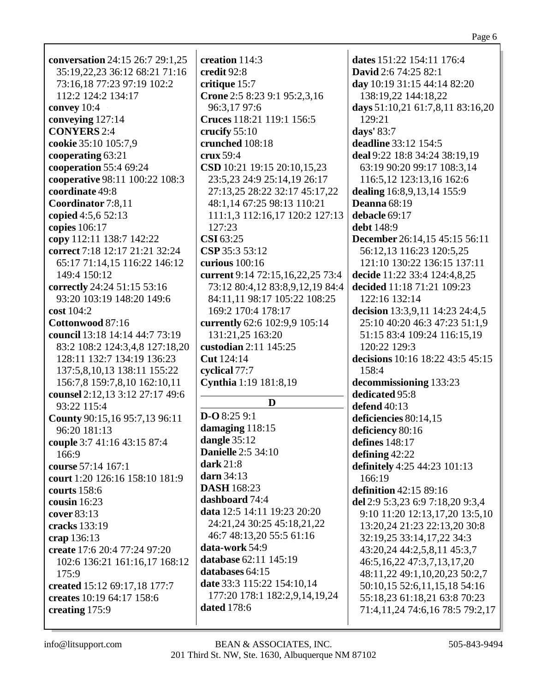|--|--|

| <b>conversation</b> 24:15 26:7 29:1,25 | cr                      |
|----------------------------------------|-------------------------|
| 35:19,22,23 36:12 68:21 71:16          |                         |
|                                        | cr                      |
| 73:16,18 77:23 97:19 102:2             | cr                      |
| 112:2 124:2 134:17                     | $\overline{C}$          |
| convey 10:4                            |                         |
| conveying 127:14                       | $\mathbf C$             |
| <b>CONYERS 2:4</b>                     | <b>cr</b>               |
| cookie 35:10 105:7,9                   | cr                      |
| cooperating 63:21                      | cr                      |
| cooperation 55:4 69:24                 | $\overline{\mathbf{C}}$ |
| cooperative 98:11 100:22 108:3         |                         |
| coordinate 49:8                        |                         |
| Coordinator 7:8,11                     |                         |
|                                        |                         |
| copied 4:5,6 52:13                     |                         |
| copies 106:17                          |                         |
| copy 112:11 138:7 142:22               | $\overline{\mathbf{C}}$ |
| correct 7:18 12:17 21:21 32:24         | $\overline{C}$          |
| 65:17 71:14,15 116:22 146:12           | $c\bar{c}$              |
| 149:4 150:12                           | $c\bar{c}$              |
| correctly 24:24 51:15 53:16            |                         |
| 93:20 103:19 148:20 149:6              |                         |
| cost 104:2                             |                         |
| Cottonwood 87:16                       | $c\bar{c}$              |
| council 13:18 14:14 44:7 73:19         |                         |
| 83:2 108:2 124:3,4,8 127:18,20         | cu                      |
| 128:11 132:7 134:19 136:23             | $\overline{\mathbf{C}}$ |
| 137:5,8,10,13 138:11 155:22            |                         |
|                                        | <b>cy</b>               |
| 156:7,8 159:7,8,10 162:10,11           | $\mathbf{C}$            |
| counsel 2:12,13 3:12 27:17 49:6        |                         |
| 93:22 115:4                            |                         |
| County 90:15,16 95:7,13 96:11          | D                       |
| 96:20 181:13                           | d                       |
| couple 3:7 41:16 43:15 87:4            | da                      |
| 166:9                                  | D                       |
| course 57:14 167:1                     | da                      |
| court 1:20 126:16 158:10 181:9         | da                      |
| courts 158:6                           | D                       |
| cousin $16:23$                         | d:                      |
| cover 83:13                            | da                      |
| cracks 133:19                          |                         |
| crap 136:13                            |                         |
| create 17:6 20:4 77:24 97:20           | da                      |
|                                        | da                      |
| 102:6 136:21 161:16,17 168:12          | da                      |
| 175:9                                  | d:                      |
| created 15:12 69:17,18 177:7           |                         |
| creates 10:19 64:17 158:6              |                         |
| creating 175:9                         | da                      |

**creation** 114:3 **credit** 92:8 **critique** 15:7 **rone** 2:5 8:23 9:1 95:2,3,16 96:3,17 97:6 **Cruces** 118:21 119:1 156:5 **crucify** 55:10 **crunched** 108:18 **crux** 59:4 **CSD** 10:21 19:15 20:10,15,23 23:5,23 24:9 25:14,19 26:17 27:13,25 28:22 32:17 45:17,22 48:1,14 67:25 98:13 110:21 111:1,3 112:16,17 120:2 127:13 127:23 **CSI** 63:25 **CSP** 35:3 53:12 **curious** 100:16 **current** 9:14 72:15,16,22,25 73:4 73:12 80:4,12 83:8,9,12,19 84:4 84:11,11 98:17 105:22 108:25 169:2 170:4 178:17 **currently** 62:6 102:9,9 105:14 131:21,25 163:20 **custodian** 2:11 145:25 **Cut** 124:14 **cyclical** 77:7 **Cynthia** 1:19 181:8,19 **D**  $-$ **O** 8:25 9:1 **damaging** 118:15 **dangle** 35:12 **Danielle** 2:5 34:10 **dark** 21:8 **darn** 34:13 **ASH** 168:23 **dashboard** 74:4 **data** 12:5 14:11 19:23 20:20 24:21,24 30:25 45:18,21,22 46:7 48:13,20 55:5 61:16 **data-work** 54:9 **database** 62:11 145:19 **databases** 64:15 **date** 33:3 115:22 154:10,14 177:20 178:1 182:2,9,14,19,24 **dated** 178:6

**dates** 151:22 154:11 176:4 **David** 2:6 74:25 82:1 **day** 10:19 31:15 44:14 82:20 138:19,22 144:18,22 **days** 51:10,21 61:7,8,11 83:16,20 129:21 **days'** 83:7 **deadline** 33:12 154:5 **deal** 9:22 18:8 34:24 38:19,19 63:19 90:20 99:17 108:3,14 116:5,12 123:13,16 162:6 **dealing** 16:8,9,13,14 155:9 **Deanna** 68:19 **debacle** 69:17 **debt** 148:9 **December** 26:14,15 45:15 56:11 56:12,13 116:23 120:5,25 121:10 130:22 136:15 137:11 **decide** 11:22 33:4 124:4,8,25 **decided** 11:18 71:21 109:23 122:16 132:14 **decision** 13:3,9,11 14:23 24:4,5 25:10 40:20 46:3 47:23 51:1,9 51:15 83:4 109:24 116:15,19 120:22 129:3 **decisions** 10:16 18:22 43:5 45:15 158:4 **decommissioning** 133:23 **dedicated** 95:8 **defend** 40:13 **deficiencies** 80:14,15 **deficiency** 80:16 **defines** 148:17 **defining** 42:22 **definitely** 4:25 44:23 101:13  $166.19$ **definition** 42:15 89:16 **del** 2:9 5:3,23 6:9 7:18,20 9:3,4 9:10 11:20 12:13,17,20 13:5,10 13:20,24 21:23 22:13,20 30:8 32:19,25 33:14,17,22 34:3 43:20,24 44:2,5,8,11 45:3,7 46:5,16,22 47:3,7,13,17,20 48:11,22 49:1,10,20,23 50:2,7 50:10,15 52:6,11,15,18 54:16 55:18,23 61:18,21 63:8 70:23 71:4,11,24 74:6,16 78:5 79:2,17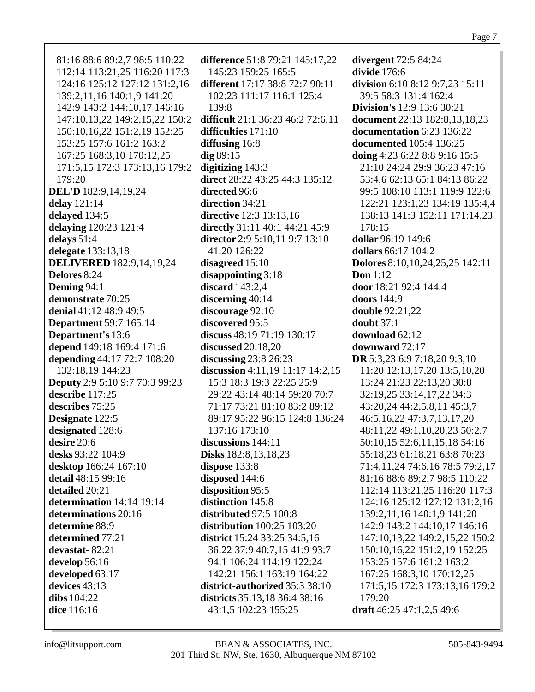| 81:16 88:6 89:2,7 98:5 110:22               | difference 51:8 79:21 145:17,22                    | divergent 72:5 84:24                       |
|---------------------------------------------|----------------------------------------------------|--------------------------------------------|
| 112:14 113:21,25 116:20 117:3               | 145:23 159:25 165:5                                | divide 176:6                               |
| 124:16 125:12 127:12 131:2,16               | different 17:17 38:8 72:7 90:11                    | division 6:10 8:12 9:7,23 15:11            |
| 139:2,11,16 140:1,9 141:20                  | 102:23 111:17 116:1 125:4                          | 39:5 58:3 131:4 162:4                      |
| 142:9 143:2 144:10,17 146:16                | 139:8                                              | <b>Division's</b> 12:9 13:6 30:21          |
| 147:10,13,22 149:2,15,22 150:2              | difficult 21:1 36:23 46:2 72:6,11                  | document 22:13 182:8,13,18,23              |
| 150:10,16,22 151:2,19 152:25                | difficulties 171:10                                | documentation 6:23 136:22                  |
| 153:25 157:6 161:2 163:2                    | diffusing 16:8                                     | documented 105:4 136:25                    |
| 167:25 168:3,10 170:12,25                   | $dig$ 89:15                                        | doing 4:23 6:22 8:8 9:16 15:5              |
|                                             |                                                    |                                            |
| 171:5,15 172:3 173:13,16 179:2              | digitizing 143:3<br>direct 28:22 43:25 44:3 135:12 | 21:10 24:24 29:9 36:23 47:16               |
| 179:20                                      |                                                    | 53:4,6 62:13 65:1 84:13 86:22              |
| <b>DEL'D</b> 182:9,14,19,24                 | directed 96:6                                      | 99:5 108:10 113:1 119:9 122:6              |
| delay $121:14$                              | direction 34:21                                    | 122:21 123:1,23 134:19 135:4,4             |
| delayed 134:5                               | directive 12:3 13:13,16                            | 138:13 141:3 152:11 171:14,23              |
| delaying 120:23 121:4                       | directly 31:11 40:1 44:21 45:9                     | 178:15                                     |
| delays 51:4                                 | director 2:9 5:10,11 9:7 13:10                     | dollar 96:19 149:6                         |
| delegate 133:13,18                          | 41:20 126:22                                       | dollars 66:17 104:2                        |
| <b>DELIVERED</b> 182:9,14,19,24             | disagreed $15:10$                                  | <b>Dolores</b> 8:10, 10, 24, 25, 25 142:11 |
| Delores 8:24                                | disappointing 3:18                                 | Don $1:12$                                 |
| Deming 94:1                                 | discard $143:2,4$                                  | door 18:21 92:4 144:4                      |
| demonstrate 70:25                           | discerning 40:14                                   | doors 144:9                                |
| denial 41:12 48:9 49:5                      | discourage 92:10                                   | double 92:21,22                            |
| <b>Department</b> 59:7 165:14               | discovered 95:5                                    | doubt $37:1$                               |
| <b>Department's 13:6</b>                    | discuss 48:19 71:19 130:17                         | download 62:12                             |
| depend 149:18 169:4 171:6                   | discussed $20:18,20$                               | downward 72:17                             |
| depending 44:17 72:7 108:20                 | discussing $23:8$ 26:23                            | DR 5:3,23 6:9 7:18,20 9:3,10               |
| 132:18,19 144:23                            | discussion $4:11,19$ 11:17 14:2,15                 | 11:20 12:13,17,20 13:5,10,20               |
| <b>Deputy</b> 2:9 5:10 9:7 70:3 99:23       | 15:3 18:3 19:3 22:25 25:9                          | 13:24 21:23 22:13,20 30:8                  |
| describe 117:25                             | 29:22 43:14 48:14 59:20 70:7                       | 32:19,25 33:14,17,22 34:3                  |
| describes 75:25                             | 71:17 73:21 81:10 83:2 89:12                       | 43:20,24 44:2,5,8,11 45:3,7                |
| Designate 122:5                             | 89:17 95:22 96:15 124:8 136:24                     | 46:5, 16, 22 47:3, 7, 13, 17, 20           |
| designated 128:6                            | 137:16 173:10                                      | 48:11,22 49:1,10,20,23 50:2,7              |
| desire 20:6                                 | discussions 144:11                                 | 50:10,15 52:6,11,15,18 54:16               |
| desks 93:22 104:9                           | Disks 182:8, 13, 18, 23                            | 55:18,23 61:18,21 63:8 70:23               |
|                                             | dispose 133:8                                      | 71:4,11,24 74:6,16 78:5 79:2,17            |
| desktop 166:24 167:10<br>detail 48:15 99:16 |                                                    | 81:16 88:6 89:2,7 98:5 110:22              |
|                                             | disposed 144:6                                     |                                            |
| detailed 20:21                              | disposition 95:5                                   | 112:14 113:21,25 116:20 117:3              |
| determination 14:14 19:14                   | distinction 145:8                                  | 124:16 125:12 127:12 131:2,16              |
| determinations 20:16                        | distributed 97:5 100:8                             | 139:2,11,16 140:1,9 141:20                 |
| determine 88:9                              | distribution $100:25$ $103:20$                     | 142:9 143:2 144:10,17 146:16               |
| determined 77:21                            | <b>district</b> 15:24 33:25 34:5,16                | 147:10,13,22 149:2,15,22 150:2             |
| devastat-82:21                              | 36:22 37:9 40:7,15 41:9 93:7                       | 150:10,16,22 151:2,19 152:25               |
| develop 56:16                               | 94:1 106:24 114:19 122:24                          | 153:25 157:6 161:2 163:2                   |
| developed 63:17                             | 142:21 156:1 163:19 164:22                         | 167:25 168:3,10 170:12,25                  |
| devices 43:13                               | district-authorized 35:3 38:10                     | 171:5,15 172:3 173:13,16 179:2             |
| dibs $104:22$                               | districts 35:13,18 36:4 38:16                      | 179:20                                     |
| dice 116:16                                 | 43:1,5 102:23 155:25                               | draft $46:25$ $47:1,2,5$ $49:6$            |
|                                             |                                                    |                                            |

Page 7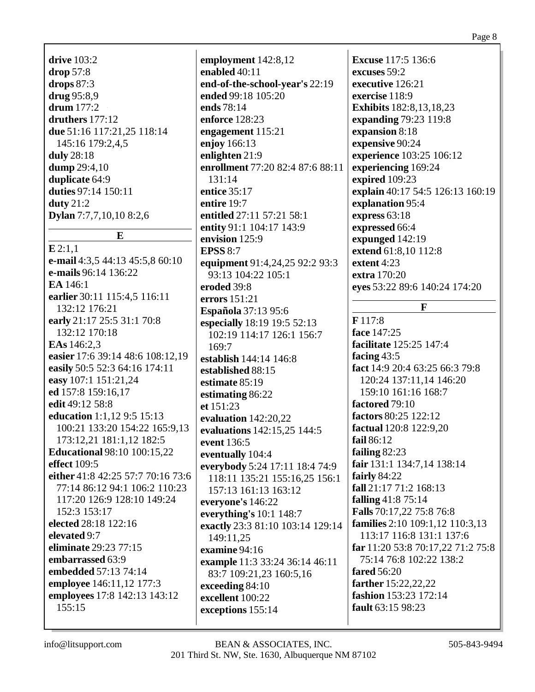drive  $103:2$  $drop 57:8$ drops  $87:3$ drug 95:8,9 drum  $177:2$ druthers  $177:12$ due 51:16 117:21.25 118:14 145:16 179:2,4,5 duly 28:18 **dump** 29:4,10 duplicate 64:9 duties 97:14 150:11  $duty 21:2$ Dylan 7:7,7,10,10 8:2,6

### $E$

 $E2:1.1$ e-mail 4:3,5 44:13 45:5,8 60:10 **e-mails** 96:14 136:22 EA 146:1 earlier 30:11 115:4,5 116:11 132:12 176:21 early 21:17 25:5 31:1 70:8 132:12 170:18 **EAs** 146:2.3 easier 17:6 39:14 48:6 108:12,19 easily 50:5 52:3 64:16 174:11 easy 107:1 151:21,24 ed 157:8 159:16.17 edit 49:12 58:8 education 1:1,12 9:5 15:13 100:21 133:20 154:22 165:9,13 173:12.21 181:1.12 182:5 **Educational 98:10 100:15,22** effect  $109:5$ either 41:8 42:25 57:7 70:16 73:6 77:14 86:12 94:1 106:2 110:23 117:20 126:9 128:10 149:24 152:3 153:17 elected 28:18 122:16 elevated 9:7 eliminate 29:23 77:15 embarrassed 63:9 embedded 57:13 74:14 employee 146:11,12 177:3 employees 17:8 142:13 143:12  $155:15$ 

employment 142:8,12 enabled 40:11 end-of-the-school-year's 22:19 ended 99:18 105:20 ends 78:14 enforce 128:23 engagement  $115:21$ enjoy 166:13 enlighten  $21:9$ enrollment 77:20 82:4 87:6 88:11  $131:14$ entice 35:17 entire 19:7 entitled 27:11 57:21 58:1 entity 91:1 104:17 143:9 envision 125:9 **EPSS 8:7** equipment 91:4,24,25 92:2 93:3 93:13 104:22 105:1 eroded 39:8 errors 151:21 **Española** 37:13 95:6 especially 18:19 19:5 52:13 102:19 114:17 126:1 156:7  $169:7$ establish 144:14 146:8 established 88:15 estimate 85:19 estimating 86:22 et  $151:23$ evaluation  $142:20,22$ evaluations 142:15,25 144:5 event 136:5 eventually 104:4 everybody 5:24 17:11 18:4 74:9 118:11 135:21 155:16.25 156:1 157:13 161:13 163:12 everyone's 146:22 everything's  $10:1$  148:7 exactly 23:3 81:10 103:14 129:14 149:11.25 examine  $94:16$ example 11:3 33:24 36:14 46:11 83:7 109:21.23 160:5.16 exceeding 84:10 excellent 100:22 exceptions 155:14

**Excuse** 117:5 136:6 excuses 59:2 executive 126:21 exercise 118:9 **Exhibits** 182:8, 13, 18, 23 expanding 79:23 119:8 expansion 8:18 expensive 90:24 experience 103:25 106:12 experiencing 169:24 expired 109:23 explain 40:17 54:5 126:13 160:19 explanation 95:4 express  $63:18$ expressed 66:4 expunged  $142:19$ extend 61:8.10 112:8 extent  $4:23$ extra 170:20 eyes 53:22 89:6 140:24 174:20

## $\mathbf{F}$

 $F117:8$ face 147:25 facilitate 125:25 147:4 facing  $43:5$ fact 14:9 20:4 63:25 66:3 79:8 120:24 137:11,14 146:20 159:10 161:16 168:7 factored 79:10 factors 80:25 122:12 factual 120:8 122:9,20 fail  $86:12$ failing  $82:23$ fair 131:1 134:7,14 138:14 fairly  $84:22$ fall 21:17 71:2 168:13 falling  $41:875:14$ Falls 70:17,22 75:8 76:8 **families** 2:10 109:1,12 110:3,13 113:17 116:8 131:1 137:6 far 11:20 53:8 70:17,22 71:2 75:8 75:14 76:8 102:22 138:2 fared  $56:20$ farther 15:22.22.22 fashion 153:23 172:14 fault 63:15 98:23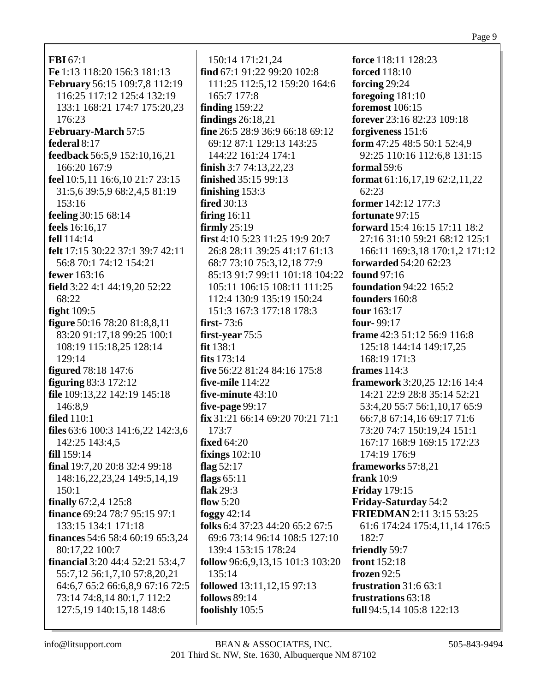| <b>FBI</b> 67:1                         | 150:14 171:21,24                    | force 118:11 128:23               |
|-----------------------------------------|-------------------------------------|-----------------------------------|
| Fe 1:13 118:20 156:3 181:13             | find 67:1 91:22 99:20 102:8         | <b>forced</b> 118:10              |
| February 56:15 109:7,8 112:19           | 111:25 112:5,12 159:20 164:6        | forcing 29:24                     |
| 116:25 117:12 125:4 132:19              | 165:7 177:8                         | foregoing 181:10                  |
| 133:1 168:21 174:7 175:20,23            | finding $159:22$                    | <b>foremost</b> 106:15            |
| 176:23                                  | findings $26:18,21$                 | forever 23:16 82:23 109:18        |
| February-March 57:5                     | fine 26:5 28:9 36:9 66:18 69:12     | forgiveness 151:6                 |
| federal 8:17                            | 69:12 87:1 129:13 143:25            | form 47:25 48:5 50:1 52:4,9       |
| feedback 56:5,9 152:10,16,21            | 144:22 161:24 174:1                 | 92:25 110:16 112:6,8 131:15       |
| 166:20 167:9                            | finish $3:774:13,22,23$             | formal $59:6$                     |
| feel 10:5,11 16:6,10 21:7 23:15         | <b>finished</b> 35:15 99:13         | format $61:16,17,19$ $62:2,11,22$ |
| 31:5,6 39:5,9 68:2,4,5 81:19            | finishing $153:3$                   | 62:23                             |
| 153:16                                  | <b>fired</b> 30:13                  | former 142:12 177:3               |
| feeling 30:15 68:14                     | firing $16:11$                      | fortunate 97:15                   |
| feels $16:16,17$                        | firmly $25:19$                      | forward 15:4 16:15 17:11 18:2     |
| fell 114:14                             | first 4:10 5:23 11:25 19:9 20:7     | 27:16 31:10 59:21 68:12 125:1     |
| felt 17:15 30:22 37:1 39:7 42:11        | 26:8 28:11 39:25 41:17 61:13        | 166:11 169:3,18 170:1,2 171:12    |
| 56:8 70:1 74:12 154:21                  | 68:7 73:10 75:3,12,18 77:9          | <b>forwarded</b> 54:20 62:23      |
| fewer 163:16                            | 85:13 91:7 99:11 101:18 104:22      | <b>found</b> 97:16                |
| field 3:22 4:1 44:19,20 52:22           | 105:11 106:15 108:11 111:25         | <b>foundation 94:22 165:2</b>     |
| 68:22                                   | 112:4 130:9 135:19 150:24           | founders 160:8                    |
| fight $109:5$                           | 151:3 167:3 177:18 178:3            | four 163:17                       |
| figure 50:16 78:20 81:8,8,11            | first- $73:6$                       | four-99:17                        |
| 83:20 91:17,18 99:25 100:1              | first-year $75:5$                   | frame 42:3 51:12 56:9 116:8       |
| 108:19 115:18,25 128:14                 | fit 138:1                           | 125:18 144:14 149:17,25           |
| 129:14                                  | fits $173:14$                       | 168:19 171:3                      |
| <b>figured</b> 78:18 147:6              | five 56:22 81:24 84:16 175:8        | frames $114:3$                    |
| <b>figuring 83:3 172:12</b>             | five-mile $114:22$                  | framework 3:20,25 12:16 14:4      |
| file 109:13,22 142:19 145:18            | five-minute 43:10                   | 14:21 22:9 28:8 35:14 52:21       |
| 146:8,9                                 | five-page 99:17                     | 53:4,20 55:7 56:1,10,17 65:9      |
| <b>filed</b> 110:1                      | fix 31:21 66:14 69:20 70:21 71:1    | 66:7,8 67:14,16 69:17 71:6        |
| files 63:6 100:3 141:6,22 142:3,6       | 173:7                               | 73:20 74:7 150:19,24 151:1        |
| 142:25 143:4,5                          | fixed $64:20$                       | 167:17 168:9 169:15 172:23        |
| fill 159:14                             | fixings $102:10$                    | 174:19 176:9                      |
| final 19:7,20 20:8 32:4 99:18           | flag $52:17$                        | frameworks 57:8,21                |
| 148:16,22,23,24 149:5,14,19             | flags $65:11$                       | frank $10:9$                      |
| 150:1                                   | flak 29:3                           | <b>Friday 179:15</b>              |
| finally $67:2,4$ 125:8                  | flow $5:20$                         | <b>Friday-Saturday 54:2</b>       |
| finance 69:24 78:7 95:15 97:1           | foggy $42:14$                       | <b>FRIEDMAN</b> 2:11 3:15 53:25   |
| 133:15 134:1 171:18                     | folks 6:4 37:23 44:20 65:2 67:5     | 61:6 174:24 175:4,11,14 176:5     |
| <b>finances</b> 54:6 58:4 60:19 65:3,24 | 69:6 73:14 96:14 108:5 127:10       | 182:7                             |
| 80:17,22 100:7                          | 139:4 153:15 178:24                 | friendly 59:7                     |
| <b>financial</b> 3:20 44:4 52:21 53:4,7 | follow 96:6, 9, 13, 15 101:3 103:20 | <b>front</b> 152:18               |
| 55:7,12 56:1,7,10 57:8,20,21            | 135:14                              | frozen 92:5                       |
| 64:6,7 65:2 66:6,8,9 67:16 72:5         | <b>followed</b> 13:11, 12, 15 97:13 | frustration 31:6 63:1             |
| 73:14 74:8,14 80:1,7 112:2              | <b>follows</b> 89:14                | frustrations 63:18                |
| 127:5,19 140:15,18 148:6                | foolishly 105:5                     | full 94:5,14 105:8 122:13         |
|                                         |                                     |                                   |

Г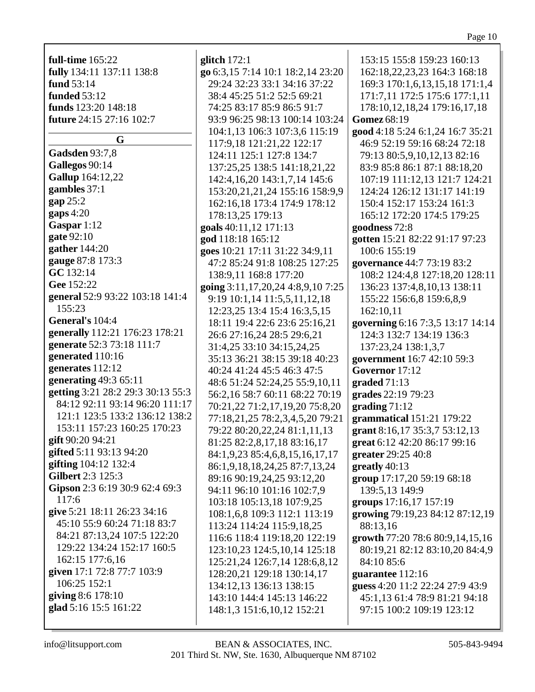| <b>full-time</b> 165:22           |
|-----------------------------------|
| fully 134:11 137:11 138:8         |
| fund 53:14                        |
| <b>funded</b> 53:12               |
| funds 123:20 148:18               |
| <b>future</b> 24:15 27:16 102:7   |
|                                   |
| G                                 |
| <b>Gadsden</b> 93:7,8             |
| Gallegos 90:14                    |
| Gallup 164:12,22                  |
| gambles 37:1                      |
|                                   |
| gap 25:2                          |
| $\mathbf{gaps}\,4:20$             |
| Gaspar 1:12                       |
| gate 92:10                        |
| gather $144:20$                   |
| gauge 87:8 173:3                  |
| GC 132:14                         |
| Gee 152:22                        |
| general 52:9 93:22 103:18 141:4   |
| 155:23                            |
| General's 104:4                   |
| generally 112:21 176:23 178:21    |
| generate 52:3 73:18 111:7         |
|                                   |
| generated 110:16                  |
| generates 112:12                  |
| generating $49:365:11$            |
| getting 3:21 28:2 29:3 30:13 55:3 |
| 84:12 92:11 93:14 96:20 111:17    |
| 121:1 123:5 133:2 136:12 138:2    |
| 153:11 157:23 160:25 170:23       |
| gift 90:20 94:21                  |
| gifted 5:11 93:13 94:20           |
| gifting 104:12 132:4              |
| Gilbert 2:3 125:3                 |
| Gipson 2:3 6:19 30:9 62:4 69:3    |
| 117:6                             |
| give 5:21 18:11 26:23 34:16       |
| 45:10 55:9 60:24 71:18 83:7       |
| 84:21 87:13,24 107:5 122:20       |
| 129:22 134:24 152:17 160:5        |
|                                   |
| 162:15 177:6,16                   |
| given 17:1 72:8 77:7 103:9        |
| 106:25 152:1                      |
| giving 8:6 178:10                 |
| glad 5:16 15:5 161:22             |

glitch  $172:1$ go 6:3,15 7:14 10:1 18:2,14 23 29:24 32:23 33:1 34:16 37:22 38:4 45:25 51:2 52:5 69:21 74:25 83:17 85:9 86:5 91:7 93:9 96:25 98:13 100:14 103 104:1,13 106:3 107:3,6 115:1 117:9,18 121:21,22 122:17 124:11 125:1 127:8 134:7 137:25,25 138:5 141:18,21,2 142:4, 16, 20 143:1, 7, 14 145:6 153:20,21,21,24 155:16 158: 162:16,18 173:4 174:9 178:1 178:13,25 179:13 goals  $40:11,12$  171:13 god 118:18 165:12 **goes**  $10:21$  17:11 31:22 34:9,11 47:2 85:24 91:8 108:25 127:2 138:9,11 168:8 177:20 going 3:11,17,20,24 4:8,9,10 7 9:19 10:1,14 11:5,5,11,12,18 12:23,25 13:4 15:4 16:3,5,15 18:11 19:4 22:6 23:6 25:16,2 26:6 27:16,24 28:5 29:6,21 31:4,25 33:10 34:15,24,25 35:13 36:21 38:15 39:18 40:2 40:24 41:24 45:5 46:3 47:5 48:6 51:24 52:24,25 55:9,10, 56:2,16 58:7 60:11 68:22 70: 70:21,22 71:2,17,19,20 75:8, 77:18,21,25 78:2,3,4,5,20 79 79:22 80:20,22,24 81:1,11,13 81:25 82:2,8,17,18 83:16,17 84:1,9,23 85:4,6,8,15,16,17,1 86:1,9,18,18,24,25 87:7,13,2 89:16 90:19,24,25 93:12,20 94:11 96:10 101:16 102:7,9 103:18 105:13.18 107:9.25 108:1,6,8 109:3 112:1 113:19 113:24 114:24 115:9,18,25 116:6 118:4 119:18,20 122:1 123:10,23 124:5,10,14 125:1 125:21,24 126:7,14 128:6,8,1 128:20,21 129:18 130:14,17 134:12,13 136:13 138:15 143:10 144:4 145:13 146:22 148:1,3 151:6,10,12 152:21

|                | 153:15 155:8 159:23 160:13             |
|----------------|----------------------------------------|
|                |                                        |
| :20            | 162:18,22,23,23 164:3 168:18           |
| $\overline{2}$ | 169:3 170:1,6,13,15,18 171:1,4         |
|                |                                        |
|                | 171:7,11 172:5 175:6 177:1,11          |
|                | 178:10,12,18,24 179:16,17,18           |
| :24            | Gomez 68:19                            |
|                |                                        |
| 19             | good 4:18 5:24 6:1,24 16:7 35:21       |
|                | 46:9 52:19 59:16 68:24 72:18           |
|                | 79:13 80:5,9,10,12,13 82:16            |
|                |                                        |
| 2<br>5         | 83:9 85:8 86:1 87:1 88:18,20           |
|                | 107:19 111:12,13 121:7 124:21          |
| 9,9            | 124:24 126:12 131:17 141:19            |
| $\overline{c}$ | 150:4 152:17 153:24 161:3              |
|                |                                        |
|                | 165:12 172:20 174:5 179:25             |
|                | goodness 72:8                          |
|                | gotten 15:21 82:22 91:17 97:23         |
|                | 100:6 155:19                           |
|                |                                        |
| 25             | governance 44:7 73:19 83:2             |
|                | 108:2 124:4,8 127:18,20 128:11         |
| :25            | 136:23 137:4,8,10,13 138:11            |
|                | 155:22 156:6,8 159:6,8,9               |
|                |                                        |
|                | 162:10,11                              |
| $\mathbf{1}$   | governing 6:16 7:3,5 13:17 14:14       |
|                | 124:3 132:7 134:19 136:3               |
|                | 137:23,24 138:1,3,7                    |
|                |                                        |
| 23             | government 16:7 42:10 59:3             |
|                | Governor 17:12                         |
| 11             | graded $71:13$                         |
| 19             | grades 22:19 79:23                     |
| 20             | grading $71:12$                        |
|                |                                        |
| :21            | grammatical 151:21 179:22              |
| š              | grant 8:16,17 35:3,7 53:12,13          |
|                | great 6:12 42:20 86:17 99:16           |
| $\overline{7}$ | greater 29:25 40:8                     |
|                |                                        |
| 4              | greatly $40:13$                        |
|                | group 17:17,20 59:19 68:18             |
|                | 139:5,13 149:9                         |
|                | groups 17:16,17 157:19                 |
|                |                                        |
|                | growing 79:19,23 84:12 87:12,19        |
|                | 88:13,16                               |
| 9              | <b>growth</b> 77:20 78:6 80:9,14,15,16 |
| 8              | 80:19,21 82:12 83:10,20 84:4,9         |
| $ 2\rangle$    | 84:10 85:6                             |
|                |                                        |
|                | guarantee 112:16                       |
|                | guess 4:20 11:2 22:24 27:9 43:9        |
|                | 45:1,13 61:4 78:9 81:21 94:18          |
|                | 97:15 100:2 109:19 123:12              |
|                |                                        |
|                |                                        |

info@litsupport.com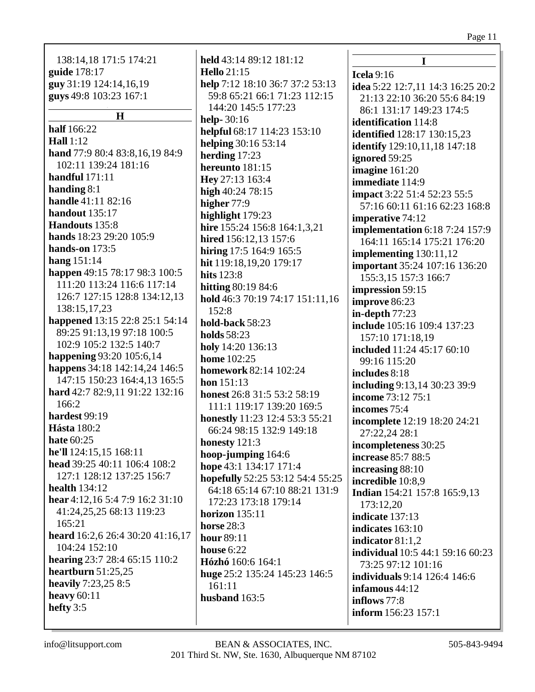# Page  $11\,$

| 138:14,18 171:5 174:21<br>held 43:14 89:12 181:12<br>guide 178:17<br><b>Hello</b> 21:15<br>Icela $9:16$<br>guy 31:19 124:14,16,19<br>help 7:12 18:10 36:7 37:2 53:13<br>idea 5:22 12:7,11 14:3 16:25 20:2<br>guys 49:8 103:23 167:1<br>59:8 65:21 66:1 71:23 112:15<br>21:13 22:10 36:20 55:6 84:19<br>144:20 145:5 177:23<br>86:1 131:17 149:23 174:5<br>H<br>help-30:16<br>identification 114:8<br>half 166:22<br>helpful 68:17 114:23 153:10<br><b>identified</b> 128:17 130:15,23<br><b>Hall</b> 1:12<br>helping 30:16 53:14<br>identify 129:10,11,18 147:18<br>hand 77:9 80:4 83:8,16,19 84:9<br>herding 17:23<br>ignored 59:25<br>102:11 139:24 181:16<br>hereunto 181:15<br>imagine 161:20<br>handful $171:11$<br>Hey 27:13 163:4<br>immediate 114:9<br>handing $8:1$<br>high $40:2478:15$<br>impact 3:22 51:4 52:23 55:5<br><b>handle</b> 41:11 82:16<br>higher 77:9<br>57:16 60:11 61:16 62:23 168:8<br>handout 135:17<br>highlight 179:23<br><b>imperative</b> 74:12<br>hire 155:24 156:8 164:1,3,21<br><b>implementation</b> 6:18 7:24 157:9<br>hands 18:23 29:20 105:9<br>hired 156:12,13 157:6<br>164:11 165:14 175:21 176:20<br>hands-on 173:5<br>hiring 17:5 164:9 165:5<br>implementing 130:11,12<br>hang $151:14$<br>hit 119:18,19,20 179:17<br><b>important</b> 35:24 107:16 136:20<br>happen 49:15 78:17 98:3 100:5<br>hits 123:8<br>155:3,15 157:3 166:7<br>111:20 113:24 116:6 117:14<br><b>hitting 80:19 84:6</b><br>impression 59:15<br>126:7 127:15 128:8 134:12,13<br>hold 46:3 70:19 74:17 151:11,16<br>improve 86:23<br>138:15,17,23<br>152:8<br>in-depth $77:23$<br>happened 13:15 22:8 25:1 54:14<br>hold-back 58:23<br>include 105:16 109:4 137:23<br>89:25 91:13,19 97:18 100:5<br><b>holds</b> 58:23<br>157:10 171:18,19<br>102:9 105:2 132:5 140:7<br>holy 14:20 136:13<br>included 11:24 45:17 60:10<br>happening 93:20 105:6,14<br><b>home</b> 102:25<br>99:16 115:20<br>happens 34:18 142:14,24 146:5<br><b>homework 82:14 102:24</b><br>includes 8:18<br>147:15 150:23 164:4,13 165:5<br><b>hon</b> $151:13$<br>including 9:13,14 30:23 39:9<br>hard 42:7 82:9,11 91:22 132:16<br>honest 26:8 31:5 53:2 58:19<br>income 73:12 75:1<br>166:2<br>111:1 119:17 139:20 169:5<br>incomes 75:4<br>hardest 99:19<br>honestly 11:23 12:4 53:3 55:21<br>incomplete 12:19 18:20 24:21<br><b>Hásta</b> 180:2<br>66:24 98:15 132:9 149:18<br>27:22.24 28:1<br>hate 60:25<br>honesty 121:3<br>incompleteness 30:25<br>he'll 124:15,15 168:11<br>hoop-jumping 164:6<br>increase 85:7 88:5<br>head 39:25 40:11 106:4 108:2<br>hope 43:1 134:17 171:4<br>increasing 88:10<br>127:1 128:12 137:25 156:7<br>hopefully 52:25 53:12 54:4 55:25<br>incredible 10:8,9<br>health $134:12$<br>64:18 65:14 67:10 88:21 131:9<br>Indian 154:21 157:8 165:9,13<br>hear 4:12,16 5:4 7:9 16:2 31:10<br>172:23 173:18 179:14<br>173:12,20<br>41:24,25,25 68:13 119:23<br>horizon $135:11$<br>indicate 137:13<br>165:21<br><b>horse</b> 28:3<br>indicates 163:10<br>hour 89:11<br>indicator $81:1,2$<br>104:24 152:10<br>house 6:22<br><b>individual</b> 10:5 44:1 59:16 60:23<br>hearing 23:7 28:4 65:15 110:2<br>Hózhó 160:6 164:1<br>73:25 97:12 101:16<br>heartburn $51:25,25$<br>huge 25:2 135:24 145:23 146:5<br><b>individuals</b> 9:14 126:4 146:6<br>heavily 7:23,25 8:5<br>161:11<br>infamous 44:12<br>husband 163:5<br>inflows 77:8<br>inform 156:23 157:1 |                                  |  |
|-----------------------------------------------------------------------------------------------------------------------------------------------------------------------------------------------------------------------------------------------------------------------------------------------------------------------------------------------------------------------------------------------------------------------------------------------------------------------------------------------------------------------------------------------------------------------------------------------------------------------------------------------------------------------------------------------------------------------------------------------------------------------------------------------------------------------------------------------------------------------------------------------------------------------------------------------------------------------------------------------------------------------------------------------------------------------------------------------------------------------------------------------------------------------------------------------------------------------------------------------------------------------------------------------------------------------------------------------------------------------------------------------------------------------------------------------------------------------------------------------------------------------------------------------------------------------------------------------------------------------------------------------------------------------------------------------------------------------------------------------------------------------------------------------------------------------------------------------------------------------------------------------------------------------------------------------------------------------------------------------------------------------------------------------------------------------------------------------------------------------------------------------------------------------------------------------------------------------------------------------------------------------------------------------------------------------------------------------------------------------------------------------------------------------------------------------------------------------------------------------------------------------------------------------------------------------------------------------------------------------------------------------------------------------------------------------------------------------------------------------------------------------------------------------------------------------------------------------------------------------------------------------------------------------------------------------------------------------------------------------------------------------------------------------------------------------------------------------------------------------------------------------------------------------------------------------------------------------------------------------------------------------------------------------------------------------------------------------------------------------------|----------------------------------|--|
|                                                                                                                                                                                                                                                                                                                                                                                                                                                                                                                                                                                                                                                                                                                                                                                                                                                                                                                                                                                                                                                                                                                                                                                                                                                                                                                                                                                                                                                                                                                                                                                                                                                                                                                                                                                                                                                                                                                                                                                                                                                                                                                                                                                                                                                                                                                                                                                                                                                                                                                                                                                                                                                                                                                                                                                                                                                                                                                                                                                                                                                                                                                                                                                                                                                                                                                                                                             |                                  |  |
|                                                                                                                                                                                                                                                                                                                                                                                                                                                                                                                                                                                                                                                                                                                                                                                                                                                                                                                                                                                                                                                                                                                                                                                                                                                                                                                                                                                                                                                                                                                                                                                                                                                                                                                                                                                                                                                                                                                                                                                                                                                                                                                                                                                                                                                                                                                                                                                                                                                                                                                                                                                                                                                                                                                                                                                                                                                                                                                                                                                                                                                                                                                                                                                                                                                                                                                                                                             |                                  |  |
|                                                                                                                                                                                                                                                                                                                                                                                                                                                                                                                                                                                                                                                                                                                                                                                                                                                                                                                                                                                                                                                                                                                                                                                                                                                                                                                                                                                                                                                                                                                                                                                                                                                                                                                                                                                                                                                                                                                                                                                                                                                                                                                                                                                                                                                                                                                                                                                                                                                                                                                                                                                                                                                                                                                                                                                                                                                                                                                                                                                                                                                                                                                                                                                                                                                                                                                                                                             |                                  |  |
|                                                                                                                                                                                                                                                                                                                                                                                                                                                                                                                                                                                                                                                                                                                                                                                                                                                                                                                                                                                                                                                                                                                                                                                                                                                                                                                                                                                                                                                                                                                                                                                                                                                                                                                                                                                                                                                                                                                                                                                                                                                                                                                                                                                                                                                                                                                                                                                                                                                                                                                                                                                                                                                                                                                                                                                                                                                                                                                                                                                                                                                                                                                                                                                                                                                                                                                                                                             |                                  |  |
|                                                                                                                                                                                                                                                                                                                                                                                                                                                                                                                                                                                                                                                                                                                                                                                                                                                                                                                                                                                                                                                                                                                                                                                                                                                                                                                                                                                                                                                                                                                                                                                                                                                                                                                                                                                                                                                                                                                                                                                                                                                                                                                                                                                                                                                                                                                                                                                                                                                                                                                                                                                                                                                                                                                                                                                                                                                                                                                                                                                                                                                                                                                                                                                                                                                                                                                                                                             |                                  |  |
|                                                                                                                                                                                                                                                                                                                                                                                                                                                                                                                                                                                                                                                                                                                                                                                                                                                                                                                                                                                                                                                                                                                                                                                                                                                                                                                                                                                                                                                                                                                                                                                                                                                                                                                                                                                                                                                                                                                                                                                                                                                                                                                                                                                                                                                                                                                                                                                                                                                                                                                                                                                                                                                                                                                                                                                                                                                                                                                                                                                                                                                                                                                                                                                                                                                                                                                                                                             |                                  |  |
|                                                                                                                                                                                                                                                                                                                                                                                                                                                                                                                                                                                                                                                                                                                                                                                                                                                                                                                                                                                                                                                                                                                                                                                                                                                                                                                                                                                                                                                                                                                                                                                                                                                                                                                                                                                                                                                                                                                                                                                                                                                                                                                                                                                                                                                                                                                                                                                                                                                                                                                                                                                                                                                                                                                                                                                                                                                                                                                                                                                                                                                                                                                                                                                                                                                                                                                                                                             |                                  |  |
|                                                                                                                                                                                                                                                                                                                                                                                                                                                                                                                                                                                                                                                                                                                                                                                                                                                                                                                                                                                                                                                                                                                                                                                                                                                                                                                                                                                                                                                                                                                                                                                                                                                                                                                                                                                                                                                                                                                                                                                                                                                                                                                                                                                                                                                                                                                                                                                                                                                                                                                                                                                                                                                                                                                                                                                                                                                                                                                                                                                                                                                                                                                                                                                                                                                                                                                                                                             |                                  |  |
|                                                                                                                                                                                                                                                                                                                                                                                                                                                                                                                                                                                                                                                                                                                                                                                                                                                                                                                                                                                                                                                                                                                                                                                                                                                                                                                                                                                                                                                                                                                                                                                                                                                                                                                                                                                                                                                                                                                                                                                                                                                                                                                                                                                                                                                                                                                                                                                                                                                                                                                                                                                                                                                                                                                                                                                                                                                                                                                                                                                                                                                                                                                                                                                                                                                                                                                                                                             |                                  |  |
|                                                                                                                                                                                                                                                                                                                                                                                                                                                                                                                                                                                                                                                                                                                                                                                                                                                                                                                                                                                                                                                                                                                                                                                                                                                                                                                                                                                                                                                                                                                                                                                                                                                                                                                                                                                                                                                                                                                                                                                                                                                                                                                                                                                                                                                                                                                                                                                                                                                                                                                                                                                                                                                                                                                                                                                                                                                                                                                                                                                                                                                                                                                                                                                                                                                                                                                                                                             |                                  |  |
|                                                                                                                                                                                                                                                                                                                                                                                                                                                                                                                                                                                                                                                                                                                                                                                                                                                                                                                                                                                                                                                                                                                                                                                                                                                                                                                                                                                                                                                                                                                                                                                                                                                                                                                                                                                                                                                                                                                                                                                                                                                                                                                                                                                                                                                                                                                                                                                                                                                                                                                                                                                                                                                                                                                                                                                                                                                                                                                                                                                                                                                                                                                                                                                                                                                                                                                                                                             |                                  |  |
|                                                                                                                                                                                                                                                                                                                                                                                                                                                                                                                                                                                                                                                                                                                                                                                                                                                                                                                                                                                                                                                                                                                                                                                                                                                                                                                                                                                                                                                                                                                                                                                                                                                                                                                                                                                                                                                                                                                                                                                                                                                                                                                                                                                                                                                                                                                                                                                                                                                                                                                                                                                                                                                                                                                                                                                                                                                                                                                                                                                                                                                                                                                                                                                                                                                                                                                                                                             |                                  |  |
|                                                                                                                                                                                                                                                                                                                                                                                                                                                                                                                                                                                                                                                                                                                                                                                                                                                                                                                                                                                                                                                                                                                                                                                                                                                                                                                                                                                                                                                                                                                                                                                                                                                                                                                                                                                                                                                                                                                                                                                                                                                                                                                                                                                                                                                                                                                                                                                                                                                                                                                                                                                                                                                                                                                                                                                                                                                                                                                                                                                                                                                                                                                                                                                                                                                                                                                                                                             |                                  |  |
|                                                                                                                                                                                                                                                                                                                                                                                                                                                                                                                                                                                                                                                                                                                                                                                                                                                                                                                                                                                                                                                                                                                                                                                                                                                                                                                                                                                                                                                                                                                                                                                                                                                                                                                                                                                                                                                                                                                                                                                                                                                                                                                                                                                                                                                                                                                                                                                                                                                                                                                                                                                                                                                                                                                                                                                                                                                                                                                                                                                                                                                                                                                                                                                                                                                                                                                                                                             |                                  |  |
|                                                                                                                                                                                                                                                                                                                                                                                                                                                                                                                                                                                                                                                                                                                                                                                                                                                                                                                                                                                                                                                                                                                                                                                                                                                                                                                                                                                                                                                                                                                                                                                                                                                                                                                                                                                                                                                                                                                                                                                                                                                                                                                                                                                                                                                                                                                                                                                                                                                                                                                                                                                                                                                                                                                                                                                                                                                                                                                                                                                                                                                                                                                                                                                                                                                                                                                                                                             |                                  |  |
|                                                                                                                                                                                                                                                                                                                                                                                                                                                                                                                                                                                                                                                                                                                                                                                                                                                                                                                                                                                                                                                                                                                                                                                                                                                                                                                                                                                                                                                                                                                                                                                                                                                                                                                                                                                                                                                                                                                                                                                                                                                                                                                                                                                                                                                                                                                                                                                                                                                                                                                                                                                                                                                                                                                                                                                                                                                                                                                                                                                                                                                                                                                                                                                                                                                                                                                                                                             |                                  |  |
|                                                                                                                                                                                                                                                                                                                                                                                                                                                                                                                                                                                                                                                                                                                                                                                                                                                                                                                                                                                                                                                                                                                                                                                                                                                                                                                                                                                                                                                                                                                                                                                                                                                                                                                                                                                                                                                                                                                                                                                                                                                                                                                                                                                                                                                                                                                                                                                                                                                                                                                                                                                                                                                                                                                                                                                                                                                                                                                                                                                                                                                                                                                                                                                                                                                                                                                                                                             |                                  |  |
|                                                                                                                                                                                                                                                                                                                                                                                                                                                                                                                                                                                                                                                                                                                                                                                                                                                                                                                                                                                                                                                                                                                                                                                                                                                                                                                                                                                                                                                                                                                                                                                                                                                                                                                                                                                                                                                                                                                                                                                                                                                                                                                                                                                                                                                                                                                                                                                                                                                                                                                                                                                                                                                                                                                                                                                                                                                                                                                                                                                                                                                                                                                                                                                                                                                                                                                                                                             | Handouts 135:8                   |  |
|                                                                                                                                                                                                                                                                                                                                                                                                                                                                                                                                                                                                                                                                                                                                                                                                                                                                                                                                                                                                                                                                                                                                                                                                                                                                                                                                                                                                                                                                                                                                                                                                                                                                                                                                                                                                                                                                                                                                                                                                                                                                                                                                                                                                                                                                                                                                                                                                                                                                                                                                                                                                                                                                                                                                                                                                                                                                                                                                                                                                                                                                                                                                                                                                                                                                                                                                                                             |                                  |  |
|                                                                                                                                                                                                                                                                                                                                                                                                                                                                                                                                                                                                                                                                                                                                                                                                                                                                                                                                                                                                                                                                                                                                                                                                                                                                                                                                                                                                                                                                                                                                                                                                                                                                                                                                                                                                                                                                                                                                                                                                                                                                                                                                                                                                                                                                                                                                                                                                                                                                                                                                                                                                                                                                                                                                                                                                                                                                                                                                                                                                                                                                                                                                                                                                                                                                                                                                                                             |                                  |  |
|                                                                                                                                                                                                                                                                                                                                                                                                                                                                                                                                                                                                                                                                                                                                                                                                                                                                                                                                                                                                                                                                                                                                                                                                                                                                                                                                                                                                                                                                                                                                                                                                                                                                                                                                                                                                                                                                                                                                                                                                                                                                                                                                                                                                                                                                                                                                                                                                                                                                                                                                                                                                                                                                                                                                                                                                                                                                                                                                                                                                                                                                                                                                                                                                                                                                                                                                                                             |                                  |  |
|                                                                                                                                                                                                                                                                                                                                                                                                                                                                                                                                                                                                                                                                                                                                                                                                                                                                                                                                                                                                                                                                                                                                                                                                                                                                                                                                                                                                                                                                                                                                                                                                                                                                                                                                                                                                                                                                                                                                                                                                                                                                                                                                                                                                                                                                                                                                                                                                                                                                                                                                                                                                                                                                                                                                                                                                                                                                                                                                                                                                                                                                                                                                                                                                                                                                                                                                                                             |                                  |  |
|                                                                                                                                                                                                                                                                                                                                                                                                                                                                                                                                                                                                                                                                                                                                                                                                                                                                                                                                                                                                                                                                                                                                                                                                                                                                                                                                                                                                                                                                                                                                                                                                                                                                                                                                                                                                                                                                                                                                                                                                                                                                                                                                                                                                                                                                                                                                                                                                                                                                                                                                                                                                                                                                                                                                                                                                                                                                                                                                                                                                                                                                                                                                                                                                                                                                                                                                                                             |                                  |  |
|                                                                                                                                                                                                                                                                                                                                                                                                                                                                                                                                                                                                                                                                                                                                                                                                                                                                                                                                                                                                                                                                                                                                                                                                                                                                                                                                                                                                                                                                                                                                                                                                                                                                                                                                                                                                                                                                                                                                                                                                                                                                                                                                                                                                                                                                                                                                                                                                                                                                                                                                                                                                                                                                                                                                                                                                                                                                                                                                                                                                                                                                                                                                                                                                                                                                                                                                                                             |                                  |  |
|                                                                                                                                                                                                                                                                                                                                                                                                                                                                                                                                                                                                                                                                                                                                                                                                                                                                                                                                                                                                                                                                                                                                                                                                                                                                                                                                                                                                                                                                                                                                                                                                                                                                                                                                                                                                                                                                                                                                                                                                                                                                                                                                                                                                                                                                                                                                                                                                                                                                                                                                                                                                                                                                                                                                                                                                                                                                                                                                                                                                                                                                                                                                                                                                                                                                                                                                                                             |                                  |  |
|                                                                                                                                                                                                                                                                                                                                                                                                                                                                                                                                                                                                                                                                                                                                                                                                                                                                                                                                                                                                                                                                                                                                                                                                                                                                                                                                                                                                                                                                                                                                                                                                                                                                                                                                                                                                                                                                                                                                                                                                                                                                                                                                                                                                                                                                                                                                                                                                                                                                                                                                                                                                                                                                                                                                                                                                                                                                                                                                                                                                                                                                                                                                                                                                                                                                                                                                                                             |                                  |  |
|                                                                                                                                                                                                                                                                                                                                                                                                                                                                                                                                                                                                                                                                                                                                                                                                                                                                                                                                                                                                                                                                                                                                                                                                                                                                                                                                                                                                                                                                                                                                                                                                                                                                                                                                                                                                                                                                                                                                                                                                                                                                                                                                                                                                                                                                                                                                                                                                                                                                                                                                                                                                                                                                                                                                                                                                                                                                                                                                                                                                                                                                                                                                                                                                                                                                                                                                                                             |                                  |  |
|                                                                                                                                                                                                                                                                                                                                                                                                                                                                                                                                                                                                                                                                                                                                                                                                                                                                                                                                                                                                                                                                                                                                                                                                                                                                                                                                                                                                                                                                                                                                                                                                                                                                                                                                                                                                                                                                                                                                                                                                                                                                                                                                                                                                                                                                                                                                                                                                                                                                                                                                                                                                                                                                                                                                                                                                                                                                                                                                                                                                                                                                                                                                                                                                                                                                                                                                                                             |                                  |  |
|                                                                                                                                                                                                                                                                                                                                                                                                                                                                                                                                                                                                                                                                                                                                                                                                                                                                                                                                                                                                                                                                                                                                                                                                                                                                                                                                                                                                                                                                                                                                                                                                                                                                                                                                                                                                                                                                                                                                                                                                                                                                                                                                                                                                                                                                                                                                                                                                                                                                                                                                                                                                                                                                                                                                                                                                                                                                                                                                                                                                                                                                                                                                                                                                                                                                                                                                                                             |                                  |  |
|                                                                                                                                                                                                                                                                                                                                                                                                                                                                                                                                                                                                                                                                                                                                                                                                                                                                                                                                                                                                                                                                                                                                                                                                                                                                                                                                                                                                                                                                                                                                                                                                                                                                                                                                                                                                                                                                                                                                                                                                                                                                                                                                                                                                                                                                                                                                                                                                                                                                                                                                                                                                                                                                                                                                                                                                                                                                                                                                                                                                                                                                                                                                                                                                                                                                                                                                                                             |                                  |  |
|                                                                                                                                                                                                                                                                                                                                                                                                                                                                                                                                                                                                                                                                                                                                                                                                                                                                                                                                                                                                                                                                                                                                                                                                                                                                                                                                                                                                                                                                                                                                                                                                                                                                                                                                                                                                                                                                                                                                                                                                                                                                                                                                                                                                                                                                                                                                                                                                                                                                                                                                                                                                                                                                                                                                                                                                                                                                                                                                                                                                                                                                                                                                                                                                                                                                                                                                                                             |                                  |  |
|                                                                                                                                                                                                                                                                                                                                                                                                                                                                                                                                                                                                                                                                                                                                                                                                                                                                                                                                                                                                                                                                                                                                                                                                                                                                                                                                                                                                                                                                                                                                                                                                                                                                                                                                                                                                                                                                                                                                                                                                                                                                                                                                                                                                                                                                                                                                                                                                                                                                                                                                                                                                                                                                                                                                                                                                                                                                                                                                                                                                                                                                                                                                                                                                                                                                                                                                                                             |                                  |  |
|                                                                                                                                                                                                                                                                                                                                                                                                                                                                                                                                                                                                                                                                                                                                                                                                                                                                                                                                                                                                                                                                                                                                                                                                                                                                                                                                                                                                                                                                                                                                                                                                                                                                                                                                                                                                                                                                                                                                                                                                                                                                                                                                                                                                                                                                                                                                                                                                                                                                                                                                                                                                                                                                                                                                                                                                                                                                                                                                                                                                                                                                                                                                                                                                                                                                                                                                                                             |                                  |  |
|                                                                                                                                                                                                                                                                                                                                                                                                                                                                                                                                                                                                                                                                                                                                                                                                                                                                                                                                                                                                                                                                                                                                                                                                                                                                                                                                                                                                                                                                                                                                                                                                                                                                                                                                                                                                                                                                                                                                                                                                                                                                                                                                                                                                                                                                                                                                                                                                                                                                                                                                                                                                                                                                                                                                                                                                                                                                                                                                                                                                                                                                                                                                                                                                                                                                                                                                                                             |                                  |  |
|                                                                                                                                                                                                                                                                                                                                                                                                                                                                                                                                                                                                                                                                                                                                                                                                                                                                                                                                                                                                                                                                                                                                                                                                                                                                                                                                                                                                                                                                                                                                                                                                                                                                                                                                                                                                                                                                                                                                                                                                                                                                                                                                                                                                                                                                                                                                                                                                                                                                                                                                                                                                                                                                                                                                                                                                                                                                                                                                                                                                                                                                                                                                                                                                                                                                                                                                                                             |                                  |  |
|                                                                                                                                                                                                                                                                                                                                                                                                                                                                                                                                                                                                                                                                                                                                                                                                                                                                                                                                                                                                                                                                                                                                                                                                                                                                                                                                                                                                                                                                                                                                                                                                                                                                                                                                                                                                                                                                                                                                                                                                                                                                                                                                                                                                                                                                                                                                                                                                                                                                                                                                                                                                                                                                                                                                                                                                                                                                                                                                                                                                                                                                                                                                                                                                                                                                                                                                                                             |                                  |  |
|                                                                                                                                                                                                                                                                                                                                                                                                                                                                                                                                                                                                                                                                                                                                                                                                                                                                                                                                                                                                                                                                                                                                                                                                                                                                                                                                                                                                                                                                                                                                                                                                                                                                                                                                                                                                                                                                                                                                                                                                                                                                                                                                                                                                                                                                                                                                                                                                                                                                                                                                                                                                                                                                                                                                                                                                                                                                                                                                                                                                                                                                                                                                                                                                                                                                                                                                                                             |                                  |  |
|                                                                                                                                                                                                                                                                                                                                                                                                                                                                                                                                                                                                                                                                                                                                                                                                                                                                                                                                                                                                                                                                                                                                                                                                                                                                                                                                                                                                                                                                                                                                                                                                                                                                                                                                                                                                                                                                                                                                                                                                                                                                                                                                                                                                                                                                                                                                                                                                                                                                                                                                                                                                                                                                                                                                                                                                                                                                                                                                                                                                                                                                                                                                                                                                                                                                                                                                                                             |                                  |  |
|                                                                                                                                                                                                                                                                                                                                                                                                                                                                                                                                                                                                                                                                                                                                                                                                                                                                                                                                                                                                                                                                                                                                                                                                                                                                                                                                                                                                                                                                                                                                                                                                                                                                                                                                                                                                                                                                                                                                                                                                                                                                                                                                                                                                                                                                                                                                                                                                                                                                                                                                                                                                                                                                                                                                                                                                                                                                                                                                                                                                                                                                                                                                                                                                                                                                                                                                                                             |                                  |  |
|                                                                                                                                                                                                                                                                                                                                                                                                                                                                                                                                                                                                                                                                                                                                                                                                                                                                                                                                                                                                                                                                                                                                                                                                                                                                                                                                                                                                                                                                                                                                                                                                                                                                                                                                                                                                                                                                                                                                                                                                                                                                                                                                                                                                                                                                                                                                                                                                                                                                                                                                                                                                                                                                                                                                                                                                                                                                                                                                                                                                                                                                                                                                                                                                                                                                                                                                                                             |                                  |  |
|                                                                                                                                                                                                                                                                                                                                                                                                                                                                                                                                                                                                                                                                                                                                                                                                                                                                                                                                                                                                                                                                                                                                                                                                                                                                                                                                                                                                                                                                                                                                                                                                                                                                                                                                                                                                                                                                                                                                                                                                                                                                                                                                                                                                                                                                                                                                                                                                                                                                                                                                                                                                                                                                                                                                                                                                                                                                                                                                                                                                                                                                                                                                                                                                                                                                                                                                                                             |                                  |  |
|                                                                                                                                                                                                                                                                                                                                                                                                                                                                                                                                                                                                                                                                                                                                                                                                                                                                                                                                                                                                                                                                                                                                                                                                                                                                                                                                                                                                                                                                                                                                                                                                                                                                                                                                                                                                                                                                                                                                                                                                                                                                                                                                                                                                                                                                                                                                                                                                                                                                                                                                                                                                                                                                                                                                                                                                                                                                                                                                                                                                                                                                                                                                                                                                                                                                                                                                                                             |                                  |  |
|                                                                                                                                                                                                                                                                                                                                                                                                                                                                                                                                                                                                                                                                                                                                                                                                                                                                                                                                                                                                                                                                                                                                                                                                                                                                                                                                                                                                                                                                                                                                                                                                                                                                                                                                                                                                                                                                                                                                                                                                                                                                                                                                                                                                                                                                                                                                                                                                                                                                                                                                                                                                                                                                                                                                                                                                                                                                                                                                                                                                                                                                                                                                                                                                                                                                                                                                                                             |                                  |  |
|                                                                                                                                                                                                                                                                                                                                                                                                                                                                                                                                                                                                                                                                                                                                                                                                                                                                                                                                                                                                                                                                                                                                                                                                                                                                                                                                                                                                                                                                                                                                                                                                                                                                                                                                                                                                                                                                                                                                                                                                                                                                                                                                                                                                                                                                                                                                                                                                                                                                                                                                                                                                                                                                                                                                                                                                                                                                                                                                                                                                                                                                                                                                                                                                                                                                                                                                                                             |                                  |  |
|                                                                                                                                                                                                                                                                                                                                                                                                                                                                                                                                                                                                                                                                                                                                                                                                                                                                                                                                                                                                                                                                                                                                                                                                                                                                                                                                                                                                                                                                                                                                                                                                                                                                                                                                                                                                                                                                                                                                                                                                                                                                                                                                                                                                                                                                                                                                                                                                                                                                                                                                                                                                                                                                                                                                                                                                                                                                                                                                                                                                                                                                                                                                                                                                                                                                                                                                                                             |                                  |  |
|                                                                                                                                                                                                                                                                                                                                                                                                                                                                                                                                                                                                                                                                                                                                                                                                                                                                                                                                                                                                                                                                                                                                                                                                                                                                                                                                                                                                                                                                                                                                                                                                                                                                                                                                                                                                                                                                                                                                                                                                                                                                                                                                                                                                                                                                                                                                                                                                                                                                                                                                                                                                                                                                                                                                                                                                                                                                                                                                                                                                                                                                                                                                                                                                                                                                                                                                                                             |                                  |  |
|                                                                                                                                                                                                                                                                                                                                                                                                                                                                                                                                                                                                                                                                                                                                                                                                                                                                                                                                                                                                                                                                                                                                                                                                                                                                                                                                                                                                                                                                                                                                                                                                                                                                                                                                                                                                                                                                                                                                                                                                                                                                                                                                                                                                                                                                                                                                                                                                                                                                                                                                                                                                                                                                                                                                                                                                                                                                                                                                                                                                                                                                                                                                                                                                                                                                                                                                                                             |                                  |  |
|                                                                                                                                                                                                                                                                                                                                                                                                                                                                                                                                                                                                                                                                                                                                                                                                                                                                                                                                                                                                                                                                                                                                                                                                                                                                                                                                                                                                                                                                                                                                                                                                                                                                                                                                                                                                                                                                                                                                                                                                                                                                                                                                                                                                                                                                                                                                                                                                                                                                                                                                                                                                                                                                                                                                                                                                                                                                                                                                                                                                                                                                                                                                                                                                                                                                                                                                                                             |                                  |  |
|                                                                                                                                                                                                                                                                                                                                                                                                                                                                                                                                                                                                                                                                                                                                                                                                                                                                                                                                                                                                                                                                                                                                                                                                                                                                                                                                                                                                                                                                                                                                                                                                                                                                                                                                                                                                                                                                                                                                                                                                                                                                                                                                                                                                                                                                                                                                                                                                                                                                                                                                                                                                                                                                                                                                                                                                                                                                                                                                                                                                                                                                                                                                                                                                                                                                                                                                                                             | heard 16:2,6 26:4 30:20 41:16,17 |  |
|                                                                                                                                                                                                                                                                                                                                                                                                                                                                                                                                                                                                                                                                                                                                                                                                                                                                                                                                                                                                                                                                                                                                                                                                                                                                                                                                                                                                                                                                                                                                                                                                                                                                                                                                                                                                                                                                                                                                                                                                                                                                                                                                                                                                                                                                                                                                                                                                                                                                                                                                                                                                                                                                                                                                                                                                                                                                                                                                                                                                                                                                                                                                                                                                                                                                                                                                                                             |                                  |  |
|                                                                                                                                                                                                                                                                                                                                                                                                                                                                                                                                                                                                                                                                                                                                                                                                                                                                                                                                                                                                                                                                                                                                                                                                                                                                                                                                                                                                                                                                                                                                                                                                                                                                                                                                                                                                                                                                                                                                                                                                                                                                                                                                                                                                                                                                                                                                                                                                                                                                                                                                                                                                                                                                                                                                                                                                                                                                                                                                                                                                                                                                                                                                                                                                                                                                                                                                                                             |                                  |  |
|                                                                                                                                                                                                                                                                                                                                                                                                                                                                                                                                                                                                                                                                                                                                                                                                                                                                                                                                                                                                                                                                                                                                                                                                                                                                                                                                                                                                                                                                                                                                                                                                                                                                                                                                                                                                                                                                                                                                                                                                                                                                                                                                                                                                                                                                                                                                                                                                                                                                                                                                                                                                                                                                                                                                                                                                                                                                                                                                                                                                                                                                                                                                                                                                                                                                                                                                                                             |                                  |  |
|                                                                                                                                                                                                                                                                                                                                                                                                                                                                                                                                                                                                                                                                                                                                                                                                                                                                                                                                                                                                                                                                                                                                                                                                                                                                                                                                                                                                                                                                                                                                                                                                                                                                                                                                                                                                                                                                                                                                                                                                                                                                                                                                                                                                                                                                                                                                                                                                                                                                                                                                                                                                                                                                                                                                                                                                                                                                                                                                                                                                                                                                                                                                                                                                                                                                                                                                                                             |                                  |  |
|                                                                                                                                                                                                                                                                                                                                                                                                                                                                                                                                                                                                                                                                                                                                                                                                                                                                                                                                                                                                                                                                                                                                                                                                                                                                                                                                                                                                                                                                                                                                                                                                                                                                                                                                                                                                                                                                                                                                                                                                                                                                                                                                                                                                                                                                                                                                                                                                                                                                                                                                                                                                                                                                                                                                                                                                                                                                                                                                                                                                                                                                                                                                                                                                                                                                                                                                                                             |                                  |  |
|                                                                                                                                                                                                                                                                                                                                                                                                                                                                                                                                                                                                                                                                                                                                                                                                                                                                                                                                                                                                                                                                                                                                                                                                                                                                                                                                                                                                                                                                                                                                                                                                                                                                                                                                                                                                                                                                                                                                                                                                                                                                                                                                                                                                                                                                                                                                                                                                                                                                                                                                                                                                                                                                                                                                                                                                                                                                                                                                                                                                                                                                                                                                                                                                                                                                                                                                                                             | heavy $60:11$                    |  |
|                                                                                                                                                                                                                                                                                                                                                                                                                                                                                                                                                                                                                                                                                                                                                                                                                                                                                                                                                                                                                                                                                                                                                                                                                                                                                                                                                                                                                                                                                                                                                                                                                                                                                                                                                                                                                                                                                                                                                                                                                                                                                                                                                                                                                                                                                                                                                                                                                                                                                                                                                                                                                                                                                                                                                                                                                                                                                                                                                                                                                                                                                                                                                                                                                                                                                                                                                                             | hefty 3:5                        |  |
|                                                                                                                                                                                                                                                                                                                                                                                                                                                                                                                                                                                                                                                                                                                                                                                                                                                                                                                                                                                                                                                                                                                                                                                                                                                                                                                                                                                                                                                                                                                                                                                                                                                                                                                                                                                                                                                                                                                                                                                                                                                                                                                                                                                                                                                                                                                                                                                                                                                                                                                                                                                                                                                                                                                                                                                                                                                                                                                                                                                                                                                                                                                                                                                                                                                                                                                                                                             |                                  |  |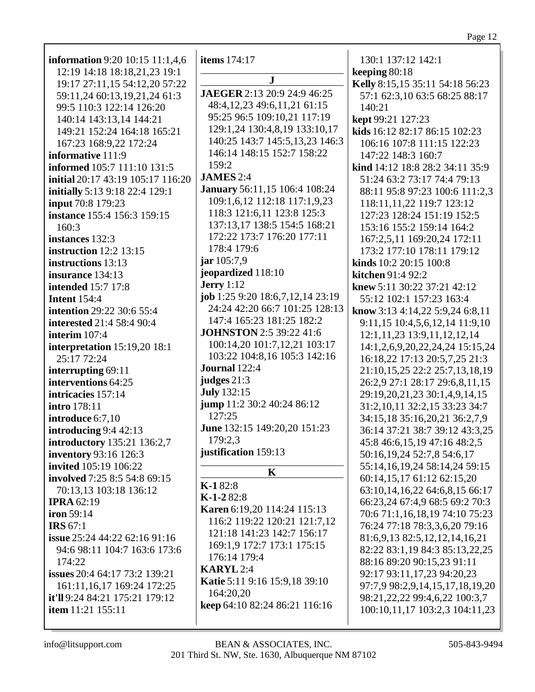| <b>information</b> 9:20 10:15 11:1,4,6<br>12:19 14:18 18:18,21,23 19:1<br>19:17 27:11,15 54:12,20 57:22<br>59:11,24 60:13,19,21,24 61:3<br>99:5 110:3 122:14 126:20<br>140:14 143:13,14 144:21 | <b>items</b> 174:17<br>$\mathbf{J}$<br>JAEGER 2:13 20:9 24:9 46:25<br>48:4, 12, 23 49:6, 11, 21 61:15<br>95:25 96:5 109:10,21 117:19  | 130:1 137:12 142:1<br>keeping 80:18<br>Kelly 8:15,15 35:11 54:18 56:23<br>57:1 62:3,10 63:5 68:25 88:17<br>140:21<br>kept 99:21 127:23                                                                                          |
|------------------------------------------------------------------------------------------------------------------------------------------------------------------------------------------------|---------------------------------------------------------------------------------------------------------------------------------------|---------------------------------------------------------------------------------------------------------------------------------------------------------------------------------------------------------------------------------|
| 149:21 152:24 164:18 165:21                                                                                                                                                                    | 129:1,24 130:4,8,19 133:10,17                                                                                                         | kids 16:12 82:17 86:15 102:23                                                                                                                                                                                                   |
| 167:23 168:9,22 172:24                                                                                                                                                                         | 140:25 143:7 145:5,13,23 146:3                                                                                                        | 106:16 107:8 111:15 122:23                                                                                                                                                                                                      |
| informative 111:9                                                                                                                                                                              | 146:14 148:15 152:7 158:22                                                                                                            | 147:22 148:3 160:7                                                                                                                                                                                                              |
| informed 105:7 111:10 131:5                                                                                                                                                                    | 159:2                                                                                                                                 | kind 14:12 18:8 28:2 34:11 35:9                                                                                                                                                                                                 |
| initial 20:17 43:19 105:17 116:20                                                                                                                                                              | <b>JAMES</b> 2:4                                                                                                                      | 51:24 63:2 73:17 74:4 79:13                                                                                                                                                                                                     |
| initially 5:13 9:18 22:4 129:1                                                                                                                                                                 | January 56:11,15 106:4 108:24                                                                                                         | 88:11 95:8 97:23 100:6 111:2,3                                                                                                                                                                                                  |
| input 70:8 179:23                                                                                                                                                                              | 109:1,6,12 112:18 117:1,9,23                                                                                                          | 118:11,11,22 119:7 123:12                                                                                                                                                                                                       |
| instance 155:4 156:3 159:15                                                                                                                                                                    | 118:3 121:6,11 123:8 125:3                                                                                                            | 127:23 128:24 151:19 152:5                                                                                                                                                                                                      |
| 160:3                                                                                                                                                                                          | 137:13,17 138:5 154:5 168:21                                                                                                          | 153:16 155:2 159:14 164:2                                                                                                                                                                                                       |
| instances 132:3                                                                                                                                                                                | 172:22 173:7 176:20 177:11                                                                                                            | 167:2,5,11 169:20,24 172:11                                                                                                                                                                                                     |
| <b>instruction</b> 12:2 13:15                                                                                                                                                                  | 178:4 179:6                                                                                                                           | 173:2 177:10 178:11 179:12                                                                                                                                                                                                      |
| instructions 13:13                                                                                                                                                                             | jar 105:7,9                                                                                                                           | kinds 10:2 20:15 100:8                                                                                                                                                                                                          |
| insurance 134:13                                                                                                                                                                               | jeopardized 118:10                                                                                                                    | kitchen 91:4 92:2                                                                                                                                                                                                               |
| <b>intended</b> 15:7 17:8                                                                                                                                                                      | <b>Jerry</b> 1:12                                                                                                                     | knew 5:11 30:22 37:21 42:12                                                                                                                                                                                                     |
| <b>Intent 154:4</b>                                                                                                                                                                            | job 1:25 9:20 18:6,7,12,14 23:19                                                                                                      | 55:12 102:1 157:23 163:4                                                                                                                                                                                                        |
| <b>intention</b> 29:22 30:6 55:4                                                                                                                                                               | 24:24 42:20 66:7 101:25 128:13                                                                                                        | know 3:13 4:14,22 5:9,24 6:8,11                                                                                                                                                                                                 |
| <b>interested</b> 21:4 58:4 90:4                                                                                                                                                               | 147:4 165:23 181:25 182:2                                                                                                             | 9:11,15 10:4,5,6,12,14 11:9,10                                                                                                                                                                                                  |
| interim 107:4                                                                                                                                                                                  | <b>JOHNSTON</b> 2:5 39:22 41:6                                                                                                        | 12:1,11,23 13:9,11,12,12,14                                                                                                                                                                                                     |
| interpretation 15:19,20 18:1                                                                                                                                                                   | 100:14,20 101:7,12,21 103:17                                                                                                          | 14:1,2,6,9,20,22,24,24 15:15,24                                                                                                                                                                                                 |
| 25:17 72:24                                                                                                                                                                                    | 103:22 104:8,16 105:3 142:16                                                                                                          | 16:18,22 17:13 20:5,7,25 21:3                                                                                                                                                                                                   |
| interrupting 69:11<br>interventions 64:25<br>intricacies 157:14<br>intro 178:11<br>introduce 6:7,10<br>introducing $9:4$ 42:13                                                                 | Journal 122:4<br>judges 21:3<br><b>July</b> 132:15<br>jump 11:2 30:2 40:24 86:12<br>127:25<br>June 132:15 149:20,20 151:23<br>179:2.3 | 21:10,15,25 22:2 25:7,13,18,19<br>26:2,9 27:1 28:17 29:6,8,11,15<br>29:19,20,21,23 30:1,4,9,14,15<br>31:2,10,11 32:2,15 33:23 34:7<br>34:15,18 35:16,20,21 36:2,7,9<br>36:14 37:21 38:7 39:12 43:3,25                           |
| introductory 135:21 136:2,7<br>inventory 93:16 126:3<br>invited 105:19 106:22<br>involved 7:25 8:5 54:8 69:15<br>70:13,13 103:18 136:12<br><b>IPRA 62:19</b><br><b>iron</b> 59:14              | justification 159:13<br>$\mathbf K$<br>$K-182:8$<br>$K-1-282:8$<br><b>Karen</b> 6:19,20 114:24 115:13                                 | 45:8 46:6,15,19 47:16 48:2,5<br>50:16,19,24 52:7,8 54:6,17<br>55:14,16,19,24 58:14,24 59:15<br>60:14,15,17 61:12 62:15,20<br>63:10,14,16,22 64:6,8,15 66:17<br>66:23,24 67:4,9 68:5 69:2 70:3<br>70:6 71:1,16,18,19 74:10 75:23 |
| <b>IRS</b> 67:1                                                                                                                                                                                | 116:2 119:22 120:21 121:7,12                                                                                                          | 76:24 77:18 78:3,3,6,20 79:16                                                                                                                                                                                                   |
| issue 25:24 44:22 62:16 91:16                                                                                                                                                                  | 121:18 141:23 142:7 156:17                                                                                                            | 81:6,9,13 82:5,12,12,14,16,21                                                                                                                                                                                                   |
| 94:6 98:11 104:7 163:6 173:6                                                                                                                                                                   | 169:1,9 172:7 173:1 175:15                                                                                                            | 82:22 83:1,19 84:3 85:13,22,25                                                                                                                                                                                                  |
| 174:22                                                                                                                                                                                         | 176:14 179:4                                                                                                                          | 88:16 89:20 90:15,23 91:11                                                                                                                                                                                                      |
| <b>issues</b> 20:4 64:17 73:2 139:21                                                                                                                                                           | <b>KARYL</b> 2:4                                                                                                                      | 92:17 93:11,17,23 94:20,23                                                                                                                                                                                                      |
| 161:11, 16, 17 169: 24 172: 25                                                                                                                                                                 | Katie 5:11 9:16 15:9,18 39:10                                                                                                         | 97:7,9 98:2,9,14,15,17,18,19,20                                                                                                                                                                                                 |
| it'll 9:24 84:21 175:21 179:12                                                                                                                                                                 | 164:20,20                                                                                                                             | 98:21, 22, 22 99:4, 6, 22 100:3, 7                                                                                                                                                                                              |
| item 11:21 155:11                                                                                                                                                                              | keep 64:10 82:24 86:21 116:16                                                                                                         | 100:10,11,17 103:2,3 104:11,23                                                                                                                                                                                                  |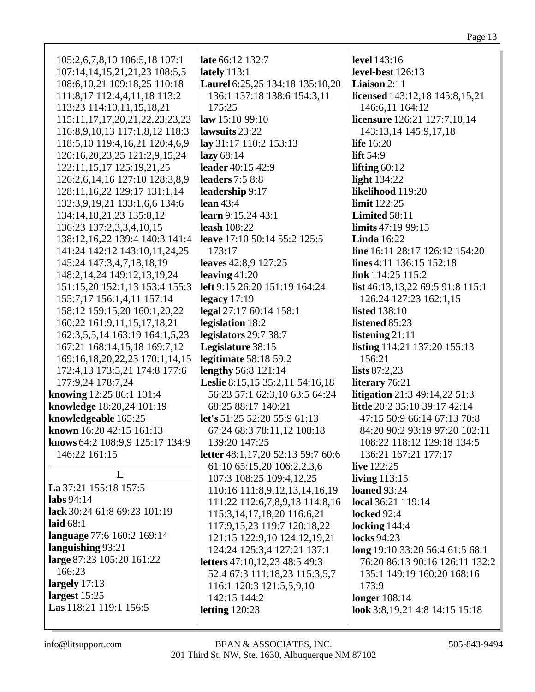| 105:2,6,7,8,10 106:5,18 107:1          | late 66:12 132:7                                                | <b>level</b> 143:16                  |
|----------------------------------------|-----------------------------------------------------------------|--------------------------------------|
| 107:14, 14, 15, 21, 21, 23 108: 5, 5   | lately $113:1$                                                  | level-best 126:13                    |
| 108:6, 10, 21 109: 18, 25 110: 18      | Laurel 6:25,25 134:18 135:10,20                                 | <b>Liaison</b> $2:11$                |
| 111:8,17 112:4,4,11,18 113:2           | 136:1 137:18 138:6 154:3,11                                     | licensed 143:12,18 145:8,15,21       |
| 113:23 114:10,11,15,18,21              | 175:25                                                          | 146:6,11 164:12                      |
| 115:11, 17, 17, 20, 21, 22, 23, 23, 23 | law 15:1099:10                                                  | licensure 126:21 127:7,10,14         |
| 116:8, 9, 10, 13 117:1, 8, 12 118:3    | lawsuits 23:22                                                  | 143:13,14 145:9,17,18                |
| 118:5,10 119:4,16,21 120:4,6,9         | lay 31:17 110:2 153:13                                          | <b>life</b> 16:20                    |
| 120:16,20,23,25 121:2,9,15,24          | lazy $68:14$                                                    | lift $54:9$                          |
| 122:11,15,17 125:19,21,25              | leader 40:15 42:9                                               | lifting $60:12$                      |
| 126:2,6,14,16 127:10 128:3,8,9         | <b>leaders</b> 7:5 8:8                                          | <b>light</b> 134:22                  |
| 128:11, 16, 22 129:17 131:1, 14        | leadership 9:17                                                 | likelihood 119:20                    |
| 132:3,9,19,21 133:1,6,6 134:6          | lean $43:4$                                                     | limit 122:25                         |
|                                        |                                                                 |                                      |
| 134:14,18,21,23 135:8,12               | learn 9:15,24 43:1                                              | Limited 58:11                        |
| 136:23 137:2,3,3,4,10,15               | <b>leash</b> 108:22                                             | limits 47:19 99:15                   |
| 138:12, 16, 22 139:4 140:3 141:4       | leave 17:10 50:14 55:2 125:5                                    | <b>Linda</b> 16:22                   |
| 141:24 142:12 143:10,11,24,25          | 173:17                                                          | line 16:11 28:17 126:12 154:20       |
| 145:24 147:3,4,7,18,18,19              | leaves 42:8,9 127:25                                            | lines 4:11 136:15 152:18             |
| 148:2,14,24 149:12,13,19,24            | leaving $41:20$                                                 | link 114:25 115:2                    |
| 151:15,20 152:1,13 153:4 155:3         | left 9:15 26:20 151:19 164:24                                   | list 46:13,13,22 69:5 91:8 115:1     |
| 155:7,17 156:1,4,11 157:14             | legacy $17:19$                                                  | 126:24 127:23 162:1,15               |
| 158:12 159:15,20 160:1,20,22           | legal 27:17 60:14 158:1                                         | <b>listed</b> 138:10                 |
| 160:22 161:9,11,15,17,18,21            | legislation 18:2                                                | listened 85:23                       |
| 162:3,5,5,14 163:19 164:1,5,23         | legislators 29:7 38:7                                           | listening $21:11$                    |
| 167:21 168:14,15,18 169:7,12           | Legislature 38:15                                               | <b>listing</b> 114:21 137:20 155:13  |
| 169:16,18,20,22,23 170:1,14,15         | legitimate 58:18 59:2                                           | 156:21                               |
| 172:4,13 173:5,21 174:8 177:6          | lengthy 56:8 121:14                                             | lists $87:2,23$                      |
| 177:9,24 178:7,24                      | Leslie 8:15,15 35:2,11 54:16,18                                 | literary 76:21                       |
| knowing 12:25 86:1 101:4               | 56:23 57:1 62:3,10 63:5 64:24                                   | <b>litigation</b> 21:3 49:14,22 51:3 |
| knowledge 18:20,24 101:19              | 68:25 88:17 140:21                                              | little 20:2 35:10 39:17 42:14        |
| knowledgeable 165:25                   | let's 51:25 52:20 55:9 61:13                                    | 47:15 50:9 66:14 67:13 70:8          |
| known 16:20 42:15 161:13               | 67:24 68:3 78:11,12 108:18                                      | 84:20 90:2 93:19 97:20 102:11        |
| knows 64:2 108:9,9 125:17 134:9        | 139:20 147:25                                                   | 108:22 118:12 129:18 134:5           |
| 146:22 161:15                          | letter 48:1,17,20 52:13 59:7 60:6                               | 136:21 167:21 177:17                 |
|                                        | 61:10 65:15,20 106:2,2,3,6                                      | live $122:25$                        |
| L                                      | 107:3 108:25 109:4,12,25                                        | living $113:15$                      |
| La 37:21 155:18 157:5                  |                                                                 | <b>loaned</b> 93:24                  |
| labs $94:14$                           | 110:16 111:8,9,12,13,14,16,19<br>111:22 112:6,7,8,9,13 114:8,16 | local 36:21 119:14                   |
| lack 30:24 61:8 69:23 101:19           |                                                                 |                                      |
| laid $68:1$                            | 115:3, 14, 17, 18, 20 116:6, 21                                 | locked 92:4                          |
| language 77:6 160:2 169:14             | 117:9,15,23 119:7 120:18,22                                     | locking $144:4$                      |
|                                        | 121:15 122:9,10 124:12,19,21                                    | <b>locks</b> 94:23                   |
| languishing 93:21                      | 124:24 125:3,4 127:21 137:1                                     | long 19:10 33:20 56:4 61:5 68:1      |
| large 87:23 105:20 161:22              | <b>letters</b> 47:10,12,23 48:5 49:3                            | 76:20 86:13 90:16 126:11 132:2       |
| 166:23                                 | 52:4 67:3 111:18,23 115:3,5,7                                   | 135:1 149:19 160:20 168:16           |
| largely $17:13$                        | 116:1 120:3 121:5,5,9,10                                        | 173:9                                |
| largest $15:25$                        | 142:15 144:2                                                    | <b>longer</b> 108:14                 |
| Las 118:21 119:1 156:5                 | letting $120:23$                                                | look 3:8, 19, 21 4:8 14:15 15:18     |
|                                        |                                                                 |                                      |
|                                        |                                                                 |                                      |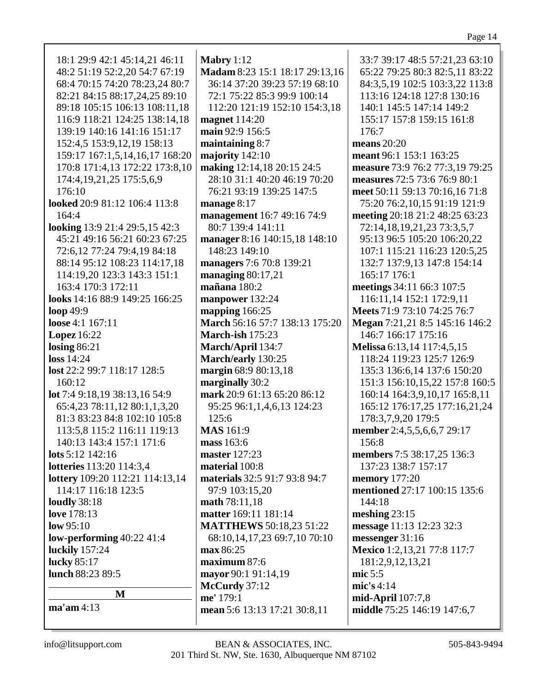| 18:1 29:9 42:1 45:14,21 46:11   | Mabry $1:12$         |
|---------------------------------|----------------------|
|                                 |                      |
| 48:2 51:19 52:2,20 54:7 67:19   | <b>Madam 8:23</b>    |
| 68:4 70:15 74:20 78:23,24 80:7  | 36:14 37:20          |
| 82:21 84:15 88:17,24,25 89:10   | 72:1 75:22 8         |
| 89:18 105:15 106:13 108:11,18   | 112:20 121:          |
| 116:9 118:21 124:25 138:14,18   | magnet 114:2         |
| 139:19 140:16 141:16 151:17     | main 92:9 15         |
| 152:4,5 153:9,12,19 158:13      |                      |
|                                 | maintaining          |
| 159:17 167:1,5,14,16,17 168:20  | majority 142         |
| 170:8 171:4,13 172:22 173:8,10  | making $12:14$       |
| 174:4, 19, 21, 25 175: 5, 6, 9  | 28:10 31:14          |
| 176:10                          | 76:21 93:19          |
| looked 20:9 81:12 106:4 113:8   | manage 8:17          |
| 164:4                           | management           |
| looking 13:9 21:4 29:5,15 42:3  | 80:7 139:4           |
| 45:21 49:16 56:21 60:23 67:25   | manager 8:16         |
| 72:6,12 77:24 79:4,19 84:18     | 148:23 149:          |
| 88:14 95:12 108:23 114:17,18    |                      |
|                                 | managers 7:6         |
| 114:19,20 123:3 143:3 151:1     | managing 80          |
| 163:4 170:3 172:11              | mañana 180:          |
| looks 14:16 88:9 149:25 166:25  | manpower 13          |
| loop 49:9                       | mapping 166          |
| loose 4:1 167:11                | <b>March 56:16</b>   |
| <b>Lopez</b> 16:22              | March-ish 17         |
| losing $86:21$                  | March/April          |
| loss 14:24                      | March/early          |
| lost 22:2 99:7 118:17 128:5     | margin $68:9$        |
| 160:12                          | marginally 30        |
| lot 7:4 9:18,19 38:13,16 54:9   | mark 20:9 61         |
| 65:4,23 78:11,12 80:1,1,3,20    |                      |
|                                 | 95:25 96:1,          |
| 81:3 83:23 84:8 102:10 105:8    | 125:6                |
| 113:5,8 115:2 116:11 119:13     | <b>MAS</b> 161:9     |
| 140:13 143:4 157:1 171:6        | mass 163:6           |
| lots $5:12$ 142:16              | master 127:23        |
| lotteries 113:20 114:3,4        | material 100:        |
| lottery 109:20 112:21 114:13,14 | materials 32:        |
| 114:17 116:18 123:5             | 97:9 103:15          |
| <b>loudly</b> 38:18             | math 78:11,1         |
| love 178:13                     | <b>matter</b> 169:11 |
| low 95:10                       | <b>MATTHEW</b>       |
|                                 |                      |
| low-performing $40:22$ 41:4     | 68:10,14,17          |
| luckily 157:24                  | max 86:25            |
| lucky 85:17                     | maximum 87           |
| lunch 88:23 89:5                | mayor 90:1 9         |
|                                 | <b>McCurdy</b> 37:   |
| M                               | me' 179:1            |
| $ma'$ am 4:13                   | <b>mean</b> 5:6 13:  |
|                                 |                      |

15:1 18:17 29:13,16 36:14 37:20 39:23 57:19 68:10 85:3 99:9 100:14 19 152:10 154:3,18 **magnet** 114:20 **6:5**  $8:7$  $:10$ **mark** 1,18 20:15 24:5 40:20 46:19 70:20 139:25 147:5 16:7 49:16 74:9 141:11 **manager** 8:16 140:15,18 148:10 148:23 149:10 70:8 139:21 **managing** 80:17,21 **mañana** 180:2 **manpower** 132:24 **mag** 125: **March** 56:16 57:7 138:13 175:20  $15:23$ **March/April** 134:7 **March/early** 130:25 **margin** 68:13,18  $0:2$ **mark** 20:43 65:20:86:12 95:25 96:1,1,4,6,13 124:23 **master** 127:23 **material** 100:8 **materials** 32:5 91:7 93:8 94:7  $\cdot$ ,20 **math** 78:11,18 **1** 181:14 **S** 50:18,23 51:22 68:10,14,17,23 69:7,10 70:10  $\cdot 6$ **h** 1:14,19 **Mac mean** 5:6 13:13 17:21 30:8,11

33:7 39:17 48:5 57:21,23 63:10 65:22 79:25 80:3 82:5,11 83:22 84:3,5,19 102:5 103:3,22 113:8 113:16 124:18 127:8 130:16 140:1 145:5 147:14 149:2 155:17 157:8 159:15 161:8 176:7 **means** 20:20 **meant** 96:1 153:1 163:25 **measure** 73:9 76:2 77:3,19 79:25 **measures** 72:5 73:6 76:9 80:1 **meet** 50:11 59:13 70:16,16 71:8 75:20 76:2,10,15 91:19 121:9 **meeting** 20:18 21:2 48:25 63:23 72:14,18,19,21,23 73:3,5,7 95:13 96:5 105:20 106:20,22 107:1 115:21 116:23 120:5,25 132:7 137:9,13 147:8 154:14 165:17 176:1 **meetings** 34:11 66:3 107:5 116:11,14 152:1 172:9,11 **Meets** 71:9 73:10 74:25 76:7 **Megan** 7:21,21 8:5 145:16 146:2 146:7 166:17 175:16 **Melissa** 6:13,14 117:4,5,15 118:24 119:23 125:7 126:9 135:3 136:6,14 137:6 150:20 151:3 156:10,15,22 157:8 160:5 160:14 164:3,9,10,17 165:8,11 165:12 176:17,25 177:16,21,24 178:3,7,9,20 179:5 **member** 2:4,5,5,6,6,7 29:17 156:8 **members** 7:5 38:17,25 136:3 137:23 138:7 157:17 **memory** 177:20 **mentioned** 27:17 100:15 135:6 144:18 **meshing** 23:15 **message** 11:13 12:23 32:3 **messenger** 31:16 **Mexico** 1:2,13,21 77:8 117:7 181:2,9,12,13,21 **mic** 5:5 **mic's** 4:14 **mid-April** 107:7,8 **middle** 75:25 146:19 147:6,7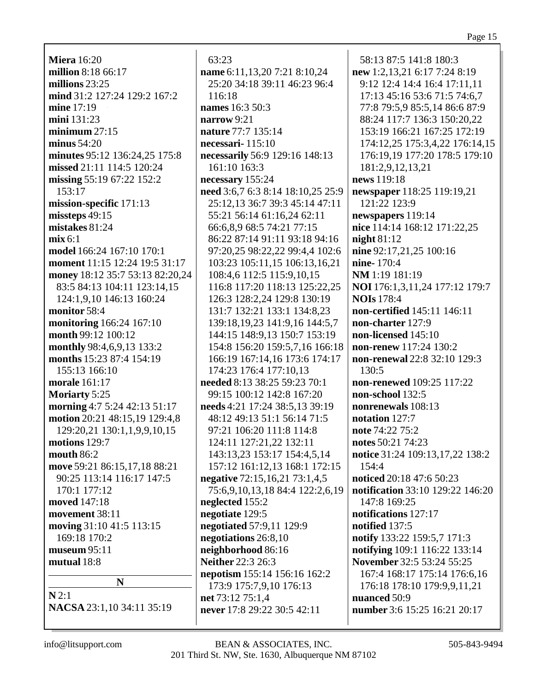**Miera** 16:20 **million** 8:18 66:17 **millions** 23:25 **mind** 31:2 127:24 129:2 167:2 **mine** 17:19 **mini** 131:23 **minimum** 27:15 **minus** 54:20 **minutes** 95:12 136:24,25 175:8 **missed** 21:11 114:5 120:24 **missing** 55:19 67:22 152:2 153:17 **mission-specific** 171:13 **missteps** 49:15 **mistakes** 81:24 **mix** 6:1 **model** 166:24 167:10 170:1 **moment** 11:15 12:24 19:5 31:17 **money** 18:12 35:7 53:13 82:20,24 83:5 84:13 104:11 123:14,15 124:1,9,10 146:13 160:24 **monitor** 58:4 **monitoring** 166:24 167:10 **month** 99:12 100:12 **monthly** 98:4,6,9,13 133:2 **months** 15:23 87:4 154:19 155:13 166:10 **morale** 161:17 **Moriarty** 5:25 **morning** 4:7 5:24 42:13 51:17 **motion** 20:21 48:15,19 129:4,8 129:20,21 130:1,1,9,9,10,15 **motions** 129:7 **mouth** 86:2 **move** 59:21 86:15,17,18 88:21 90:25 113:14 116:17 147:5 170:1 177:12 **moved** 147:18 **movement** 38:11 **moving** 31:10 41:5 113:15 169:18 170:2 **museum** 95:11 **mutual** 18:8 **N N** 2:1

**NACSA** 23:1,10 34:11 35:19

63:23 **name** 6:11,13,20 7:21 8:10,24 25:20 34:18 39:11 46:23 96:4 116:18 **names** 16:3 50:3 **narrow** 9:21 **nature** 77:7 135:14 **necessari-** 115:10 **necessarily** 56:9 129:16 148:13 161:10 163:3 **necessary** 155:24 **need** 3:6,7 6:3 8:14 18:10,25 25:9 25:12,13 36:7 39:3 45:14 47:11 55:21 56:14 61:16,24 62:11 66:6,8,9 68:5 74:21 77:15 86:22 87:14 91:11 93:18 94:16 97:20,25 98:22,22 99:4,4 102:6 103:23 105:11,15 106:13,16,21 108:4,6 112:5 115:9,10,15 116:8 117:20 118:13 125:22,25 126:3 128:2,24 129:8 130:19 131:7 132:21 133:1 134:8,23 139:18,19,23 141:9,16 144:5,7 144:15 148:9,13 150:7 153:19 154:8 156:20 159:5,7,16 166:18 166:19 167:14,16 173:6 174:17 174:23 176:4 177:10,13 **needed** 8:13 38:25 59:23 70:1 99:15 100:12 142:8 167:20 **needs** 4:21 17:24 38:5,13 39:19 48:12 49:13 51:1 56:14 71:5 97:21 106:20 111:8 114:8 124:11 127:21,22 132:11 143:13,23 153:17 154:4,5,14 157:12 161:12,13 168:1 172:15 **negative** 72:15,16,21 73:1,4,5 75:6,9,10,13,18 84:4 122:2,6,19 **neglected** 155:2 **negotiate** 129:5 **negotiated** 57:9,11 129:9 **negotiations** 26:8,10 **neighborhood** 86:16 **Neither** 22:3 26:3 **nepotism** 155:14 156:16 162:2 173:9 175:7,9,10 176:13 **net** 73:12 75:1,4 **never** 17:8 29:22 30:5 42:11

58:13 87:5 141:8 180:3 **new** 1:2,13,21 6:17 7:24 8:19 9:12 12:4 14:4 16:4 17:11,11 17:13 45:16 53:6 71:5 74:6,7 77:8 79:5,9 85:5,14 86:6 87:9 88:24 117:7 136:3 150:20,22 153:19 166:21 167:25 172:19 174:12,25 175:3,4,22 176:14,15 176:19,19 177:20 178:5 179:10 181:2,9,12,13,21 **news** 119:18 **newspaper** 118:25 119:19,21 121:22 123:9 **newspapers** 119:14 **nice** 114:14 168:12 171:22,25 **night** 81:12 **nine** 92:17,21,25 100:16 **nine-** 170:4 **NM** 1:19 181:19 **NOI** 176:1,3,11,24 177:12 179:7 **NOIs** 178:4 **non-certified** 145:11 146:11 **non-charter** 127:9 **non-licensed** 145:10 **non-renew** 117:24 130:2 **non-renewal** 22:8 32:10 129:3 130:5 **non-renewed** 109:25 117:22 **non-school** 132:5 **nonrenewals** 108:13 **notation** 127:7 **note** 74:22 75:2 **notes** 50:21 74:23 **notice** 31:24 109:13,17,22 138:2 154:4 **noticed** 20:18 47:6 50:23 **notification** 33:10 129:22 146:20 147:8 169:25 **notifications** 127:17 **notified** 137:5 **notify** 133:22 159:5,7 171:3 **notifying** 109:1 116:22 133:14 **November** 32:5 53:24 55:25 167:4 168:17 175:14 176:6,16 176:18 178:10 179:9,9,11,21 **nuanced** 50:9 **number** 3:6 15:25 16:21 20:17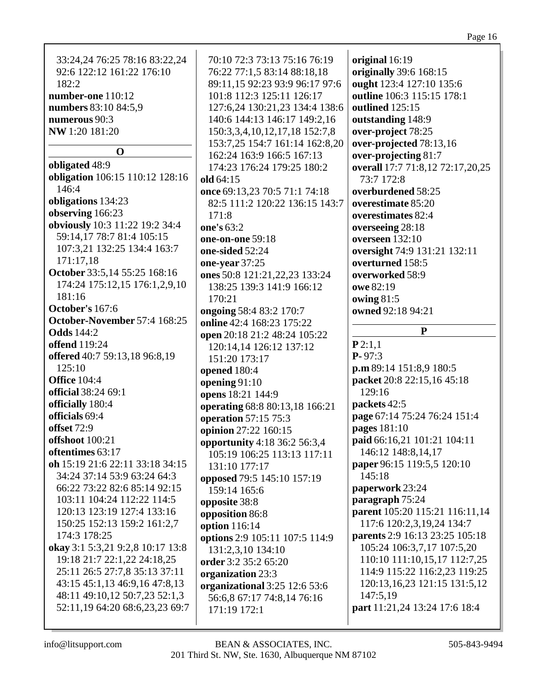| 33:24,24 76:25 78:16 83:22,24    | 70:10 72:3 73:13 75:16 76:19   | original 16:19                   |
|----------------------------------|--------------------------------|----------------------------------|
|                                  |                                |                                  |
| 92:6 122:12 161:22 176:10        | 76:22 77:1,5 83:14 88:18,18    | originally 39:6 168:15           |
| 182:2                            | 89:11,15 92:23 93:9 96:17 97:6 | ought 123:4 127:10 135:6         |
| number-one 110:12                | 101:8 112:3 125:11 126:17      | outline 106:3 115:15 178:1       |
| numbers 83:10 84:5,9             | 127:6,24 130:21,23 134:4 138:6 | outlined 125:15                  |
| numerous 90:3                    | 140:6 144:13 146:17 149:2,16   | outstanding 148:9                |
| NW 1:20 181:20                   | 150:3,3,4,10,12,17,18 152:7,8  | over-project 78:25               |
|                                  | 153:7,25 154:7 161:14 162:8,20 | over-projected 78:13,16          |
| $\mathbf 0$                      | 162:24 163:9 166:5 167:13      | over-projecting 81:7             |
| obligated 48:9                   | 174:23 176:24 179:25 180:2     | overall 17:7 71:8,12 72:17,20,25 |
| obligation 106:15 110:12 128:16  | old 64:15                      | 73:7 172:8                       |
| 146:4                            | once 69:13,23 70:5 71:1 74:18  | overburdened 58:25               |
| obligations 134:23               | 82:5 111:2 120:22 136:15 143:7 | overestimate 85:20               |
| observing 166:23                 | 171:8                          | overestimates 82:4               |
| obviously 10:3 11:22 19:2 34:4   | one's 63:2                     | overseeing 28:18                 |
| 59:14,17 78:7 81:4 105:15        | one-on-one 59:18               | overseen 132:10                  |
| 107:3,21 132:25 134:4 163:7      | one-sided 52:24                | oversight 74:9 131:21 132:11     |
| 171:17,18                        |                                | overturned 158:5                 |
| October 33:5,14 55:25 168:16     | one-year 37:25                 |                                  |
| 174:24 175:12,15 176:1,2,9,10    | ones 50:8 121:21,22,23 133:24  | overworked 58:9                  |
| 181:16                           | 138:25 139:3 141:9 166:12      | owe 82:19                        |
|                                  | 170:21                         | owing 81:5                       |
| October's 167:6                  | ongoing 58:4 83:2 170:7        | owned 92:18 94:21                |
| October-November 57:4 168:25     | online 42:4 168:23 175:22      |                                  |
| <b>Odds</b> 144:2                | open 20:18 21:2 48:24 105:22   | ${\bf P}$                        |
| <b>offend</b> 119:24             | 120:14,14 126:12 137:12        | P2:1,1                           |
| offered 40:7 59:13,18 96:8,19    | 151:20 173:17                  | $P - 97:3$                       |
| 125:10                           | opened 180:4                   | p.m 89:14 151:8,9 180:5          |
| <b>Office 104:4</b>              | opening 91:10                  | packet 20:8 22:15,16 45:18       |
| official 38:24 69:1              | opens 18:21 144:9              | 129:16                           |
| officially 180:4                 | operating 68:8 80:13,18 166:21 | packets 42:5                     |
| officials 69:4                   | operation 57:15 75:3           | page 67:14 75:24 76:24 151:4     |
| offset 72:9                      | opinion 27:22 160:15           | pages 181:10                     |
| offshoot 100:21                  | opportunity 4:18 36:2 56:3,4   | paid 66:16,21 101:21 104:11      |
| oftentimes 63:17                 | 105:19 106:25 113:13 117:11    | 146:12 148:8,14,17               |
| oh 15:19 21:6 22:11 33:18 34:15  |                                | paper 96:15 119:5,5 120:10       |
| 34:24 37:14 53:9 63:24 64:3      | 131:10 177:17                  | 145:18                           |
| 66:22 73:22 82:6 85:14 92:15     | opposed 79:5 145:10 157:19     | paperwork 23:24                  |
| 103:11 104:24 112:22 114:5       | 159:14 165:6                   | paragraph 75:24                  |
| 120:13 123:19 127:4 133:16       | opposite 38:8                  |                                  |
|                                  | opposition 86:8                | parent 105:20 115:21 116:11,14   |
| 150:25 152:13 159:2 161:2,7      | option 116:14                  | 117:6 120:2,3,19,24 134:7        |
| 174:3 178:25                     | options 2:9 105:11 107:5 114:9 | parents 2:9 16:13 23:25 105:18   |
| okay 3:1 5:3,21 9:2,8 10:17 13:8 | 131:2,3,10 134:10              | 105:24 106:3,7,17 107:5,20       |
| 19:18 21:7 22:1,22 24:18,25      | order 3:2 35:2 65:20           | 110:10 111:10,15,17 112:7,25     |
| 25:11 26:5 27:7,8 35:13 37:11    | organization 23:3              | 114:9 115:22 116:2,23 119:25     |
| 43:15 45:1,13 46:9,16 47:8,13    | organizational 3:25 12:6 53:6  | 120:13, 16, 23 121:15 131:5, 12  |
| 48:11 49:10,12 50:7,23 52:1,3    | 56:6,8 67:17 74:8,14 76:16     | 147:5,19                         |
| 52:11,19 64:20 68:6,23,23 69:7   | 171:19 172:1                   | part 11:21,24 13:24 17:6 18:4    |
|                                  |                                |                                  |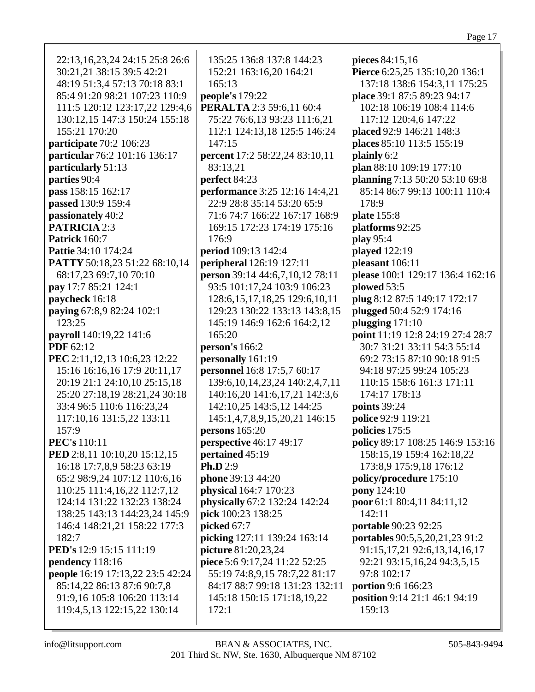| 22:13, 16, 23, 24 24:15 25:8 26:6 | 135:25 136:8 137:8 144:23              | pieces 84:15,16                     |
|-----------------------------------|----------------------------------------|-------------------------------------|
| 30:21,21 38:15 39:5 42:21         | 152:21 163:16,20 164:21                | Pierce 6:25,25 135:10,20 136:1      |
| 48:19 51:3,4 57:13 70:18 83:1     | 165:13                                 | 137:18 138:6 154:3,11 175:25        |
| 85:4 91:20 98:21 107:23 110:9     | people's 179:22                        | place 39:1 87:5 89:23 94:17         |
| 111:5 120:12 123:17,22 129:4,6    | PERALTA 2:3 59:6,11 60:4               | 102:18 106:19 108:4 114:6           |
| 130:12,15 147:3 150:24 155:18     | 75:22 76:6,13 93:23 111:6,21           | 117:12 120:4,6 147:22               |
| 155:21 170:20                     | 112:1 124:13,18 125:5 146:24           | placed 92:9 146:21 148:3            |
| participate 70:2 106:23           | 147:15                                 | places 85:10 113:5 155:19           |
| particular 76:2 101:16 136:17     | percent 17:2 58:22,24 83:10,11         | plainly 6:2                         |
| particularly 51:13                | 83:13,21                               | plan 88:10 109:19 177:10            |
| parties 90:4                      | perfect 84:23                          | planning 7:13 50:20 53:10 69:8      |
| pass 158:15 162:17                | performance 3:25 12:16 14:4,21         | 85:14 86:7 99:13 100:11 110:4       |
| passed 130:9 159:4                | 22:9 28:8 35:14 53:20 65:9             | 178:9                               |
| passionately 40:2                 | 71:6 74:7 166:22 167:17 168:9          | plate 155:8                         |
| <b>PATRICIA 2:3</b>               | 169:15 172:23 174:19 175:16            | platforms 92:25                     |
| Patrick 160:7                     | 176:9                                  | play 95:4                           |
| <b>Pattie 34:10 174:24</b>        | period 109:13 142:4                    | played 122:19                       |
| PATTY 50:18,23 51:22 68:10,14     | peripheral 126:19 127:11               | pleasant 106:11                     |
| 68:17,23 69:7,10 70:10            | person 39:14 44:6,7,10,12 78:11        | please 100:1 129:17 136:4 162:16    |
| pay 17:7 85:21 124:1              | 93:5 101:17,24 103:9 106:23            | plowed 53:5                         |
| paycheck 16:18                    | 128:6, 15, 17, 18, 25 129:6, 10, 11    | plug 8:12 87:5 149:17 172:17        |
| paying 67:8,9 82:24 102:1         | 129:23 130:22 133:13 143:8,15          | plugged 50:4 52:9 174:16            |
| 123:25                            | 145:19 146:9 162:6 164:2,12            | plugging $171:10$                   |
| payroll 140:19,22 141:6           | 165:20                                 | point 11:19 12:8 24:19 27:4 28:7    |
| <b>PDF</b> 62:12                  | person's $166:2$                       | 30:7 31:21 33:11 54:3 55:14         |
| PEC 2:11,12,13 10:6,23 12:22      | personally 161:19                      | 69:2 73:15 87:10 90:18 91:5         |
| 15:16 16:16,16 17:9 20:11,17      | personnel 16:8 17:5,7 60:17            | 94:18 97:25 99:24 105:23            |
| 20:19 21:1 24:10,10 25:15,18      | 139:6, 10, 14, 23, 24 140: 2, 4, 7, 11 | 110:15 158:6 161:3 171:11           |
| 25:20 27:18,19 28:21,24 30:18     | 140:16,20 141:6,17,21 142:3,6          | 174:17 178:13                       |
| 33:4 96:5 110:6 116:23,24         | 142:10,25 143:5,12 144:25              | points 39:24                        |
| 117:10,16 131:5,22 133:11         | 145:1,4,7,8,9,15,20,21 146:15          | police 92:9 119:21                  |
| 157:9                             | persons $165:20$                       | policies 175:5                      |
| <b>PEC's</b> 110:11               | <b>perspective</b> 46:17 49:17         | policy 89:17 108:25 146:9 153:16    |
| PED 2:8,11 10:10,20 15:12,15      | pertained 45:19                        | 158:15,19 159:4 162:18,22           |
| 16:18 17:7,8,9 58:23 63:19        | Ph.D $2:9$                             | 173:8,9 175:9,18 176:12             |
| 65:2 98:9,24 107:12 110:6,16      | phone 39:13 44:20                      | policy/procedure 175:10             |
| 110:25 111:4,16,22 112:7,12       | physical 164:7 170:23                  | pony 124:10                         |
| 124:14 131:22 132:23 138:24       | physically 67:2 132:24 142:24          | poor 61:1 80:4,11 84:11,12          |
| 138:25 143:13 144:23,24 145:9     | pick 100:23 138:25                     | 142:11                              |
| 146:4 148:21,21 158:22 177:3      | picked 67:7                            | portable 90:23 92:25                |
| 182:7                             | picking 127:11 139:24 163:14           | portables 90:5,5,20,21,23 91:2      |
| PED's 12:9 15:15 111:19           | picture 81:20,23,24                    | 91:15, 17, 21 92: 6, 13, 14, 16, 17 |
| pendency 118:16                   | piece 5:6 9:17,24 11:22 52:25          | 92:21 93:15,16,24 94:3,5,15         |
| people 16:19 17:13,22 23:5 42:24  | 55:19 74:8,9,15 78:7,22 81:17          | 97:8 102:17                         |
| 85:14,22 86:13 87:6 90:7,8        | 84:17 88:7 99:18 131:23 132:11         | portion 9:6 166:23                  |
| 91:9,16 105:8 106:20 113:14       | 145:18 150:15 171:18,19,22             | position 9:14 21:1 46:1 94:19       |
| 119:4,5,13 122:15,22 130:14       | 172:1                                  | 159:13                              |
|                                   |                                        |                                     |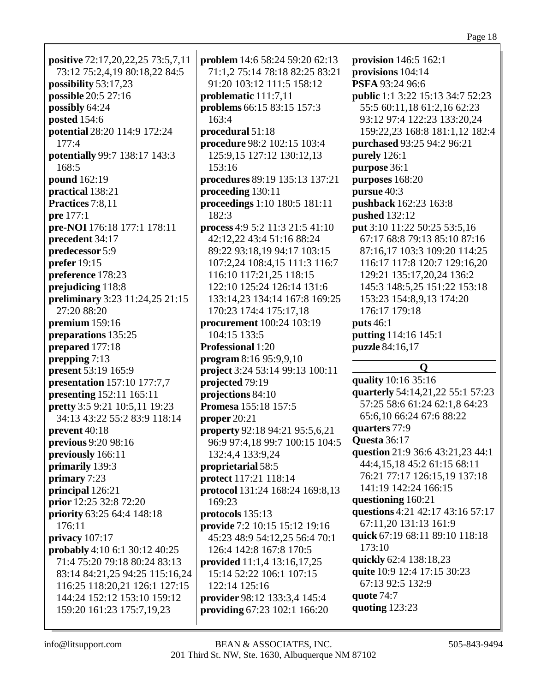| positive 72:17,20,22,25 73:5,7,11 | problem 14:6 58:24 59:20 62:13        | provision $146:5 162:1$                 |
|-----------------------------------|---------------------------------------|-----------------------------------------|
| 73:12 75:2,4,19 80:18,22 84:5     | 71:1,2 75:14 78:18 82:25 83:21        | provisions 104:14                       |
| possibility 53:17,23              | 91:20 103:12 111:5 158:12             | PSFA 93:24 96:6                         |
| possible 20:5 27:16               | problematic 111:7,11                  | <b>public</b> 1:1 3:22 15:13 34:7 52:23 |
| possibly 64:24                    | problems 66:15 83:15 157:3            | 55:5 60:11,18 61:2,16 62:23             |
| posted 154:6                      | 163:4                                 | 93:12 97:4 122:23 133:20,24             |
| potential 28:20 114:9 172:24      | procedural 51:18                      | 159:22,23 168:8 181:1,12 182:4          |
| 177:4                             | procedure 98:2 102:15 103:4           | purchased 93:25 94:2 96:21              |
| potentially 99:7 138:17 143:3     | 125:9,15 127:12 130:12,13             | purely 126:1                            |
| 168:5                             | 153:16                                |                                         |
|                                   |                                       | purpose 36:1                            |
| pound 162:19                      | procedures 89:19 135:13 137:21        | purposes 168:20                         |
| practical 138:21                  | proceeding 130:11                     | pursue 40:3                             |
| Practices 7:8,11                  | proceedings 1:10 180:5 181:11         | pushback 162:23 163:8                   |
| pre 177:1                         | 182:3                                 | pushed 132:12                           |
| pre-NOI 176:18 177:1 178:11       | process 4:9 5:2 11:3 21:5 41:10       | put 3:10 11:22 50:25 53:5,16            |
| precedent 34:17                   | 42:12,22 43:4 51:16 88:24             | 67:17 68:8 79:13 85:10 87:16            |
| predecessor 5:9                   | 89:22 93:18,19 94:17 103:15           | 87:16,17 103:3 109:20 114:25            |
| prefer 19:15                      | 107:2,24 108:4,15 111:3 116:7         | 116:17 117:8 120:7 129:16,20            |
| preference 178:23                 | 116:10 117:21,25 118:15               | 129:21 135:17,20,24 136:2               |
| prejudicing 118:8                 | 122:10 125:24 126:14 131:6            | 145:3 148:5,25 151:22 153:18            |
| preliminary 3:23 11:24,25 21:15   | 133:14,23 134:14 167:8 169:25         | 153:23 154:8,9,13 174:20                |
| 27:20 88:20                       | 170:23 174:4 175:17,18                | 176:17 179:18                           |
| premium 159:16                    | procurement 100:24 103:19             | <b>puts</b> 46:1                        |
| preparations 135:25               | 104:15 133:5                          | putting 114:16 145:1                    |
|                                   |                                       |                                         |
|                                   |                                       |                                         |
| prepared 177:18                   | <b>Professional 1:20</b>              | puzzle 84:16,17                         |
| prepping 7:13                     | program 8:16 95:9,9,10                | $\mathbf 0$                             |
| present 53:19 165:9               | project 3:24 53:14 99:13 100:11       |                                         |
| presentation 157:10 177:7,7       | projected 79:19                       | quality 10:16 35:16                     |
| presenting 152:11 165:11          | projections 84:10                     | quarterly 54:14,21,22 55:1 57:23        |
| pretty 3:5 9:21 10:5,11 19:23     | <b>Promesa</b> 155:18 157:5           | 57:25 58:6 61:24 62:1,8 64:23           |
| 34:13 43:22 55:2 83:9 118:14      | proper $20:21$                        | 65:6,10 66:24 67:6 88:22                |
| prevent 40:18                     | <b>property</b> 92:18 94:21 95:5,6,21 | quarters 77:9                           |
| previous 9:20 98:16               | 96:9 97:4,18 99:7 100:15 104:5        | <b>Questa</b> 36:17                     |
| previously 166:11                 | 132:4,4 133:9,24                      | question 21:9 36:6 43:21,23 44:1        |
| primarily 139:3                   | proprietarial 58:5                    | 44:4,15,18 45:2 61:15 68:11             |
| primary 7:23                      | protect 117:21 118:14                 | 76:21 77:17 126:15,19 137:18            |
| principal 126:21                  | protocol 131:24 168:24 169:8,13       | 141:19 142:24 166:15                    |
| prior 12:25 32:8 72:20            | 169:23                                | questioning 160:21                      |
| priority 63:25 64:4 148:18        | protocols 135:13                      | questions 4:21 42:17 43:16 57:17        |
| 176:11                            | provide 7:2 10:15 15:12 19:16         | 67:11,20 131:13 161:9                   |
| privacy $107:17$                  | 45:23 48:9 54:12,25 56:4 70:1         | quick 67:19 68:11 89:10 118:18          |
| probably 4:10 6:1 30:12 40:25     | 126:4 142:8 167:8 170:5               | 173:10                                  |
| 71:4 75:20 79:18 80:24 83:13      | provided 11:1,4 13:16,17,25           | quickly 62:4 138:18,23                  |
| 83:14 84:21,25 94:25 115:16,24    | 15:14 52:22 106:1 107:15              | quite 10:9 12:4 17:15 30:23             |
| 116:25 118:20,21 126:1 127:15     | 122:14 125:16                         | 67:13 92:5 132:9                        |
| 144:24 152:12 153:10 159:12       | provider 98:12 133:3,4 145:4          | quote 74:7                              |
| 159:20 161:23 175:7,19,23         | providing 67:23 102:1 166:20          | quoting 123:23                          |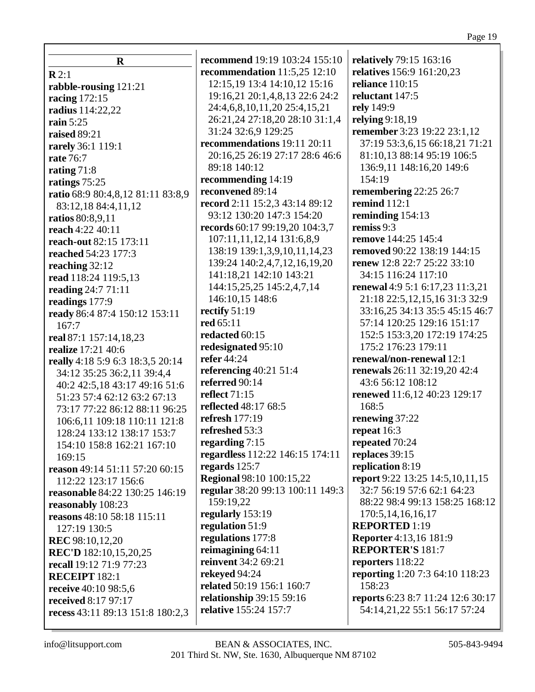**R R** 2:1 **rabble-rousing** 121:21 **racing** 172:15 **radius** 114:22,22 **rain** 5:25 **raised** 89:21 **rarely** 36:1 119:1 **rate** 76:7 **rating** 71:8 **ratings** 75:25 **ratio** 68:9 80:4,8,12 81:11 83:8,9 83:12,18 84:4,11,12 **ratios** 80:8,9,11 **reach** 4:22 40:11 **reach-out** 82:15 173:11 **reached** 54:23 177:3 **reaching** 32:12 **read** 118:24 119:5,13 **reading** 24:7 71:11 **readings** 177:9 **ready** 86:4 87:4 150:12 153:11 167:7 **real** 87:1 157:14,18,23 **realize** 17:21 40:6 **really** 4:18 5:9 6:3 18:3,5 20:14 34:12 35:25 36:2,11 39:4,4 40:2 42:5,18 43:17 49:16 51:6 51:23 57:4 62:12 63:2 67:13 73:17 77:22 86:12 88:11 96:25 106:6,11 109:18 110:11 121:8 128:24 133:12 138:17 153:7 154:10 158:8 162:21 167:10 169:15 **reason** 49:14 51:11 57:20 60:15 112:22 123:17 156:6 **reasonable** 84:22 130:25 146:19 **reasonably** 108:23 **reasons** 48:10 58:18 115:11 127:19 130:5 **REC** 98:10,12,20 **REC'D** 182:10,15,20,25 **recall** 19:12 71:9 77:23 **RECEIPT** 182:1 **receive** 40:10 98:5,6 **received** 8:17 97:17 **recess** 43:11 89:13 151:8 180:2,3

**recommend** 19:19 103:24 155:10 **recommendation** 11:5,25 12:10 12:15,19 13:4 14:10,12 15:16 19:16,21 20:1,4,8,13 22:6 24:2 24:4,6,8,10,11,20 25:4,15,21 26:21,24 27:18,20 28:10 31:1,4 31:24 32:6,9 129:25 **recommendations** 19:11 20:11 20:16,25 26:19 27:17 28:6 46:6 89:18 140:12 **recommending** 14:19 **reconvened** 89:14 **record** 2:11 15:2,3 43:14 89:12 93:12 130:20 147:3 154:20 **records** 60:17 99:19,20 104:3,7 107:11,11,12,14 131:6,8,9 138:19 139:1,3,9,10,11,14,23 139:24 140:2,4,7,12,16,19,20 141:18,21 142:10 143:21 144:15,25,25 145:2,4,7,14 146:10,15 148:6 **rectify** 51:19 **red** 65:11 **redacted** 60:15 **redesignated** 95:10 **refer** 44:24 **referencing** 40:21 51:4 **referred** 90:14 **reflect** 71:15 **reflected** 48:17 68:5 **refresh** 177:19 **refreshed** 53:3 **regarding** 7:15 **regardless** 112:22 146:15 174:11 **regards** 125:7 **Regional** 98:10 100:15,22 **regular** 38:20 99:13 100:11 149:3 159:19,22 **regularly** 153:19 **regulation** 51:9 **regulations** 177:8 **reimagining** 64:11 **reinvent** 34:2 69:21 **rekeyed** 94:24 **related** 50:19 156:1 160:7 **relationship** 39:15 59:16 **relative** 155:24 157:7

**relatively** 79:15 163:16 **relatives** 156:9 161:20,23 **reliance** 110:15 **reluctant** 147:5 **rely** 149:9 **relying** 9:18,19 **remember** 3:23 19:22 23:1,12 37:19 53:3,6,15 66:18,21 71:21 81:10,13 88:14 95:19 106:5 136:9,11 148:16,20 149:6 154:19 **remembering** 22:25 26:7 **remind** 112:1 **reminding** 154:13 **remiss** 9:3 **remove** 144:25 145:4 **removed** 90:22 138:19 144:15 **renew** 12:8 22:7 25:22 33:10 34:15 116:24 117:10 **renewal** 4:9 5:1 6:17,23 11:3,21 21:18 22:5,12,15,16 31:3 32:9 33:16,25 34:13 35:5 45:15 46:7 57:14 120:25 129:16 151:17 152:5 153:3,20 172:19 174:25 175:2 176:23 179:11 **renewal/non-renewal** 12:1 **renewals** 26:11 32:19,20 42:4 43:6 56:12 108:12 **renewed** 11:6,12 40:23 129:17 168:5 **renewing** 37:22 **repeat** 16:3 **repeated** 70:24 **replaces** 39:15 **replication** 8:19 **report** 9:22 13:25 14:5,10,11,15 32:7 56:19 57:6 62:1 64:23 88:22 98:4 99:13 158:25 168:12 170:5,14,16,16,17 **REPORTED** 1:19 **Reporter** 4:13,16 181:9 **REPORTER'S** 181:7 **reporters** 118:22 **reporting** 1:20 7:3 64:10 118:23 158:23 **reports** 6:23 8:7 11:24 12:6 30:17 54:14,21,22 55:1 56:17 57:24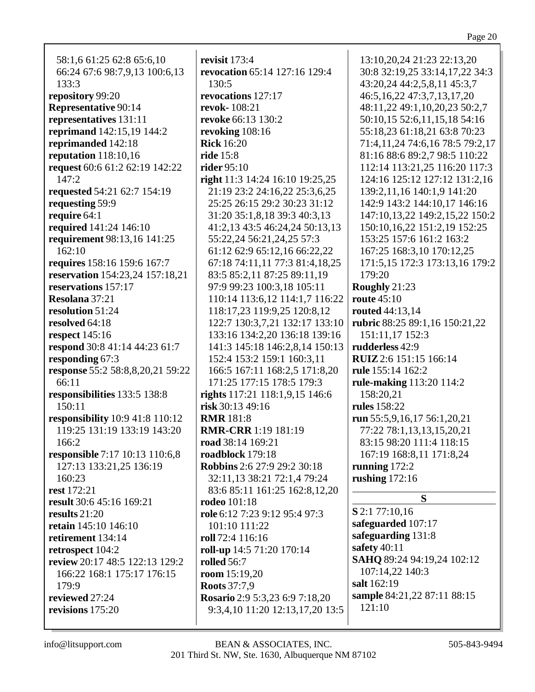58:1,6 61:25 62:8 65:6,10 66:24 67:6 98:7,9,13 100:6,13 133:3 **repository** 99:20 **Representative** 90:14 **representatives** 131:11 **reprimand** 142:15,19 144:2 **reprimanded** 142:18 **reputation** 118:10,16 **request** 60:6 61:2 62:19 142:22 147:2 **requested** 54:21 62:7 154:19 **requesting** 59:9 **require** 64:1 **required** 141:24 146:10 **requirement** 98:13,16 141:25 162:10 **requires** 158:16 159:6 167:7 **reservation** 154:23,24 157:18,21 **reservations** 157:17 **Resolana** 37:21 **resolution** 51:24 **resolved** 64:18 **respect** 145:16 **respond** 30:8 41:14 44:23 61:7 **responding** 67:3 **response** 55:2 58:8,8,20,21 59:22 66:11 **responsibilities** 133:5 138:8 150:11 **responsibility** 10:9 41:8 110:12 119:25 131:19 133:19 143:20 166:2 **responsible** 7:17 10:13 110:6,8 127:13 133:21,25 136:19 160:23 **rest** 172:21 **result** 30:6 45:16 169:21 **results** 21:20 **retain** 145:10 146:10 **retirement** 134:14 **retrospect** 104:2 **review** 20:17 48:5 122:13 129:2 166:22 168:1 175:17 176:15 179:9 **reviewed** 27:24 **revisions** 175:20

**revisit** 173:4 **revocation** 65:14 127:16 129:4 130:5 **revocations** 127:17 **revok-** 108:21 **revoke** 66:13 130:2 **revoking** 108:16 **Rick** 16:20 **ride** 15:8 **rider** 95:10 **right** 11:3 14:24 16:10 19:25,25 21:19 23:2 24:16,22 25:3,6,25 25:25 26:15 29:2 30:23 31:12 31:20 35:1,8,18 39:3 40:3,13 41:2,13 43:5 46:24,24 50:13,13 55:22,24 56:21,24,25 57:3 61:12 62:9 65:12,16 66:22,22 67:18 74:11,11 77:3 81:4,18,25 83:5 85:2,11 87:25 89:11,19 97:9 99:23 100:3,18 105:11 110:14 113:6,12 114:1,7 116:22 118:17,23 119:9,25 120:8,12 122:7 130:3,7,21 132:17 133:10 133:16 134:2,20 136:18 139:16 141:3 145:18 146:2,8,14 150:13 152:4 153:2 159:1 160:3,11 166:5 167:11 168:2,5 171:8,20 171:25 177:15 178:5 179:3 **rights** 117:21 118:1,9,15 146:6 **risk** 30:13 49:16 **RMR** 181:8 **RMR-CRR** 1:19 181:19 **road** 38:14 169:21 **roadblock** 179:18 **Robbins** 2:6 27:9 29:2 30:18 32:11,13 38:21 72:1,4 79:24 83:6 85:11 161:25 162:8,12,20 **rodeo** 101:18 **role** 6:12 7:23 9:12 95:4 97:3 101:10 111:22 **roll** 72:4 116:16 **roll-up** 14:5 71:20 170:14 **rolled** 56:7 **room** 15:19,20 **Roots** 37:7,9 **Rosario** 2:9 5:3,23 6:9 7:18,20 9:3,4,10 11:20 12:13,17,20 13:5

13:10,20,24 21:23 22:13,20 30:8 32:19,25 33:14,17,22 34:3 43:20,24 44:2,5,8,11 45:3,7 46:5,16,22 47:3,7,13,17,20 48:11,22 49:1,10,20,23 50:2,7 50:10,15 52:6,11,15,18 54:16 55:18,23 61:18,21 63:8 70:23 71:4,11,24 74:6,16 78:5 79:2,17 81:16 88:6 89:2,7 98:5 110:22 112:14 113:21,25 116:20 117:3 124:16 125:12 127:12 131:2,16 139:2,11,16 140:1,9 141:20 142:9 143:2 144:10,17 146:16 147:10,13,22 149:2,15,22 150:2 150:10,16,22 151:2,19 152:25 153:25 157:6 161:2 163:2 167:25 168:3,10 170:12,25 171:5,15 172:3 173:13,16 179:2 179:20 **Roughly** 21:23 **route** 45:10 **routed** 44:13,14 **rubric** 88:25 89:1,16 150:21,22 151:11,17 152:3 **rudderless** 42:9 **RUIZ**2:6 151:15 166:14 **rule** 155:14 162:2 **rule-making** 113:20 114:2 158:20,21 **rules** 158:22 **run** 55:5,9,16,17 56:1,20,21 77:22 78:1,13,13,15,20,21 83:15 98:20 111:4 118:15 167:19 168:8,11 171:8,24 **running** 172:2 **rushing** 172:16 **S S** 2:1 77:10,16

**safeguarded** 107:17 **safeguarding** 131:8 **safety** 40:11 **SAHQ** 89:24 94:19,24 102:12 107:14,22 140:3 **salt** 162:19 **sample** 84:21,22 87:11 88:15 121:10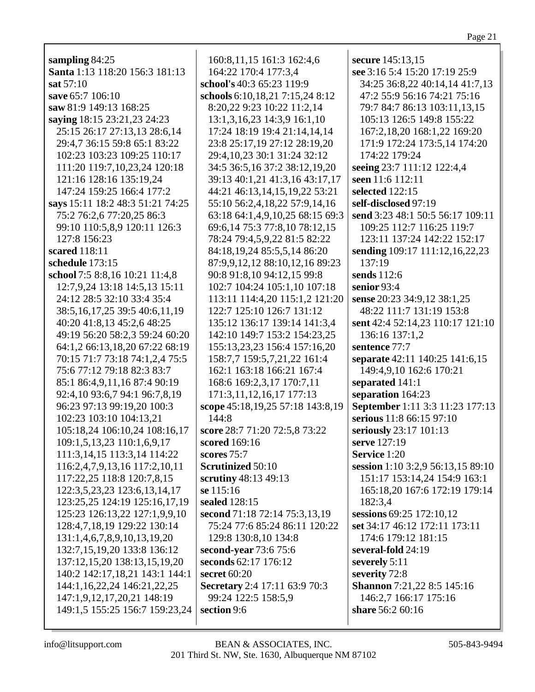| sampling 84:25                     | 160:8, 11, 15 161:3 162:4, 6     | secure 145:13,15                  |
|------------------------------------|----------------------------------|-----------------------------------|
| Santa 1:13 118:20 156:3 181:13     | 164:22 170:4 177:3,4             | see 3:16 5:4 15:20 17:19 25:9     |
| sat 57:10                          | school's 40:3 65:23 119:9        | 34:25 36:8,22 40:14,14 41:7,13    |
| save 65:7 106:10                   | schools 6:10,18,21 7:15,24 8:12  | 47:2 55:9 56:16 74:21 75:16       |
| saw 81:9 149:13 168:25             | 8:20,22 9:23 10:22 11:2,14       | 79:7 84:7 86:13 103:11,13,15      |
| saying 18:15 23:21,23 24:23        | 13:1,3,16,23 14:3,9 16:1,10      | 105:13 126:5 149:8 155:22         |
| 25:15 26:17 27:13,13 28:6,14       | 17:24 18:19 19:4 21:14,14,14     | 167:2,18,20 168:1,22 169:20       |
| 29:4,7 36:15 59:8 65:1 83:22       | 23:8 25:17,19 27:12 28:19,20     | 171:9 172:24 173:5,14 174:20      |
| 102:23 103:23 109:25 110:17        | 29:4, 10, 23 30:1 31: 24 32: 12  | 174:22 179:24                     |
| 111:20 119:7,10,23,24 120:18       | 34:5 36:5,16 37:2 38:12,19,20    | seeing 23:7 111:12 122:4,4        |
| 121:16 128:16 135:19,24            | 39:13 40:1,21 41:3,16 43:17,17   | seen 11:6 112:11                  |
| 147:24 159:25 166:4 177:2          | 44:21 46:13,14,15,19,22 53:21    | selected 122:15                   |
| says 15:11 18:2 48:3 51:21 74:25   | 55:10 56:2,4,18,22 57:9,14,16    | self-disclosed 97:19              |
| 75:2 76:2,6 77:20,25 86:3          | 63:18 64:1,4,9,10,25 68:15 69:3  | send 3:23 48:1 50:5 56:17 109:11  |
| 99:10 110:5,8,9 120:11 126:3       | 69:6,14 75:3 77:8,10 78:12,15    | 109:25 112:7 116:25 119:7         |
| 127:8 156:23                       | 78:24 79:4,5,9,22 81:5 82:22     | 123:11 137:24 142:22 152:17       |
| scared 118:11                      | 84:18,19,24 85:5,5,14 86:20      | sending 109:17 111:12,16,22,23    |
| schedule 173:15                    | 87:9,9,12,12 88:10,12,16 89:23   | 137:19                            |
| school 7:5 8:8,16 10:21 11:4,8     | 90:8 91:8,10 94:12,15 99:8       | sends 112:6                       |
| 12:7,9,24 13:18 14:5,13 15:11      | 102:7 104:24 105:1,10 107:18     | senior 93:4                       |
| 24:12 28:5 32:10 33:4 35:4         | 113:11 114:4,20 115:1,2 121:20   | sense 20:23 34:9,12 38:1,25       |
| 38:5, 16, 17, 25 39:5 40:6, 11, 19 | 122:7 125:10 126:7 131:12        | 48:22 111:7 131:19 153:8          |
| 40:20 41:8,13 45:2,6 48:25         | 135:12 136:17 139:14 141:3,4     | sent 42:4 52:14,23 110:17 121:10  |
| 49:19 56:20 58:2,3 59:24 60:20     | 142:10 149:7 153:2 154:23,25     | 136:16 137:1,2                    |
| 64:1,2 66:13,18,20 67:22 68:19     | 155:13,23,23 156:4 157:16,20     | sentence 77:7                     |
| 70:15 71:7 73:18 74:1,2,4 75:5     | 158:7,7 159:5,7,21,22 161:4      | separate 42:11 140:25 141:6,15    |
| 75:6 77:12 79:18 82:3 83:7         | 162:1 163:18 166:21 167:4        | 149:4,9,10 162:6 170:21           |
| 85:1 86:4, 9, 11, 16 87:4 90:19    | 168:6 169:2,3,17 170:7,11        | separated 141:1                   |
| 92:4,10 93:6,7 94:1 96:7,8,19      | 171:3,11,12,16,17 177:13         | separation 164:23                 |
| 96:23 97:13 99:19,20 100:3         | scope 45:18,19,25 57:18 143:8,19 | September 1:11 3:3 11:23 177:13   |
| 102:23 103:10 104:13,21            | 144:8                            | serious 11:8 66:15 97:10          |
| 105:18,24 106:10,24 108:16,17      | score 28:7 71:20 72:5,8 73:22    | seriously 23:17 101:13            |
| 109:1,5,13,23 110:1,6,9,17         | scored 169:16                    | serve 127:19                      |
| 111:3,14,15 113:3,14 114:22        | scores $75:7$                    | Service 1:20                      |
| 116:2,4,7,9,13,16 117:2,10,11      | <b>Scrutinized 50:10</b>         | session 1:10 3:2,9 56:13,15 89:10 |
| 117:22,25 118:8 120:7,8,15         | scrutiny 48:13 49:13             | 151:17 153:14,24 154:9 163:1      |
| 122:3,5,23,23 123:6,13,14,17       | se 115:16                        | 165:18,20 167:6 172:19 179:14     |
| 123:25,25 124:19 125:16,17,19      | sealed 128:15                    | 182:3,4                           |
| 125:23 126:13,22 127:1,9,9,10      | second 71:18 72:14 75:3,13,19    | sessions 69:25 172:10,12          |
| 128:4,7,18,19 129:22 130:14        | 75:24 77:6 85:24 86:11 120:22    | set 34:17 46:12 172:11 173:11     |
| 131:1,4,6,7,8,9,10,13,19,20        | 129:8 130:8,10 134:8             | 174:6 179:12 181:15               |
| 132:7,15,19,20 133:8 136:12        | second-year 73:6 75:6            | several-fold 24:19                |
| 137:12,15,20 138:13,15,19,20       | seconds 62:17 176:12             | severely 5:11                     |
| 140:2 142:17,18,21 143:1 144:1     | secret 60:20                     | severity 72:8                     |
| 144:1,16,22,24 146:21,22,25        | Secretary 2:4 17:11 63:9 70:3    | Shannon 7:21,22 8:5 145:16        |
| 147:1,9,12,17,20,21 148:19         | 99:24 122:5 158:5,9              | 146:2,7 166:17 175:16             |
| 149:1,5 155:25 156:7 159:23,24     | section 9:6                      | share 56:2 60:16                  |
|                                    |                                  |                                   |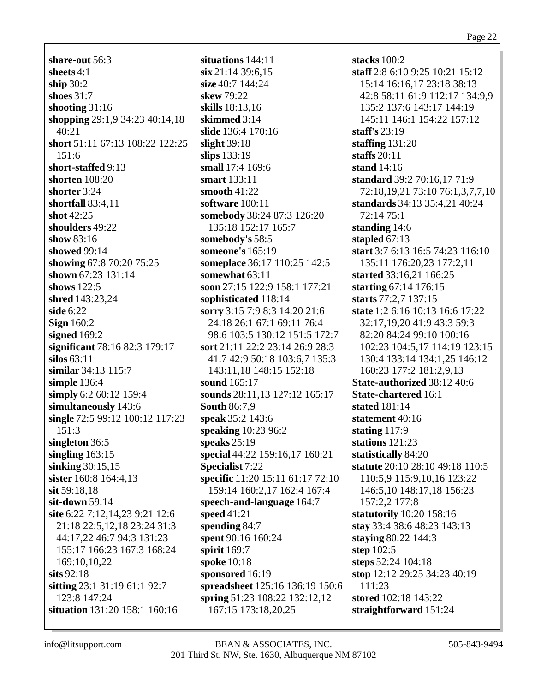**share-out** 56:3 **sheets** 4:1 **ship** 30:2 **shoes** 31:7 **shooting** 31:16 **shopping** 29:1,9 34:23 40:14,18 40:21 **short** 51:11 67:13 108:22 122:25 151:6 **short-staffed** 9:13 **shorten** 108:20 **shorter** 3:24 **shortfall** 83:4,11 **shot** 42:25 **shoulders** 49:22 **show** 83:16 **showed** 99:14 **showing** 67:8 70:20 75:25 **shown** 67:23 131:14 **shows** 122:5 **shred** 143:23,24 **side** 6:22 **Sign** 160:2 **signed** 169:2 **significant** 78:16 82:3 179:17 **silos** 63:11 **similar** 34:13 115:7 **simple** 136:4 **simply** 6:2 60:12 159:4 **simultaneously** 143:6 **single** 72:5 99:12 100:12 117:23 151:3 **singleton** 36:5 **singling** 163:15 **sinking** 30:15,15 **sister** 160:8 164:4,13 **sit** 59:18,18 **sit-down** 59:14 **site** 6:22 7:12,14,23 9:21 12:6 21:18 22:5,12,18 23:24 31:3 44:17,22 46:7 94:3 131:23 155:17 166:23 167:3 168:24 169:10,10,22 **sits** 92:18 **sitting** 23:1 31:19 61:1 92:7 123:8 147:24 **situation** 131:20 158:1 160:16

**situations** 144:11 **six** 21:14 39:6,15 **size** 40:7 144:24 **skew** 79:22 **skills** 18:13,16 **skimmed** 3:14 **slide** 136:4 170:16 **slight** 39:18 **slips** 133:19 **small** 17:4 169:6 **smart** 133:11 **smooth** 41:22 **software** 100:11 **somebody** 38:24 87:3 126:20 135:18 152:17 165:7 **somebody's** 58:5 **someone's** 165:19 **someplace** 36:17 110:25 142:5 **somewhat** 63:11 **soon** 27:15 122:9 158:1 177:21 **sophisticated** 118:14 **sorry** 3:15 7:9 8:3 14:20 21:6 24:18 26:1 67:1 69:11 76:4 98:6 103:5 130:12 151:5 172:7 **sort** 21:11 22:2 23:14 26:9 28:3 41:7 42:9 50:18 103:6,7 135:3 143:11,18 148:15 152:18 **sound** 165:17 **sounds** 28:11,13 127:12 165:17 **South** 86:7,9 **speak** 35:2 143:6 **speaking** 10:23 96:2 **speaks** 25:19 **special** 44:22 159:16,17 160:21 **Specialist** 7:22 **specific** 11:20 15:11 61:17 72:10 159:14 160:2,17 162:4 167:4 **speech-and-language** 164:7 **speed** 41:21 **spending** 84:7 **spent** 90:16 160:24 **spirit** 169:7 **spoke** 10:18 **sponsored** 16:19 **spreadsheet** 125:16 136:19 150:6 **spring** 51:23 108:22 132:12,12 167:15 173:18,20,25

**stacks** 100:2 **staff** 2:8 6:10 9:25 10:21 15:12 15:14 16:16,17 23:18 38:13 42:8 58:11 61:9 112:17 134:9,9 135:2 137:6 143:17 144:19 145:11 146:1 154:22 157:12 **staff's** 23:19 **staffing** 131:20 **staffs** 20:11 **stand** 14:16 **standard** 39:2 70:16,17 71:9 72:18,19,21 73:10 76:1,3,7,7,10 **standards** 34:13 35:4,21 40:24 72:14 75:1 **standing** 14:6 **stapled** 67:13 **start** 3:7 6:13 16:5 74:23 116:10 135:11 176:20,23 177:2,11 **started** 33:16,21 166:25 **starting** 67:14 176:15 **starts** 77:2,7 137:15 **state** 1:2 6:16 10:13 16:6 17:22 32:17,19,20 41:9 43:3 59:3 82:20 84:24 99:10 100:16 102:23 104:5,17 114:19 123:15 130:4 133:14 134:1,25 146:12 160:23 177:2 181:2,9,13 **State-authorized** 38:12 40:6 **State-chartered** 16:1 **stated** 181:14 **statement** 40:16 **stating** 117:9 **stations** 121:23 **statistically** 84:20 **statute** 20:10 28:10 49:18 110:5 110:5,9 115:9,10,16 123:22 146:5,10 148:17,18 156:23 157:2,2 177:8 **statutorily** 10:20 158:16 **stay** 33:4 38:6 48:23 143:13 **staying** 80:22 144:3 **step** 102:5 **steps** 52:24 104:18 **stop** 12:12 29:25 34:23 40:19 111:23 **stored** 102:18 143:22 **straightforward** 151:24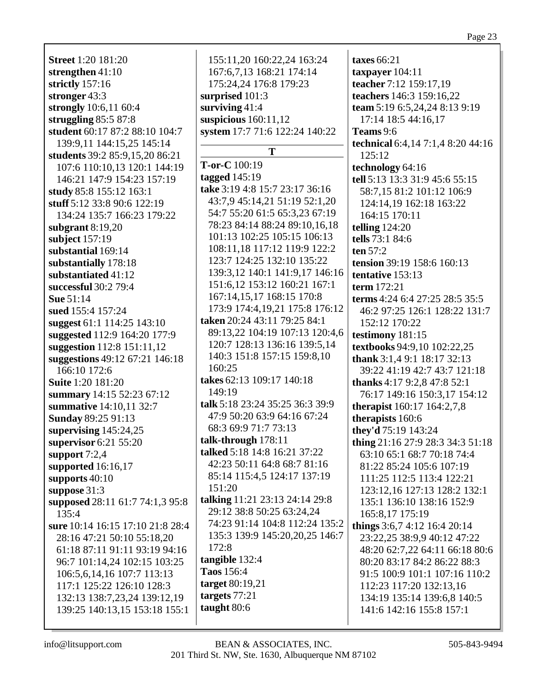**Street** 1:20 181:20 **strengthen** 41:10 **strictly** 157:16 **stronger** 43:3 **strongly** 10:6,11 60:4 **struggling** 85:5 87:8 **student** 60:17 87:2 88:10 104:7 139:9,11 144:15,25 145:14 **students** 39:2 85:9,15,20 86:21 107:6 110:10,13 120:1 144:19 146:21 147:9 154:23 157:19 **study** 85:8 155:12 163:1 **stuff** 5:12 33:8 90:6 122:19 134:24 135:7 166:23 179:22 **subgrant** 8:19,20 **subject** 157:19 **substantial** 169:14 **substantially** 178:18 **substantiated** 41:12 **successful** 30:2 79:4 **Sue** 51:14 **sued** 155:4 157:24 **suggest** 61:1 114:25 143:10 **suggested** 112:9 164:20 177:9 **suggestion** 112:8 151:11,12 **suggestions** 49:12 67:21 146:18 166:10 172:6 **Suite** 1:20 181:20 **summary** 14:15 52:23 67:12 **summative** 14:10,11 32:7 **Sunday** 89:25 91:13 **supervising** 145:24,25 **supervisor** 6:21 55:20 **support** 7:2,4 **supported** 16:16,17 **supports** 40:10 **suppose** 31:3 **supposed** 28:11 61:7 74:1,3 95:8 135:4 **sure** 10:14 16:15 17:10 21:8 28:4 28:16 47:21 50:10 55:18,20 61:18 87:11 91:11 93:19 94:16 96:7 101:14,24 102:15 103:25 106:5,6,14,16 107:7 113:13 117:1 125:22 126:10 128:3 132:13 138:7,23,24 139:12,19 139:25 140:13,15 153:18 155:1

155:11,20 160:22,24 163:24 167:6,7,13 168:21 174:14 175:24,24 176:8 179:23 **surprised** 101:3 **surviving** 41:4 **suspicious** 160:11,12 **system** 17:7 71:6 122:24 140:22 **T T-or-C** 100:19 **tagged** 145:19 **take** 3:19 4:8 15:7 23:17 36:16 43:7,9 45:14,21 51:19 52:1,20 54:7 55:20 61:5 65:3,23 67:19 78:23 84:14 88:24 89:10,16,18 101:13 102:25 105:15 106:13 108:11,18 117:12 119:9 122:2 123:7 124:25 132:10 135:22 139:3,12 140:1 141:9,17 146:16 151:6,12 153:12 160:21 167:1 167:14,15,17 168:15 170:8 173:9 174:4,19,21 175:8 176:12 **taken** 20:24 43:11 79:25 84:1 89:13,22 104:19 107:13 120:4,6 120:7 128:13 136:16 139:5,14 140:3 151:8 157:15 159:8,10 160:25 **takes** 62:13 109:17 140:18 149:19 **talk** 5:18 23:24 35:25 36:3 39:9 47:9 50:20 63:9 64:16 67:24 68:3 69:9 71:7 73:13 **talk-through** 178:11 **talked** 5:18 14:8 16:21 37:22 42:23 50:11 64:8 68:7 81:16 85:14 115:4,5 124:17 137:19 151:20 **talking** 11:21 23:13 24:14 29:8 29:12 38:8 50:25 63:24,24 74:23 91:14 104:8 112:24 135:2 135:3 139:9 145:20,20,25 146:7 172:8 **tangible** 132:4 **Taos** 156:4 **target** 80:19,21 **targets** 77:21 **taught** 80:6

**taxes** 66:21 **taxpayer** 104:11 **teacher** 7:12 159:17,19 **teachers** 146:3 159:16,22 **team** 5:19 6:5,24,24 8:13 9:19 17:14 18:5 44:16,17 **Teams** 9:6 **technical** 6:4,14 7:1,4 8:20 44:16 125:12 **technology** 64:16 **tell** 5:13 13:3 31:9 45:6 55:15 58:7,15 81:2 101:12 106:9 124:14,19 162:18 163:22 164:15 170:11 **telling** 124:20 **tells** 73:1 84:6 **ten** 57:2 **tension** 39:19 158:6 160:13 **tentative** 153:13 **term** 172:21 **terms** 4:24 6:4 27:25 28:5 35:5 46:2 97:25 126:1 128:22 131:7 152:12 170:22 **testimony** 181:15 **textbooks** 94:9,10 102:22,25 **thank** 3:1,4 9:1 18:17 32:13 39:22 41:19 42:7 43:7 121:18 **thanks** 4:17 9:2,8 47:8 52:1 76:17 149:16 150:3,17 154:12 **therapist** 160:17 164:2,7,8 **therapists** 160:6 **they'd** 75:19 143:24 **thing** 21:16 27:9 28:3 34:3 51:18 63:10 65:1 68:7 70:18 74:4 81:22 85:24 105:6 107:19 111:25 112:5 113:4 122:21 123:12,16 127:13 128:2 132:1 135:1 136:10 138:16 152:9 165:8,17 175:19 **things** 3:6,7 4:12 16:4 20:14 23:22,25 38:9,9 40:12 47:22 48:20 62:7,22 64:11 66:18 80:6 80:20 83:17 84:2 86:22 88:3 91:5 100:9 101:1 107:16 110:2 112:23 117:20 132:13,16 134:19 135:14 139:6,8 140:5 141:6 142:16 155:8 157:1

Page 23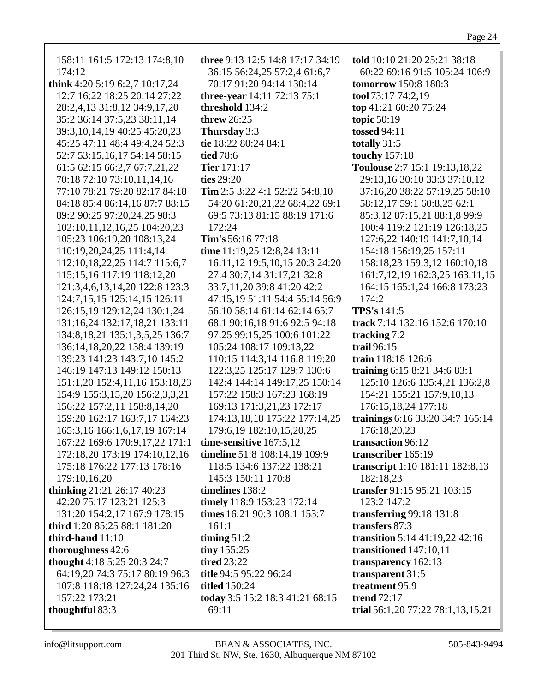| 158:11 161:5 172:13 174:8,10        | three 9:13 12:5 14:8 17:17 34:19   | told 10:10 21:20 25:21 38:18         |
|-------------------------------------|------------------------------------|--------------------------------------|
| 174:12                              | 36:15 56:24,25 57:2,4 61:6,7       | 60:22 69:16 91:5 105:24 106:9        |
| think 4:20 5:19 6:2,7 10:17,24      | 70:17 91:20 94:14 130:14           | tomorrow 150:8 180:3                 |
| 12:7 16:22 18:25 20:14 27:22        | <b>three-year</b> 14:11 72:13 75:1 | tool 73:17 74:2,19                   |
| 28:2,4,13 31:8,12 34:9,17,20        | threshold 134:2                    | top 41:21 60:20 75:24                |
| 35:2 36:14 37:5,23 38:11,14         | threw $26:25$                      | topic 50:19                          |
| 39:3, 10, 14, 19 40: 25 45: 20, 23  | Thursday 3:3                       | <b>tossed 94:11</b>                  |
| 45:25 47:11 48:4 49:4,24 52:3       | tie 18:22 80:24 84:1               | totally 31:5                         |
| 52:7 53:15,16,17 54:14 58:15        | <b>tied</b> 78:6                   | touchy 157:18                        |
| 61:5 62:15 66:2,7 67:7,21,22        | <b>Tier</b> 171:17                 | Toulouse 2:7 15:1 19:13,18,22        |
| 70:18 72:10 73:10,11,14,16          | ties 29:20                         | 29:13,16 30:10 33:3 37:10,12         |
| 77:10 78:21 79:20 82:17 84:18       | Tim 2:5 3:22 4:1 52:22 54:8,10     | 37:16,20 38:22 57:19,25 58:10        |
| 84:18 85:4 86:14,16 87:7 88:15      | 54:20 61:20,21,22 68:4,22 69:1     | 58:12,17 59:1 60:8,25 62:1           |
| 89:2 90:25 97:20,24,25 98:3         | 69:5 73:13 81:15 88:19 171:6       | 85:3,12 87:15,21 88:1,8 99:9         |
| 102:10,11,12,16,25 104:20,23        | 172:24                             | 100:4 119:2 121:19 126:18,25         |
| 105:23 106:19,20 108:13,24          | Tim's 56:16 77:18                  | 127:6,22 140:19 141:7,10,14          |
| 110:19,20,24,25 111:4,14            | time 11:19,25 12:8,24 13:11        | 154:18 156:19,25 157:11              |
| 112:10,18,22,25 114:7 115:6,7       | 16:11,12 19:5,10,15 20:3 24:20     | 158:18,23 159:3,12 160:10,18         |
| 115:15,16 117:19 118:12,20          | 27:4 30:7,14 31:17,21 32:8         | 161:7, 12, 19 162: 3, 25 163: 11, 15 |
| 121:3,4,6,13,14,20 122:8 123:3      | 33:7,11,20 39:8 41:20 42:2         | 164:15 165:1,24 166:8 173:23         |
| 124:7,15,15 125:14,15 126:11        | 47:15,19 51:11 54:4 55:14 56:9     | 174:2                                |
| 126:15,19 129:12,24 130:1,24        | 56:10 58:14 61:14 62:14 65:7       | TPS's 141:5                          |
| 131:16,24 132:17,18,21 133:11       | 68:1 90:16,18 91:6 92:5 94:18      | track 7:14 132:16 152:6 170:10       |
| 134:8, 18, 21 135:1, 3, 5, 25 136:7 | 97:25 99:15,25 100:6 101:22        | tracking 7:2                         |
| 136:14, 18, 20, 22 138: 4 139: 19   | 105:24 108:17 109:13,22            | trail 96:15                          |
| 139:23 141:23 143:7,10 145:2        | 110:15 114:3,14 116:8 119:20       | train 118:18 126:6                   |
| 146:19 147:13 149:12 150:13         | 122:3,25 125:17 129:7 130:6        | training 6:15 8:21 34:6 83:1         |
| 151:1,20 152:4,11,16 153:18,23      | 142:4 144:14 149:17,25 150:14      | 125:10 126:6 135:4,21 136:2,8        |
| 154:9 155:3,15,20 156:2,3,3,21      | 157:22 158:3 167:23 168:19         | 154:21 155:21 157:9,10,13            |
| 156:22 157:2,11 158:8,14,20         | 169:13 171:3,21,23 172:17          | 176:15,18,24 177:18                  |
| 159:20 162:17 163:7,17 164:23       | 174:13,18,18 175:22 177:14,25      | trainings 6:16 33:20 34:7 165:14     |
| 165:3,16 166:1,6,17,19 167:14       | 179:6,19 182:10,15,20,25           | 176:18,20,23                         |
| 167:22 169:6 170:9,17,22 171:1      | time-sensitive 167:5,12            | transaction 96:12                    |
| 172:18,20 173:19 174:10,12,16       | timeline 51:8 108:14,19 109:9      | transcriber 165:19                   |
| 175:18 176:22 177:13 178:16         | 118:5 134:6 137:22 138:21          | transcript 1:10 181:11 182:8,13      |
| 179:10,16,20                        | 145:3 150:11 170:8                 | 182:18,23                            |
| <b>thinking</b> 21:21 26:17 40:23   | timelines 138:2                    | transfer 91:15 95:21 103:15          |
| 42:20 75:17 123:21 125:3            | timely 118:9 153:23 172:14         | 123:2 147:2                          |
| 131:20 154:2,17 167:9 178:15        | times 16:21 90:3 108:1 153:7       | transferring 99:18 131:8             |
| third 1:20 85:25 88:1 181:20        | 161:1                              | transfers 87:3                       |
| third-hand 11:10                    | timing $51:2$                      | transition 5:14 41:19,22 42:16       |
| thoroughness 42:6                   | tiny 155:25                        | transitioned 147:10,11               |
| thought 4:18 5:25 20:3 24:7         | <b>tired 23:22</b>                 | transparency 162:13                  |
| 64:19,20 74:3 75:17 80:19 96:3      | title 94:5 95:22 96:24             | transparent 31:5                     |
| 107:8 118:18 127:24,24 135:16       | <b>titled</b> 150:24               | treatment 95:9                       |
| 157:22 173:21                       | today 3:5 15:2 18:3 41:21 68:15    | <b>trend</b> 72:17                   |
| thoughtful 83:3                     | 69:11                              | trial 56:1,20 77:22 78:1,13,15,21    |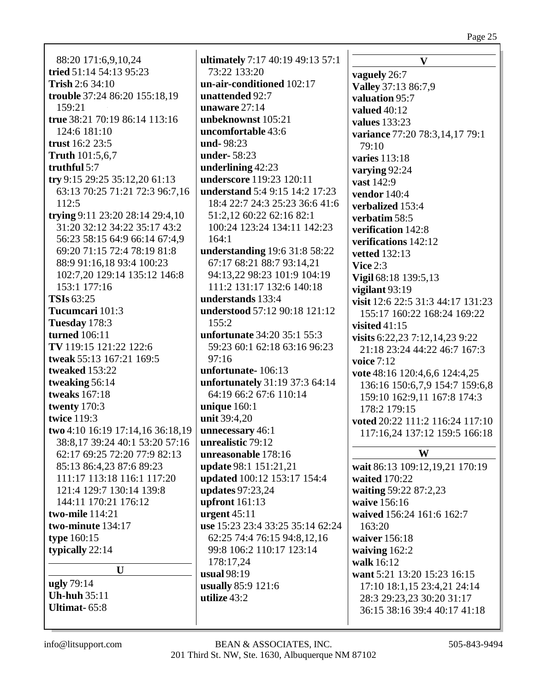Page 25

88:20 171:6,9,10,24 tried 51:14 54:13 95:23 **Trish** 2:6 34:10 trouble 37:24 86:20 155:18,19 159:21 true 38:21 70:19 86:14 113:16  $124:6$  181:10 trust  $16:223:5$ **Truth** 101:5,6,7 truthful  $5:7$ try 9:15 29:25 35:12,20 61:13 63:13 70:25 71:21 72:3 96:7,16  $112:5$ trying 9:11 23:20 28:14 29:4,10 31:20 32:12 34:22 35:17 43:2 56:23 58:15 64:9 66:14 67:4,9 69:20 71:15 72:4 78:19 81:8 88:9 91:16,18 93:4 100:23 102:7.20 129:14 135:12 146:8 153:1 177:16 **TSIs 63:25** Tucumcari 101:3 Tuesday 178:3 turned  $106:11$ TV 119:15 121:22 122:6 tweak 55:13 167:21 169:5 tweaked 153:22 tweaking 56:14 **tweaks** 167:18 twenty  $170:3$ **twice 119:3** two 4:10 16:19 17:14,16 36:18,19 38:8,17 39:24 40:1 53:20 57:16 62:17 69:25 72:20 77:9 82:13 85:13 86:4,23 87:6 89:23 111:17 113:18 116:1 117:20 121:4 129:7 130:14 139:8 144:11 170:21 176:12 two-mile 114:21 two-minute 134:17 type 160:15 typically 22:14  $\mathbf{U}$ ugly 79:14 **Uh-huh** 35:11 Ultimat  $-65:8$ 

ultimately 7:17 40:19 49:13 57:1 73:22 133:20 un-air-conditioned 102:17 unattended 92:7 unaware  $27:14$ unbeknownst 105:21 uncomfortable 43:6  $nnd-98:23$ **under-58:23** underlining  $42:23$ underscore 119:23 120:11 understand 5:4 9:15 14:2 17:23 18:4 22:7 24:3 25:23 36:6 41:6 51:2,12 60:22 62:16 82:1 100:24 123:24 134:11 142:23  $164:1$ understanding 19:6 31:8 58:22 67:17 68:21 88:7 93:14,21 94:13.22 98:23 101:9 104:19 111:2 131:17 132:6 140:18 understands 133:4 **understood** 57:12 90:18 121:12  $155:2$ unfortunate 34:20 35:1 55:3 59:23 60:1 62:18 63:16 96:23  $97:16$ unfortunate-106:13 unfortunately 31:19 37:3 64:14 64:19 66:2 67:6 110:14 unique  $160:1$ unit 39:4,20 unnecessary 46:1 unrealistic 79:12 unreasonable 178:16 **update** 98:1 151:21,21 updated 100:12 153:17 154:4 **updates** 97:23,24 upfront  $161:13$ urgent  $45:11$ use 15:23 23:4 33:25 35:14 62:24 62:25 74:4 76:15 94:8,12,16 99:8 106:2 110:17 123:14 178:17,24 usual  $98:19$ usually 85:9 121:6 utilize  $43:2$ 

 $\mathbf{V}$ vaguely 26:7 Valley 37:13 86:7,9 valuation 95:7 valued  $40:12$ values  $133:23$ variance 77:20 78:3,14,17 79:1  $79:10$ **varies** 113:18 varying  $92:24$ vast 142:9 vendor  $140:4$ verbalized 153:4 verbatim 58:5 verification 142:8 verifications 142:12 **vetted** 132:13 Vice  $2:3$ Vigil 68:18 139:5,13 vigilant 93:19 visit 12:6 22:5 31:3 44:17 131:23 155:17 160:22 168:24 169:22 visited  $41:15$ visits  $6:22,23$   $7:12,14,23$   $9:22$ 21:18 23:24 44:22 46:7 167:3 voice  $7:12$ vote 48:16 120:4,6,6 124:4,25 136:16 150:6,7,9 154:7 159:6,8 159:10 162:9,11 167:8 174:3 178:2 179:15 voted 20:22 111:2 116:24 117:10 117:16,24 137:12 159:5 166:18 W wait 86:13 109:12,19,21 170:19 waited 170:22 waiting 59:22 87:2,23 waive 156:16 waived 156:24 161:6 162:7  $163:20$ waiver 156:18 waiving  $162:2$ walk 16:12 want 5:21 13:20 15:23 16:15 17:10 18:1,15 23:4,21 24:14 28:3 29:23,23 30:20 31:17 36:15 38:16 39:4 40:17 41:18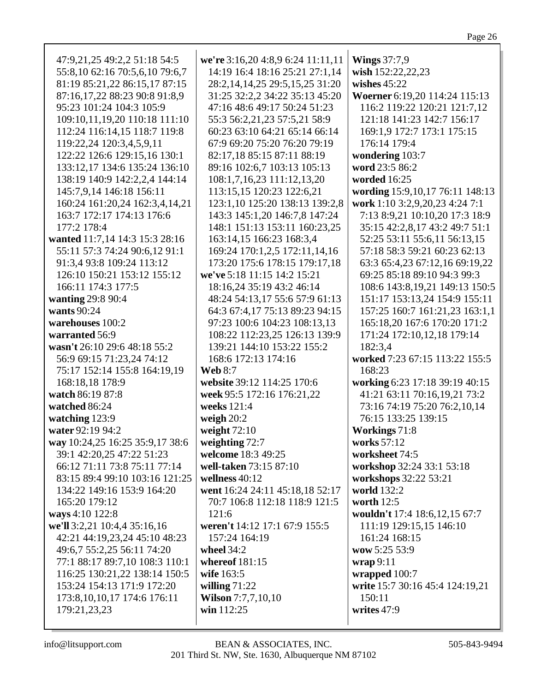| 47:9,21,25 49:2,2 51:18 54:5    | we're 3:16,20 4:8,9 6:24 11:11,11   | <b>Wings</b> 37:7,9                |
|---------------------------------|-------------------------------------|------------------------------------|
| 55:8,10 62:16 70:5,6,10 79:6,7  | 14:19 16:4 18:16 25:21 27:1,14      | wish 152:22,22,23                  |
| 81:19 85:21,22 86:15,17 87:15   | 28:2, 14, 14, 25 29:5, 15, 25 31:20 | wishes $45:22$                     |
| 87:16,17,22 88:23 90:8 91:8,9   | 31:25 32:2,2 34:22 35:13 45:20      | Woerner 6:19,20 114:24 115:13      |
| 95:23 101:24 104:3 105:9        | 47:16 48:6 49:17 50:24 51:23        | 116:2 119:22 120:21 121:7,12       |
| 109:10,11,19,20 110:18 111:10   | 55:3 56:2,21,23 57:5,21 58:9        | 121:18 141:23 142:7 156:17         |
| 112:24 116:14,15 118:7 119:8    | 60:23 63:10 64:21 65:14 66:14       | 169:1,9 172:7 173:1 175:15         |
|                                 |                                     |                                    |
| 119:22,24 120:3,4,5,9,11        | 67:9 69:20 75:20 76:20 79:19        | 176:14 179:4                       |
| 122:22 126:6 129:15,16 130:1    | 82:17,18 85:15 87:11 88:19          | wondering 103:7                    |
| 133:12,17 134:6 135:24 136:10   | 89:16 102:6,7 103:13 105:13         | word 23:5 86:2                     |
| 138:19 140:9 142:2,2,4 144:14   | 108:1,7,16,23 111:12,13,20          | worded 16:25                       |
| 145:7,9,14 146:18 156:11        | 113:15,15 120:23 122:6,21           | wording 15:9,10,17 76:11 148:13    |
| 160:24 161:20,24 162:3,4,14,21  | 123:1,10 125:20 138:13 139:2,8      | work 1:10 3:2,9,20,23 4:24 7:1     |
| 163:7 172:17 174:13 176:6       | 143:3 145:1,20 146:7,8 147:24       | 7:13 8:9,21 10:10,20 17:3 18:9     |
| 177:2 178:4                     | 148:1 151:13 153:11 160:23,25       | 35:15 42:2,8,17 43:2 49:7 51:1     |
| wanted 11:7,14 14:3 15:3 28:16  | 163:14,15 166:23 168:3,4            | 52:25 53:11 55:6,11 56:13,15       |
| 55:11 57:3 74:24 90:6,12 91:1   | 169:24 170:1,2,5 172:11,14,16       | 57:18 58:3 59:21 60:23 62:13       |
| 91:3,4 93:8 109:24 113:12       | 173:20 175:6 178:15 179:17,18       | 63:3 65:4,23 67:12,16 69:19,22     |
| 126:10 150:21 153:12 155:12     | we've 5:18 11:15 14:2 15:21         | 69:25 85:18 89:10 94:3 99:3        |
| 166:11 174:3 177:5              | 18:16,24 35:19 43:2 46:14           | 108:6 143:8, 19, 21 149: 13 150: 5 |
| wanting 29:8 90:4               | 48:24 54:13,17 55:6 57:9 61:13      | 151:17 153:13,24 154:9 155:11      |
| wants 90:24                     | 64:3 67:4,17 75:13 89:23 94:15      | 157:25 160:7 161:21,23 163:1,1     |
| warehouses 100:2                |                                     |                                    |
|                                 | 97:23 100:6 104:23 108:13,13        | 165:18,20 167:6 170:20 171:2       |
| warranted 56:9                  | 108:22 112:23,25 126:13 139:9       | 171:24 172:10,12,18 179:14         |
| wasn't 26:10 29:6 48:18 55:2    | 139:21 144:10 153:22 155:2          | 182:3,4                            |
| 56:9 69:15 71:23,24 74:12       | 168:6 172:13 174:16                 | worked 7:23 67:15 113:22 155:5     |
| 75:17 152:14 155:8 164:19,19    | <b>Web 8:7</b>                      | 168:23                             |
| 168:18,18 178:9                 | website 39:12 114:25 170:6          | working 6:23 17:18 39:19 40:15     |
| watch 86:19 87:8                | week 95:5 172:16 176:21,22          | 41:21 63:11 70:16,19,21 73:2       |
| watched 86:24                   | weeks 121:4                         | 73:16 74:19 75:20 76:2,10,14       |
| watching 123:9                  | weigh $20:2$                        | 76:15 133:25 139:15                |
| water 92:19 94:2                | weight $72:10$                      | <b>Workings</b> 71:8               |
| way 10:24,25 16:25 35:9,17 38:6 | weighting $72:7$                    | works 57:12                        |
| 39:1 42:20,25 47:22 51:23       | welcome 18:3 49:25                  | worksheet 74:5                     |
| 66:12 71:11 73:8 75:11 77:14    | well-taken 73:15 87:10              | workshop 32:24 33:1 53:18          |
| 83:15 89:4 99:10 103:16 121:25  | wellness $40:12$                    | workshops 32:22 53:21              |
| 134:22 149:16 153:9 164:20      | went 16:24 24:11 45:18,18 52:17     | world 132:2                        |
| 165:20 179:12                   | 70:7 106:8 112:18 118:9 121:5       | worth $12:5$                       |
| ways 4:10 122:8                 | 121:6                               | wouldn't 17:4 18:6,12,15 67:7      |
| we'll 3:2,21 10:4,4 35:16,16    | weren't 14:12 17:1 67:9 155:5       | 111:19 129:15,15 146:10            |
| 42:21 44:19,23,24 45:10 48:23   | 157:24 164:19                       | 161:24 168:15                      |
| 49:6,7 55:2,25 56:11 74:20      | wheel $34:2$                        | wow 5:25 53:9                      |
| 77:1 88:17 89:7,10 108:3 110:1  | whereof $181:15$                    | $\mathbf{wrap}\,9:11$              |
| 116:25 130:21,22 138:14 150:5   | wife 163:5                          | wrapped 100:7                      |
| 153:24 154:13 171:9 172:20      | willing $71:22$                     | write 15:7 30:16 45:4 124:19,21    |
| 173:8, 10, 10, 17 174:6 176:11  | <b>Wilson</b> 7:7,7,10,10           | 150:11                             |
| 179:21,23,23                    | win 112:25                          | writes 47:9                        |
|                                 |                                     |                                    |
|                                 |                                     |                                    |